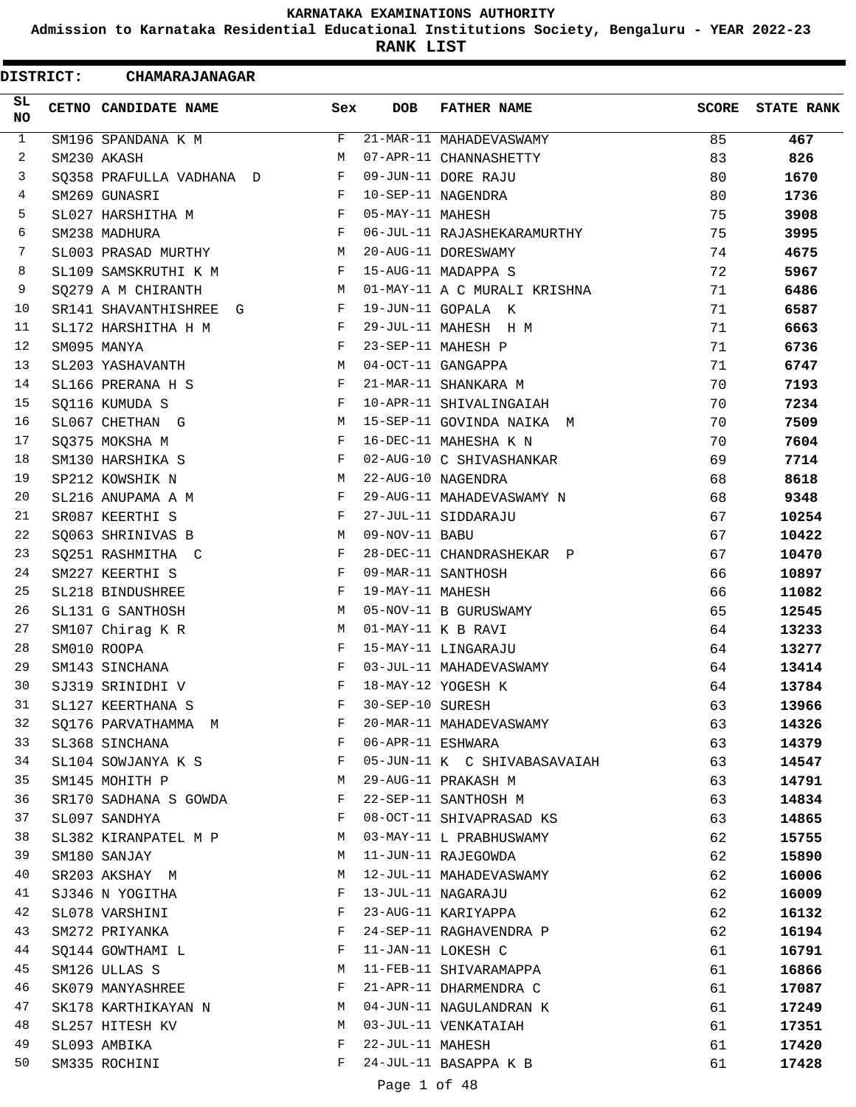**Admission to Karnataka Residential Educational Institutions Society, Bengaluru - YEAR 2022-23**

**RANK LIST**

|              | <b>DISTRICT:</b> | <b>CHAMARAJANAGAR</b>    |              |                   |                              |              |                   |
|--------------|------------------|--------------------------|--------------|-------------------|------------------------------|--------------|-------------------|
| SL.<br>NO.   |                  | CETNO CANDIDATE NAME     | Sex          | <b>DOB</b>        | <b>FATHER NAME</b>           | <b>SCORE</b> | <b>STATE RANK</b> |
| $\mathbf{1}$ |                  | SM196 SPANDANA K M       | F            |                   | 21-MAR-11 MAHADEVASWAMY      | 85           | 467               |
| 2            |                  | SM230 AKASH              | M            |                   | 07-APR-11 CHANNASHETTY       | 83           | 826               |
| 3            |                  | SQ358 PRAFULLA VADHANA D | F            |                   | 09-JUN-11 DORE RAJU          | 80           | 1670              |
| 4            |                  | SM269 GUNASRI            | F            |                   | 10-SEP-11 NAGENDRA           | 80           | 1736              |
| 5            |                  | SL027 HARSHITHA M        | F            | 05-MAY-11 MAHESH  |                              | 75           | 3908              |
| 6            |                  | SM238 MADHURA            | F            |                   | 06-JUL-11 RAJASHEKARAMURTHY  | 75           | 3995              |
| 7            |                  | SL003 PRASAD MURTHY      | M            |                   | 20-AUG-11 DORESWAMY          | 74           | 4675              |
| 8            |                  | SL109 SAMSKRUTHI K M     | F            |                   | 15-AUG-11 MADAPPA S          | 72           | 5967              |
| 9            |                  | SQ279 A M CHIRANTH       | M            |                   | 01-MAY-11 A C MURALI KRISHNA | 71           | 6486              |
| 10           |                  | SR141 SHAVANTHISHREE G   | F            |                   | 19-JUN-11 GOPALA K           | 71           | 6587              |
| 11           |                  | SL172 HARSHITHA H M      | F            |                   | 29-JUL-11 MAHESH H M         | 71           | 6663              |
| 12           |                  | SM095 MANYA              | F            |                   | 23-SEP-11 MAHESH P           | 71           | 6736              |
| 13           |                  | SL203 YASHAVANTH         | M            |                   | 04-OCT-11 GANGAPPA           | 71           | 6747              |
| 14           |                  | SL166 PRERANA H S        | F            |                   | 21-MAR-11 SHANKARA M         | 70           | 7193              |
| 15           |                  | SQ116 KUMUDA S           | F            |                   | 10-APR-11 SHIVALINGAIAH      | 70           | 7234              |
| 16           |                  | SL067 CHETHAN G          | M            |                   | 15-SEP-11 GOVINDA NAIKA M    | 70           | 7509              |
| 17           |                  | SQ375 MOKSHA M           | F            |                   | 16-DEC-11 MAHESHA K N        | 70           | 7604              |
| 18           |                  | SM130 HARSHIKA S         | F            |                   | 02-AUG-10 C SHIVASHANKAR     | 69           | 7714              |
| 19           |                  | SP212 KOWSHIK N          | M            |                   | 22-AUG-10 NAGENDRA           | 68           | 8618              |
| 20           |                  | SL216 ANUPAMA A M        | F            |                   | 29-AUG-11 MAHADEVASWAMY N    | 68           | 9348              |
| 21           |                  | SR087 KEERTHI S          | F            |                   | 27-JUL-11 SIDDARAJU          | 67           | 10254             |
| 22           |                  | SQ063 SHRINIVAS B        | M            | 09-NOV-11 BABU    |                              | 67           | 10422             |
| 23           |                  | SQ251 RASHMITHA C        | F            |                   | 28-DEC-11 CHANDRASHEKAR P    | 67           | 10470             |
| 24           |                  | SM227 KEERTHI S          | F            |                   | 09-MAR-11 SANTHOSH           | 66           | 10897             |
| 25           |                  | SL218 BINDUSHREE         | F            | 19-MAY-11 MAHESH  |                              | 66           | 11082             |
| 26           |                  | SL131 G SANTHOSH         | M            |                   | 05-NOV-11 B GURUSWAMY        | 65           | 12545             |
| 27           |                  | SM107 Chirag K R         | M            |                   | 01-MAY-11 K B RAVI           | 64           | 13233             |
| 28           |                  | SM010 ROOPA              | F            |                   | 15-MAY-11 LINGARAJU          | 64           | 13277             |
| 29           |                  | SM143 SINCHANA           | F            |                   | 03-JUL-11 MAHADEVASWAMY      | 64           | 13414             |
| 30           |                  | SJ319 SRINIDHI V         | F            |                   | 18-MAY-12 YOGESH K           | 64           | 13784             |
| 31           |                  | SL127 KEERTHANA S        | F            | 30-SEP-10 SURESH  |                              | 63           | 13966             |
| 32           |                  | SO176 PARVATHAMMA M      | F            |                   | 20-MAR-11 MAHADEVASWAMY      | 63           | 14326             |
| 33           |                  | SL368 SINCHANA           | $\mathbf{F}$ | 06-APR-11 ESHWARA |                              | 63           | 14379             |
| 34           |                  | SL104 SOWJANYA K S       | $\mathbf{F}$ |                   | 05-JUN-11 K C SHIVABASAVAIAH | 63           | 14547             |
| 35           |                  | SM145 MOHITH P           | M            |                   | 29-AUG-11 PRAKASH M          | 63           | 14791             |
| 36           |                  | SR170 SADHANA S GOWDA    | F            |                   | 22-SEP-11 SANTHOSH M         | 63           | 14834             |
| 37           |                  | SL097 SANDHYA            | F            |                   | 08-OCT-11 SHIVAPRASAD KS     | 63           | 14865             |
| 38           |                  | SL382 KIRANPATEL M P     | М            |                   | 03-MAY-11 L PRABHUSWAMY      | 62           | 15755             |
| 39           |                  | SM180 SANJAY             | М            |                   | 11-JUN-11 RAJEGOWDA          | 62           | 15890             |
| 40           |                  | SR203 AKSHAY M           | М            |                   | 12-JUL-11 MAHADEVASWAMY      | 62           | 16006             |
| 41           |                  | SJ346 N YOGITHA          | F            |                   | 13-JUL-11 NAGARAJU           | 62           | 16009             |
| 42           |                  | SL078 VARSHINI           | F            |                   | 23-AUG-11 KARIYAPPA          | 62           | 16132             |
| 43           |                  | SM272 PRIYANKA           | F            |                   | 24-SEP-11 RAGHAVENDRA P      | 62           | 16194             |
| 44           |                  | SQ144 GOWTHAMI L         | F            |                   | 11-JAN-11 LOKESH C           | 61           | 16791             |
| 45           |                  | SM126 ULLAS S            | М            |                   | 11-FEB-11 SHIVARAMAPPA       | 61           | 16866             |
| 46           |                  | SK079 MANYASHREE         | F            |                   | 21-APR-11 DHARMENDRA C       | 61           | 17087             |
| 47           |                  | SK178 KARTHIKAYAN N      | M            |                   | 04-JUN-11 NAGULANDRAN K      | 61           | 17249             |
| 48           |                  | SL257 HITESH KV          | M            |                   | 03-JUL-11 VENKATAIAH         | 61           | 17351             |
| 49           |                  | SL093 AMBIKA             | F            | 22-JUL-11 MAHESH  |                              | 61           | 17420             |
| 50           |                  | SM335 ROCHINI            | F            |                   | 24-JUL-11 BASAPPA K B        | 61           | 17428             |
|              |                  |                          |              |                   |                              |              |                   |
|              |                  |                          |              | Page 1 of 48      |                              |              |                   |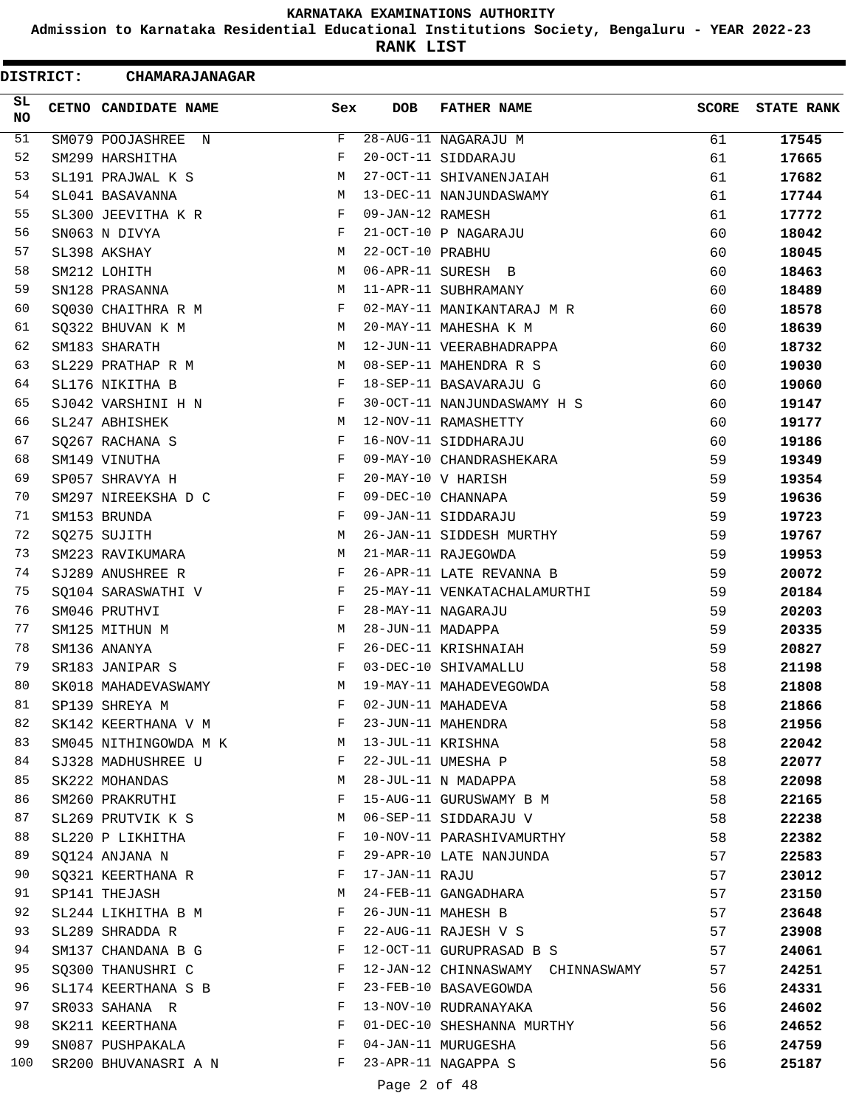**Admission to Karnataka Residential Educational Institutions Society, Bengaluru - YEAR 2022-23**

**RANK LIST**

| <b>DISTRICT:</b> | <b>CHAMARAJANAGAR</b> |     |                   |                                   |       |                   |
|------------------|-----------------------|-----|-------------------|-----------------------------------|-------|-------------------|
| SL<br><b>NO</b>  | CETNO CANDIDATE NAME  | Sex | <b>DOB</b>        | <b>FATHER NAME</b>                | SCORE | <b>STATE RANK</b> |
| 51               | SM079 POOJASHREE N    | F   |                   | 28-AUG-11 NAGARAJU M              | 61    | 17545             |
| 52               | SM299 HARSHITHA       | F   |                   | 20-OCT-11 SIDDARAJU               | 61    | 17665             |
| 53               | SL191 PRAJWAL K S     | М   |                   | 27-OCT-11 SHIVANENJAIAH           | 61    | 17682             |
| 54               | SL041 BASAVANNA       | M   |                   | 13-DEC-11 NANJUNDASWAMY           | 61    | 17744             |
| 55               | SL300 JEEVITHA K R    | F   | 09-JAN-12 RAMESH  |                                   | 61    | 17772             |
| 56               | SN063 N DIVYA         | F   |                   | 21-OCT-10 P NAGARAJU              | 60    | 18042             |
| 57               | SL398 AKSHAY          | M   | 22-OCT-10 PRABHU  |                                   | 60    | 18045             |
| 58               | SM212 LOHITH          | M   |                   | 06-APR-11 SURESH B                | 60    | 18463             |
| 59               | SN128 PRASANNA        | М   |                   | 11-APR-11 SUBHRAMANY              | 60    | 18489             |
| 60               | SQ030 CHAITHRA R M    | F   |                   | 02-MAY-11 MANIKANTARAJ M R        | 60    | 18578             |
| 61               | SQ322 BHUVAN K M      | М   |                   | 20-MAY-11 MAHESHA K M             | 60    | 18639             |
| 62               | SM183 SHARATH         | M   |                   | 12-JUN-11 VEERABHADRAPPA          | 60    | 18732             |
| 63               | SL229 PRATHAP R M     | М   |                   | 08-SEP-11 MAHENDRA R S            | 60    | 19030             |
| 64               | SL176 NIKITHA B       | F   |                   | 18-SEP-11 BASAVARAJU G            | 60    | 19060             |
| 65               | SJ042 VARSHINI H N    | F   |                   | 30-OCT-11 NANJUNDASWAMY H S       | 60    | 19147             |
| 66               | SL247 ABHISHEK        | M   |                   | 12-NOV-11 RAMASHETTY              | 60    | 19177             |
| 67               | SQ267 RACHANA S       | F   |                   | 16-NOV-11 SIDDHARAJU              | 60    | 19186             |
| 68               | SM149 VINUTHA         | F   |                   | 09-MAY-10 CHANDRASHEKARA          | 59    | 19349             |
| 69               | SP057 SHRAVYA H       | F   |                   | 20-MAY-10 V HARISH                | 59    | 19354             |
| 70               | SM297 NIREEKSHA D C   | F   |                   | 09-DEC-10 CHANNAPA                | 59    | 19636             |
| 71               | SM153 BRUNDA          | F   |                   | 09-JAN-11 SIDDARAJU               | 59    | 19723             |
| 72               | SQ275 SUJITH          | M   |                   | 26-JAN-11 SIDDESH MURTHY          | 59    | 19767             |
| 73               | SM223 RAVIKUMARA      | M   |                   | 21-MAR-11 RAJEGOWDA               | 59    | 19953             |
| 74               | SJ289 ANUSHREE R      | F   |                   | 26-APR-11 LATE REVANNA B          | 59    | 20072             |
| 75               | SQ104 SARASWATHI V    | F   |                   | 25-MAY-11 VENKATACHALAMURTHI      | 59    | 20184             |
| 76               | SM046 PRUTHVI         | F   |                   | 28-MAY-11 NAGARAJU                | 59    | 20203             |
| 77               | SM125 MITHUN M        | М   | 28-JUN-11 MADAPPA |                                   | 59    | 20335             |
| 78               | SM136 ANANYA          | F   |                   | 26-DEC-11 KRISHNAIAH              | 59    | 20827             |
| 79               | SR183 JANIPAR S       | F   |                   | 03-DEC-10 SHIVAMALLU              | 58    | 21198             |
| 80               | SK018 MAHADEVASWAMY   | M   |                   | 19-MAY-11 MAHADEVEGOWDA           | 58    | 21808             |
| 81               | SP139 SHREYA M        | F   |                   | 02-JUN-11 MAHADEVA                | 58    | 21866             |
| 82               | SK142 KEERTHANA V M   | F   |                   | 23-JUN-11 MAHENDRA                | 58    | 21956             |
| 83               | SM045 NITHINGOWDA M K | M   | 13-JUL-11 KRISHNA |                                   | 58    | 22042             |
| 84               | SJ328 MADHUSHREE U    | F   |                   | 22-JUL-11 UMESHA P                | 58    | 22077             |
| 85               | SK222 MOHANDAS        | М   |                   | 28-JUL-11 N MADAPPA               | 58    | 22098             |
| 86               | SM260 PRAKRUTHI       | F   |                   | 15-AUG-11 GURUSWAMY B M           | 58    | 22165             |
| 87               | SL269 PRUTVIK K S     | М   |                   | 06-SEP-11 SIDDARAJU V             | 58    | 22238             |
| 88               | SL220 P LIKHITHA      | F   |                   | 10-NOV-11 PARASHIVAMURTHY         | 58    | 22382             |
| 89               | SQ124 ANJANA N        | F   |                   | 29-APR-10 LATE NANJUNDA           | 57    | 22583             |
| 90               | SQ321 KEERTHANA R     | F   | 17-JAN-11 RAJU    |                                   | 57    | 23012             |
| 91               | SP141 THEJASH         | M   |                   | 24-FEB-11 GANGADHARA              | 57    | 23150             |
| 92               | SL244 LIKHITHA B M    | F   |                   | 26-JUN-11 MAHESH B                | 57    | 23648             |
| 93               | SL289 SHRADDA R       | F   |                   | 22-AUG-11 RAJESH V S              | 57    | 23908             |
| 94               | SM137 CHANDANA B G    | F   |                   | 12-OCT-11 GURUPRASAD B S          | 57    | 24061             |
| 95               | SQ300 THANUSHRI C     | F   |                   | 12-JAN-12 CHINNASWAMY CHINNASWAMY | 57    | 24251             |
| 96               | SL174 KEERTHANA S B   | F   |                   | 23-FEB-10 BASAVEGOWDA             | 56    | 24331             |
| 97               | SR033 SAHANA R        | F   |                   | 13-NOV-10 RUDRANAYAKA             | 56    | 24602             |
| 98               | SK211 KEERTHANA       | F   |                   | 01-DEC-10 SHESHANNA MURTHY        | 56    | 24652             |
| 99               | SN087 PUSHPAKALA      | F   |                   | 04-JAN-11 MURUGESHA               | 56    | 24759             |
| 100              | SR200 BHUVANASRI A N  | F   |                   | 23-APR-11 NAGAPPA S               | 56    | 25187             |
|                  |                       |     |                   |                                   |       |                   |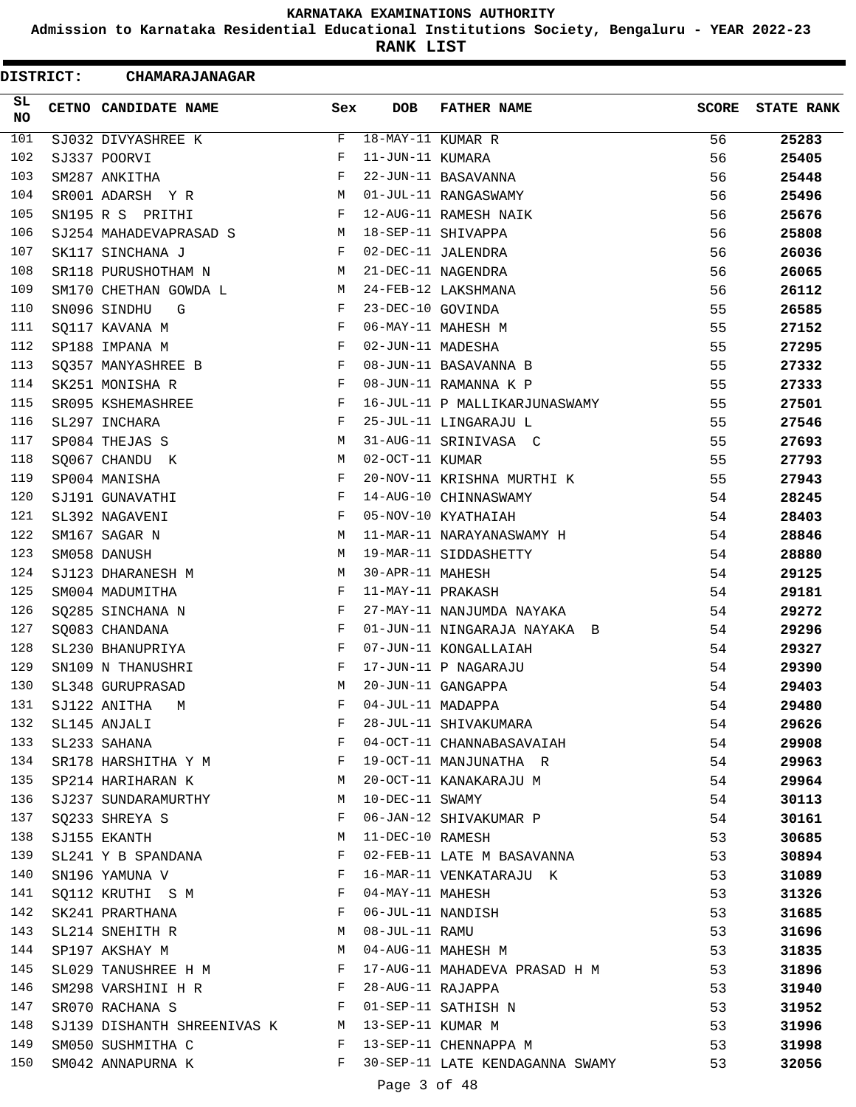**Admission to Karnataka Residential Educational Institutions Society, Bengaluru - YEAR 2022-23**

**RANK LIST**

| <b>DISTRICT:</b> | <b>CHAMARAJANAGAR</b>                           |              |                   |                                 |              |                   |
|------------------|-------------------------------------------------|--------------|-------------------|---------------------------------|--------------|-------------------|
| SL<br>NO         | CETNO CANDIDATE NAME                            | Sex          | DOB               | <b>FATHER NAME</b>              | <b>SCORE</b> | <b>STATE RANK</b> |
| 101              | SJ032 DIVYASHREE K                              | F            | 18-MAY-11 KUMAR R |                                 | 56           | 25283             |
| 102              | SJ337 POORVI                                    | F            | 11-JUN-11 KUMARA  |                                 | 56           | 25405             |
| 103              | SM287 ANKITHA                                   | F            |                   | 22-JUN-11 BASAVANNA             | 56           | 25448             |
| 104              | SR001 ADARSH Y R                                | M            |                   | 01-JUL-11 RANGASWAMY            | 56           | 25496             |
| 105              | SN195 R S PRITHI                                | F            |                   | 12-AUG-11 RAMESH NAIK           | 56           | 25676             |
| 106              | SJ254 MAHADEVAPRASAD S                          | M            |                   | 18-SEP-11 SHIVAPPA              | 56           | 25808             |
| 107              | SK117 SINCHANA J                                | F            |                   | 02-DEC-11 JALENDRA              | 56           | 26036             |
| 108              | SR118 PURUSHOTHAM N                             | M            |                   | 21-DEC-11 NAGENDRA              | 56           | 26065             |
| 109              | SM170 CHETHAN GOWDA L                           | M            |                   | 24-FEB-12 LAKSHMANA             | 56           | 26112             |
| 110              | SN096 SINDHU<br>G                               | F            | 23-DEC-10 GOVINDA |                                 | 55           | 26585             |
| 111              | SQ117 KAVANA M                                  | F            |                   | 06-MAY-11 MAHESH M              | 55           | 27152             |
| 112              | SP188 IMPANA M                                  | F            | 02-JUN-11 MADESHA |                                 | 55           | 27295             |
| 113              | SQ357 MANYASHREE B                              | F            |                   | 08-JUN-11 BASAVANNA B           | 55           | 27332             |
| 114              | SK251 MONISHA R                                 | F            |                   | 08-JUN-11 RAMANNA K P           | 55           | 27333             |
| 115              | SR095 KSHEMASHREE                               | F            |                   | 16-JUL-11 P MALLIKARJUNASWAMY   | 55           | 27501             |
| 116              | SL297 INCHARA                                   | F            |                   | 25-JUL-11 LINGARAJU L           | 55           | 27546             |
| 117              | SP084 THEJAS S                                  | M            |                   | 31-AUG-11 SRINIVASA C           | 55           | 27693             |
| 118              | SQ067 CHANDU K                                  | М            | 02-OCT-11 KUMAR   |                                 | 55           | 27793             |
| 119              | SP004 MANISHA                                   | F            |                   | 20-NOV-11 KRISHNA MURTHI K      | 55           | 27943             |
| 120              | SJ191 GUNAVATHI                                 | F            |                   | 14-AUG-10 CHINNASWAMY           | 54           | 28245             |
| 121              | SL392 NAGAVENI                                  | F            |                   | 05-NOV-10 KYATHAIAH             | 54           | 28403             |
| 122              | SM167 SAGAR N                                   | M            |                   | 11-MAR-11 NARAYANASWAMY H       | 54           | 28846             |
| 123              | SM058 DANUSH                                    | М            |                   | 19-MAR-11 SIDDASHETTY           | 54           | 28880             |
| 124              | SJ123 DHARANESH M                               | М            | 30-APR-11 MAHESH  |                                 | 54           | 29125             |
| 125              | SM004 MADUMITHA                                 | F            | 11-MAY-11 PRAKASH |                                 | 54           | 29181             |
| 126              | SQ285 SINCHANA N                                | F            |                   | 27-MAY-11 NANJUMDA NAYAKA       | 54           | 29272             |
| 127              | SQ083 CHANDANA                                  | F            |                   | 01-JUN-11 NINGARAJA NAYAKA B    | 54           | 29296             |
| 128              | SL230 BHANUPRIYA                                | F            |                   | 07-JUN-11 KONGALLAIAH           | 54           | 29327             |
| 129              | SN109 N THANUSHRI                               | F            |                   | 17-JUN-11 P NAGARAJU            | 54           | 29390             |
| 130              | SL348 GURUPRASAD                                | M            |                   | 20-JUN-11 GANGAPPA              | 54           | 29403             |
| 131              | SJ122 ANITHA M                                  | F            |                   | 04-JUL-11 MADAPPA               | 54           | 29480             |
| 132              | SL145 ANJALI                                    | F            |                   | 28-JUL-11 SHIVAKUMARA           | 54           | 29626             |
| 133              | SL233 SAHANA                                    | $\mathbf{F}$ |                   | 04-OCT-11 CHANNABASAVAIAH       | 54           | 29908             |
| 134              | SR178 HARSHITHA Y M F                           |              |                   | 19-OCT-11 MANJUNATHA R          | 54           | 29963             |
| 135              | SP214 HARIHARAN K                               | М            |                   | 20-OCT-11 KANAKARAJU M          | 54           | 29964             |
| 136              | SJ237 SUNDARAMURTHY                             | M            | 10-DEC-11 SWAMY   |                                 | 54           | 30113             |
| 137              | SQ233 SHREYA S                                  | F            |                   | 06-JAN-12 SHIVAKUMAR P          | 54           | 30161             |
| 138              | SJ155 EKANTH                                    | M            | 11-DEC-10 RAMESH  |                                 | 53           | 30685             |
| 139              | SL241 Y B SPANDANA                              | F            |                   | 02-FEB-11 LATE M BASAVANNA      | 53           | 30894             |
| 140              | $\mathbf{F}$ and $\mathbf{F}$<br>SN196 YAMUNA V |              |                   | 16-MAR-11 VENKATARAJU K         | 53           | 31089             |
| 141              | SQ112 KRUTHI S M                                | F            | 04-MAY-11 MAHESH  |                                 | 53           | 31326             |
| 142              | SK241 PRARTHANA                                 | F            |                   | 06-JUL-11 NANDISH               | 53           | 31685             |
| 143              | SL214 SNEHITH R                                 | M            | 08-JUL-11 RAMU    |                                 | 53           | 31696             |
| 144              | SP197 AKSHAY M                                  | М            |                   | 04-AUG-11 MAHESH M              | 53           | 31835             |
| 145              | SL029 TANUSHREE H M                             | $\mathbb F$  |                   | 17-AUG-11 MAHADEVA PRASAD H M   | 53           | 31896             |
| 146              | SM298 VARSHINI H R F                            |              | 28-AUG-11 RAJAPPA |                                 | 53           | 31940             |
| 147              | F 01-SEP-11 SATHISH N<br>SR070 RACHANA S        |              |                   |                                 | 53           | 31952             |
| 148              | SJ139 DISHANTH SHREENIVAS K M 13-SEP-11 KUMAR M |              |                   |                                 | 53           | 31996             |
| 149              | SM050 SUSHMITHA C                               | $\mathbf{F}$ |                   | 13-SEP-11 CHENNAPPA M           | 53           | 31998             |
| 150              | SM042 ANNAPURNA K                               | $\mathbf{F}$ |                   | 30-SEP-11 LATE KENDAGANNA SWAMY | 53           | 32056             |
|                  |                                                 |              | Page 3 of 48      |                                 |              |                   |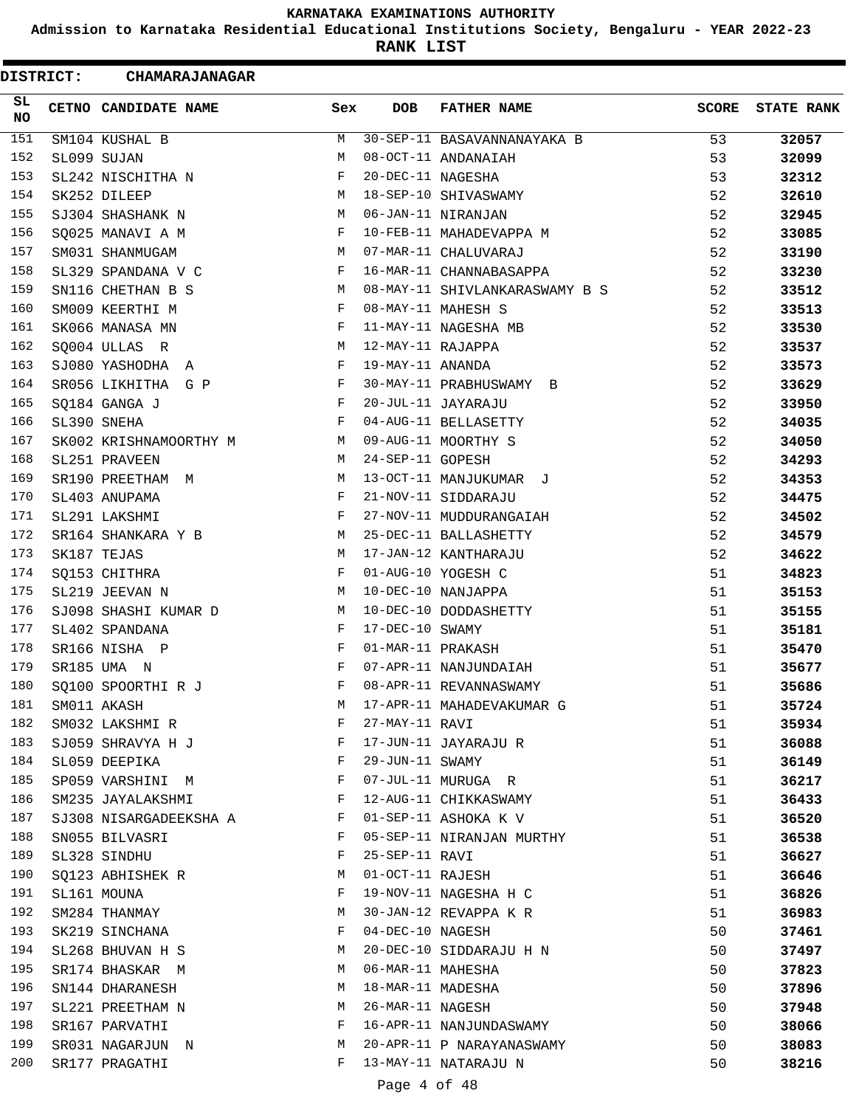**Admission to Karnataka Residential Educational Institutions Society, Bengaluru - YEAR 2022-23**

**RANK LIST**

| <b>DISTRICT:</b> | CHAMARAJANAGAR         |              |                   |                                |              |                   |
|------------------|------------------------|--------------|-------------------|--------------------------------|--------------|-------------------|
| SL<br>NO         | CETNO CANDIDATE NAME   | Sex          | <b>DOB</b>        | <b>FATHER NAME</b>             | <b>SCORE</b> | <b>STATE RANK</b> |
| 151              | SM104 KUSHAL B         | M            |                   | 30-SEP-11 BASAVANNANAYAKA B    | 53           | 32057             |
| 152              | SL099 SUJAN            | М            |                   | 08-OCT-11 ANDANAIAH            | 53           | 32099             |
| 153              | SL242 NISCHITHA N      | F            | 20-DEC-11 NAGESHA |                                | 53           | 32312             |
| 154              | SK252 DILEEP           | M            |                   | 18-SEP-10 SHIVASWAMY           | 52           | 32610             |
| 155              | SJ304 SHASHANK N       | M            |                   | 06-JAN-11 NIRANJAN             | 52           | 32945             |
| 156              | SQ025 MANAVI A M       | F            |                   | 10-FEB-11 MAHADEVAPPA M        | 52           | 33085             |
| 157              | SM031 SHANMUGAM        | М            |                   | 07-MAR-11 CHALUVARAJ           | 52           | 33190             |
| 158              | SL329 SPANDANA V C     | F            |                   | 16-MAR-11 CHANNABASAPPA        | 52           | 33230             |
| 159              | SN116 CHETHAN B S      | М            |                   | 08-MAY-11 SHIVLANKARASWAMY B S | 52           | 33512             |
| 160              | SM009 KEERTHI M        | F            |                   | 08-MAY-11 MAHESH S             | 52           | 33513             |
| 161              | SK066 MANASA MN        | F            |                   | 11-MAY-11 NAGESHA MB           | 52           | 33530             |
| 162              | SQ004 ULLAS R          | M            | 12-MAY-11 RAJAPPA |                                | 52           | 33537             |
| 163              | SJ080 YASHODHA A       | $_{\rm F}$   | 19-MAY-11 ANANDA  |                                | 52           | 33573             |
| 164              | SR056 LIKHITHA G P     | F            |                   | 30-MAY-11 PRABHUSWAMY B        | 52           | 33629             |
| 165              | SQ184 GANGA J          | F            |                   | 20-JUL-11 JAYARAJU             | 52           | 33950             |
| 166              | SL390 SNEHA            | F            |                   | 04-AUG-11 BELLASETTY           | 52           | 34035             |
| 167              | SK002 KRISHNAMOORTHY M | М            |                   | 09-AUG-11 MOORTHY S            | 52           | 34050             |
| 168              | SL251 PRAVEEN          | М            | 24-SEP-11 GOPESH  |                                | 52           | 34293             |
| 169              | SR190 PREETHAM M       | М            |                   | 13-OCT-11 MANJUKUMAR J         | 52           | 34353             |
| 170              | SL403 ANUPAMA          | F            |                   | 21-NOV-11 SIDDARAJU            | 52           | 34475             |
| 171              | SL291 LAKSHMI          | F            |                   | 27-NOV-11 MUDDURANGAIAH        | 52           | 34502             |
| 172              | SR164 SHANKARA Y B     | М            |                   | 25-DEC-11 BALLASHETTY          | 52           | 34579             |
| 173              | SK187 TEJAS            | М            |                   | 17-JAN-12 KANTHARAJU           | 52           | 34622             |
| 174              | SQ153 CHITHRA          | F            |                   | 01-AUG-10 YOGESH C             | 51           | 34823             |
| 175              | SL219 JEEVAN N         | М            |                   | 10-DEC-10 NANJAPPA             | 51           | 35153             |
| 176              | SJ098 SHASHI KUMAR D   | М            |                   | 10-DEC-10 DODDASHETTY          | 51           | 35155             |
| 177              | SL402 SPANDANA         | F            | 17-DEC-10 SWAMY   |                                | 51           | 35181             |
| 178              | SR166 NISHA P          | F            | 01-MAR-11 PRAKASH |                                | 51           | 35470             |
| 179              | SR185 UMA N            | $_{\rm F}$   |                   | 07-APR-11 NANJUNDAIAH          | 51           | 35677             |
| 180              | SQ100 SPOORTHI R J     | F            |                   | 08-APR-11 REVANNASWAMY         | 51           | 35686             |
| 181              | SM011 AKASH            | M            |                   | 17-APR-11 MAHADEVAKUMAR G      | 51           | 35724             |
| 182              | SM032 LAKSHMI R        | F            | 27-MAY-11 RAVI    |                                | 51           |                   |
| 183              |                        | F            |                   | 17-JUN-11 JAYARAJU R           |              | 35934             |
|                  | SJ059 SHRAVYA H J      |              |                   |                                | 51           | 36088             |
| 184              | SL059 DEEPIKA          | F            | 29-JUN-11 SWAMY   |                                | 51           | 36149             |
| 185              | SP059 VARSHINI M       | F            |                   | 07-JUL-11 MURUGA R             | 51           | 36217             |
| 186              | SM235 JAYALAKSHMI      | $\mathbf{F}$ |                   | 12-AUG-11 CHIKKASWAMY          | 51           | 36433             |
| 187              | SJ308 NISARGADEEKSHA A | F            |                   | 01-SEP-11 ASHOKA K V           | 51           | 36520             |
| 188              | SN055 BILVASRI         | F            |                   | 05-SEP-11 NIRANJAN MURTHY      | 51           | 36538             |
| 189              | SL328 SINDHU           | F            | 25-SEP-11 RAVI    |                                | 51           | 36627             |
| 190              | SQ123 ABHISHEK R       | М            | 01-OCT-11 RAJESH  |                                | 51           | 36646             |
| 191              | SL161 MOUNA            | F            |                   | 19-NOV-11 NAGESHA H C          | 51           | 36826             |
| 192              | SM284 THANMAY          | М            |                   | 30-JAN-12 REVAPPA K R          | 51           | 36983             |
| 193              | SK219 SINCHANA         | F            | 04-DEC-10 NAGESH  |                                | 50           | 37461             |
| 194              | SL268 BHUVAN H S       | М            |                   | 20-DEC-10 SIDDARAJU H N        | 50           | 37497             |
| 195              | SR174 BHASKAR M        | M            | 06-MAR-11 MAHESHA |                                | 50           | 37823             |
| 196              | SN144 DHARANESH        | M            | 18-MAR-11 MADESHA |                                | 50           | 37896             |
| 197              | SL221 PREETHAM N       | M            | 26-MAR-11 NAGESH  |                                | 50           | 37948             |
| 198              | SR167 PARVATHI         | F            |                   | 16-APR-11 NANJUNDASWAMY        | 50           | 38066             |
| 199              | SR031 NAGARJUN N       | М            |                   | 20-APR-11 P NARAYANASWAMY      | 50           | 38083             |
| 200              | SR177 PRAGATHI         | F            |                   | 13-MAY-11 NATARAJU N           | 50           | 38216             |
|                  |                        |              |                   |                                |              |                   |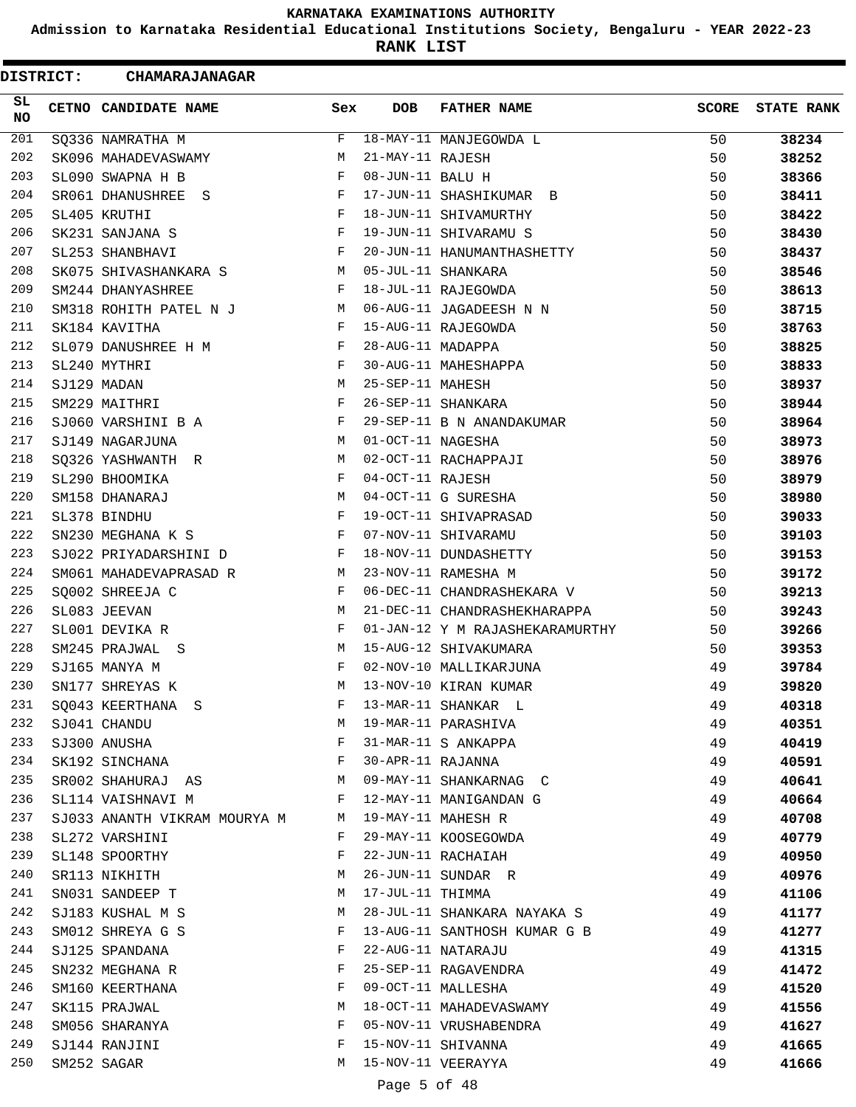**Admission to Karnataka Residential Educational Institutions Society, Bengaluru - YEAR 2022-23**

**RANK LIST**

| <b>DISTRICT:</b> | <b>CHAMARAJANAGAR</b>        |     |                   |                                 |              |                   |
|------------------|------------------------------|-----|-------------------|---------------------------------|--------------|-------------------|
| SL.<br>NO.       | CETNO CANDIDATE NAME         | Sex | <b>DOB</b>        | <b>FATHER NAME</b>              | <b>SCORE</b> | <b>STATE RANK</b> |
| 201              | SQ336 NAMRATHA M             | F   |                   | 18-MAY-11 MANJEGOWDA L          | 50           | 38234             |
| 202              | SK096 MAHADEVASWAMY          | М   | 21-MAY-11 RAJESH  |                                 | 50           | 38252             |
| 203              | SL090 SWAPNA H B             | F   | 08-JUN-11 BALU H  |                                 | 50           | 38366             |
| 204              | SR061 DHANUSHREE<br>S        | F   |                   | 17-JUN-11 SHASHIKUMAR B         | 50           | 38411             |
| 205              | SL405 KRUTHI                 | F   |                   | 18-JUN-11 SHIVAMURTHY           | 50           | 38422             |
| 206              | SK231 SANJANA S              | F   |                   | 19-JUN-11 SHIVARAMU S           | 50           | 38430             |
| 207              | SL253 SHANBHAVI              | F   |                   | 20-JUN-11 HANUMANTHASHETTY      | 50           | 38437             |
| 208              | SK075 SHIVASHANKARA S        | М   |                   | 05-JUL-11 SHANKARA              | 50           | 38546             |
| 209              | SM244 DHANYASHREE            | F   |                   | 18-JUL-11 RAJEGOWDA             | 50           | 38613             |
| 210              | SM318 ROHITH PATEL N J       | М   |                   | 06-AUG-11 JAGADEESH N N         | 50           | 38715             |
| 211              | SK184 KAVITHA                | F   |                   | 15-AUG-11 RAJEGOWDA             | 50           | 38763             |
| 212              | SL079 DANUSHREE H M          | F   | 28-AUG-11 MADAPPA |                                 | 50           | 38825             |
| 213              | SL240 MYTHRI                 | F   |                   | 30-AUG-11 MAHESHAPPA            | 50           | 38833             |
| 214              | SJ129 MADAN                  | М   | 25-SEP-11 MAHESH  |                                 | 50           | 38937             |
| 215              | SM229 MAITHRI                | F   |                   | 26-SEP-11 SHANKARA              | 50           | 38944             |
| 216              | SJ060 VARSHINI B A           | F   |                   | 29-SEP-11 B N ANANDAKUMAR       | 50           | 38964             |
| 217              | SJ149 NAGARJUNA              | М   | 01-OCT-11 NAGESHA |                                 | 50           | 38973             |
| 218              | SQ326 YASHWANTH R            | М   |                   | 02-OCT-11 RACHAPPAJI            | 50           | 38976             |
| 219              | SL290 BHOOMIKA               | F   | 04-OCT-11 RAJESH  |                                 | 50           | 38979             |
| 220              | SM158 DHANARAJ               | М   |                   | 04-OCT-11 G SURESHA             | 50           | 38980             |
| 221              | SL378 BINDHU                 | F   |                   | 19-OCT-11 SHIVAPRASAD           | 50           | 39033             |
| 222              | SN230 MEGHANA K S            | F   |                   | 07-NOV-11 SHIVARAMU             | 50           | 39103             |
| 223              | SJ022 PRIYADARSHINI D        | F   |                   | 18-NOV-11 DUNDASHETTY           | 50           | 39153             |
| 224              | SM061 MAHADEVAPRASAD R       | М   |                   | 23-NOV-11 RAMESHA M             | 50           | 39172             |
| 225              | SQ002 SHREEJA C              | F   |                   | 06-DEC-11 CHANDRASHEKARA V      | 50           | 39213             |
| 226              | SL083 JEEVAN                 | М   |                   | 21-DEC-11 CHANDRASHEKHARAPPA    | 50           | 39243             |
| 227              | SL001 DEVIKA R               | F   |                   | 01-JAN-12 Y M RAJASHEKARAMURTHY | 50           | 39266             |
| 228              | SM245 PRAJWAL S              | М   |                   | 15-AUG-12 SHIVAKUMARA           | 50           | 39353             |
| 229              | SJ165 MANYA M                | F   |                   | 02-NOV-10 MALLIKARJUNA          | 49           | 39784             |
| 230              | SN177 SHREYAS K              | M   |                   | 13-NOV-10 KIRAN KUMAR           | 49           | 39820             |
| 231              | SQ043 KEERTHANA S            | F   |                   | 13-MAR-11 SHANKAR L             | 49           | 40318             |
| 232              | SJ041 CHANDU                 | M   |                   | 19-MAR-11 PARASHIVA             | 49           | 40351             |
| 233              | SJ300 ANUSHA                 | F   |                   | 31-MAR-11 S ANKAPPA             | 49           | 40419             |
| 234              | SK192 SINCHANA               | F   | 30-APR-11 RAJANNA |                                 | 49           | 40591             |
| 235              | SR002 SHAHURAJ AS            | M   |                   | 09-MAY-11 SHANKARNAG C          | 49           | 40641             |
| 236              | SL114 VAISHNAVI M            | F   |                   | 12-MAY-11 MANIGANDAN G          | 49           | 40664             |
| 237              | SJ033 ANANTH VIKRAM MOURYA M | M   |                   | 19-MAY-11 MAHESH R              | 49           | 40708             |
| 238              | SL272 VARSHINI               | F   |                   | 29-MAY-11 KOOSEGOWDA            | 49           | 40779             |
| 239              | SL148 SPOORTHY               | F   |                   | 22-JUN-11 RACHAIAH              | 49           | 40950             |
| 240              | SR113 NIKHITH                | М   |                   | 26-JUN-11 SUNDAR R              | 49           | 40976             |
| 241              | SN031 SANDEEP T              | М   | 17-JUL-11 THIMMA  |                                 | 49           | 41106             |
| 242              | SJ183 KUSHAL M S             | М   |                   | 28-JUL-11 SHANKARA NAYAKA S     | 49           | 41177             |
| 243              | SM012 SHREYA G S             | F   |                   | 13-AUG-11 SANTHOSH KUMAR G B    | 49           | 41277             |
| 244              | SJ125 SPANDANA               | F   |                   | 22-AUG-11 NATARAJU              | 49           | 41315             |
| 245              | SN232 MEGHANA R              | F   |                   | 25-SEP-11 RAGAVENDRA            | 49           | 41472             |
| 246              | SM160 KEERTHANA              | F   |                   | 09-OCT-11 MALLESHA              | 49           | 41520             |
| 247              | SK115 PRAJWAL                | М   |                   | 18-OCT-11 MAHADEVASWAMY         | 49           | 41556             |
| 248              | SM056 SHARANYA               | F   |                   | 05-NOV-11 VRUSHABENDRA          | 49           | 41627             |
| 249              | SJ144 RANJINI                | F   |                   | 15-NOV-11 SHIVANNA              | 49           | 41665             |
| 250              | SM252 SAGAR                  | M   |                   | 15-NOV-11 VEERAYYA              | 49           | 41666             |
|                  |                              |     | Page 5 of 48      |                                 |              |                   |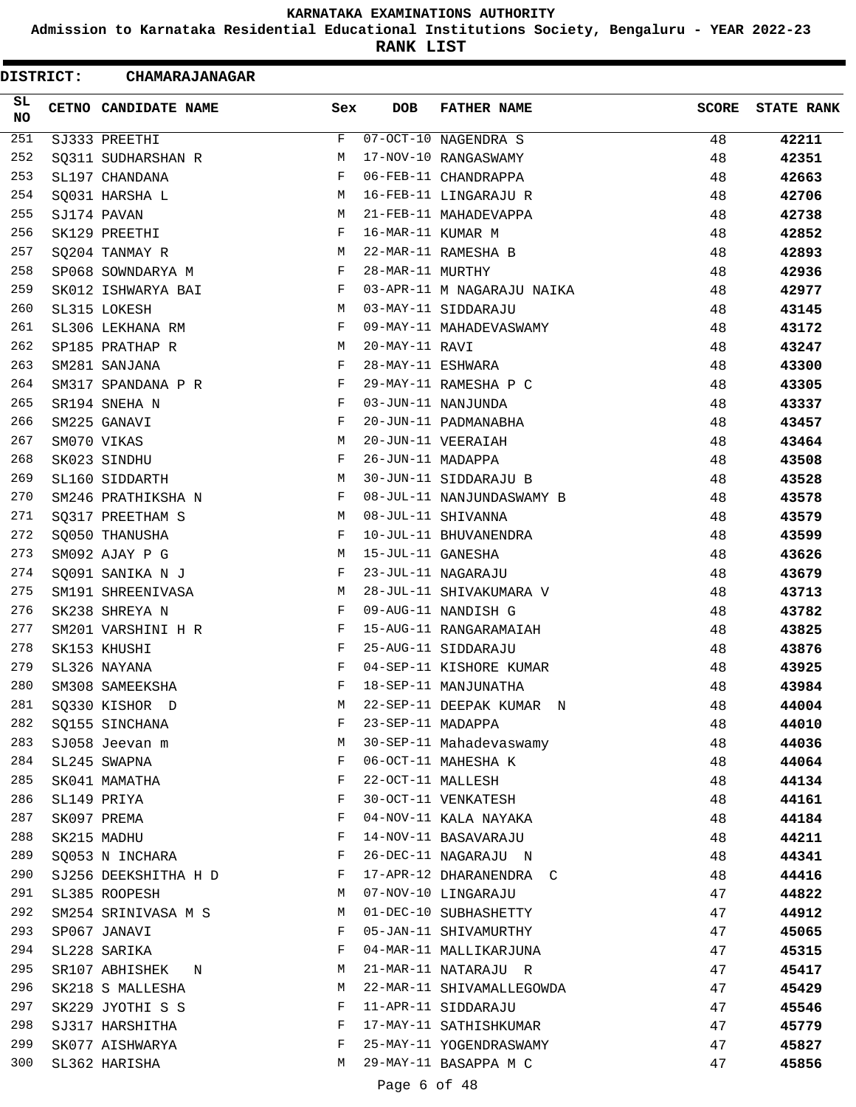**Admission to Karnataka Residential Educational Institutions Society, Bengaluru - YEAR 2022-23**

**RANK LIST**

| <b>DISTRICT:</b> | <b>CHAMARAJANAGAR</b> |     |                   |                            |              |                   |
|------------------|-----------------------|-----|-------------------|----------------------------|--------------|-------------------|
| SL.<br>NO.       | CETNO CANDIDATE NAME  | Sex | <b>DOB</b>        | <b>FATHER NAME</b>         | <b>SCORE</b> | <b>STATE RANK</b> |
| 251              | SJ333 PREETHI         | F   |                   | 07-OCT-10 NAGENDRA S       | 48           | 42211             |
| 252              | SQ311 SUDHARSHAN R    | М   |                   | 17-NOV-10 RANGASWAMY       | 48           | 42351             |
| 253              | SL197 CHANDANA        | F   |                   | 06-FEB-11 CHANDRAPPA       | 48           | 42663             |
| 254              | SQ031 HARSHA L        | М   |                   | 16-FEB-11 LINGARAJU R      | 48           | 42706             |
| 255              | SJ174 PAVAN           | M   |                   | 21-FEB-11 MAHADEVAPPA      | 48           | 42738             |
| 256              | SK129 PREETHI         | F   | 16-MAR-11 KUMAR M |                            | 48           | 42852             |
| 257              | SQ204 TANMAY R        | M   |                   | 22-MAR-11 RAMESHA B        | 48           | 42893             |
| 258              | SP068 SOWNDARYA M     | F   | 28-MAR-11 MURTHY  |                            | 48           | 42936             |
| 259              | SK012 ISHWARYA BAI    | F   |                   | 03-APR-11 M NAGARAJU NAIKA | 48           | 42977             |
| 260              | SL315 LOKESH          | М   |                   | 03-MAY-11 SIDDARAJU        | 48           | 43145             |
| 261              | SL306 LEKHANA RM      | F   |                   | 09-MAY-11 MAHADEVASWAMY    | 48           | 43172             |
| 262              | SP185 PRATHAP R       | М   | 20-MAY-11 RAVI    |                            | 48           | 43247             |
| 263              | SM281 SANJANA         | F   | 28-MAY-11 ESHWARA |                            | 48           | 43300             |
| 264              | SM317 SPANDANA P R    | F   |                   | 29-MAY-11 RAMESHA P C      | 48           | 43305             |
| 265              | SR194 SNEHA N         | F   |                   | 03-JUN-11 NANJUNDA         | 48           | 43337             |
| 266              | SM225 GANAVI          | F   |                   | 20-JUN-11 PADMANABHA       | 48           | 43457             |
| 267              | SM070 VIKAS           | М   |                   | 20-JUN-11 VEERAIAH         | 48           | 43464             |
| 268              | SK023 SINDHU          | F   | 26-JUN-11 MADAPPA |                            | 48           | 43508             |
| 269              | SL160 SIDDARTH        | М   |                   | 30-JUN-11 SIDDARAJU B      | 48           | 43528             |
| 270              | SM246 PRATHIKSHA N    | F   |                   | 08-JUL-11 NANJUNDASWAMY B  | 48           | 43578             |
| 271              | SQ317 PREETHAM S      | M   |                   | 08-JUL-11 SHIVANNA         | 48           | 43579             |
| 272              | SQ050 THANUSHA        | F   |                   | 10-JUL-11 BHUVANENDRA      | 48           | 43599             |
| 273              | SM092 AJAY P G        | M   | 15-JUL-11 GANESHA |                            | 48           | 43626             |
| 274              | SQ091 SANIKA N J      | F   |                   | 23-JUL-11 NAGARAJU         | 48           | 43679             |
| 275              | SM191 SHREENIVASA     | М   |                   | 28-JUL-11 SHIVAKUMARA V    | 48           | 43713             |
| 276              | SK238 SHREYA N        | F   |                   | 09-AUG-11 NANDISH G        | 48           | 43782             |
| 277              | SM201 VARSHINI H R    | F   |                   | 15-AUG-11 RANGARAMAIAH     | 48           | 43825             |
| 278              | SK153 KHUSHI          | F   |                   | 25-AUG-11 SIDDARAJU        | 48           | 43876             |
| 279              | SL326 NAYANA          | F   |                   | 04-SEP-11 KISHORE KUMAR    | 48           | 43925             |
| 280              | SM308 SAMEEKSHA       | F   |                   | 18-SEP-11 MANJUNATHA       | 48           | 43984             |
| 281              | SQ330 KISHOR D        | M   |                   | 22-SEP-11 DEEPAK KUMAR N   | 48           | 44004             |
| 282              | SQ155 SINCHANA        | F   | 23-SEP-11 MADAPPA |                            | 48           | 44010             |
| 283              | SJ058 Jeevan m        | М   |                   | 30-SEP-11 Mahadevaswamy    | 48           | 44036             |
| 284              | SL245 SWAPNA          | F   |                   | 06-OCT-11 MAHESHA K        | 48           | 44064             |
| 285              | SK041 MAMATHA         | F   | 22-OCT-11 MALLESH |                            | 48           | 44134             |
| 286              | SL149 PRIYA           | F   |                   | 30-OCT-11 VENKATESH        | 48           | 44161             |
| 287              | SK097 PREMA           | F   |                   | 04-NOV-11 KALA NAYAKA      | 48           | 44184             |
| 288              | SK215 MADHU           | F   |                   | 14-NOV-11 BASAVARAJU       | 48           | 44211             |
| 289              | SQ053 N INCHARA       | F   |                   | 26-DEC-11 NAGARAJU N       | 48           | 44341             |
| 290              | SJ256 DEEKSHITHA H D  | F   |                   | 17-APR-12 DHARANENDRA C    | 48           | 44416             |
| 291              | SL385 ROOPESH         | M   |                   | 07-NOV-10 LINGARAJU        | 47           | 44822             |
| 292              | SM254 SRINIVASA M S   | М   |                   | 01-DEC-10 SUBHASHETTY      | 47           | 44912             |
| 293              | SP067 JANAVI          | F   |                   | 05-JAN-11 SHIVAMURTHY      | 47           | 45065             |
| 294              | SL228 SARIKA          | F   |                   | 04-MAR-11 MALLIKARJUNA     | 47           | 45315             |
| 295              | SR107 ABHISHEK<br>N   | М   |                   | 21-MAR-11 NATARAJU R       | 47           | 45417             |
| 296              | SK218 S MALLESHA      | М   |                   | 22-MAR-11 SHIVAMALLEGOWDA  | 47           | 45429             |
| 297              | SK229 JYOTHI S S      | F   |                   | 11-APR-11 SIDDARAJU        | 47           | 45546             |
| 298              | SJ317 HARSHITHA       | F   |                   | 17-MAY-11 SATHISHKUMAR     | 47           | 45779             |
| 299              | SK077 AISHWARYA       | F   |                   | 25-MAY-11 YOGENDRASWAMY    | 47           | 45827             |
| 300              | SL362 HARISHA         | М   |                   | 29-MAY-11 BASAPPA M C      | 47           | 45856             |
|                  |                       |     |                   |                            |              |                   |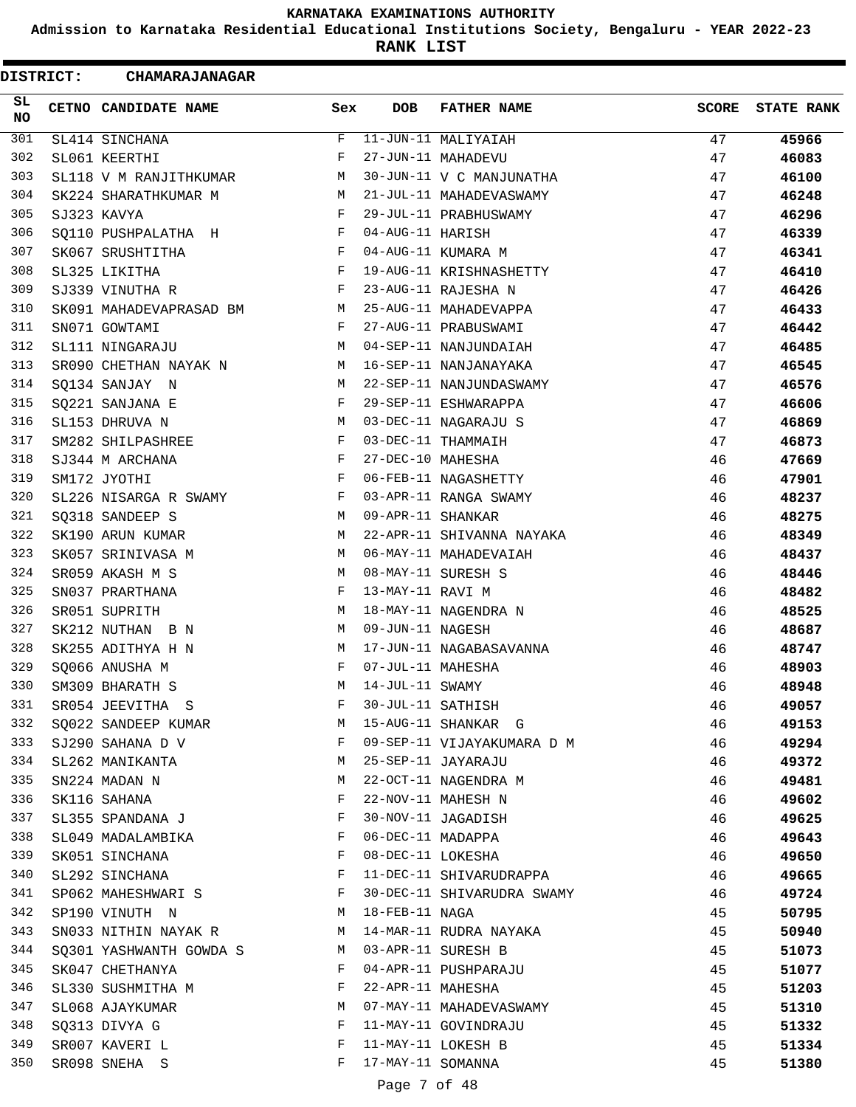**Admission to Karnataka Residential Educational Institutions Society, Bengaluru - YEAR 2022-23**

**RANK LIST**

| <b>DISTRICT:</b> | <b>CHAMARAJANAGAR</b>   |     |                   |                            |              |                   |
|------------------|-------------------------|-----|-------------------|----------------------------|--------------|-------------------|
| SL<br>NO.        | CETNO CANDIDATE NAME    | Sex | <b>DOB</b>        | <b>FATHER NAME</b>         | <b>SCORE</b> | <b>STATE RANK</b> |
| 301              | SL414 SINCHANA          | F   |                   | 11-JUN-11 MALIYAIAH        | 47           | 45966             |
| 302              | SL061 KEERTHI           | F   |                   | 27-JUN-11 MAHADEVU         | 47           | 46083             |
| 303              | SL118 V M RANJITHKUMAR  | М   |                   | 30-JUN-11 V C MANJUNATHA   | 47           | 46100             |
| 304              | SK224 SHARATHKUMAR M    | М   |                   | 21-JUL-11 MAHADEVASWAMY    | 47           | 46248             |
| 305              | SJ323 KAVYA             | F   |                   | 29-JUL-11 PRABHUSWAMY      | 47           | 46296             |
| 306              | SQ110 PUSHPALATHA H     | F   | 04-AUG-11 HARISH  |                            | 47           | 46339             |
| 307              | SK067 SRUSHTITHA        | F   |                   | 04-AUG-11 KUMARA M         | 47           | 46341             |
| 308              | SL325 LIKITHA           | F   |                   | 19-AUG-11 KRISHNASHETTY    | 47           | 46410             |
| 309              | SJ339 VINUTHA R         | F   |                   | 23-AUG-11 RAJESHA N        | 47           | 46426             |
| 310              | SK091 MAHADEVAPRASAD BM | M   |                   | 25-AUG-11 MAHADEVAPPA      | 47           | 46433             |
| 311              | SN071 GOWTAMI           | F   |                   | 27-AUG-11 PRABUSWAMI       | 47           | 46442             |
| 312              | SL111 NINGARAJU         | М   |                   | 04-SEP-11 NANJUNDAIAH      | 47           | 46485             |
| 313              | SR090 CHETHAN NAYAK N   | M   |                   | 16-SEP-11 NANJANAYAKA      | 47           | 46545             |
| 314              | SQ134 SANJAY N          | M   |                   | 22-SEP-11 NANJUNDASWAMY    | 47           | 46576             |
| 315              | SQ221 SANJANA E         | F   |                   | 29-SEP-11 ESHWARAPPA       | 47           | 46606             |
| 316              | SL153 DHRUVA N          | М   |                   | 03-DEC-11 NAGARAJU S       | 47           | 46869             |
| 317              | SM282 SHILPASHREE       | F   |                   | 03-DEC-11 THAMMAIH         | 47           | 46873             |
| 318              | SJ344 M ARCHANA         | F   | 27-DEC-10 MAHESHA |                            | 46           | 47669             |
| 319              | SM172 JYOTHI            | F   |                   | 06-FEB-11 NAGASHETTY       | 46           | 47901             |
| 320              | SL226 NISARGA R SWAMY   | F   |                   | 03-APR-11 RANGA SWAMY      | 46           | 48237             |
| 321              | SQ318 SANDEEP S         | M   | 09-APR-11 SHANKAR |                            | 46           | 48275             |
| 322              | SK190 ARUN KUMAR        | М   |                   | 22-APR-11 SHIVANNA NAYAKA  | 46           | 48349             |
| 323              | SK057 SRINIVASA M       | M   |                   | 06-MAY-11 MAHADEVAIAH      | 46           | 48437             |
| 324              | SR059 AKASH M S         | М   |                   | 08-MAY-11 SURESH S         | 46           | 48446             |
| 325              | SN037 PRARTHANA         | F   | 13-MAY-11 RAVI M  |                            | 46           | 48482             |
| 326              | SR051 SUPRITH           | М   |                   | 18-MAY-11 NAGENDRA N       | 46           | 48525             |
| 327              | SK212 NUTHAN B N        | М   | 09-JUN-11 NAGESH  |                            | 46           | 48687             |
| 328              | SK255 ADITHYA H N       | M   |                   | 17-JUN-11 NAGABASAVANNA    | 46           | 48747             |
| 329              | SQ066 ANUSHA M          | F   | 07-JUL-11 MAHESHA |                            | 46           | 48903             |
| 330              | SM309 BHARATH S         | M   | 14-JUL-11 SWAMY   |                            | 46           | 48948             |
| 331              | SR054 JEEVITHA S        | F   | 30-JUL-11 SATHISH |                            | 46           | 49057             |
| 332              | SO022 SANDEEP KUMAR     | M   |                   | 15-AUG-11 SHANKAR G        | 46           | 49153             |
| 333              | SJ290 SAHANA D V        | F   |                   | 09-SEP-11 VIJAYAKUMARA D M | 46           | 49294             |
| 334              | SL262 MANIKANTA         | M   |                   | 25-SEP-11 JAYARAJU         | 46           | 49372             |
| 335              | SN224 MADAN N           | М   |                   | 22-OCT-11 NAGENDRA M       | 46           | 49481             |
| 336              | SK116 SAHANA            | F   |                   | 22-NOV-11 MAHESH N         | 46           | 49602             |
| 337              | SL355 SPANDANA J        | F   |                   | 30-NOV-11 JAGADISH         | 46           | 49625             |
| 338              | SL049 MADALAMBIKA       | F   |                   | 06-DEC-11 MADAPPA          | 46           | 49643             |
| 339              | SK051 SINCHANA          | F   | 08-DEC-11 LOKESHA |                            | 46           | 49650             |
| 340              | SL292 SINCHANA          | F   |                   | 11-DEC-11 SHIVARUDRAPPA    | 46           | 49665             |
| 341              | SP062 MAHESHWARI S      | F   |                   | 30-DEC-11 SHIVARUDRA SWAMY | 46           | 49724             |
| 342              | SP190 VINUTH N          | M   | 18-FEB-11 NAGA    |                            | 45           | 50795             |
| 343              | SN033 NITHIN NAYAK R    | M   |                   | 14-MAR-11 RUDRA NAYAKA     | 45           | 50940             |
| 344              | SQ301 YASHWANTH GOWDA S | M   |                   | 03-APR-11 SURESH B         | 45           | 51073             |
| 345              | SK047 CHETHANYA         | F   |                   | 04-APR-11 PUSHPARAJU       | 45           | 51077             |
| 346              | SL330 SUSHMITHA M       | F   | 22-APR-11 MAHESHA |                            | 45           | 51203             |
| 347              | SL068 AJAYKUMAR         | M   |                   | 07-MAY-11 MAHADEVASWAMY    | 45           | 51310             |
| 348              | SQ313 DIVYA G           | F   |                   | 11-MAY-11 GOVINDRAJU       | 45           | 51332             |
| 349              | SR007 KAVERI L          | F   |                   | 11-MAY-11 LOKESH B         | 45           | 51334             |
| 350              | SR098 SNEHA S           | F   | 17-MAY-11 SOMANNA |                            | 45           | 51380             |
|                  |                         |     |                   |                            |              |                   |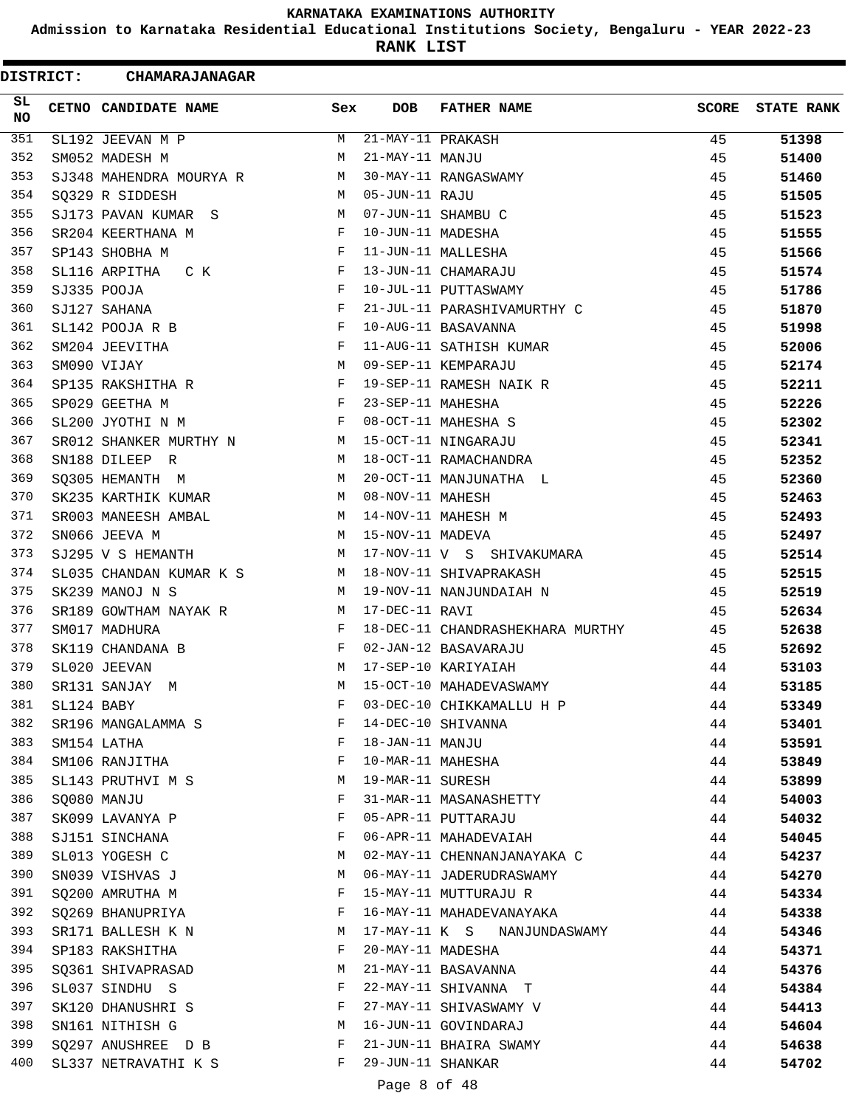**Admission to Karnataka Residential Educational Institutions Society, Bengaluru - YEAR 2022-23**

**RANK LIST**

Ξ

| <b>DISTRICT:</b> | <b>CHAMARAJANAGAR</b>                         |                                                |                   |                                  |       |                   |
|------------------|-----------------------------------------------|------------------------------------------------|-------------------|----------------------------------|-------|-------------------|
| SL<br><b>NO</b>  | CETNO CANDIDATE NAME                          | Sex                                            | <b>DOB</b>        | <b>FATHER NAME</b>               | SCORE | <b>STATE RANK</b> |
| 351              | SL192 JEEVAN M P                              | M                                              | 21-MAY-11 PRAKASH |                                  | 45    | 51398             |
| 352              | SM052 MADESH M                                | M                                              | 21-MAY-11 MANJU   |                                  | 45    | 51400             |
| 353              | SJ348 MAHENDRA MOURYA R M                     |                                                |                   | 30-MAY-11 RANGASWAMY             | 45    | 51460             |
| 354              | SQ329 R SIDDESH                               | M                                              | 05-JUN-11 RAJU    |                                  | 45    | 51505             |
| 355              | SJ173 PAVAN KUMAR S                           | M                                              |                   | 07-JUN-11 SHAMBU C               | 45    | 51523             |
| 356              | SR204 KEERTHANA M                             | F                                              | 10-JUN-11 MADESHA |                                  | 45    | 51555             |
| 357              | SP143 SHOBHA M                                | F                                              |                   | 11-JUN-11 MALLESHA               | 45    | 51566             |
| 358              | SL116 ARPITHA C K                             | $_{\rm F}$                                     |                   | 13-JUN-11 CHAMARAJU              | 45    | 51574             |
| 359              | SJ335 POOJA                                   | F                                              |                   | 10-JUL-11 PUTTASWAMY             | 45    | 51786             |
| 360              | SJ127 SAHANA                                  | F                                              |                   | 21-JUL-11 PARASHIVAMURTHY C      | 45    | 51870             |
| 361              | SL142 POOJA R B                               | <b>Example 19</b>                              |                   | 10-AUG-11 BASAVANNA              | 45    | 51998             |
| 362              | SM204 JEEVITHA                                | F                                              |                   | 11-AUG-11 SATHISH KUMAR          | 45    | 52006             |
| 363              | SM090 VIJAY                                   | M                                              |                   | 09-SEP-11 KEMPARAJU              | 45    | 52174             |
| 364              | SP135 RAKSHITHA R                             | F                                              |                   | 19-SEP-11 RAMESH NAIK R          | 45    | 52211             |
| 365              | SP029 GEETHA M                                | $\mathbf{F}$                                   | 23-SEP-11 MAHESHA |                                  | 45    | 52226             |
| 366              | SL200 JYOTHI N M                              | F                                              |                   | 08-OCT-11 MAHESHA S              | 45    | 52302             |
| 367              | SR012 SHANKER MURTHY N<br><b>Example 19</b> M |                                                |                   | 15-OCT-11 NINGARAJU              | 45    | 52341             |
| 368              | SN188 DILEEP R                                | M                                              |                   | 18-OCT-11 RAMACHANDRA            | 45    | 52352             |
| 369              | SQ305 HEMANTH M                               | M                                              |                   | 20-OCT-11 MANJUNATHA L           | 45    | 52360             |
| 370              | SK235 KARTHIK KUMAR                           | M                                              | 08-NOV-11 MAHESH  |                                  | 45    | 52463             |
| 371              | SR003 MANEESH AMBAL                           | M                                              |                   | 14-NOV-11 MAHESH M               | 45    | 52493             |
| 372              | SN066 JEEVA M                                 | M                                              | 15-NOV-11 MADEVA  |                                  | 45    | 52497             |
| 373              | SJ295 V S HEMANTH                             | M                                              |                   | 17-NOV-11 V S SHIVAKUMARA        | 45    | 52514             |
| 374              | SL035 CHANDAN KUMAR K S M                     |                                                |                   | 18-NOV-11 SHIVAPRAKASH           | 45    | 52515             |
| 375              | SK239 MANOJ N S                               | M                                              |                   | 19-NOV-11 NANJUNDAIAH N          | 45    | 52519             |
| 376              | SR189 GOWTHAM NAYAK R M 17-DEC-11 RAVI        |                                                |                   |                                  | 45    | 52634             |
| 377              | SM017 MADHURA                                 | $\mathbf{F}$                                   |                   | 18-DEC-11 CHANDRASHEKHARA MURTHY | 45    | 52638             |
| 378              | SK119 CHANDANA B                              | F                                              |                   | 02-JAN-12 BASAVARAJU             | 45    | 52692             |
| 379              | SL020 JEEVAN                                  | M                                              |                   | 17-SEP-10 KARIYAIAH              | 44    | 53103             |
| 380              | SR131 SANJAY M                                | M                                              |                   | 15-OCT-10 MAHADEVASWAMY          | 44    | 53185             |
| 381              | SL124 BABY                                    |                                                |                   | F 03-DEC-10 CHIKKAMALLU H P      | 44    | 53349             |
| 382              | SR196 MANGALAMMA S                            | $\mathbf{F}$                                   |                   | 14-DEC-10 SHIVANNA               | 44    | 53401             |
| 383              | SM154 LATHA                                   | $\mathbf{F}$                                   | 18-JAN-11 MANJU   |                                  | 44    | 53591             |
| 384              | SM106 RANJITHA F                              |                                                |                   | 10-MAR-11 MAHESHA                | 44    |                   |
| 385              | SL143 PRUTHVI M S                             | $M_{\rm H}$ and $M_{\rm H}$                    |                   | 19-MAR-11 SURESH                 | 44    | 53849<br>53899    |
| 386              |                                               | F                                              |                   | 31-MAR-11 MASANASHETTY           | 44    |                   |
| 387              | SQ080 MANJU                                   | F                                              |                   | 05-APR-11 PUTTARAJU              | 44    | 54003             |
| 388              | SK099 LAVANYA P                               | F                                              |                   | 06-APR-11 MAHADEVAIAH            |       | 54032             |
| 389              | SJ151 SINCHANA                                |                                                |                   | M 02-MAY-11 CHENNANJANAYAKA C    | 44    | 54045             |
| 390              | SL013 YOGESH C                                |                                                |                   |                                  | 44    | 54237             |
|                  | SN039 VISHVAS J                               |                                                |                   | M 06-MAY-11 JADERUDRASWAMY       | 44    | 54270             |
| 391              | SQ200 AMRUTHA M                               |                                                |                   | F 15-MAY-11 MUTTURAJU R          | 44    | 54334             |
| 392              | SQ269 BHANUPRIYA F                            |                                                |                   | 16-MAY-11 MAHADEVANAYAKA         | 44    | 54338             |
| 393              | M<br>SR171 BALLESH K N                        |                                                |                   | 17-MAY-11 K S NANJUNDASWAMY      | 44    | 54346             |
| 394              | SP183 RAKSHITHA                               | F                                              |                   | 20-MAY-11 MADESHA                | 44    | 54371             |
| 395              | SQ361 SHIVAPRASAD M 21-MAY-11 BASAVANNA       |                                                |                   |                                  | 44    | 54376             |
| 396              | SL037 SINDHU S                                | $\mathbf{F}$ and $\mathbf{F}$ and $\mathbf{F}$ |                   | 22-MAY-11 SHIVANNA T             | 44    | 54384             |
| 397              | SK120 DHANUSHRI S F 27-MAY-11 SHIVASWAMY V    |                                                |                   |                                  | 44    | 54413             |
| 398              | SN161 NITHISH G                               |                                                |                   | M 16-JUN-11 GOVINDARAJ           | 44    | 54604             |
| 399              | SQ297 ANUSHREE D B F 21-JUN-11 BHAIRA SWAMY   |                                                |                   |                                  | 44    | 54638             |
| 400              | SL337 NETRAVATHI K S F 29-JUN-11 SHANKAR      |                                                |                   |                                  | 44    | 54702             |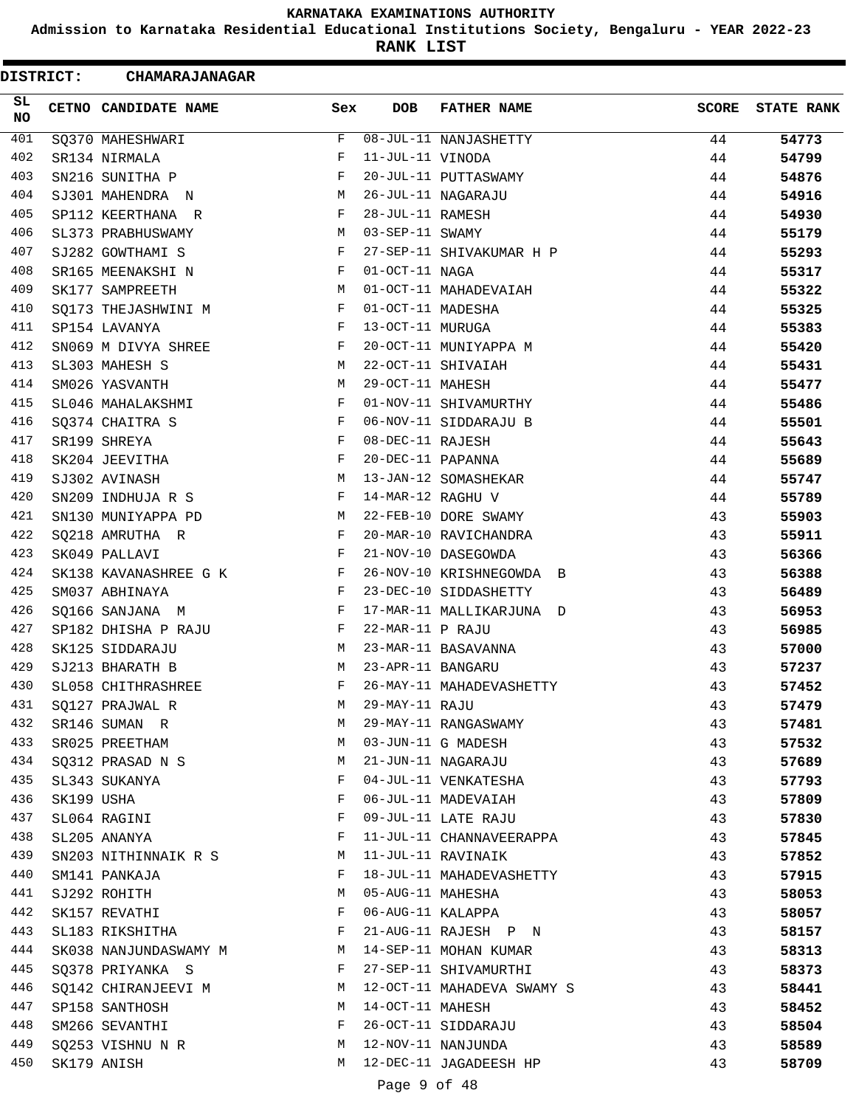**Admission to Karnataka Residential Educational Institutions Society, Bengaluru - YEAR 2022-23**

**RANK LIST**

| <b>DISTRICT:</b> |            | <b>CHAMARAJANAGAR</b> |     |                   |                            |              |                   |
|------------------|------------|-----------------------|-----|-------------------|----------------------------|--------------|-------------------|
| SL<br><b>NO</b>  |            | CETNO CANDIDATE NAME  | Sex | DOB               | <b>FATHER NAME</b>         | <b>SCORE</b> | <b>STATE RANK</b> |
| 401              |            | SO370 MAHESHWARI      | F   |                   | 08-JUL-11 NANJASHETTY      | 44           | 54773             |
| 402              |            | SR134 NIRMALA         | F   | 11-JUL-11 VINODA  |                            | 44           | 54799             |
| 403              |            | SN216 SUNITHA P       | F   |                   | 20-JUL-11 PUTTASWAMY       | 44           | 54876             |
| 404              |            | SJ301 MAHENDRA N      | M   |                   | 26-JUL-11 NAGARAJU         | 44           | 54916             |
| 405              |            | SP112 KEERTHANA R     | F   | 28-JUL-11 RAMESH  |                            | 44           | 54930             |
| 406              |            | SL373 PRABHUSWAMY     | M   | 03-SEP-11 SWAMY   |                            | 44           | 55179             |
| 407              |            | SJ282 GOWTHAMI S      | F   |                   | 27-SEP-11 SHIVAKUMAR H P   | 44           | 55293             |
| 408              |            | SR165 MEENAKSHI N     | F   | 01-OCT-11 NAGA    |                            | 44           | 55317             |
| 409              |            | SK177 SAMPREETH       | M   |                   | 01-OCT-11 MAHADEVAIAH      | 44           | 55322             |
| 410              |            | SQ173 THEJASHWINI M   | F   | 01-OCT-11 MADESHA |                            | 44           | 55325             |
| 411              |            | SP154 LAVANYA         | F   | 13-OCT-11 MURUGA  |                            | 44           | 55383             |
| 412              |            | SN069 M DIVYA SHREE   | F   |                   | 20-OCT-11 MUNIYAPPA M      | 44           | 55420             |
| 413              |            | SL303 MAHESH S        | M   |                   | 22-OCT-11 SHIVAIAH         | 44           | 55431             |
| 414              |            | SM026 YASVANTH        | M   | 29-OCT-11 MAHESH  |                            | 44           | 55477             |
| 415              |            | SL046 MAHALAKSHMI     | F   |                   | 01-NOV-11 SHIVAMURTHY      | 44           | 55486             |
| 416              |            | SQ374 CHAITRA S       | F   |                   | 06-NOV-11 SIDDARAJU B      | 44           | 55501             |
| 417              |            | SR199 SHREYA          | F   | 08-DEC-11 RAJESH  |                            | 44           | 55643             |
| 418              |            | SK204 JEEVITHA        | F   | 20-DEC-11 PAPANNA |                            | 44           | 55689             |
| 419              |            | SJ302 AVINASH         | M   |                   | 13-JAN-12 SOMASHEKAR       | 44           | 55747             |
| 420              |            | SN209 INDHUJA R S     | F   | 14-MAR-12 RAGHU V |                            | 44           | 55789             |
| 421              |            | SN130 MUNIYAPPA PD    | M   |                   | 22-FEB-10 DORE SWAMY       | 43           | 55903             |
| 422              |            | SQ218 AMRUTHA R       | F   |                   | 20-MAR-10 RAVICHANDRA      | 43           | 55911             |
| 423              |            | SK049 PALLAVI         | F   |                   | 21-NOV-10 DASEGOWDA        | 43           | 56366             |
| 424              |            | SK138 KAVANASHREE G K | F   |                   | 26-NOV-10 KRISHNEGOWDA B   | 43           | 56388             |
| 425              |            | SM037 ABHINAYA        | F   |                   | 23-DEC-10 SIDDASHETTY      | 43           | 56489             |
| 426              |            | SQ166 SANJANA M       | F   |                   | 17-MAR-11 MALLIKARJUNA D   | 43           | 56953             |
| 427              |            | SP182 DHISHA P RAJU   | F   | 22-MAR-11 P RAJU  |                            | 43           | 56985             |
| 428              |            | SK125 SIDDARAJU       | M   |                   | 23-MAR-11 BASAVANNA        | 43           | 57000             |
| 429              |            | SJ213 BHARATH B       | M   | 23-APR-11 BANGARU |                            | 43           | 57237             |
| 430              |            | SL058 CHITHRASHREE    | F   |                   | 26-MAY-11 MAHADEVASHETTY   | 43           | 57452             |
| 431              |            | SO127 PRAJWAL R       | М   | 29-MAY-11 RAJU    |                            | 43           | 57479             |
| 432              |            | SR146 SUMAN R         | М   |                   | 29-MAY-11 RANGASWAMY       | 43           | 57481             |
| 433              |            | SR025 PREETHAM        | M   |                   | 03-JUN-11 G MADESH         | 43           | 57532             |
| 434              |            | SQ312 PRASAD N S      | M   |                   | 21-JUN-11 NAGARAJU         | 43           | 57689             |
| 435              |            | SL343 SUKANYA         | F   |                   | 04-JUL-11 VENKATESHA       | 43           | 57793             |
| 436              | SK199 USHA |                       | F   |                   | 06-JUL-11 MADEVAIAH        | 43           | 57809             |
| 437              |            | SL064 RAGINI          | F   |                   | 09-JUL-11 LATE RAJU        | 43           | 57830             |
| 438              |            | SL205 ANANYA          | F   |                   | 11-JUL-11 CHANNAVEERAPPA   | 43           | 57845             |
| 439              |            | SN203 NITHINNAIK R S  | M   |                   | 11-JUL-11 RAVINAIK         | 43           | 57852             |
| 440              |            | SM141 PANKAJA         | F   |                   | 18-JUL-11 MAHADEVASHETTY   | 43           | 57915             |
| 441              |            | SJ292 ROHITH          | М   | 05-AUG-11 MAHESHA |                            | 43           | 58053             |
| 442              |            | SK157 REVATHI         | F   | 06-AUG-11 KALAPPA |                            | 43           | 58057             |
| 443              |            | SL183 RIKSHITHA       | F   |                   | 21-AUG-11 RAJESH P N       | 43           | 58157             |
| 444              |            | SK038 NANJUNDASWAMY M | M   |                   | 14-SEP-11 MOHAN KUMAR      | 43           | 58313             |
| 445              |            | SQ378 PRIYANKA S      | F   |                   | 27-SEP-11 SHIVAMURTHI      | 43           | 58373             |
| 446              |            | SQ142 CHIRANJEEVI M   | M   |                   | 12-OCT-11 MAHADEVA SWAMY S | 43           | 58441             |
| 447              |            | SP158 SANTHOSH        | M   | 14-OCT-11 MAHESH  |                            | 43           | 58452             |
| 448              |            | SM266 SEVANTHI        | F   |                   | 26-OCT-11 SIDDARAJU        | 43           | 58504             |
| 449              |            | SQ253 VISHNU N R      | M   |                   | 12-NOV-11 NANJUNDA         | 43           | 58589             |
| 450              |            | SK179 ANISH           | M   |                   | 12-DEC-11 JAGADEESH HP     | 43           | 58709             |
|                  |            |                       |     | Page 9 of 48      |                            |              |                   |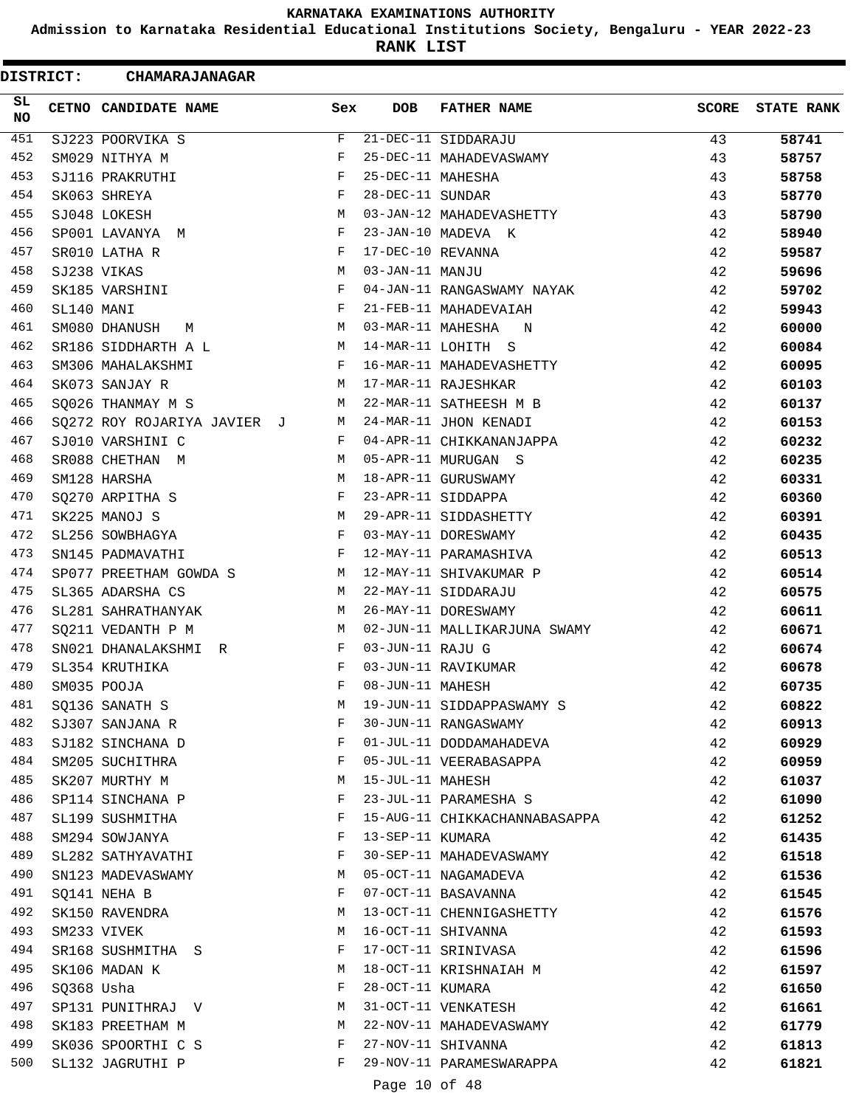**Admission to Karnataka Residential Educational Institutions Society, Bengaluru - YEAR 2022-23**

**RANK LIST**

| <b>DISTRICT:</b> |            | <b>CHAMARAJANAGAR</b>       |            |                   |                               |              |                   |
|------------------|------------|-----------------------------|------------|-------------------|-------------------------------|--------------|-------------------|
| SL.<br>NO.       |            | CETNO CANDIDATE NAME        | Sex        | <b>DOB</b>        | <b>FATHER NAME</b>            | <b>SCORE</b> | <b>STATE RANK</b> |
| 451              |            | SJ223 POORVIKA S            | F          |                   | 21-DEC-11 SIDDARAJU           | 43           | 58741             |
| 452              |            | SM029 NITHYA M              | F          |                   | 25-DEC-11 MAHADEVASWAMY       | 43           | 58757             |
| 453              |            | SJ116 PRAKRUTHI             | F          | 25-DEC-11 MAHESHA |                               | 43           | 58758             |
| 454              |            | SK063 SHREYA                | F          | 28-DEC-11 SUNDAR  |                               | 43           | 58770             |
| 455              |            | SJ048 LOKESH                | M          |                   | 03-JAN-12 MAHADEVASHETTY      | 43           | 58790             |
| 456              |            | SP001 LAVANYA M             | F          |                   | 23-JAN-10 MADEVA K            | 42           | 58940             |
| 457              |            | SR010 LATHA R               | $_{\rm F}$ | 17-DEC-10 REVANNA |                               | 42           | 59587             |
| 458              |            | SJ238 VIKAS                 | М          | 03-JAN-11 MANJU   |                               | 42           | 59696             |
| 459              |            | SK185 VARSHINI              | F          |                   | 04-JAN-11 RANGASWAMY NAYAK    | 42           | 59702             |
| 460              | SL140 MANI |                             | F          |                   | 21-FEB-11 MAHADEVAIAH         | 42           | 59943             |
| 461              |            | SM080 DHANUSH<br>M          | М          | 03-MAR-11 MAHESHA | N                             | 42           | 60000             |
| 462              |            | SR186 SIDDHARTH A L         | M          |                   | 14-MAR-11 LOHITH S            | 42           | 60084             |
| 463              |            | SM306 MAHALAKSHMI           | F          |                   | 16-MAR-11 MAHADEVASHETTY      | 42           | 60095             |
| 464              |            | SK073 SANJAY R              | М          |                   | 17-MAR-11 RAJESHKAR           | 42           | 60103             |
| 465              |            | SQ026 THANMAY M S           | М          |                   | 22-MAR-11 SATHEESH M B        | 42           | 60137             |
| 466              |            | SQ272 ROY ROJARIYA JAVIER J | M          |                   | 24-MAR-11 JHON KENADI         | 42           | 60153             |
| 467              |            | SJ010 VARSHINI C            | F          |                   | 04-APR-11 CHIKKANANJAPPA      | 42           | 60232             |
| 468              |            | SR088 CHETHAN M             | М          |                   | 05-APR-11 MURUGAN S           | 42           | 60235             |
| 469              |            | SM128 HARSHA                | М          |                   | 18-APR-11 GURUSWAMY           | 42           | 60331             |
| 470              |            | SQ270 ARPITHA S             | F          |                   | 23-APR-11 SIDDAPPA            | 42           | 60360             |
| 471              |            | SK225 MANOJ S               | М          |                   | 29-APR-11 SIDDASHETTY         | 42           | 60391             |
| 472              |            | SL256 SOWBHAGYA             | F          |                   | 03-MAY-11 DORESWAMY           | 42           | 60435             |
| 473              |            | SN145 PADMAVATHI            | F          |                   | 12-MAY-11 PARAMASHIVA         | 42           | 60513             |
| 474              |            | SP077 PREETHAM GOWDA S      | M          |                   | 12-MAY-11 SHIVAKUMAR P        | 42           | 60514             |
| 475              |            | SL365 ADARSHA CS            | M          |                   | 22-MAY-11 SIDDARAJU           | 42           | 60575             |
| 476              |            | SL281 SAHRATHANYAK          | М          |                   | 26-MAY-11 DORESWAMY           | 42           | 60611             |
| 477              |            | SQ211 VEDANTH P M           | M          |                   | 02-JUN-11 MALLIKARJUNA SWAMY  | 42           | 60671             |
| 478              |            | SN021 DHANALAKSHMI<br>R     | F          | 03-JUN-11 RAJU G  |                               | 42           | 60674             |
| 479              |            | SL354 KRUTHIKA              | F          |                   | 03-JUN-11 RAVIKUMAR           | 42           | 60678             |
| 480              |            | SM035 POOJA                 | F          | 08-JUN-11 MAHESH  |                               | 42           | 60735             |
| 481              |            | SQ136 SANATH S              | М          |                   | 19-JUN-11 SIDDAPPASWAMY S     | 42           | 60822             |
| 482              |            | SJ307 SANJANA R             | F          |                   | 30-JUN-11 RANGASWAMY          | 42           | 60913             |
| 483              |            | SJ182 SINCHANA D            | F          |                   | 01-JUL-11 DODDAMAHADEVA       | 42           | 60929             |
| 484              |            | SM205 SUCHITHRA             | F          |                   | 05-JUL-11 VEERABASAPPA        | 42           | 60959             |
| 485              |            | SK207 MURTHY M              | М          | 15-JUL-11 MAHESH  |                               | 42           | 61037             |
| 486              |            | SP114 SINCHANA P            | F          |                   | 23-JUL-11 PARAMESHA S         | 42           | 61090             |
| 487              |            | SL199 SUSHMITHA             | F          |                   | 15-AUG-11 CHIKKACHANNABASAPPA | 42           | 61252             |
| 488              |            | SM294 SOWJANYA              | F          | 13-SEP-11 KUMARA  |                               | 42           | 61435             |
| 489              |            | SL282 SATHYAVATHI           | F          |                   | 30-SEP-11 MAHADEVASWAMY       | 42           | 61518             |
| 490              |            | SN123 MADEVASWAMY           | M          |                   | 05-OCT-11 NAGAMADEVA          | 42           | 61536             |
| 491              |            | SQ141 NEHA B                | F          |                   | 07-OCT-11 BASAVANNA           | 42           | 61545             |
| 492              |            | SK150 RAVENDRA              | М          |                   | 13-OCT-11 CHENNIGASHETTY      | 42           | 61576             |
| 493              |            | SM233 VIVEK                 | М          |                   | 16-OCT-11 SHIVANNA            | 42           | 61593             |
| 494              |            | SR168 SUSHMITHA S           | F          |                   | 17-OCT-11 SRINIVASA           | 42           | 61596             |
| 495              |            | SK106 MADAN K               | М          |                   | 18-OCT-11 KRISHNAIAH M        | 42           | 61597             |
| 496              | SQ368 Usha |                             | F          | 28-OCT-11 KUMARA  |                               | 42           | 61650             |
| 497              |            | SP131 PUNITHRAJ V           | М          |                   | 31-OCT-11 VENKATESH           | 42           | 61661             |
| 498              |            | SK183 PREETHAM M            | М          |                   | 22-NOV-11 MAHADEVASWAMY       | 42           | 61779             |
| 499              |            | SK036 SPOORTHI C S          | F          |                   | 27-NOV-11 SHIVANNA            | 42           | 61813             |
| 500              |            | SL132 JAGRUTHI P            | F          |                   | 29-NOV-11 PARAMESWARAPPA      | 42           | 61821             |
|                  |            |                             |            | Page 10 of 48     |                               |              |                   |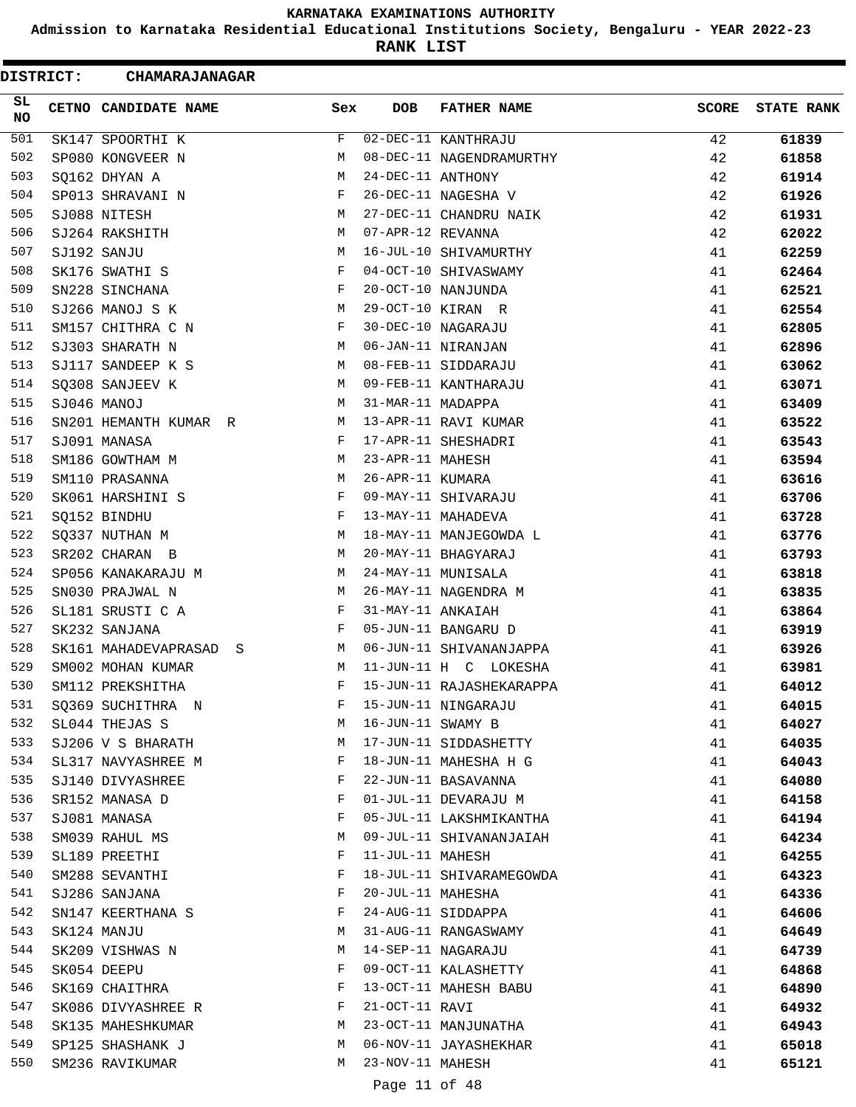**Admission to Karnataka Residential Educational Institutions Society, Bengaluru - YEAR 2022-23**

**RANK LIST**

 $\blacksquare$ 

| <b>DISTRICT:</b> | <b>CHAMARAJANAGAR</b>     |     |                   |                          |              |                   |
|------------------|---------------------------|-----|-------------------|--------------------------|--------------|-------------------|
| SL<br>NO.        | CETNO CANDIDATE NAME      | Sex | DOB.              | <b>FATHER NAME</b>       | <b>SCORE</b> | <b>STATE RANK</b> |
| 501              | SK147 SPOORTHI K          | F   |                   | 02-DEC-11 KANTHRAJU      | 42           | 61839             |
| 502              | SP080 KONGVEER N          | М   |                   | 08-DEC-11 NAGENDRAMURTHY | 42           | 61858             |
| 503              | SQ162 DHYAN A             | М   | 24-DEC-11 ANTHONY |                          | 42           | 61914             |
| 504              | SP013 SHRAVANI N          | F   |                   | 26-DEC-11 NAGESHA V      | 42           | 61926             |
| 505              | SJ088 NITESH              | М   |                   | 27-DEC-11 CHANDRU NAIK   | 42           | 61931             |
| 506              | SJ264 RAKSHITH            | М   | 07-APR-12 REVANNA |                          | 42           | 62022             |
| 507              | SJ192 SANJU               | М   |                   | 16-JUL-10 SHIVAMURTHY    | 41           | 62259             |
| 508              | SK176 SWATHI S            | F   |                   | 04-OCT-10 SHIVASWAMY     | 41           | 62464             |
| 509              | SN228 SINCHANA            | F   |                   | 20-OCT-10 NANJUNDA       | 41           | 62521             |
| 510              | SJ266 MANOJ S K           | М   |                   | 29-OCT-10 KIRAN R        | 41           | 62554             |
| 511              | SM157 CHITHRA C N         | F   |                   | 30-DEC-10 NAGARAJU       | 41           | 62805             |
| 512              | SJ303 SHARATH N           | М   |                   | 06-JAN-11 NIRANJAN       | 41           | 62896             |
| 513              | SJ117 SANDEEP K S         | M   |                   | 08-FEB-11 SIDDARAJU      | 41           | 63062             |
| 514              | SQ308 SANJEEV K           | М   |                   | 09-FEB-11 KANTHARAJU     | 41           | 63071             |
| 515              | SJ046 MANOJ               | M   | 31-MAR-11 MADAPPA |                          | 41           | 63409             |
| 516              | SN201 HEMANTH KUMAR R     | М   |                   | 13-APR-11 RAVI KUMAR     | 41           | 63522             |
| 517              | SJ091 MANASA              | F   |                   | 17-APR-11 SHESHADRI      | 41           | 63543             |
| 518              | SM186 GOWTHAM M           | М   | 23-APR-11 MAHESH  |                          | 41           | 63594             |
| 519              | SM110 PRASANNA            | М   | 26-APR-11 KUMARA  |                          | 41           | 63616             |
| 520              | SK061 HARSHINI S          | F   |                   | 09-MAY-11 SHIVARAJU      | 41           | 63706             |
| 521              | SQ152 BINDHU              | F   |                   | 13-MAY-11 MAHADEVA       | 41           | 63728             |
| 522              | SQ337 NUTHAN M            | М   |                   | 18-MAY-11 MANJEGOWDA L   | 41           | 63776             |
| 523              | SR202 CHARAN B            | М   |                   | 20-MAY-11 BHAGYARAJ      | 41           | 63793             |
| 524              | SP056 KANAKARAJU M        | М   |                   | 24-MAY-11 MUNISALA       | 41           | 63818             |
| 525              | SN030 PRAJWAL N           | М   |                   | 26-MAY-11 NAGENDRA M     | 41           | 63835             |
| 526              | SL181 SRUSTI C A          | F   | 31-MAY-11 ANKAIAH |                          | 41           | 63864             |
| 527              | SK232 SANJANA             | F   |                   | 05-JUN-11 BANGARU D      | 41           | 63919             |
| 528              | SK161 MAHADEVAPRASAD<br>S | М   |                   | 06-JUN-11 SHIVANANJAPPA  | 41           | 63926             |
| 529              | SM002 MOHAN KUMAR         | М   |                   | 11-JUN-11 H C LOKESHA    | 41           | 63981             |
| 530              | SM112 PREKSHITHA          | F   |                   | 15-JUN-11 RAJASHEKARAPPA | 41           | 64012             |
| 531              | SQ369 SUCHITHRA N         | F   |                   | 15-JUN-11 NINGARAJU      | 41           | 64015             |
| 532              | SL044 THEJAS S            | М   | 16-JUN-11 SWAMY B |                          | 41           | 64027             |
| 533              | SJ206 V S BHARATH         | М   |                   | 17-JUN-11 SIDDASHETTY    | 41           | 64035             |
| 534              | SL317 NAVYASHREE M        | F   |                   | 18-JUN-11 MAHESHA H G    | 41           | 64043             |
| 535              | SJ140 DIVYASHREE          | F   |                   | 22-JUN-11 BASAVANNA      | 41           | 64080             |
| 536              | SR152 MANASA D            | F   |                   | 01-JUL-11 DEVARAJU M     | 41           | 64158             |
| 537              | SJ081 MANASA              | F   |                   | 05-JUL-11 LAKSHMIKANTHA  | 41           | 64194             |
| 538              | SM039 RAHUL MS            | М   |                   | 09-JUL-11 SHIVANANJAIAH  | 41           | 64234             |
| 539              | SL189 PREETHI             | F   | 11-JUL-11 MAHESH  |                          | 41           | 64255             |
| 540              | SM288 SEVANTHI            | F   |                   | 18-JUL-11 SHIVARAMEGOWDA | 41           | 64323             |
| 541              | SJ286 SANJANA             | F   | 20-JUL-11 MAHESHA |                          | 41           | 64336             |
| 542              | SN147 KEERTHANA S         | F   |                   | 24-AUG-11 SIDDAPPA       | 41           | 64606             |
| 543              | SK124 MANJU               | М   |                   | 31-AUG-11 RANGASWAMY     | 41           | 64649             |
| 544              | SK209 VISHWAS N           | М   |                   | 14-SEP-11 NAGARAJU       | 41           | 64739             |
| 545              | SK054 DEEPU               | F   |                   | 09-OCT-11 KALASHETTY     | 41           | 64868             |
| 546              | SK169 CHAITHRA            | F   |                   | 13-OCT-11 MAHESH BABU    | 41           | 64890             |
| 547              | SK086 DIVYASHREE R        | F   | 21-OCT-11 RAVI    |                          | 41           | 64932             |
| 548              | SK135 MAHESHKUMAR         | M   |                   | 23-OCT-11 MANJUNATHA     | 41           | 64943             |
| 549              | SP125 SHASHANK J          | M   |                   | 06-NOV-11 JAYASHEKHAR    | 41           | 65018             |
| 550              | SM236 RAVIKUMAR           | М   | 23-NOV-11 MAHESH  |                          | 41           | 65121             |
|                  |                           |     |                   |                          |              |                   |

## Page 11 of 48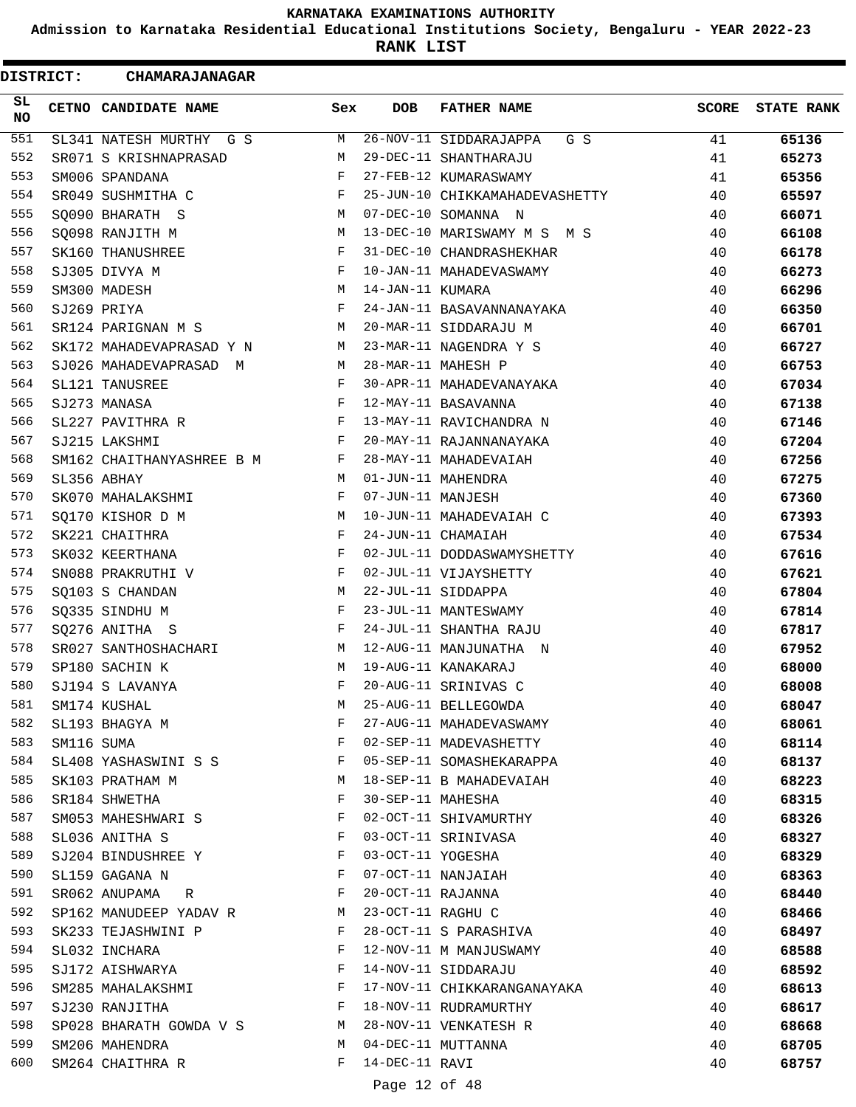**Admission to Karnataka Residential Educational Institutions Society, Bengaluru - YEAR 2022-23**

**RANK LIST**

 $\blacksquare$ 

| <b>DISTRICT:</b> |            | <b>CHAMARAJANAGAR</b>     |              |                   |                                |              |                   |
|------------------|------------|---------------------------|--------------|-------------------|--------------------------------|--------------|-------------------|
| SL.<br><b>NO</b> |            | CETNO CANDIDATE NAME      | Sex          | <b>DOB</b>        | <b>FATHER NAME</b>             | <b>SCORE</b> | <b>STATE RANK</b> |
| 551              |            | SL341 NATESH MURTHY G S   | М            |                   | 26-NOV-11 SIDDARAJAPPA<br>G S  | 41           | 65136             |
| 552              |            | SR071 S KRISHNAPRASAD     | М            |                   | 29-DEC-11 SHANTHARAJU          | 41           | 65273             |
| 553              |            | SM006 SPANDANA            | F            |                   | 27-FEB-12 KUMARASWAMY          | 41           | 65356             |
| 554              |            | SR049 SUSHMITHA C         | F            |                   | 25-JUN-10 CHIKKAMAHADEVASHETTY | 40           | 65597             |
| 555              |            | SQ090 BHARATH S           | M            |                   | 07-DEC-10 SOMANNA N            | 40           | 66071             |
| 556              |            | SO098 RANJITH M           | М            |                   | 13-DEC-10 MARISWAMY M S M S    | 40           | 66108             |
| 557              |            | SK160 THANUSHREE          | F            |                   | 31-DEC-10 CHANDRASHEKHAR       | 40           | 66178             |
| 558              |            | SJ305 DIVYA M             | F            |                   | 10-JAN-11 MAHADEVASWAMY        | 40           | 66273             |
| 559              |            | SM300 MADESH              | M            | 14-JAN-11 KUMARA  |                                | 40           | 66296             |
| 560              |            | SJ269 PRIYA               | F            |                   | 24-JAN-11 BASAVANNANAYAKA      | 40           | 66350             |
| 561              |            | SR124 PARIGNAN M S        | M            |                   | 20-MAR-11 SIDDARAJU M          | 40           | 66701             |
| 562              |            | SK172 MAHADEVAPRASAD Y N  | M            |                   | 23-MAR-11 NAGENDRA Y S         | 40           | 66727             |
| 563              |            | SJ026 MAHADEVAPRASAD M    | M            |                   | 28-MAR-11 MAHESH P             | 40           | 66753             |
| 564              |            | SL121 TANUSREE            | F            |                   | 30-APR-11 MAHADEVANAYAKA       | 40           | 67034             |
| 565              |            | SJ273 MANASA              | F            |                   | 12-MAY-11 BASAVANNA            | 40           | 67138             |
| 566              |            | SL227 PAVITHRA R          | F            |                   | 13-MAY-11 RAVICHANDRA N        | 40           | 67146             |
| 567              |            | SJ215 LAKSHMI             | $_{\rm F}$   |                   | 20-MAY-11 RAJANNANAYAKA        | 40           | 67204             |
| 568              |            | SM162 CHAITHANYASHREE B M | F            |                   | 28-MAY-11 MAHADEVAIAH          | 40           | 67256             |
| 569              |            | SL356 ABHAY               | M            |                   | 01-JUN-11 MAHENDRA             | 40           | 67275             |
| 570              |            | SK070 MAHALAKSHMI         | $\mathbf{F}$ | 07-JUN-11 MANJESH |                                | 40           | 67360             |
| 571              |            | SQ170 KISHOR D M          | М            |                   | 10-JUN-11 MAHADEVAIAH C        | 40           | 67393             |
| 572              |            | SK221 CHAITHRA            | F            |                   | 24-JUN-11 CHAMAIAH             | 40           | 67534             |
| 573              |            | SK032 KEERTHANA           | F            |                   | 02-JUL-11 DODDASWAMYSHETTY     | 40           | 67616             |
| 574              |            | SN088 PRAKRUTHI V         | F            |                   | 02-JUL-11 VIJAYSHETTY          | 40           | 67621             |
| 575              |            | SQ103 S CHANDAN           | М            |                   | 22-JUL-11 SIDDAPPA             | 40           | 67804             |
| 576              |            | SQ335 SINDHU M            | F            |                   | 23-JUL-11 MANTESWAMY           | 40           | 67814             |
| 577              |            | SQ276 ANITHA S            | $\mathbf{F}$ |                   | 24-JUL-11 SHANTHA RAJU         | 40           | 67817             |
| 578              |            | SR027 SANTHOSHACHARI      | М            |                   | 12-AUG-11 MANJUNATHA N         | 40           | 67952             |
| 579              |            | SP180 SACHIN K            | M            |                   | 19-AUG-11 KANAKARAJ            | 40           | 68000             |
| 580              |            | SJ194 S LAVANYA           | F            |                   | 20-AUG-11 SRINIVAS C           | 40           | 68008             |
| 581              |            | SM174 KUSHAL              | М            |                   | 25-AUG-11 BELLEGOWDA           | 40           | 68047             |
| 582              |            | SL193 BHAGYA M            | F            |                   | 27-AUG-11 MAHADEVASWAMY        | 40           | 68061             |
| 583              | SM116 SUMA |                           | F            |                   | 02-SEP-11 MADEVASHETTY         | 40           | 68114             |
| 584              |            | SL408 YASHASWINI S S      | F            |                   | 05-SEP-11 SOMASHEKARAPPA       | 40           | 68137             |
| 585              |            | SK103 PRATHAM M           | М            |                   | 18-SEP-11 B MAHADEVAIAH        | 40           | 68223             |
| 586              |            | SR184 SHWETHA             | F            |                   | 30-SEP-11 MAHESHA              | 40           | 68315             |
| 587              |            | SM053 MAHESHWARI S        | F            |                   | 02-OCT-11 SHIVAMURTHY          | 40           | 68326             |
| 588              |            | SL036 ANITHA S            | F            |                   | 03-OCT-11 SRINIVASA            | 40           | 68327             |
| 589              |            | SJ204 BINDUSHREE Y        | F            | 03-OCT-11 YOGESHA |                                | 40           | 68329             |
| 590              |            | SL159 GAGANA N            | F            |                   | 07-OCT-11 NANJAIAH             | 40           | 68363             |
| 591              |            | SR062 ANUPAMA R           | F            | 20-OCT-11 RAJANNA |                                | 40           | 68440             |
| 592              |            | SP162 MANUDEEP YADAV R    | M            | 23-OCT-11 RAGHU C |                                | 40           | 68466             |
| 593              |            | SK233 TEJASHWINI P        | F            |                   | 28-OCT-11 S PARASHIVA          | 40           | 68497             |
| 594              |            | SL032 INCHARA             | F            |                   | 12-NOV-11 M MANJUSWAMY         | 40           | 68588             |
| 595              |            | SJ172 AISHWARYA           | F            |                   | 14-NOV-11 SIDDARAJU            | 40           | 68592             |
| 596              |            | SM285 MAHALAKSHMI         | F            |                   | 17-NOV-11 CHIKKARANGANAYAKA    | 40           | 68613             |
| 597              |            | SJ230 RANJITHA            | F            |                   | 18-NOV-11 RUDRAMURTHY          | 40           | 68617             |
| 598              |            | SP028 BHARATH GOWDA V S   | M            |                   | 28-NOV-11 VENKATESH R          | 40           | 68668             |
| 599              |            | SM206 MAHENDRA            | M            |                   | 04-DEC-11 MUTTANNA             | 40           | 68705             |
| 600              |            | SM264 CHAITHRA R          | F            | 14-DEC-11 RAVI    |                                | 40           | 68757             |
|                  |            |                           |              |                   |                                |              |                   |

### Page 12 of 48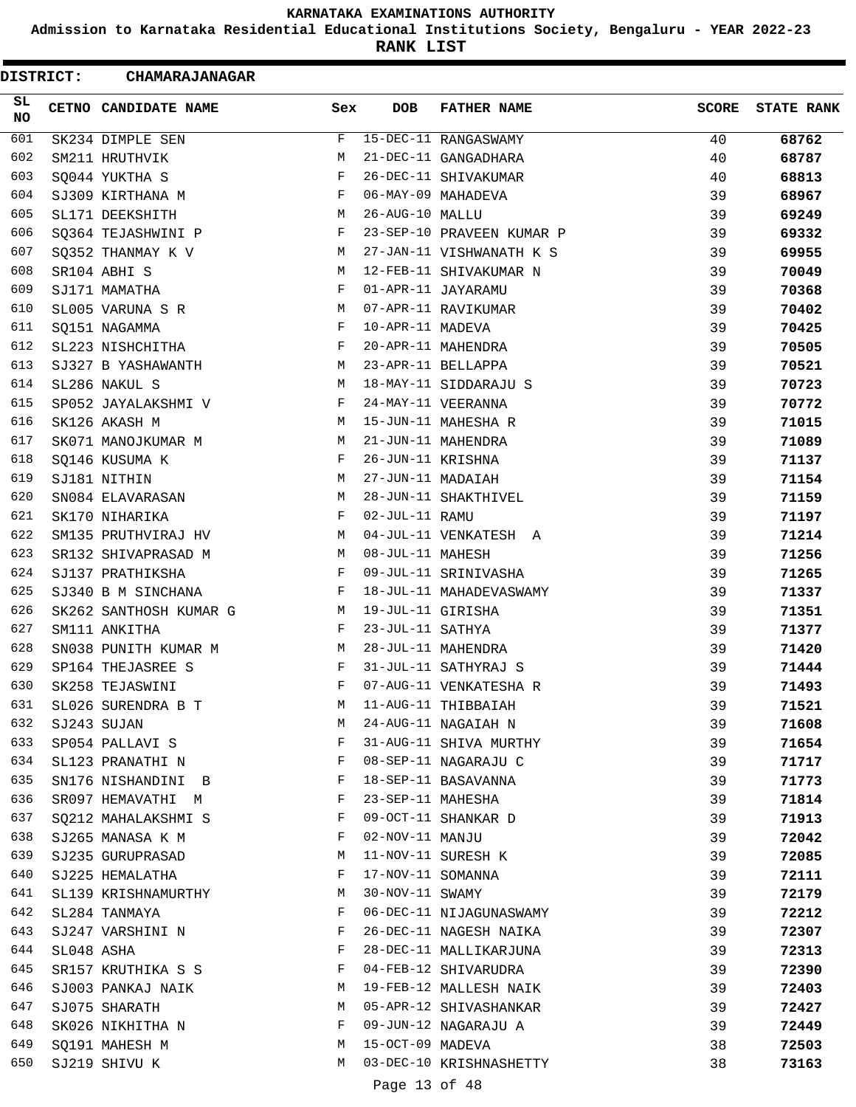**Admission to Karnataka Residential Educational Institutions Society, Bengaluru - YEAR 2022-23**

**RANK LIST**

ı

 $\blacksquare$ 

| <b>DISTRICT:</b> |            | <b>CHAMARAJANAGAR</b>  |     |                   |                           |       |                   |
|------------------|------------|------------------------|-----|-------------------|---------------------------|-------|-------------------|
| SL.<br><b>NO</b> |            | CETNO CANDIDATE NAME   | Sex | <b>DOB</b>        | <b>FATHER NAME</b>        | SCORE | <b>STATE RANK</b> |
| 601              |            | SK234 DIMPLE SEN       | F   |                   | 15-DEC-11 RANGASWAMY      | 40    | 68762             |
| 602              |            | SM211 HRUTHVIK         | M   |                   | 21-DEC-11 GANGADHARA      | 40    | 68787             |
| 603              |            | SQ044 YUKTHA S         | F   |                   | 26-DEC-11 SHIVAKUMAR      | 40    | 68813             |
| 604              |            | SJ309 KIRTHANA M       | F   |                   | 06-MAY-09 MAHADEVA        | 39    | 68967             |
| 605              |            | SL171 DEEKSHITH        | М   | 26-AUG-10 MALLU   |                           | 39    | 69249             |
| 606              |            | SQ364 TEJASHWINI P     | F   |                   | 23-SEP-10 PRAVEEN KUMAR P | 39    | 69332             |
| 607              |            | SQ352 THANMAY K V      | М   |                   | 27-JAN-11 VISHWANATH K S  | 39    | 69955             |
| 608              |            | SR104 ABHI S           | M   |                   | 12-FEB-11 SHIVAKUMAR N    | 39    | 70049             |
| 609              |            | SJ171 MAMATHA          | F   |                   | 01-APR-11 JAYARAMU        | 39    | 70368             |
| 610              |            | SL005 VARUNA S R       | M   |                   | 07-APR-11 RAVIKUMAR       | 39    | 70402             |
| 611              |            | SQ151 NAGAMMA          | F   | 10-APR-11 MADEVA  |                           | 39    | 70425             |
| 612              |            | SL223 NISHCHITHA       | F   |                   | 20-APR-11 MAHENDRA        | 39    | 70505             |
| 613              |            | SJ327 B YASHAWANTH     | М   |                   | 23-APR-11 BELLAPPA        | 39    | 70521             |
| 614              |            | SL286 NAKUL S          | M   |                   | 18-MAY-11 SIDDARAJU S     | 39    | 70723             |
| 615              |            | SP052 JAYALAKSHMI V    | F   |                   | 24-MAY-11 VEERANNA        | 39    | 70772             |
| 616              |            | SK126 AKASH M          | M   |                   | 15-JUN-11 MAHESHA R       | 39    | 71015             |
| 617              |            | SK071 MANOJKUMAR M     | М   |                   | 21-JUN-11 MAHENDRA        | 39    | 71089             |
| 618              |            | SQ146 KUSUMA K         | F   | 26-JUN-11 KRISHNA |                           | 39    | 71137             |
| 619              |            | SJ181 NITHIN           | M   | 27-JUN-11 MADAIAH |                           | 39    | 71154             |
| 620              |            | SN084 ELAVARASAN       | М   |                   | 28-JUN-11 SHAKTHIVEL      | 39    | 71159             |
| 621              |            | SK170 NIHARIKA         | F   | 02-JUL-11 RAMU    |                           | 39    | 71197             |
| 622              |            | SM135 PRUTHVIRAJ HV    | M   |                   | 04-JUL-11 VENKATESH A     | 39    | 71214             |
| 623              |            | SR132 SHIVAPRASAD M    | M   | 08-JUL-11 MAHESH  |                           | 39    | 71256             |
| 624              |            | SJ137 PRATHIKSHA       | F   |                   | 09-JUL-11 SRINIVASHA      | 39    | 71265             |
| 625              |            | SJ340 B M SINCHANA     | F   |                   | 18-JUL-11 MAHADEVASWAMY   | 39    | 71337             |
| 626              |            | SK262 SANTHOSH KUMAR G | M   | 19-JUL-11 GIRISHA |                           | 39    | 71351             |
| 627              |            | SM111 ANKITHA          | F   | 23-JUL-11 SATHYA  |                           | 39    | 71377             |
| 628              |            | SN038 PUNITH KUMAR M   | M   |                   | 28-JUL-11 MAHENDRA        | 39    | 71420             |
| 629              |            | SP164 THEJASREE S      | F   |                   | 31-JUL-11 SATHYRAJ S      | 39    | 71444             |
| 630              |            | SK258 TEJASWINI        | F   |                   | 07-AUG-11 VENKATESHA R    | 39    | 71493             |
| 631              |            | SL026 SURENDRA B T     | М   |                   | 11-AUG-11 THIBBAIAH       | 39    | 71521             |
| 632              |            | SJ243 SUJAN            | М   |                   | 24-AUG-11 NAGAIAH N       | 39    | 71608             |
| 633              |            | SP054 PALLAVI S        | F   |                   | 31-AUG-11 SHIVA MURTHY    | 39    | 71654             |
| 634              |            | SL123 PRANATHI N       | F   |                   | 08-SEP-11 NAGARAJU C      | 39    | 71717             |
| 635              |            | SN176 NISHANDINI B     | F   |                   | 18-SEP-11 BASAVANNA       | 39    | 71773             |
| 636              |            | SR097 HEMAVATHI M      | F   | 23-SEP-11 MAHESHA |                           | 39    | 71814             |
| 637              |            | SQ212 MAHALAKSHMI S    | F   |                   | 09-OCT-11 SHANKAR D       | 39    | 71913             |
| 638              |            | SJ265 MANASA K M       | F   | 02-NOV-11 MANJU   |                           | 39    | 72042             |
| 639              |            | SJ235 GURUPRASAD       | М   |                   | 11-NOV-11 SURESH K        | 39    | 72085             |
| 640              |            | SJ225 HEMALATHA        | F   | 17-NOV-11 SOMANNA |                           | 39    | 72111             |
| 641              |            | SL139 KRISHNAMURTHY    | М   | 30-NOV-11 SWAMY   |                           | 39    | 72179             |
| 642              |            | SL284 TANMAYA          | F   |                   | 06-DEC-11 NIJAGUNASWAMY   | 39    | 72212             |
| 643              |            | SJ247 VARSHINI N       | F   |                   | 26-DEC-11 NAGESH NAIKA    | 39    | 72307             |
| 644              | SL048 ASHA |                        | F   |                   | 28-DEC-11 MALLIKARJUNA    | 39    | 72313             |
| 645              |            | SR157 KRUTHIKA S S     | F   |                   | 04-FEB-12 SHIVARUDRA      | 39    | 72390             |
| 646              |            | SJ003 PANKAJ NAIK      | М   |                   | 19-FEB-12 MALLESH NAIK    | 39    | 72403             |
| 647              |            | SJ075 SHARATH          | М   |                   | 05-APR-12 SHIVASHANKAR    | 39    | 72427             |
| 648              |            | SK026 NIKHITHA N       | F   |                   | 09-JUN-12 NAGARAJU A      | 39    | 72449             |
| 649              |            | SQ191 MAHESH M         | М   | 15-OCT-09 MADEVA  |                           | 38    | 72503             |
| 650              |            | SJ219 SHIVU K          | M   |                   | 03-DEC-10 KRISHNASHETTY   | 38    | 73163             |
|                  |            |                        |     |                   |                           |       |                   |

Page 13 of 48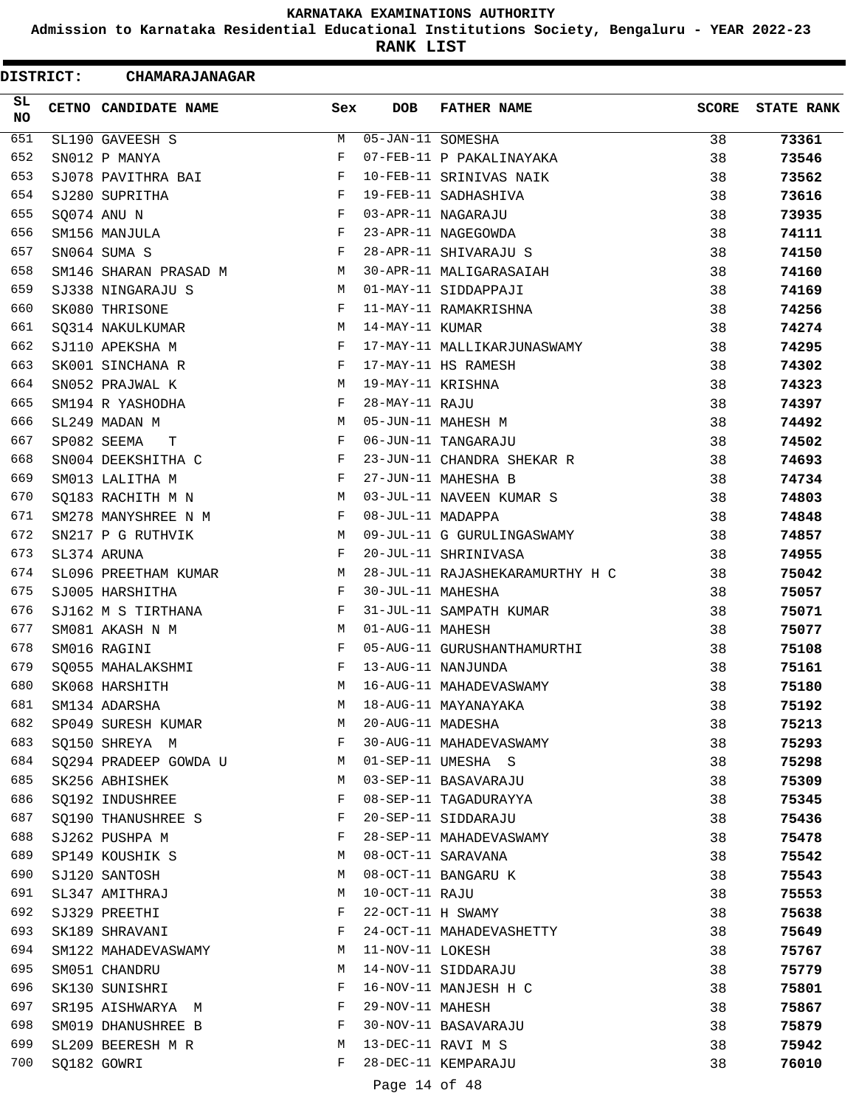**Admission to Karnataka Residential Educational Institutions Society, Bengaluru - YEAR 2022-23**

**RANK LIST**

| <b>DISTRICT:</b> | <b>CHAMARAJANAGAR</b> |     |                   |                                 |              |                   |
|------------------|-----------------------|-----|-------------------|---------------------------------|--------------|-------------------|
| SL.<br>NO.       | CETNO CANDIDATE NAME  | Sex | <b>DOB</b>        | <b>FATHER NAME</b>              | <b>SCORE</b> | <b>STATE RANK</b> |
| 651              | SL190 GAVEESH S       | M   | 05-JAN-11 SOMESHA |                                 | 38           | 73361             |
| 652              | SN012 P MANYA         | F   |                   | 07-FEB-11 P PAKALINAYAKA        | 38           | 73546             |
| 653              | SJ078 PAVITHRA BAI    | F   |                   | 10-FEB-11 SRINIVAS NAIK         | 38           | 73562             |
| 654              | SJ280 SUPRITHA        | F   |                   | 19-FEB-11 SADHASHIVA            | 38           | 73616             |
| 655              | SQ074 ANU N           | F   |                   | 03-APR-11 NAGARAJU              | 38           | 73935             |
| 656              | SM156 MANJULA         | F   |                   | 23-APR-11 NAGEGOWDA             | 38           | 74111             |
| 657              | SN064 SUMA S          | F   |                   | 28-APR-11 SHIVARAJU S           | 38           | 74150             |
| 658              | SM146 SHARAN PRASAD M | М   |                   | 30-APR-11 MALIGARASAIAH         | 38           | 74160             |
| 659              | SJ338 NINGARAJU S     | M   |                   | 01-MAY-11 SIDDAPPAJI            | 38           | 74169             |
| 660              | SK080 THRISONE        | F   |                   | 11-MAY-11 RAMAKRISHNA           | 38           | 74256             |
| 661              | SQ314 NAKULKUMAR      | М   | 14-MAY-11 KUMAR   |                                 | 38           | 74274             |
| 662              | SJ110 APEKSHA M       | F   |                   | 17-MAY-11 MALLIKARJUNASWAMY     | 38           | 74295             |
| 663              | SK001 SINCHANA R      | F   |                   | 17-MAY-11 HS RAMESH             | 38           | 74302             |
| 664              | SN052 PRAJWAL K       | М   | 19-MAY-11 KRISHNA |                                 | 38           | 74323             |
| 665              | SM194 R YASHODHA      | F   | 28-MAY-11 RAJU    |                                 | 38           | 74397             |
| 666              | SL249 MADAN M         | M   |                   | 05-JUN-11 MAHESH M              | 38           | 74492             |
| 667              | SP082 SEEMA<br>т      | F   |                   | 06-JUN-11 TANGARAJU             | 38           | 74502             |
| 668              | SN004 DEEKSHITHA C    | F   |                   | 23-JUN-11 CHANDRA SHEKAR R      | 38           | 74693             |
| 669              | SM013 LALITHA M       | F   |                   | 27-JUN-11 MAHESHA B             | 38           | 74734             |
| 670              | SQ183 RACHITH M N     | М   |                   | 03-JUL-11 NAVEEN KUMAR S        | 38           | 74803             |
| 671              | SM278 MANYSHREE N M   | F   | 08-JUL-11 MADAPPA |                                 | 38           | 74848             |
| 672              | SN217 P G RUTHVIK     | М   |                   | 09-JUL-11 G GURULINGASWAMY      | 38           | 74857             |
| 673              | SL374 ARUNA           | F   |                   | 20-JUL-11 SHRINIVASA            | 38           | 74955             |
| 674              | SL096 PREETHAM KUMAR  | М   |                   | 28-JUL-11 RAJASHEKARAMURTHY H C | 38           | 75042             |
| 675              | SJ005 HARSHITHA       | F   | 30-JUL-11 MAHESHA |                                 | 38           | 75057             |
| 676              | SJ162 M S TIRTHANA    | F   |                   | 31-JUL-11 SAMPATH KUMAR         | 38           | 75071             |
| 677              | SM081 AKASH N M       | М   | 01-AUG-11 MAHESH  |                                 | 38           |                   |
| 678              | SM016 RAGINI          | F   |                   | 05-AUG-11 GURUSHANTHAMURTHI     | 38           | 75077             |
| 679              |                       | F   |                   | 13-AUG-11 NANJUNDA              | 38           | 75108<br>75161    |
| 680              | SQ055 MAHALAKSHMI     | М   |                   | 16-AUG-11 MAHADEVASWAMY         |              |                   |
| 681              | SK068 HARSHITH        | M   |                   | 18-AUG-11 MAYANAYAKA            | 38           | 75180             |
|                  | SM134 ADARSHA         |     |                   |                                 | 38           | 75192             |
| 682              | SP049 SURESH KUMAR    | M   | 20-AUG-11 MADESHA |                                 | 38           | 75213             |
| 683              | SQ150 SHREYA M        | F   |                   | 30-AUG-11 MAHADEVASWAMY         | 38           | 75293             |
| 684              | SQ294 PRADEEP GOWDA U | M   |                   | 01-SEP-11 UMESHA S              | 38           | 75298             |
| 685              | SK256 ABHISHEK        | M   |                   | 03-SEP-11 BASAVARAJU            | 38           | 75309             |
| 686              | SQ192 INDUSHREE       | F   |                   | 08-SEP-11 TAGADURAYYA           | 38           | 75345             |
| 687              | SQ190 THANUSHREE S    | F   |                   | 20-SEP-11 SIDDARAJU             | 38           | 75436             |
| 688              | SJ262 PUSHPA M        | F   |                   | 28-SEP-11 MAHADEVASWAMY         | 38           | 75478             |
| 689              | SP149 KOUSHIK S       | М   |                   | 08-OCT-11 SARAVANA              | 38           | 75542             |
| 690              | SJ120 SANTOSH         | M   |                   | 08-OCT-11 BANGARU K             | 38           | 75543             |
| 691              | SL347 AMITHRAJ        | М   | 10-OCT-11 RAJU    |                                 | 38           | 75553             |
| 692              | SJ329 PREETHI         | F   | 22-OCT-11 H SWAMY |                                 | 38           | 75638             |
| 693              | SK189 SHRAVANI        | F   |                   | 24-OCT-11 MAHADEVASHETTY        | 38           | 75649             |
| 694              | SM122 MAHADEVASWAMY   | М   | 11-NOV-11 LOKESH  |                                 | 38           | 75767             |
| 695              | SM051 CHANDRU         | М   |                   | 14-NOV-11 SIDDARAJU             | 38           | 75779             |
| 696              | SK130 SUNISHRI        | F   |                   | 16-NOV-11 MANJESH H C           | 38           | 75801             |
| 697              | SR195 AISHWARYA M     | F   | 29-NOV-11 MAHESH  |                                 | 38           | 75867             |
| 698              | SM019 DHANUSHREE B    | F   |                   | 30-NOV-11 BASAVARAJU            | 38           | 75879             |
| 699              | SL209 BEERESH M R     | М   |                   | 13-DEC-11 RAVI M S              | 38           | 75942             |
| 700              | SQ182 GOWRI           | F   |                   | 28-DEC-11 KEMPARAJU             | 38           | 76010             |
|                  |                       |     | Page 14 of 48     |                                 |              |                   |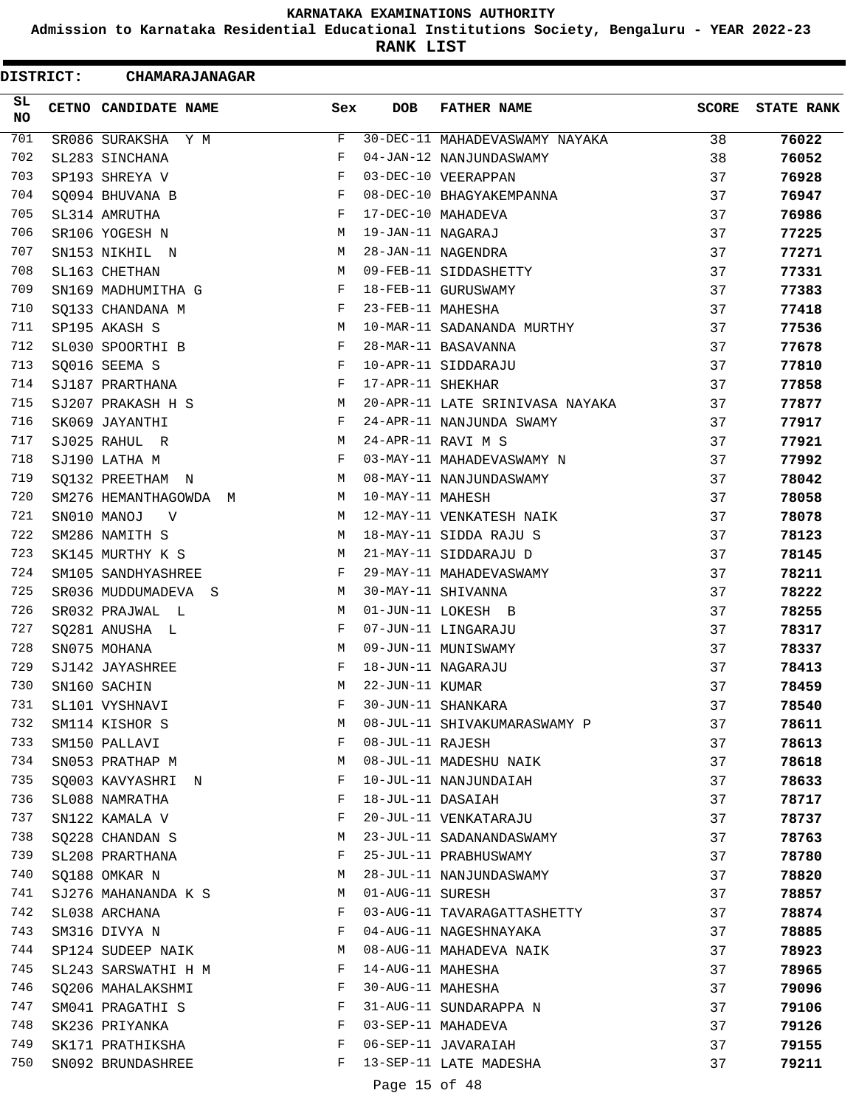**Admission to Karnataka Residential Educational Institutions Society, Bengaluru - YEAR 2022-23**

**RANK LIST**

Ξ

| <b>DISTRICT:</b> | CHAMARAJANAGAR                   |            |                   |                                 |              |                   |
|------------------|----------------------------------|------------|-------------------|---------------------------------|--------------|-------------------|
| SL<br>NO.        | CETNO CANDIDATE NAME             | Sex        | <b>DOB</b>        | <b>FATHER NAME</b>              | <b>SCORE</b> | <b>STATE RANK</b> |
| 701              | SR086 SURAKSHA Y M               | F          |                   | 30-DEC-11 MAHADEVASWAMY NAYAKA  | 38           | 76022             |
| 702              | SL283 SINCHANA                   | F          |                   | 04-JAN-12 NANJUNDASWAMY         | 38           | 76052             |
| 703              | SP193 SHREYA V                   | F          |                   | 03-DEC-10 VEERAPPAN             | 37           | 76928             |
| 704              | SQ094 BHUVANA B                  | F          |                   | 08-DEC-10 BHAGYAKEMPANNA        | 37           | 76947             |
| 705              | SL314 AMRUTHA                    | F          |                   | 17-DEC-10 MAHADEVA              | 37           | 76986             |
| 706              | SR106 YOGESH N                   | М          | 19-JAN-11 NAGARAJ |                                 | 37           | 77225             |
| 707              | SN153 NIKHIL N                   | М          |                   | 28-JAN-11 NAGENDRA              | 37           | 77271             |
| 708              | SL163 CHETHAN                    | М          |                   | 09-FEB-11 SIDDASHETTY           | 37           | 77331             |
| 709              | SN169 MADHUMITHA G               | F          |                   | 18-FEB-11 GURUSWAMY             | 37           | 77383             |
| 710              | SQ133 CHANDANA M                 | F          | 23-FEB-11 MAHESHA |                                 | 37           | 77418             |
| 711              | SP195 AKASH S                    | М          |                   | 10-MAR-11 SADANANDA MURTHY      | 37           | 77536             |
| 712              | SL030 SPOORTHI B                 | F          |                   | 28-MAR-11 BASAVANNA             | 37           | 77678             |
| 713              | SQ016 SEEMA S                    | F          |                   | 10-APR-11 SIDDARAJU             | 37           | 77810             |
| 714              | SJ187 PRARTHANA                  | F          | 17-APR-11 SHEKHAR |                                 | 37           | 77858             |
| 715              | SJ207 PRAKASH H S                | М          |                   | 20-APR-11 LATE SRINIVASA NAYAKA | 37           | 77877             |
| 716              | SK069 JAYANTHI                   | F          |                   | 24-APR-11 NANJUNDA SWAMY        | 37           | 77917             |
| 717              | SJ025 RAHUL R                    | М          |                   | 24-APR-11 RAVI M S              | 37           | 77921             |
| 718              | SJ190 LATHA M                    | F          |                   | 03-MAY-11 MAHADEVASWAMY N       | 37           | 77992             |
| 719              | SQ132 PREETHAM N                 | M          |                   | 08-MAY-11 NANJUNDASWAMY         | 37           | 78042             |
| 720              | SM276 HEMANTHAGOWDA M            | М          | 10-MAY-11 MAHESH  |                                 | 37           | 78058             |
| 721              | SN010 MANOJ<br>$\mathbf V$       | M          |                   | 12-MAY-11 VENKATESH NAIK        | 37           | 78078             |
| 722              | SM286 NAMITH S                   | М          |                   | 18-MAY-11 SIDDA RAJU S          | 37           | 78123             |
| 723              | SK145 MURTHY K S                 | М          |                   | 21-MAY-11 SIDDARAJU D           | 37           | 78145             |
| 724              | SM105 SANDHYASHREE               | F          |                   | 29-MAY-11 MAHADEVASWAMY         | 37           | 78211             |
| 725              | SR036 MUDDUMADEVA S              | M          |                   | 30-MAY-11 SHIVANNA              | 37           | 78222             |
| 726              | SR032 PRAJWAL L                  | М          |                   | 01-JUN-11 LOKESH B              | 37           | 78255             |
| 727              | SQ281 ANUSHA L                   | F          |                   | 07-JUN-11 LINGARAJU             | 37           | 78317             |
| 728              | SN075 MOHANA                     | M          |                   | 09-JUN-11 MUNISWAMY             | 37           | 78337             |
| 729              | SJ142 JAYASHREE                  | $_{\rm F}$ |                   | 18-JUN-11 NAGARAJU              | 37           | 78413             |
| 730              | SN160 SACHIN                     | M          | 22-JUN-11 KUMAR   |                                 | 37           | 78459             |
| 731              | SL101 VYSHNAVI                   | F          |                   | 30-JUN-11 SHANKARA              | 37           | 78540             |
| 732              | SM114 KISHOR S                   | М          |                   | 08-JUL-11 SHIVAKUMARASWAMY P    | 37           | 78611             |
| 733              |                                  | F          | 08-JUL-11 RAJESH  |                                 | 37           | 78613             |
| 734              | SM150 PALLAVI<br>SN053 PRATHAP M | М          |                   | 08-JUL-11 MADESHU NAIK          | 37           | 78618             |
| 735              |                                  | F          |                   | 10-JUL-11 NANJUNDAIAH           |              |                   |
|                  | SQ003 KAVYASHRI N                |            |                   |                                 | 37           | 78633             |
| 736              | SL088 NAMRATHA                   | F          | 18-JUL-11 DASAIAH |                                 | 37           | 78717             |
| 737              | SN122 KAMALA V                   | F          |                   | 20-JUL-11 VENKATARAJU           | 37           | 78737             |
| 738              | SQ228 CHANDAN S                  | M          |                   | 23-JUL-11 SADANANDASWAMY        | 37           | 78763             |
| 739              | SL208 PRARTHANA                  | F          |                   | 25-JUL-11 PRABHUSWAMY           | 37           | 78780             |
| 740              | SQ188 OMKAR N                    | М          |                   | 28-JUL-11 NANJUNDASWAMY         | 37           | 78820             |
| 741              | SJ276 MAHANANDA K S              | М          | 01-AUG-11 SURESH  |                                 | 37           | 78857             |
| 742              | SL038 ARCHANA                    | F          |                   | 03-AUG-11 TAVARAGATTASHETTY     | 37           | 78874             |
| 743              | SM316 DIVYA N                    | F          |                   | 04-AUG-11 NAGESHNAYAKA          | 37           | 78885             |
| 744              | SP124 SUDEEP NAIK                | M          |                   | 08-AUG-11 MAHADEVA NAIK         | 37           | 78923             |
| 745              | SL243 SARSWATHI H M              | F          | 14-AUG-11 MAHESHA |                                 | 37           | 78965             |
| 746              | SQ206 MAHALAKSHMI                | F          | 30-AUG-11 MAHESHA |                                 | 37           | 79096             |
| 747              | SM041 PRAGATHI S                 | F          |                   | 31-AUG-11 SUNDARAPPA N          | 37           | 79106             |
| 748              | SK236 PRIYANKA                   | F          |                   | 03-SEP-11 MAHADEVA              | 37           | 79126             |
| 749              | SK171 PRATHIKSHA                 | F          |                   | 06-SEP-11 JAVARAIAH             | 37           | 79155             |
| 750              | SN092 BRUNDASHREE                | F          |                   | 13-SEP-11 LATE MADESHA          | 37           | 79211             |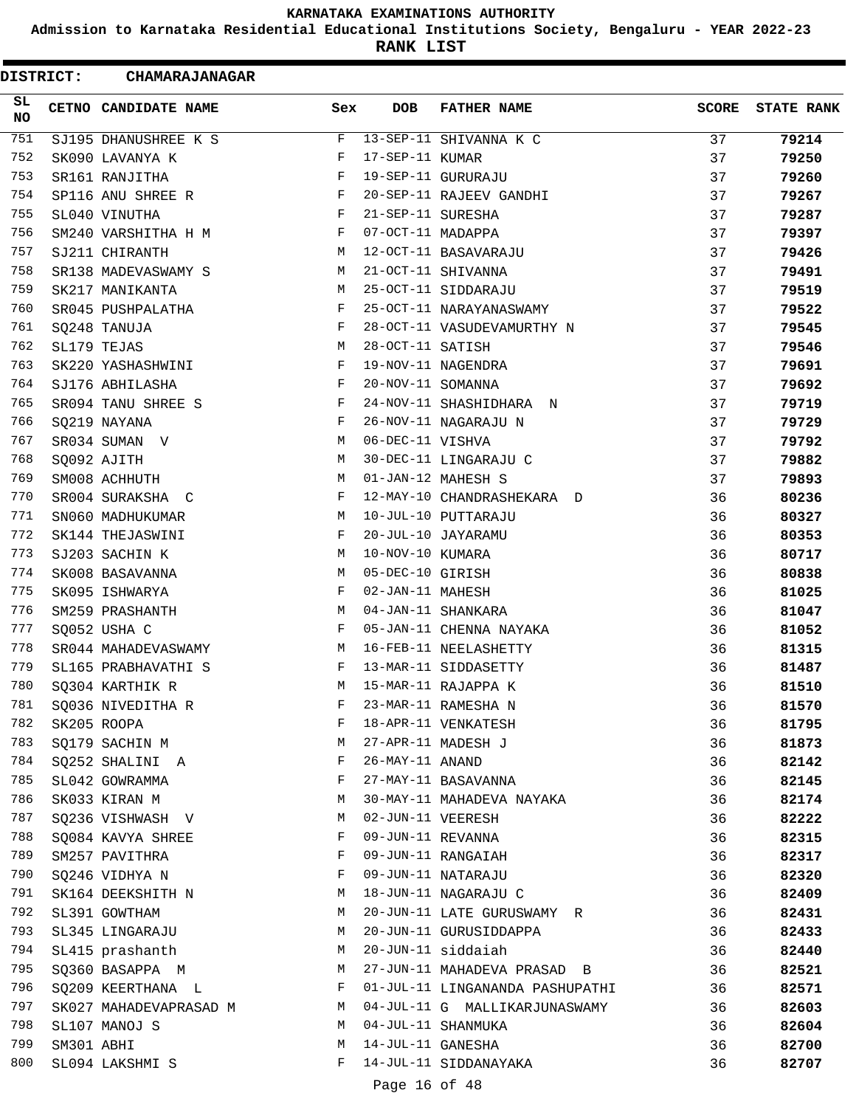**Admission to Karnataka Residential Educational Institutions Society, Bengaluru - YEAR 2022-23**

**RANK LIST**

ı

| <b>DISTRICT:</b> |            | <b>CHAMARAJANAGAR</b>            |     |                   |                                 |              |                   |
|------------------|------------|----------------------------------|-----|-------------------|---------------------------------|--------------|-------------------|
| SL.<br>NO        |            | CETNO CANDIDATE NAME             | Sex | <b>DOB</b>        | <b>FATHER NAME</b>              | <b>SCORE</b> | <b>STATE RANK</b> |
| 751              |            | SJ195 DHANUSHREE K S             | F   |                   | 13-SEP-11 SHIVANNA K C          | 37           | 79214             |
| 752              |            | SK090 LAVANYA K                  | F   | 17-SEP-11 KUMAR   |                                 | 37           | 79250             |
| 753              |            | SR161 RANJITHA                   | F   |                   | 19-SEP-11 GURURAJU              | 37           | 79260             |
| 754              |            | SP116 ANU SHREE R                | F   |                   | 20-SEP-11 RAJEEV GANDHI         | 37           | 79267             |
| 755              |            | SL040 VINUTHA                    | F   | 21-SEP-11 SURESHA |                                 | 37           | 79287             |
| 756              |            | SM240 VARSHITHA H M              | F   | 07-OCT-11 MADAPPA |                                 | 37           | 79397             |
| 757              |            | SJ211 CHIRANTH                   | M   |                   | 12-OCT-11 BASAVARAJU            | 37           | 79426             |
| 758              |            | SR138 MADEVASWAMY S              | М   |                   | 21-OCT-11 SHIVANNA              | 37           | 79491             |
| 759              |            | SK217 MANIKANTA                  | М   |                   | 25-OCT-11 SIDDARAJU             | 37           | 79519             |
| 760              |            | SR045 PUSHPALATHA                | F   |                   | 25-OCT-11 NARAYANASWAMY         | 37           | 79522             |
| 761              |            | SO248 TANUJA                     | F   |                   | 28-OCT-11 VASUDEVAMURTHY N      | 37           | 79545             |
| 762              |            | SL179 TEJAS                      | M   | 28-OCT-11 SATISH  |                                 | 37           | 79546             |
| 763              |            | SK220 YASHASHWINI                | F   |                   | 19-NOV-11 NAGENDRA              | 37           | 79691             |
| 764              |            | SJ176 ABHILASHA                  | F   | 20-NOV-11 SOMANNA |                                 | 37           | 79692             |
| 765              |            | SR094 TANU SHREE S               | F   |                   | 24-NOV-11 SHASHIDHARA N         | 37           | 79719             |
| 766              |            | SQ219 NAYANA                     | F   |                   | 26-NOV-11 NAGARAJU N            | 37           | 79729             |
| 767              |            | SR034 SUMAN V                    | М   | 06-DEC-11 VISHVA  |                                 | 37           | 79792             |
| 768              |            | SQ092 AJITH                      | М   |                   | 30-DEC-11 LINGARAJU C           | 37           | 79882             |
| 769              |            | SM008 ACHHUTH                    | M   |                   | 01-JAN-12 MAHESH S              | 37           | 79893             |
| 770              |            | SR004 SURAKSHA C                 | F   |                   | 12-MAY-10 CHANDRASHEKARA D      | 36           | 80236             |
| 771              |            | SN060 MADHUKUMAR                 | М   |                   | 10-JUL-10 PUTTARAJU             | 36           | 80327             |
| 772              |            | SK144 THEJASWINI                 | F   |                   | 20-JUL-10 JAYARAMU              | 36           | 80353             |
| 773              |            | SJ203 SACHIN K                   | M   | 10-NOV-10 KUMARA  |                                 | 36           | 80717             |
| 774              |            | SK008 BASAVANNA                  | M   | 05-DEC-10 GIRISH  |                                 | 36           | 80838             |
| 775              |            | SK095 ISHWARYA                   | F   | 02-JAN-11 MAHESH  |                                 | 36           | 81025             |
| 776              |            | SM259 PRASHANTH                  | M   |                   | 04-JAN-11 SHANKARA              | 36           | 81047             |
| 777              |            | SQ052 USHA C                     | F   |                   | 05-JAN-11 CHENNA NAYAKA         | 36           | 81052             |
| 778              |            | SR044 MAHADEVASWAMY              | М   |                   | 16-FEB-11 NEELASHETTY           | 36           | 81315             |
| 779              |            | SL165 PRABHAVATHI S              | F   |                   | 13-MAR-11 SIDDASETTY            | 36           | 81487             |
| 780              |            | SO304 KARTHIK R                  | M   |                   | 15-MAR-11 RAJAPPA K             | 36           | 81510             |
| 781              |            |                                  | F   |                   | 23-MAR-11 RAMESHA N             |              | 81570             |
| 782              |            | SQ036 NIVEDITHA R<br>SK205 ROOPA | F   |                   | 18-APR-11 VENKATESH             | 36<br>36     |                   |
| 783              |            |                                  | М   |                   | 27-APR-11 MADESH J              |              | 81795             |
| 784              |            | SQ179 SACHIN M                   | F   | 26-MAY-11 ANAND   |                                 | 36           | 81873             |
|                  |            | SQ252 SHALINI A                  |     |                   |                                 | 36           | 82142             |
| 785              |            | SL042 GOWRAMMA                   | F   |                   | 27-MAY-11 BASAVANNA             | 36           | 82145             |
| 786              |            | SK033 KIRAN M                    | М   |                   | 30-MAY-11 MAHADEVA NAYAKA       | 36           | 82174             |
| 787              |            | SQ236 VISHWASH V                 | М   | 02-JUN-11 VEERESH |                                 | 36           | 82222             |
| 788              |            | SQ084 KAVYA SHREE                | F   | 09-JUN-11 REVANNA |                                 | 36           | 82315             |
| 789              |            | SM257 PAVITHRA                   | F   |                   | 09-JUN-11 RANGAIAH              | 36           | 82317             |
| 790              |            | SQ246 VIDHYA N                   | F   |                   | 09-JUN-11 NATARAJU              | 36           | 82320             |
| 791              |            | SK164 DEEKSHITH N                | М   |                   | 18-JUN-11 NAGARAJU C            | 36           | 82409             |
| 792              |            | SL391 GOWTHAM                    | М   |                   | 20-JUN-11 LATE GURUSWAMY R      | 36           | 82431             |
| 793              |            | SL345 LINGARAJU                  | М   |                   | 20-JUN-11 GURUSIDDAPPA          | 36           | 82433             |
| 794              |            | SL415 prashanth                  | М   |                   | 20-JUN-11 siddaiah              | 36           | 82440             |
| 795              |            | SQ360 BASAPPA M                  | М   |                   | 27-JUN-11 MAHADEVA PRASAD B     | 36           | 82521             |
| 796              |            | SQ209 KEERTHANA L                | F   |                   | 01-JUL-11 LINGANANDA PASHUPATHI | 36           | 82571             |
| 797              |            | SK027 MAHADEVAPRASAD M           | M   |                   | 04-JUL-11 G MALLIKARJUNASWAMY   | 36           | 82603             |
| 798              |            | SL107 MANOJ S                    | М   |                   | 04-JUL-11 SHANMUKA              | 36           | 82604             |
| 799              | SM301 ABHI |                                  | М   | 14-JUL-11 GANESHA |                                 | 36           | 82700             |
| 800              |            | SL094 LAKSHMI S                  | F   |                   | 14-JUL-11 SIDDANAYAKA           | 36           | 82707             |
|                  |            |                                  |     | Page 16 of 48     |                                 |              |                   |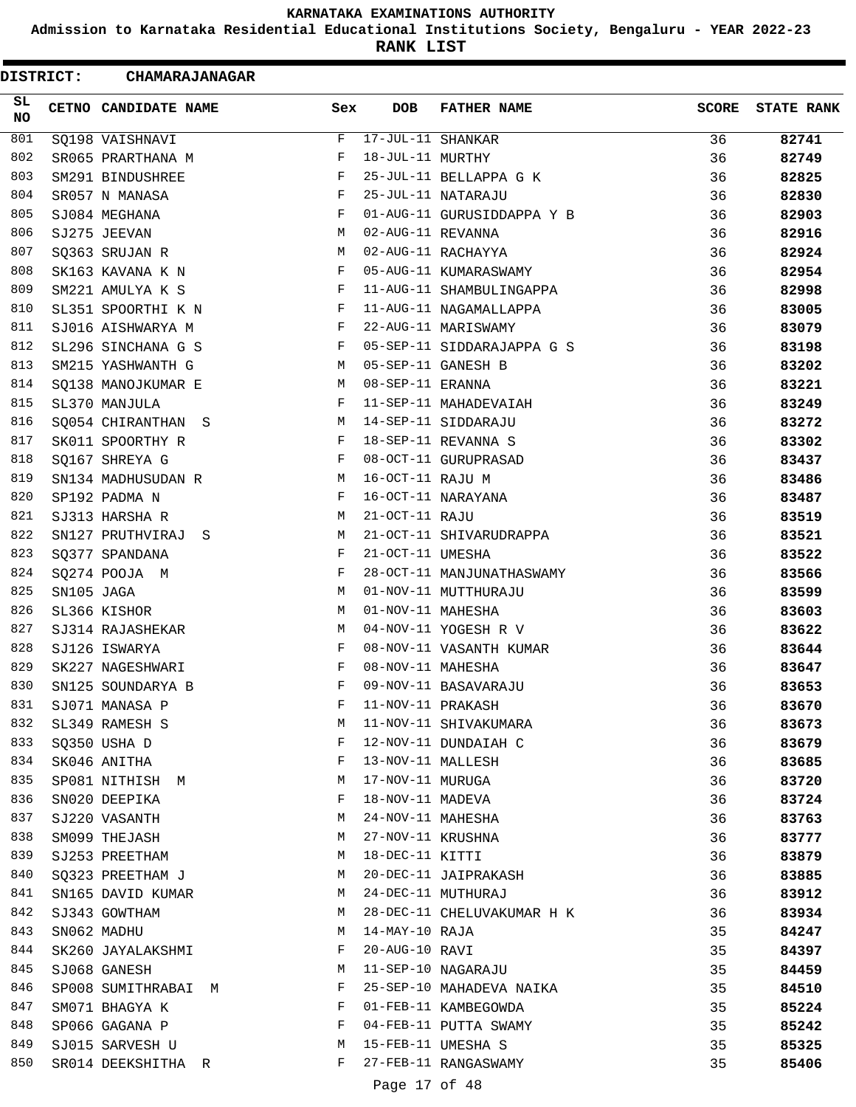**Admission to Karnataka Residential Educational Institutions Society, Bengaluru - YEAR 2022-23**

**RANK LIST**

| <b>DISTRICT:</b> |            | <b>CHAMARAJANAGAR</b> |     |                         |                            |              |                   |
|------------------|------------|-----------------------|-----|-------------------------|----------------------------|--------------|-------------------|
| SL.<br>NO        |            | CETNO CANDIDATE NAME  | Sex | <b>DOB</b>              | <b>FATHER NAME</b>         | <b>SCORE</b> | <b>STATE RANK</b> |
| 801              |            | SQ198 VAISHNAVI       | F   | $17 - JUL - 11$ SHANKAR |                            | 36           | 82741             |
| 802              |            | SR065 PRARTHANA M     | F   | 18-JUL-11 MURTHY        |                            | 36           | 82749             |
| 803              |            | SM291 BINDUSHREE      | F   |                         | 25-JUL-11 BELLAPPA G K     | 36           | 82825             |
| 804              |            | SR057 N MANASA        | F   |                         | 25-JUL-11 NATARAJU         | 36           | 82830             |
| 805              |            | SJ084 MEGHANA         | F   |                         | 01-AUG-11 GURUSIDDAPPA Y B | 36           | 82903             |
| 806              |            | SJ275 JEEVAN          | М   | 02-AUG-11 REVANNA       |                            | 36           | 82916             |
| 807              |            | SQ363 SRUJAN R        | M   |                         | 02-AUG-11 RACHAYYA         | 36           | 82924             |
| 808              |            | SK163 KAVANA K N      | F   |                         | 05-AUG-11 KUMARASWAMY      | 36           | 82954             |
| 809              |            | SM221 AMULYA K S      | F   |                         | 11-AUG-11 SHAMBULINGAPPA   | 36           | 82998             |
| 810              |            | SL351 SPOORTHI K N    | F   |                         | 11-AUG-11 NAGAMALLAPPA     | 36           | 83005             |
| 811              |            | SJ016 AISHWARYA M     | F   |                         | 22-AUG-11 MARISWAMY        | 36           | 83079             |
| 812              |            | SL296 SINCHANA G S    | F   |                         | 05-SEP-11 SIDDARAJAPPA G S | 36           | 83198             |
| 813              |            | SM215 YASHWANTH G     | M   |                         | 05-SEP-11 GANESH B         | 36           | 83202             |
| 814              |            | SQ138 MANOJKUMAR E    | M   | 08-SEP-11 ERANNA        |                            | 36           | 83221             |
| 815              |            | SL370 MANJULA         | F   |                         | 11-SEP-11 MAHADEVAIAH      | 36           | 83249             |
| 816              |            | SQ054 CHIRANTHAN S    | М   |                         | 14-SEP-11 SIDDARAJU        | 36           | 83272             |
| 817              |            | SK011 SPOORTHY R      | F   |                         | 18-SEP-11 REVANNA S        | 36           | 83302             |
| 818              |            | SQ167 SHREYA G        | F   |                         | 08-OCT-11 GURUPRASAD       | 36           | 83437             |
| 819              |            | SN134 MADHUSUDAN R    | М   | 16-OCT-11 RAJU M        |                            | 36           | 83486             |
| 820              |            | SP192 PADMA N         | F   |                         | 16-OCT-11 NARAYANA         | 36           | 83487             |
| 821              |            | SJ313 HARSHA R        | M   | 21-OCT-11 RAJU          |                            | 36           | 83519             |
| 822              |            | SN127 PRUTHVIRAJ S    | М   |                         | 21-OCT-11 SHIVARUDRAPPA    | 36           | 83521             |
| 823              |            | SQ377 SPANDANA        | F   | 21-OCT-11 UMESHA        |                            | 36           | 83522             |
| 824              |            | SQ274 POOJA M         | F   |                         | 28-OCT-11 MANJUNATHASWAMY  | 36           | 83566             |
| 825              | SN105 JAGA |                       | M   |                         | 01-NOV-11 MUTTHURAJU       | 36           | 83599             |
| 826              |            | SL366 KISHOR          | М   | 01-NOV-11 MAHESHA       |                            | 36           | 83603             |
| 827              |            | SJ314 RAJASHEKAR      | М   |                         | 04-NOV-11 YOGESH R V       | 36           | 83622             |
| 828              |            | SJ126 ISWARYA         | F   |                         | 08-NOV-11 VASANTH KUMAR    | 36           | 83644             |
| 829              |            | SK227 NAGESHWARI      | F   | 08-NOV-11 MAHESHA       |                            | 36           | 83647             |
| 830              |            | SN125 SOUNDARYA B     | F   |                         | 09-NOV-11 BASAVARAJU       | 36           | 83653             |
| 831              |            | SJ071 MANASA P        | F   | 11-NOV-11 PRAKASH       |                            | 36           | 83670             |
| 832              |            | SL349 RAMESH S        | М   |                         | 11-NOV-11 SHIVAKUMARA      | 36           | 83673             |
| 833              |            | SQ350 USHA D          | F   |                         | 12-NOV-11 DUNDAIAH C       | 36           | 83679             |
| 834              |            | SK046 ANITHA          | F   | 13-NOV-11 MALLESH       |                            | 36           | 83685             |
| 835              |            | SP081 NITHISH M       | М   | 17-NOV-11 MURUGA        |                            | 36           | 83720             |
| 836              |            | SN020 DEEPIKA         | F   | 18-NOV-11 MADEVA        |                            | 36           | 83724             |
| 837              |            | SJ220 VASANTH         | М   | 24-NOV-11 MAHESHA       |                            | 36           | 83763             |
| 838              |            | SM099 THEJASH         | M   | 27-NOV-11 KRUSHNA       |                            | 36           | 83777             |
| 839              |            | SJ253 PREETHAM        | М   | 18-DEC-11 KITTI         |                            | 36           | 83879             |
| 840              |            | SQ323 PREETHAM J      | M   |                         | 20-DEC-11 JAIPRAKASH       | 36           | 83885             |
| 841              |            | SN165 DAVID KUMAR     | M   |                         | 24-DEC-11 MUTHURAJ         | 36           | 83912             |
| 842              |            | SJ343 GOWTHAM         | M   |                         | 28-DEC-11 CHELUVAKUMAR H K | 36           | 83934             |
| 843              |            | SN062 MADHU           | М   | 14-MAY-10 RAJA          |                            | 35           | 84247             |
| 844              |            | SK260 JAYALAKSHMI     | F   | 20-AUG-10 RAVI          |                            | 35           | 84397             |
| 845              |            | SJ068 GANESH          | М   |                         | 11-SEP-10 NAGARAJU         | 35           | 84459             |
| 846              |            | SP008 SUMITHRABAI M   | F   |                         | 25-SEP-10 MAHADEVA NAIKA   | 35           | 84510             |
| 847              |            | SM071 BHAGYA K        | F   |                         | 01-FEB-11 KAMBEGOWDA       | 35           | 85224             |
| 848              |            | SP066 GAGANA P        | F   |                         | 04-FEB-11 PUTTA SWAMY      | 35           | 85242             |
| 849              |            | SJ015 SARVESH U       | М   |                         | 15-FEB-11 UMESHA S         | 35           | 85325             |
| 850              |            | SR014 DEEKSHITHA R    | F   |                         | 27-FEB-11 RANGASWAMY       | 35           | 85406             |
|                  |            |                       |     |                         |                            |              |                   |
|                  |            |                       |     | Page 17 of 48           |                            |              |                   |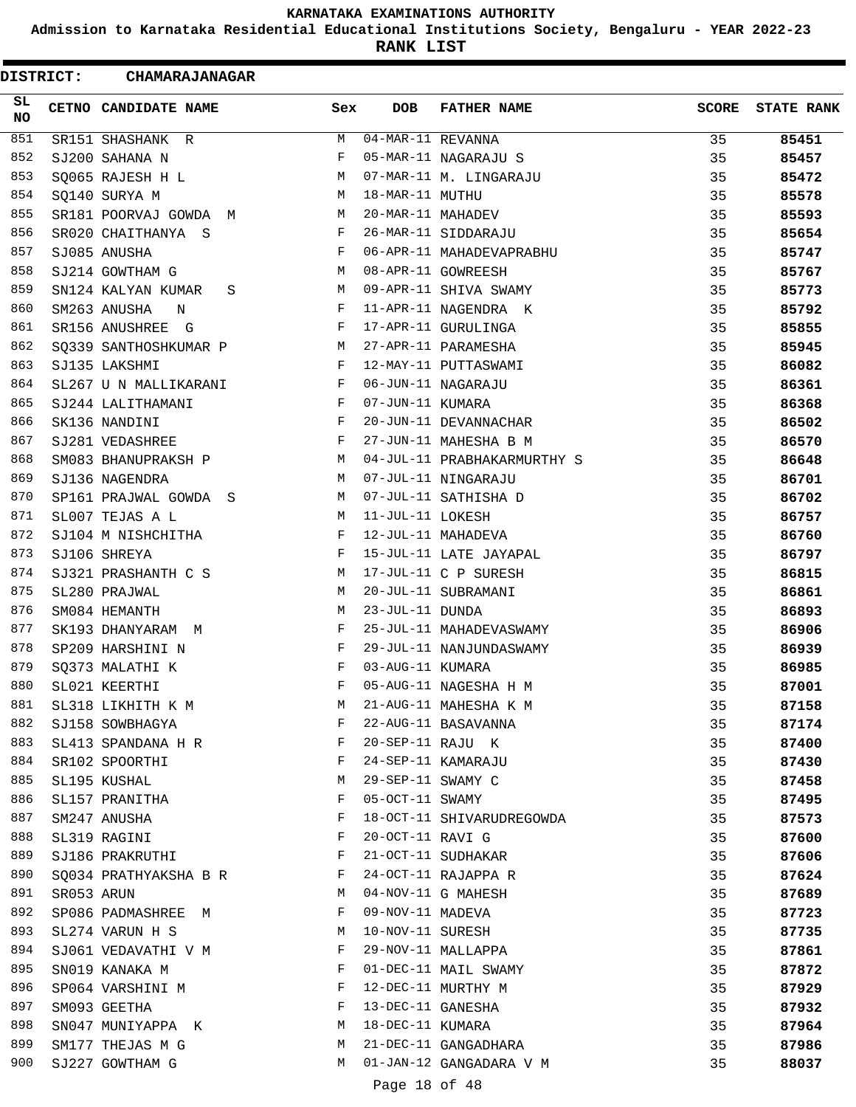**Admission to Karnataka Residential Educational Institutions Society, Bengaluru - YEAR 2022-23**

**RANK LIST**

| SL<br><b>FATHER NAME</b><br><b>SCORE</b><br><b>CETNO CANDIDATE NAME</b><br>Sex<br>DOB<br>NO<br>851<br>04-MAR-11 REVANNA<br>M<br>35<br>SR151 SHASHANK R<br>852<br>35<br>SJ200 SAHANA N<br>F<br>05-MAR-11 NAGARAJU S<br>853<br>07-MAR-11 M. LINGARAJU<br>SQ065 RAJESH H L<br>35<br>М<br>854<br>18-MAR-11 MUTHU<br>SQ140 SURYA M<br>М<br>35<br>855<br>20-MAR-11 MAHADEV<br>35<br>SR181 POORVAJ GOWDA M<br>M<br>856<br>35<br>SR020 CHAITHANYA S<br>26-MAR-11 SIDDARAJU<br>F<br>857<br>06-APR-11 MAHADEVAPRABHU<br>SJ085 ANUSHA<br>F<br>35<br>858<br>08-APR-11 GOWREESH<br>SJ214 GOWTHAM G<br>35<br>М<br>859<br>09-APR-11 SHIVA SWAMY<br>35<br>SN124 KALYAN KUMAR<br>М<br>S<br>860<br>35<br>11-APR-11 NAGENDRA K<br>SM263 ANUSHA<br>F<br>N<br>861<br>SR156 ANUSHREE G<br>F<br>17-APR-11 GURULINGA<br>35<br>862<br>27-APR-11 PARAMESHA<br>SQ339 SANTHOSHKUMAR P<br>35<br>М<br>863<br>12-MAY-11 PUTTASWAMI<br>F<br>35<br>SJ135 LAKSHMI<br>864<br>06-JUN-11 NAGARAJU<br>35<br>SL267 U N MALLIKARANI<br>F<br>865<br>07-JUN-11 KUMARA<br>SJ244 LALITHAMANI<br>F<br>35<br>866<br>20-JUN-11 DEVANNACHAR<br>35<br>SK136 NANDINI<br>F |                   |
|-------------------------------------------------------------------------------------------------------------------------------------------------------------------------------------------------------------------------------------------------------------------------------------------------------------------------------------------------------------------------------------------------------------------------------------------------------------------------------------------------------------------------------------------------------------------------------------------------------------------------------------------------------------------------------------------------------------------------------------------------------------------------------------------------------------------------------------------------------------------------------------------------------------------------------------------------------------------------------------------------------------------------------------------------------------------------------------------------------------------------|-------------------|
|                                                                                                                                                                                                                                                                                                                                                                                                                                                                                                                                                                                                                                                                                                                                                                                                                                                                                                                                                                                                                                                                                                                         | <b>STATE RANK</b> |
|                                                                                                                                                                                                                                                                                                                                                                                                                                                                                                                                                                                                                                                                                                                                                                                                                                                                                                                                                                                                                                                                                                                         | 85451             |
|                                                                                                                                                                                                                                                                                                                                                                                                                                                                                                                                                                                                                                                                                                                                                                                                                                                                                                                                                                                                                                                                                                                         | 85457             |
|                                                                                                                                                                                                                                                                                                                                                                                                                                                                                                                                                                                                                                                                                                                                                                                                                                                                                                                                                                                                                                                                                                                         | 85472             |
|                                                                                                                                                                                                                                                                                                                                                                                                                                                                                                                                                                                                                                                                                                                                                                                                                                                                                                                                                                                                                                                                                                                         | 85578             |
|                                                                                                                                                                                                                                                                                                                                                                                                                                                                                                                                                                                                                                                                                                                                                                                                                                                                                                                                                                                                                                                                                                                         | 85593             |
|                                                                                                                                                                                                                                                                                                                                                                                                                                                                                                                                                                                                                                                                                                                                                                                                                                                                                                                                                                                                                                                                                                                         | 85654             |
|                                                                                                                                                                                                                                                                                                                                                                                                                                                                                                                                                                                                                                                                                                                                                                                                                                                                                                                                                                                                                                                                                                                         | 85747             |
|                                                                                                                                                                                                                                                                                                                                                                                                                                                                                                                                                                                                                                                                                                                                                                                                                                                                                                                                                                                                                                                                                                                         | 85767             |
|                                                                                                                                                                                                                                                                                                                                                                                                                                                                                                                                                                                                                                                                                                                                                                                                                                                                                                                                                                                                                                                                                                                         | 85773             |
|                                                                                                                                                                                                                                                                                                                                                                                                                                                                                                                                                                                                                                                                                                                                                                                                                                                                                                                                                                                                                                                                                                                         | 85792             |
|                                                                                                                                                                                                                                                                                                                                                                                                                                                                                                                                                                                                                                                                                                                                                                                                                                                                                                                                                                                                                                                                                                                         | 85855             |
|                                                                                                                                                                                                                                                                                                                                                                                                                                                                                                                                                                                                                                                                                                                                                                                                                                                                                                                                                                                                                                                                                                                         | 85945             |
|                                                                                                                                                                                                                                                                                                                                                                                                                                                                                                                                                                                                                                                                                                                                                                                                                                                                                                                                                                                                                                                                                                                         | 86082             |
|                                                                                                                                                                                                                                                                                                                                                                                                                                                                                                                                                                                                                                                                                                                                                                                                                                                                                                                                                                                                                                                                                                                         | 86361             |
|                                                                                                                                                                                                                                                                                                                                                                                                                                                                                                                                                                                                                                                                                                                                                                                                                                                                                                                                                                                                                                                                                                                         | 86368             |
|                                                                                                                                                                                                                                                                                                                                                                                                                                                                                                                                                                                                                                                                                                                                                                                                                                                                                                                                                                                                                                                                                                                         | 86502             |
| 867<br>F<br>27-JUN-11 MAHESHA B M<br>35<br>SJ281 VEDASHREE                                                                                                                                                                                                                                                                                                                                                                                                                                                                                                                                                                                                                                                                                                                                                                                                                                                                                                                                                                                                                                                              | 86570             |
| 868<br>04-JUL-11 PRABHAKARMURTHY S<br>35<br>SM083 BHANUPRAKSH P<br>M                                                                                                                                                                                                                                                                                                                                                                                                                                                                                                                                                                                                                                                                                                                                                                                                                                                                                                                                                                                                                                                    | 86648             |
| 869<br>07-JUL-11 NINGARAJU<br>SJ136 NAGENDRA<br>35<br>M                                                                                                                                                                                                                                                                                                                                                                                                                                                                                                                                                                                                                                                                                                                                                                                                                                                                                                                                                                                                                                                                 | 86701             |
| 870<br>07-JUL-11 SATHISHA D<br>35<br>SP161 PRAJWAL GOWDA S<br>М                                                                                                                                                                                                                                                                                                                                                                                                                                                                                                                                                                                                                                                                                                                                                                                                                                                                                                                                                                                                                                                         | 86702             |
| 871<br>11-JUL-11 LOKESH<br>SL007 TEJAS A L<br>35<br>M                                                                                                                                                                                                                                                                                                                                                                                                                                                                                                                                                                                                                                                                                                                                                                                                                                                                                                                                                                                                                                                                   | 86757             |
| 872<br>12-JUL-11 MAHADEVA<br>35<br>SJ104 M NISHCHITHA<br>F                                                                                                                                                                                                                                                                                                                                                                                                                                                                                                                                                                                                                                                                                                                                                                                                                                                                                                                                                                                                                                                              | 86760             |
| 873<br>15-JUL-11 LATE JAYAPAL<br>SJ106 SHREYA<br>F<br>35                                                                                                                                                                                                                                                                                                                                                                                                                                                                                                                                                                                                                                                                                                                                                                                                                                                                                                                                                                                                                                                                | 86797             |
| 874<br>17-JUL-11 C P SURESH<br>SJ321 PRASHANTH C S<br>М<br>35                                                                                                                                                                                                                                                                                                                                                                                                                                                                                                                                                                                                                                                                                                                                                                                                                                                                                                                                                                                                                                                           | 86815             |
| 875<br>20-JUL-11 SUBRAMANI<br>М<br>35<br>SL280 PRAJWAL                                                                                                                                                                                                                                                                                                                                                                                                                                                                                                                                                                                                                                                                                                                                                                                                                                                                                                                                                                                                                                                                  | 86861             |
| 876<br>23-JUL-11 DUNDA<br>35<br>SM084 HEMANTH<br>М                                                                                                                                                                                                                                                                                                                                                                                                                                                                                                                                                                                                                                                                                                                                                                                                                                                                                                                                                                                                                                                                      | 86893             |
| 877<br>F<br>25-JUL-11 MAHADEVASWAMY<br>SK193 DHANYARAM M<br>35                                                                                                                                                                                                                                                                                                                                                                                                                                                                                                                                                                                                                                                                                                                                                                                                                                                                                                                                                                                                                                                          | 86906             |
| 878<br>29-JUL-11 NANJUNDASWAMY<br>SP209 HARSHINI N<br>F<br>35                                                                                                                                                                                                                                                                                                                                                                                                                                                                                                                                                                                                                                                                                                                                                                                                                                                                                                                                                                                                                                                           | 86939             |
| 879<br>F<br>03-AUG-11 KUMARA<br>35<br>SO373 MALATHI K                                                                                                                                                                                                                                                                                                                                                                                                                                                                                                                                                                                                                                                                                                                                                                                                                                                                                                                                                                                                                                                                   | 86985             |
| 880<br>F<br>05-AUG-11 NAGESHA H M<br>35<br>SL021 KEERTHI                                                                                                                                                                                                                                                                                                                                                                                                                                                                                                                                                                                                                                                                                                                                                                                                                                                                                                                                                                                                                                                                | 87001             |
| 881<br>21-AUG-11 MAHESHA K M<br>SL318 LIKHITH K M<br>35<br>М                                                                                                                                                                                                                                                                                                                                                                                                                                                                                                                                                                                                                                                                                                                                                                                                                                                                                                                                                                                                                                                            | 87158             |
| 882<br>22-AUG-11 BASAVANNA<br>35<br>SJ158 SOWBHAGYA<br>F                                                                                                                                                                                                                                                                                                                                                                                                                                                                                                                                                                                                                                                                                                                                                                                                                                                                                                                                                                                                                                                                | 87174             |
| 883<br>20-SEP-11 RAJU K<br>F<br>35<br>SL413 SPANDANA H R                                                                                                                                                                                                                                                                                                                                                                                                                                                                                                                                                                                                                                                                                                                                                                                                                                                                                                                                                                                                                                                                | 87400             |
| 884<br>24-SEP-11 KAMARAJU<br>35<br>SR102 SPOORTHI<br>F                                                                                                                                                                                                                                                                                                                                                                                                                                                                                                                                                                                                                                                                                                                                                                                                                                                                                                                                                                                                                                                                  | 87430             |
| 29-SEP-11 SWAMY C<br>885<br>35<br>SL195 KUSHAL<br>М                                                                                                                                                                                                                                                                                                                                                                                                                                                                                                                                                                                                                                                                                                                                                                                                                                                                                                                                                                                                                                                                     | 87458             |
| 05-OCT-11 SWAMY<br>886<br>35<br>SL157 PRANITHA<br>F                                                                                                                                                                                                                                                                                                                                                                                                                                                                                                                                                                                                                                                                                                                                                                                                                                                                                                                                                                                                                                                                     | 87495             |
| 887<br>18-OCT-11 SHIVARUDREGOWDA<br>F<br>35<br>SM247 ANUSHA                                                                                                                                                                                                                                                                                                                                                                                                                                                                                                                                                                                                                                                                                                                                                                                                                                                                                                                                                                                                                                                             | 87573             |
| 888<br>20-OCT-11 RAVI G<br>35<br>F<br>SL319 RAGINI                                                                                                                                                                                                                                                                                                                                                                                                                                                                                                                                                                                                                                                                                                                                                                                                                                                                                                                                                                                                                                                                      | 87600             |
| 889<br>21-OCT-11 SUDHAKAR<br>SJ186 PRAKRUTHI<br>F<br>35                                                                                                                                                                                                                                                                                                                                                                                                                                                                                                                                                                                                                                                                                                                                                                                                                                                                                                                                                                                                                                                                 | 87606             |
| 890<br>24-OCT-11 RAJAPPA R<br>35<br>SQ034 PRATHYAKSHA B R<br>F                                                                                                                                                                                                                                                                                                                                                                                                                                                                                                                                                                                                                                                                                                                                                                                                                                                                                                                                                                                                                                                          | 87624             |
| 891<br>04-NOV-11 G MAHESH<br>SR053 ARUN<br>35<br>M                                                                                                                                                                                                                                                                                                                                                                                                                                                                                                                                                                                                                                                                                                                                                                                                                                                                                                                                                                                                                                                                      | 87689             |
| 892<br>09-NOV-11 MADEVA<br>35<br>SP086 PADMASHREE M<br>F                                                                                                                                                                                                                                                                                                                                                                                                                                                                                                                                                                                                                                                                                                                                                                                                                                                                                                                                                                                                                                                                | 87723             |
| 893<br>10-NOV-11 SURESH<br>SL274 VARUN H S<br>35<br>М                                                                                                                                                                                                                                                                                                                                                                                                                                                                                                                                                                                                                                                                                                                                                                                                                                                                                                                                                                                                                                                                   | 87735             |
| 894<br>29-NOV-11 MALLAPPA<br>35<br>SJ061 VEDAVATHI V M<br>F                                                                                                                                                                                                                                                                                                                                                                                                                                                                                                                                                                                                                                                                                                                                                                                                                                                                                                                                                                                                                                                             | 87861             |
| 895<br>01-DEC-11 MAIL SWAMY<br>F<br>35<br>SN019 KANAKA M                                                                                                                                                                                                                                                                                                                                                                                                                                                                                                                                                                                                                                                                                                                                                                                                                                                                                                                                                                                                                                                                | 87872             |
| 896<br>12-DEC-11 MURTHY M<br>35<br>F<br>SP064 VARSHINI M                                                                                                                                                                                                                                                                                                                                                                                                                                                                                                                                                                                                                                                                                                                                                                                                                                                                                                                                                                                                                                                                | 87929             |
| 897<br>13-DEC-11 GANESHA<br>SM093 GEETHA<br>F<br>35                                                                                                                                                                                                                                                                                                                                                                                                                                                                                                                                                                                                                                                                                                                                                                                                                                                                                                                                                                                                                                                                     | 87932             |
| 898<br>18-DEC-11 KUMARA<br>35<br>SN047 MUNIYAPPA K<br>M                                                                                                                                                                                                                                                                                                                                                                                                                                                                                                                                                                                                                                                                                                                                                                                                                                                                                                                                                                                                                                                                 | 87964             |
| 899<br>21-DEC-11 GANGADHARA<br>SM177 THEJAS M G<br>35<br>M                                                                                                                                                                                                                                                                                                                                                                                                                                                                                                                                                                                                                                                                                                                                                                                                                                                                                                                                                                                                                                                              | 87986             |
| 900<br>01-JAN-12 GANGADARA V M<br>35<br>SJ227 GOWTHAM G<br>M                                                                                                                                                                                                                                                                                                                                                                                                                                                                                                                                                                                                                                                                                                                                                                                                                                                                                                                                                                                                                                                            | 88037             |
| Page 18 of 48                                                                                                                                                                                                                                                                                                                                                                                                                                                                                                                                                                                                                                                                                                                                                                                                                                                                                                                                                                                                                                                                                                           |                   |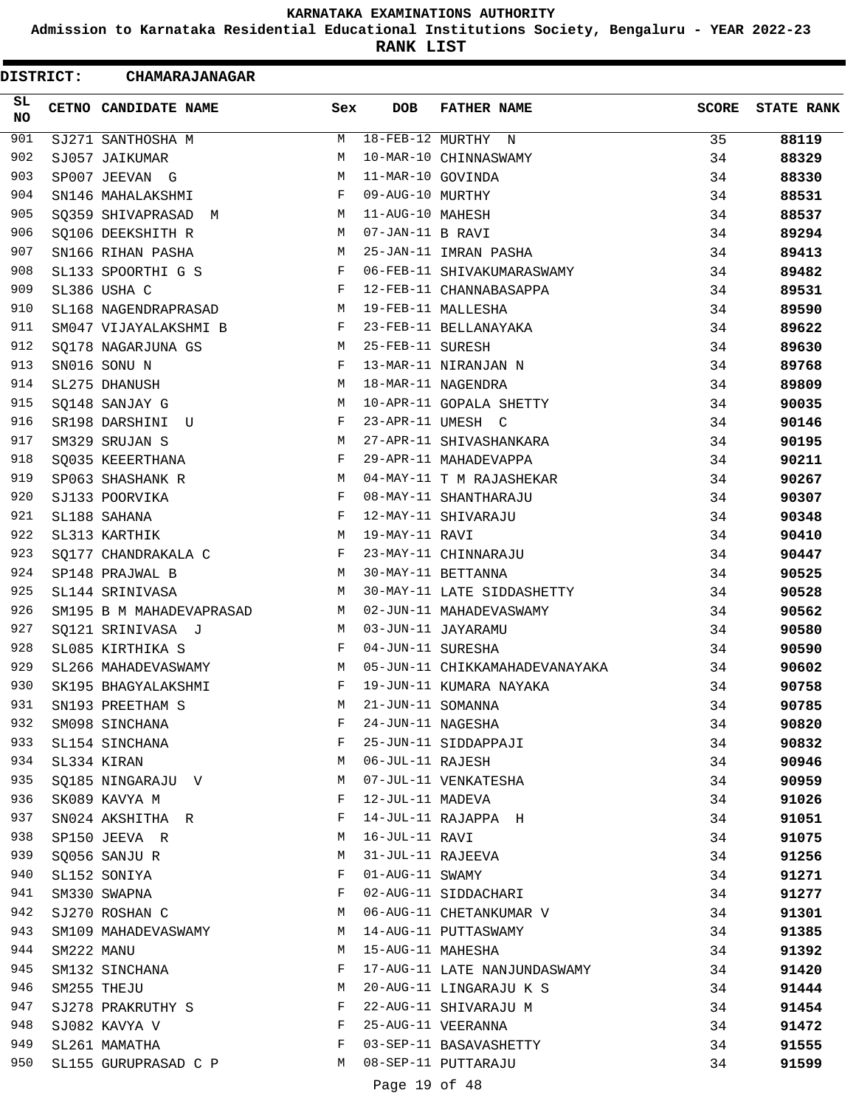**Admission to Karnataka Residential Educational Institutions Society, Bengaluru - YEAR 2022-23**

**RANK LIST**

| <b>DISTRICT:</b> |            | <b>CHAMARAJANAGAR</b>    |     |                   |                                |              |                   |
|------------------|------------|--------------------------|-----|-------------------|--------------------------------|--------------|-------------------|
| SL.<br>NO.       |            | CETNO CANDIDATE NAME     | Sex | DOB.              | <b>FATHER NAME</b>             | <b>SCORE</b> | <b>STATE RANK</b> |
| 901              |            | SJ271 SANTHOSHA M        | M   |                   | 18-FEB-12 MURTHY N             | 35           | 88119             |
| 902              |            | SJ057 JAIKUMAR           | М   |                   | 10-MAR-10 CHINNASWAMY          | 34           | 88329             |
| 903              |            | SP007 JEEVAN G           | М   | 11-MAR-10 GOVINDA |                                | 34           | 88330             |
| 904              |            | SN146 MAHALAKSHMI        | F   | 09-AUG-10 MURTHY  |                                | 34           | 88531             |
| 905              |            | SQ359 SHIVAPRASAD M      | М   | 11-AUG-10 MAHESH  |                                | 34           | 88537             |
| 906              |            | SQ106 DEEKSHITH R        | M   | 07-JAN-11 B RAVI  |                                | 34           | 89294             |
| 907              |            | SN166 RIHAN PASHA        | M   |                   | 25-JAN-11 IMRAN PASHA          | 34           | 89413             |
| 908              |            | SL133 SPOORTHI G S       | F   |                   | 06-FEB-11 SHIVAKUMARASWAMY     | 34           | 89482             |
| 909              |            | SL386 USHA C             | F   |                   | 12-FEB-11 CHANNABASAPPA        | 34           | 89531             |
| 910              |            | SL168 NAGENDRAPRASAD     | М   |                   | 19-FEB-11 MALLESHA             | 34           | 89590             |
| 911              |            | SM047 VIJAYALAKSHMI B    | F   |                   | 23-FEB-11 BELLANAYAKA          | 34           | 89622             |
| 912              |            | SO178 NAGARJUNA GS       | M   | 25-FEB-11 SURESH  |                                | 34           | 89630             |
| 913              |            | SN016 SONU N             | F   |                   | 13-MAR-11 NIRANJAN N           | 34           | 89768             |
| 914              |            | SL275 DHANUSH            | М   |                   | 18-MAR-11 NAGENDRA             | 34           | 89809             |
| 915              |            | SQ148 SANJAY G           | M   |                   | 10-APR-11 GOPALA SHETTY        | 34           | 90035             |
| 916              |            | SR198 DARSHINI<br>U      | F   |                   | 23-APR-11 UMESH C              | 34           | 90146             |
| 917              |            | SM329 SRUJAN S           | М   |                   | 27-APR-11 SHIVASHANKARA        | 34           | 90195             |
| 918              |            | SQ035 KEEERTHANA         | F   |                   | 29-APR-11 MAHADEVAPPA          | 34           | 90211             |
| 919              |            | SP063 SHASHANK R         | М   |                   | 04-MAY-11 T M RAJASHEKAR       | 34           | 90267             |
| 920              |            | SJ133 POORVIKA           | F   |                   | 08-MAY-11 SHANTHARAJU          | 34           | 90307             |
| 921              |            | SL188 SAHANA             | F   |                   | 12-MAY-11 SHIVARAJU            | 34           | 90348             |
| 922              |            | SL313 KARTHIK            | М   | 19-MAY-11 RAVI    |                                | 34           | 90410             |
| 923              |            | SQ177 CHANDRAKALA C      | F   |                   | 23-MAY-11 CHINNARAJU           | 34           | 90447             |
| 924              |            | SP148 PRAJWAL B          | М   |                   | 30-MAY-11 BETTANNA             | 34           | 90525             |
| 925              |            | SL144 SRINIVASA          | М   |                   | 30-MAY-11 LATE SIDDASHETTY     | 34           | 90528             |
| 926              |            | SM195 B M MAHADEVAPRASAD | М   |                   | 02-JUN-11 MAHADEVASWAMY        | 34           | 90562             |
| 927              |            | SQ121 SRINIVASA J        | M   |                   | 03-JUN-11 JAYARAMU             | 34           | 90580             |
| 928              |            | SL085 KIRTHIKA S         | F   | 04-JUN-11 SURESHA |                                | 34           | 90590             |
| 929              |            | SL266 MAHADEVASWAMY      | M   |                   | 05-JUN-11 CHIKKAMAHADEVANAYAKA | 34           | 90602             |
| 930              |            | SK195 BHAGYALAKSHMI      | F   |                   | 19-JUN-11 KUMARA NAYAKA        | 34           | 90758             |
| 931              |            | SN193 PREETHAM S         | М   | 21-JUN-11 SOMANNA |                                | 34           | 90785             |
| 932              |            | SM098 SINCHANA           | F   | 24-JUN-11 NAGESHA |                                | 34           | 90820             |
| 933              |            | SL154 SINCHANA           | F   |                   | 25-JUN-11 SIDDAPPAJI           | 34           | 90832             |
| 934              |            | SL334 KIRAN              | М   | 06-JUL-11 RAJESH  |                                | 34           | 90946             |
| 935              |            | SQ185 NINGARAJU V        | М   |                   | 07-JUL-11 VENKATESHA           | 34           | 90959             |
| 936              |            | SK089 KAVYA M            | F   | 12-JUL-11 MADEVA  |                                | 34           | 91026             |
| 937              |            | SN024 AKSHITHA R         | F   |                   | 14-JUL-11 RAJAPPA H            | 34           | 91051             |
| 938              |            | SP150 JEEVA R            | М   | 16-JUL-11 RAVI    |                                | 34           | 91075             |
| 939              |            | SQ056 SANJU R            | М   | 31-JUL-11 RAJEEVA |                                | 34           | 91256             |
| 940              |            | SL152 SONIYA             | F   | 01-AUG-11 SWAMY   |                                | 34           | 91271             |
| 941              |            | SM330 SWAPNA             | F   |                   | 02-AUG-11 SIDDACHARI           | 34           | 91277             |
| 942              |            | SJ270 ROSHAN C           | М   |                   | 06-AUG-11 CHETANKUMAR V        | 34           | 91301             |
| 943              |            | SM109 MAHADEVASWAMY      | М   |                   | 14-AUG-11 PUTTASWAMY           | 34           | 91385             |
| 944              | SM222 MANU |                          | М   | 15-AUG-11 MAHESHA |                                | 34           | 91392             |
| 945              |            | SM132 SINCHANA           | F   |                   | 17-AUG-11 LATE NANJUNDASWAMY   | 34           | 91420             |
| 946              |            | SM255 THEJU              | М   |                   | 20-AUG-11 LINGARAJU K S        | 34           | 91444             |
| 947              |            | SJ278 PRAKRUTHY S        | F   |                   | 22-AUG-11 SHIVARAJU M          | 34           | 91454             |
| 948              |            | SJ082 KAVYA V            | F   |                   | 25-AUG-11 VEERANNA             | 34           | 91472             |
| 949              |            | SL261 MAMATHA            | F   |                   | 03-SEP-11 BASAVASHETTY         | 34           | 91555             |
| 950              |            | SL155 GURUPRASAD C P     | M   |                   | 08-SEP-11 PUTTARAJU            | 34           | 91599             |
|                  |            |                          |     | Page 19 of 48     |                                |              |                   |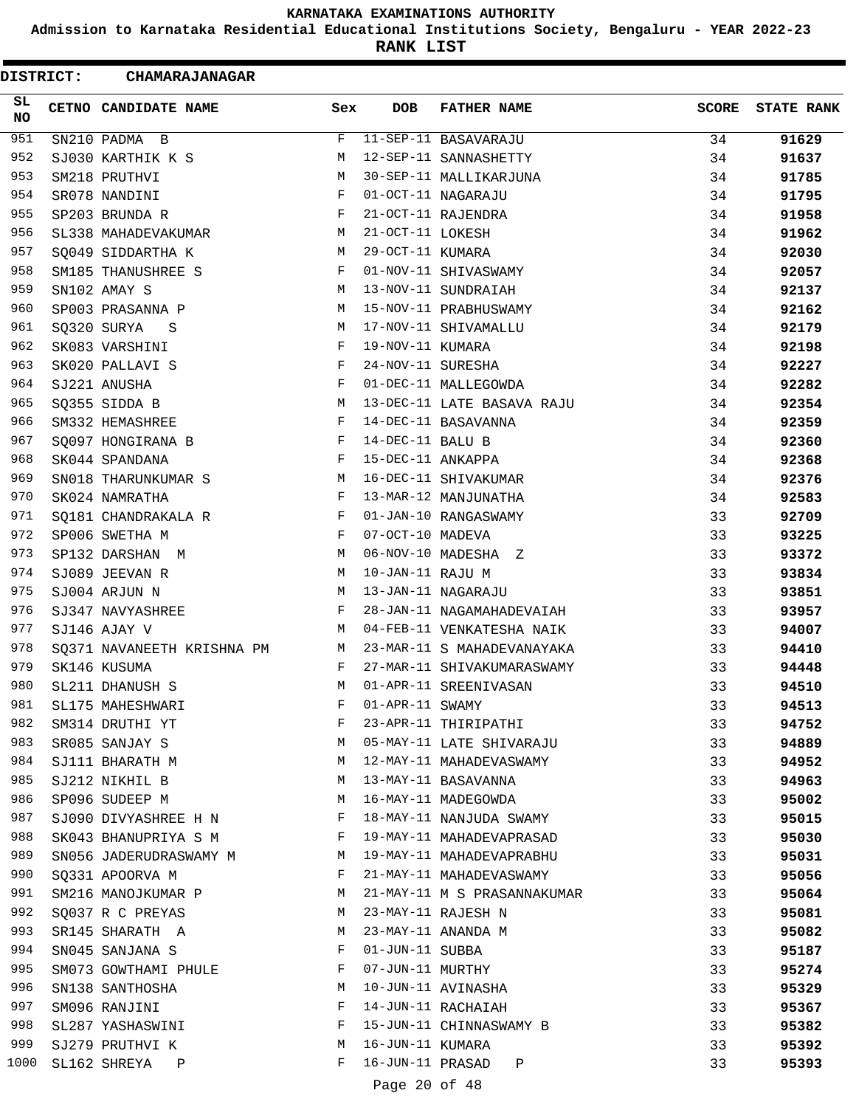**Admission to Karnataka Residential Educational Institutions Society, Bengaluru - YEAR 2022-23**

**RANK LIST**

 $\blacksquare$ 

| <b>DISTRICT:</b> | <b>CHAMARAJANAGAR</b>      |     |                   |                             |              |                   |
|------------------|----------------------------|-----|-------------------|-----------------------------|--------------|-------------------|
| SL<br>NO.        | CETNO CANDIDATE NAME       | Sex | DOB.              | <b>FATHER NAME</b>          | <b>SCORE</b> | <b>STATE RANK</b> |
| 951              | SN210 PADMA B              | F   |                   | 11-SEP-11 BASAVARAJU        | 34           | 91629             |
| 952              | SJ030 KARTHIK K S          | М   |                   | 12-SEP-11 SANNASHETTY       | 34           | 91637             |
| 953              | SM218 PRUTHVI              | M   |                   | 30-SEP-11 MALLIKARJUNA      | 34           | 91785             |
| 954              | SR078 NANDINI              | F   |                   | 01-OCT-11 NAGARAJU          | 34           | 91795             |
| 955              | SP203 BRUNDA R             | F   |                   | 21-OCT-11 RAJENDRA          | 34           | 91958             |
| 956              | SL338 MAHADEVAKUMAR        | М   | 21-OCT-11 LOKESH  |                             | 34           | 91962             |
| 957              | SQ049 SIDDARTHA K          | M   | 29-OCT-11 KUMARA  |                             | 34           | 92030             |
| 958              | SM185 THANUSHREE S         | F   |                   | 01-NOV-11 SHIVASWAMY        | 34           | 92057             |
| 959              | SN102 AMAY S               | М   |                   | 13-NOV-11 SUNDRAIAH         | 34           | 92137             |
| 960              | SP003 PRASANNA P           | М   |                   | 15-NOV-11 PRABHUSWAMY       | 34           | 92162             |
| 961              | SQ320 SURYA<br>S           | М   |                   | 17-NOV-11 SHIVAMALLU        | 34           | 92179             |
| 962              | SK083 VARSHINI             | F   | 19-NOV-11 KUMARA  |                             | 34           | 92198             |
| 963              | SK020 PALLAVI S            | F   | 24-NOV-11 SURESHA |                             | 34           | 92227             |
| 964              | SJ221 ANUSHA               | F   |                   | 01-DEC-11 MALLEGOWDA        | 34           | 92282             |
| 965              | SQ355 SIDDA B              | M   |                   | 13-DEC-11 LATE BASAVA RAJU  | 34           | 92354             |
| 966              | SM332 HEMASHREE            | F   |                   | 14-DEC-11 BASAVANNA         | 34           | 92359             |
| 967              | SQ097 HONGIRANA B          | F   | 14-DEC-11 BALU B  |                             | 34           | 92360             |
| 968              | SK044 SPANDANA             | F   | 15-DEC-11 ANKAPPA |                             | 34           | 92368             |
| 969              | SN018 THARUNKUMAR S        | М   |                   | 16-DEC-11 SHIVAKUMAR        | 34           | 92376             |
| 970              | SK024 NAMRATHA             | F   |                   | 13-MAR-12 MANJUNATHA        | 34           | 92583             |
| 971              | SQ181 CHANDRAKALA R        | F   |                   | 01-JAN-10 RANGASWAMY        | 33           | 92709             |
| 972              | SP006 SWETHA M             | F   | 07-OCT-10 MADEVA  |                             | 33           | 93225             |
| 973              | SP132 DARSHAN M            | M   |                   | 06-NOV-10 MADESHA Z         | 33           | 93372             |
| 974              | SJ089 JEEVAN R             | М   | 10-JAN-11 RAJU M  |                             | 33           | 93834             |
| 975              | SJ004 ARJUN N              | М   |                   | 13-JAN-11 NAGARAJU          | 33           | 93851             |
| 976              | SJ347 NAVYASHREE           | F   |                   | 28-JAN-11 NAGAMAHADEVAIAH   | 33           | 93957             |
| 977              | SJ146 AJAY V               | M   |                   | 04-FEB-11 VENKATESHA NAIK   | 33           | 94007             |
| 978              | SQ371 NAVANEETH KRISHNA PM | M   |                   | 23-MAR-11 S MAHADEVANAYAKA  | 33           | 94410             |
| 979              | SK146 KUSUMA               | F   |                   | 27-MAR-11 SHIVAKUMARASWAMY  | 33           | 94448             |
| 980              | SL211 DHANUSH S            | М   |                   | 01-APR-11 SREENIVASAN       | 33           | 94510             |
| 981              | SL175 MAHESHWARI           | F   | 01-APR-11 SWAMY   |                             | 33           | 94513             |
| 982              | SM314 DRUTHI YT            | F   |                   | 23-APR-11 THIRIPATHI        | 33           | 94752             |
| 983              | SR085 SANJAY S             | M   |                   | 05-MAY-11 LATE SHIVARAJU    | 33           | 94889             |
| 984              | SJ111 BHARATH M            | M   |                   | 12-MAY-11 MAHADEVASWAMY     | 33           | 94952             |
| 985              | SJ212 NIKHIL B             | M   |                   | 13-MAY-11 BASAVANNA         | 33           | 94963             |
| 986              | SP096 SUDEEP M             | М   |                   | 16-MAY-11 MADEGOWDA         | 33           | 95002             |
| 987              | SJ090 DIVYASHREE H N       | F   |                   | 18-MAY-11 NANJUDA SWAMY     | 33           | 95015             |
| 988              | SK043 BHANUPRIYA S M       | F   |                   | 19-MAY-11 MAHADEVAPRASAD    | 33           | 95030             |
| 989              | SN056 JADERUDRASWAMY M     | M   |                   | 19-MAY-11 MAHADEVAPRABHU    | 33           | 95031             |
| 990              | SO331 APOORVA M            | F   |                   | 21-MAY-11 MAHADEVASWAMY     | 33           | 95056             |
| 991              | SM216 MANOJKUMAR P         | M   |                   | 21-MAY-11 M S PRASANNAKUMAR | 33           | 95064             |
| 992              | SQ037 R C PREYAS           | М   |                   | 23-MAY-11 RAJESH N          | 33           | 95081             |
| 993              | SR145 SHARATH A            | M   |                   | 23-MAY-11 ANANDA M          | 33           | 95082             |
| 994              | SN045 SANJANA S            | F   | 01-JUN-11 SUBBA   |                             | 33           | 95187             |
| 995              | SM073 GOWTHAMI PHULE       | F   | 07-JUN-11 MURTHY  |                             | 33           | 95274             |
| 996              | SN138 SANTHOSHA            | М   |                   | 10-JUN-11 AVINASHA          | 33           | 95329             |
| 997              | SM096 RANJINI              | F   |                   | 14-JUN-11 RACHAIAH          | 33           | 95367             |
| 998              | SL287 YASHASWINI           | F   |                   | 15-JUN-11 CHINNASWAMY B     | 33           | 95382             |
| 999              | SJ279 PRUTHVI K            | М   | 16-JUN-11 KUMARA  |                             | 33           | 95392             |
| 1000             | SL162 SHREYA<br>Ρ          | F   |                   | 16-JUN-11 PRASAD<br>Ρ       | 33           | 95393             |
|                  |                            |     |                   |                             |              |                   |

Page 20 of 48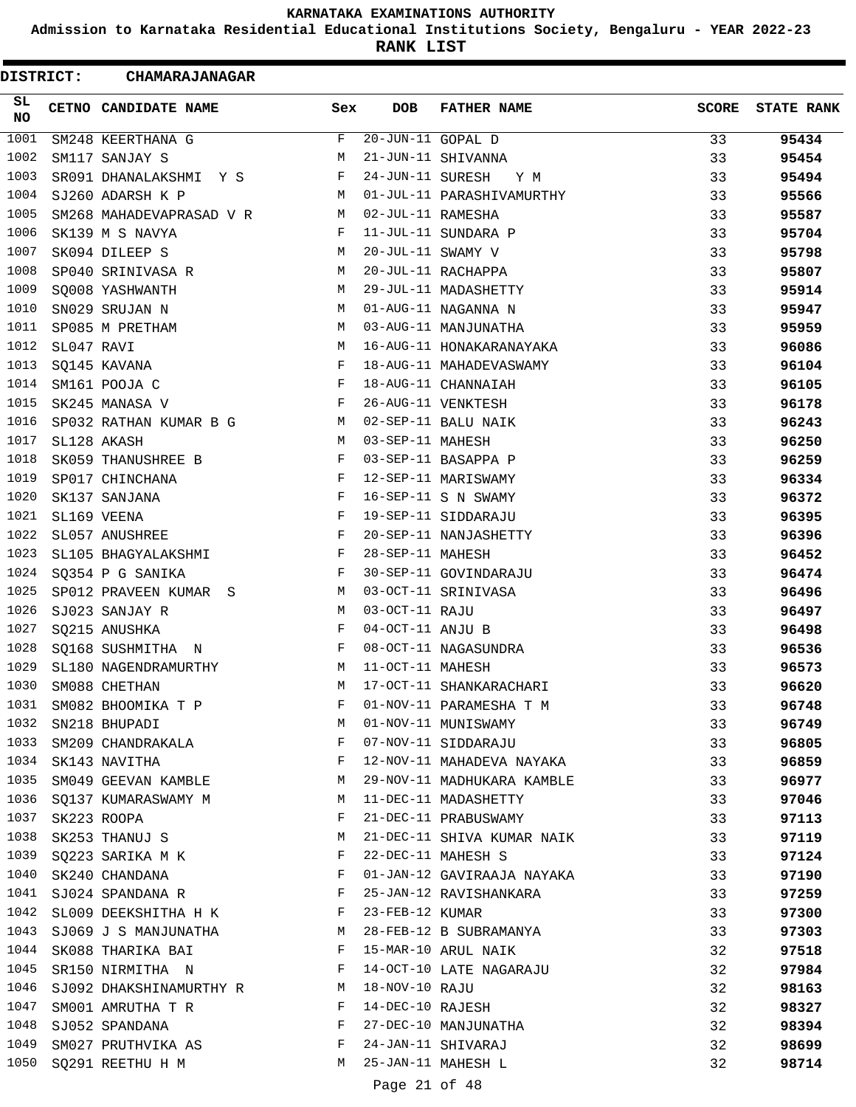**Admission to Karnataka Residential Educational Institutions Society, Bengaluru - YEAR 2022-23**

**RANK LIST**

| <b>DISTRICT:</b> |            | <b>CHAMARAJANAGAR</b>                   |              |                   |                            |              |                   |
|------------------|------------|-----------------------------------------|--------------|-------------------|----------------------------|--------------|-------------------|
| SL<br>NO         |            | CETNO CANDIDATE NAME                    | Sex          | <b>DOB</b>        | <b>FATHER NAME</b>         | <b>SCORE</b> | <b>STATE RANK</b> |
| 1001             |            | SM248 KEERTHANA G                       | F            | 20-JUN-11 GOPAL D |                            | 33           | 95434             |
| 1002             |            | SM117 SANJAY S                          | М            |                   | 21-JUN-11 SHIVANNA         | 33           | 95454             |
| 1003             |            | SR091 DHANALAKSHMI Y S                  | F            | 24-JUN-11 SURESH  | Y M                        | 33           | 95494             |
| 1004             |            | SJ260 ADARSH K P                        | M            |                   | 01-JUL-11 PARASHIVAMURTHY  | 33           | 95566             |
| 1005             |            | SM268 MAHADEVAPRASAD V R                | M            | 02-JUL-11 RAMESHA |                            | 33           | 95587             |
| 1006             |            | SK139 M S NAVYA                         | F            |                   | 11-JUL-11 SUNDARA P        | 33           | 95704             |
| 1007             |            | SK094 DILEEP S                          | M            | 20-JUL-11 SWAMY V |                            | 33           | 95798             |
| 1008             |            | SP040 SRINIVASA R                       | М            |                   | 20-JUL-11 RACHAPPA         | 33           | 95807             |
| 1009             |            | SQ008 YASHWANTH                         | М            |                   | 29-JUL-11 MADASHETTY       | 33           | 95914             |
| 1010             |            | SN029 SRUJAN N                          | M            |                   | 01-AUG-11 NAGANNA N        | 33           | 95947             |
| 1011             |            | SP085 M PRETHAM                         | М            |                   | 03-AUG-11 MANJUNATHA       | 33           | 95959             |
| 1012             | SL047 RAVI |                                         | М            |                   | 16-AUG-11 HONAKARANAYAKA   | 33           | 96086             |
| 1013             |            | SQ145 KAVANA                            | F            |                   | 18-AUG-11 MAHADEVASWAMY    | 33           | 96104             |
| 1014             |            | SM161 POOJA C                           | F            |                   | 18-AUG-11 CHANNAIAH        | 33           | 96105             |
| 1015             |            | SK245 MANASA V                          | F            |                   | 26-AUG-11 VENKTESH         | 33           | 96178             |
| 1016             |            | SP032 RATHAN KUMAR B G                  | M            |                   | 02-SEP-11 BALU NAIK        | 33           | 96243             |
| 1017             |            | SL128 AKASH                             | M            | 03-SEP-11 MAHESH  |                            | 33           | 96250             |
| 1018             |            | SK059 THANUSHREE B                      | F            |                   | 03-SEP-11 BASAPPA P        | 33           | 96259             |
| 1019             |            | SP017 CHINCHANA                         | F            |                   | 12-SEP-11 MARISWAMY        | 33           | 96334             |
| 1020             |            | SK137 SANJANA                           | F            |                   | 16-SEP-11 S N SWAMY        | 33           | 96372             |
| 1021             |            | SL169 VEENA                             | F            |                   | 19-SEP-11 SIDDARAJU        | 33           | 96395             |
| 1022             |            | SL057 ANUSHREE                          | F            |                   | 20-SEP-11 NANJASHETTY      | 33           | 96396             |
| 1023             |            | SL105 BHAGYALAKSHMI                     | F            | 28-SEP-11 MAHESH  |                            | 33           | 96452             |
| 1024             |            | SQ354 P G SANIKA                        | F            |                   | 30-SEP-11 GOVINDARAJU      | 33           | 96474             |
| 1025             |            | SP012 PRAVEEN KUMAR S                   | М            |                   | 03-OCT-11 SRINIVASA        | 33           | 96496             |
| 1026             |            | SJ023 SANJAY R                          | М            | 03-OCT-11 RAJU    |                            | 33           | 96497             |
| 1027             |            | SQ215 ANUSHKA                           | F            | 04-OCT-11 ANJU B  |                            | 33           | 96498             |
| 1028             |            | SQ168 SUSHMITHA N                       | F            |                   | 08-OCT-11 NAGASUNDRA       | 33           | 96536             |
| 1029             |            | SL180 NAGENDRAMURTHY                    | М            | 11-OCT-11 MAHESH  |                            | 33           | 96573             |
| 1030             |            | SM088 CHETHAN                           | М            |                   | 17-OCT-11 SHANKARACHARI    | 33           | 96620             |
| 1031             |            | SM082 BHOOMIKA T P                      | F            |                   | 01-NOV-11 PARAMESHA T M    | 33           | 96748             |
| 1032             |            | SN218 BHUPADI                           | M            |                   | 01-NOV-11 MUNISWAMY        | 33           | 96749             |
| 1033             |            |                                         | $\mathbf{F}$ |                   | 07-NOV-11 SIDDARAJU        | 33           |                   |
|                  |            | SM209 CHANDRAKALA<br>1034 SK143 NAVITHA | F            |                   | 12-NOV-11 MAHADEVA NAYAKA  | 33           | 96805<br>96859    |
| 1035             |            | SM049 GEEVAN KAMBLE                     | M            |                   | 29-NOV-11 MADHUKARA KAMBLE | 33           |                   |
| 1036             |            |                                         | M            |                   | 11-DEC-11 MADASHETTY       |              | 96977             |
| 1037             |            | SQ137 KUMARASWAMY M                     | F            |                   |                            | 33           | 97046             |
| 1038             |            | SK223 ROOPA                             |              |                   | 21-DEC-11 PRABUSWAMY       | 33           | 97113             |
|                  |            | SK253 THANUJ S                          | М            |                   | 21-DEC-11 SHIVA KUMAR NAIK | 33           | 97119             |
| 1039             |            | SQ223 SARIKA M K                        | F            |                   | 22-DEC-11 MAHESH S         | 33           | 97124             |
| 1040             |            | SK240 CHANDANA                          | F            |                   | 01-JAN-12 GAVIRAAJA NAYAKA | 33           | 97190             |
| 1041             |            | SJ024 SPANDANA R                        | F            |                   | 25-JAN-12 RAVISHANKARA     | 33           | 97259             |
|                  |            | 1042 SL009 DEEKSHITHA H K               | F            | 23-FEB-12 KUMAR   |                            | 33           | 97300             |
| 1043             |            | SJ069 J S MANJUNATHA                    | M            |                   | 28-FEB-12 B SUBRAMANYA     | 33           | 97303             |
| 1044             |            | SK088 THARIKA BAI                       | F            |                   | 15-MAR-10 ARUL NAIK        | 32           | 97518             |
| 1045             |            | SR150 NIRMITHA N                        | F            |                   | 14-OCT-10 LATE NAGARAJU    | 32           | 97984             |
| 1046             |            | SJ092 DHAKSHINAMURTHY R M               |              | 18-NOV-10 RAJU    |                            | 32           | 98163             |
| 1047             |            | SM001 AMRUTHA T R                       | F            | 14-DEC-10 RAJESH  |                            | 32           | 98327             |
| 1048             |            | SJ052 SPANDANA                          | F            |                   | 27-DEC-10 MANJUNATHA       | 32           | 98394             |
| 1049             |            | SM027 PRUTHVIKA AS                      | F            |                   | 24-JAN-11 SHIVARAJ         | 32           | 98699             |
| 1050             |            | SQ291 REETHU H M                        | M            |                   | 25-JAN-11 MAHESH L         | 32           | 98714             |
|                  |            |                                         |              | Page 21 of 48     |                            |              |                   |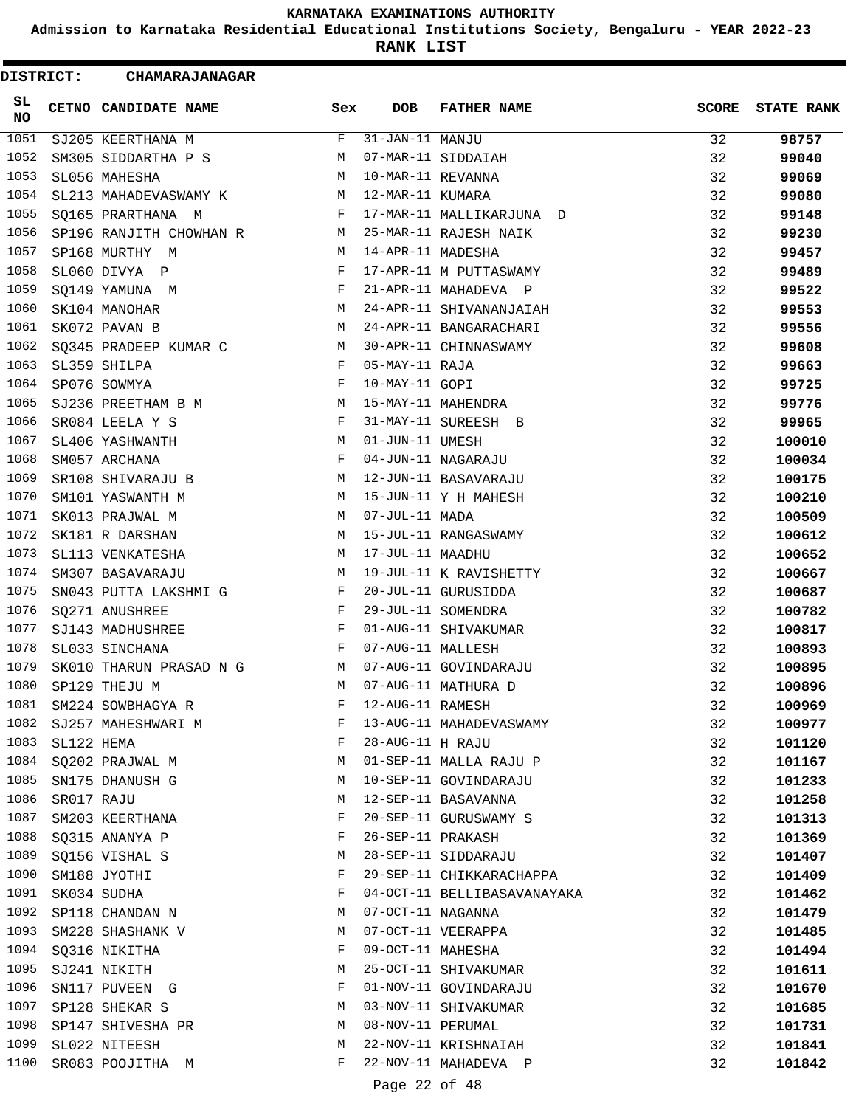**Admission to Karnataka Residential Educational Institutions Society, Bengaluru - YEAR 2022-23**

**RANK LIST**

| DISTRICT:         |            | CHAMARAJANAGAR          |     |                   |                             |              |                   |
|-------------------|------------|-------------------------|-----|-------------------|-----------------------------|--------------|-------------------|
| SL<br>NO          |            | CETNO CANDIDATE NAME    | Sex | <b>DOB</b>        | <b>FATHER NAME</b>          | <b>SCORE</b> | <b>STATE RANK</b> |
| $\overline{1051}$ |            | SJ205 KEERTHANA M       | F   | 31-JAN-11 MANJU   |                             | 32           | 98757             |
| 1052              |            | SM305 SIDDARTHA P S     | М   |                   | 07-MAR-11 SIDDAIAH          | 32           | 99040             |
| 1053              |            | SL056 MAHESHA           | М   | 10-MAR-11 REVANNA |                             | 32           | 99069             |
| 1054              |            | SL213 MAHADEVASWAMY K   | M   | 12-MAR-11 KUMARA  |                             | 32           | 99080             |
| 1055              |            | SQ165 PRARTHANA M       | F   |                   | 17-MAR-11 MALLIKARJUNA D    | 32           | 99148             |
| 1056              |            | SP196 RANJITH CHOWHAN R | M   |                   | 25-MAR-11 RAJESH NAIK       | 32           | 99230             |
| 1057              |            | SP168 MURTHY M          | М   | 14-APR-11 MADESHA |                             | 32           | 99457             |
| 1058              |            | SL060 DIVYA P           | F   |                   | 17-APR-11 M PUTTASWAMY      | 32           | 99489             |
| 1059              |            | SQ149 YAMUNA M          | F   |                   | 21-APR-11 MAHADEVA P        | 32           | 99522             |
| 1060              |            | SK104 MANOHAR           | М   |                   | 24-APR-11 SHIVANANJAIAH     | 32           | 99553             |
| 1061              |            | SK072 PAVAN B           | М   |                   | 24-APR-11 BANGARACHARI      | 32           | 99556             |
| 1062              |            | SQ345 PRADEEP KUMAR C   | М   |                   | 30-APR-11 CHINNASWAMY       | 32           | 99608             |
| 1063              |            | SL359 SHILPA            | F   | 05-MAY-11 RAJA    |                             | 32           | 99663             |
| 1064              |            | SP076 SOWMYA            | F   | 10-MAY-11 GOPI    |                             | 32           | 99725             |
| 1065              |            | SJ236 PREETHAM B M      | М   |                   | 15-MAY-11 MAHENDRA          | 32           | 99776             |
| 1066              |            | SR084 LEELA Y S         | F   |                   | 31-MAY-11 SUREESH B         | 32           | 99965             |
| 1067              |            | SL406 YASHWANTH         | М   | 01-JUN-11 UMESH   |                             | 32           | 100010            |
| 1068              |            | SM057 ARCHANA           | F   |                   | 04-JUN-11 NAGARAJU          | 32           | 100034            |
| 1069              |            | SR108 SHIVARAJU B       | М   |                   | 12-JUN-11 BASAVARAJU        | 32           | 100175            |
| 1070              |            | SM101 YASWANTH M        | M   |                   | 15-JUN-11 Y H MAHESH        | 32           | 100210            |
| 1071              |            | SK013 PRAJWAL M         | М   | 07-JUL-11 MADA    |                             | 32           | 100509            |
| 1072              |            | SK181 R DARSHAN         | М   |                   | 15-JUL-11 RANGASWAMY        | 32           | 100612            |
| 1073              |            | SL113 VENKATESHA        | М   | 17-JUL-11 MAADHU  |                             | 32           | 100652            |
| 1074              |            | SM307 BASAVARAJU        | М   |                   | 19-JUL-11 K RAVISHETTY      | 32           | 100667            |
| 1075              |            | SN043 PUTTA LAKSHMI G   | F   |                   | 20-JUL-11 GURUSIDDA         | 32           | 100687            |
| 1076              |            | SQ271 ANUSHREE          | F   |                   | 29-JUL-11 SOMENDRA          | 32           | 100782            |
| 1077              |            | SJ143 MADHUSHREE        | F   |                   | 01-AUG-11 SHIVAKUMAR        | 32           | 100817            |
| 1078              |            | SL033 SINCHANA          | F   | 07-AUG-11 MALLESH |                             | 32           | 100893            |
| 1079              |            | SK010 THARUN PRASAD N G | М   |                   | 07-AUG-11 GOVINDARAJU       | 32           | 100895            |
| 1080              |            | SP129 THEJU M           | M   |                   | 07-AUG-11 MATHURA D         | 32           | 100896            |
| 1081              |            | SM224 SOWBHAGYA R       | F   | 12-AUG-11 RAMESH  |                             | 32           | 100969            |
| 1082              |            | SJ257 MAHESHWARI M      | F   |                   | 13-AUG-11 MAHADEVASWAMY     | 32           | 100977            |
| 1083              | SL122 HEMA |                         | F   | 28-AUG-11 H RAJU  |                             | 32           | 101120            |
| 1084              |            | SQ202 PRAJWAL M         | М   |                   | 01-SEP-11 MALLA RAJU P      | 32           | 101167            |
| 1085              |            | SN175 DHANUSH G         | М   |                   | 10-SEP-11 GOVINDARAJU       | 32           | 101233            |
| 1086              | SR017 RAJU |                         | М   |                   | 12-SEP-11 BASAVANNA         | 32           | 101258            |
| 1087              |            | SM203 KEERTHANA         | F   |                   | 20-SEP-11 GURUSWAMY S       | 32           | 101313            |
| 1088              |            | SQ315 ANANYA P          | F   | 26-SEP-11 PRAKASH |                             | 32           | 101369            |
| 1089              |            | SQ156 VISHAL S          | М   |                   | 28-SEP-11 SIDDARAJU         | 32           | 101407            |
| 1090              |            | SM188 JYOTHI            | F   |                   | 29-SEP-11 CHIKKARACHAPPA    | 32           | 101409            |
| 1091              |            | SK034 SUDHA             | F   |                   | 04-OCT-11 BELLIBASAVANAYAKA | 32           | 101462            |
| 1092              |            | SP118 CHANDAN N         | М   | 07-OCT-11 NAGANNA |                             | 32           | 101479            |
| 1093              |            | SM228 SHASHANK V        | М   |                   | 07-OCT-11 VEERAPPA          | 32           | 101485            |
| 1094              |            | SQ316 NIKITHA           | F   | 09-OCT-11 MAHESHA |                             | 32           | 101494            |
| 1095              |            | SJ241 NIKITH            | М   |                   | 25-OCT-11 SHIVAKUMAR        | 32           | 101611            |
| 1096              |            | SN117 PUVEEN G          | F   |                   | 01-NOV-11 GOVINDARAJU       | 32           | 101670            |
| 1097              |            | SP128 SHEKAR S          | М   |                   | 03-NOV-11 SHIVAKUMAR        | 32           | 101685            |
| 1098              |            | SP147 SHIVESHA PR       | M   | 08-NOV-11 PERUMAL |                             | 32           | 101731            |
| 1099              |            | SL022 NITEESH           | М   |                   | 22-NOV-11 KRISHNAIAH        | 32           | 101841            |
| 1100              |            | SR083 POOJITHA M        | F   |                   | 22-NOV-11 MAHADEVA P        | 32           | 101842            |
|                   |            |                         |     | Page 22 of 48     |                             |              |                   |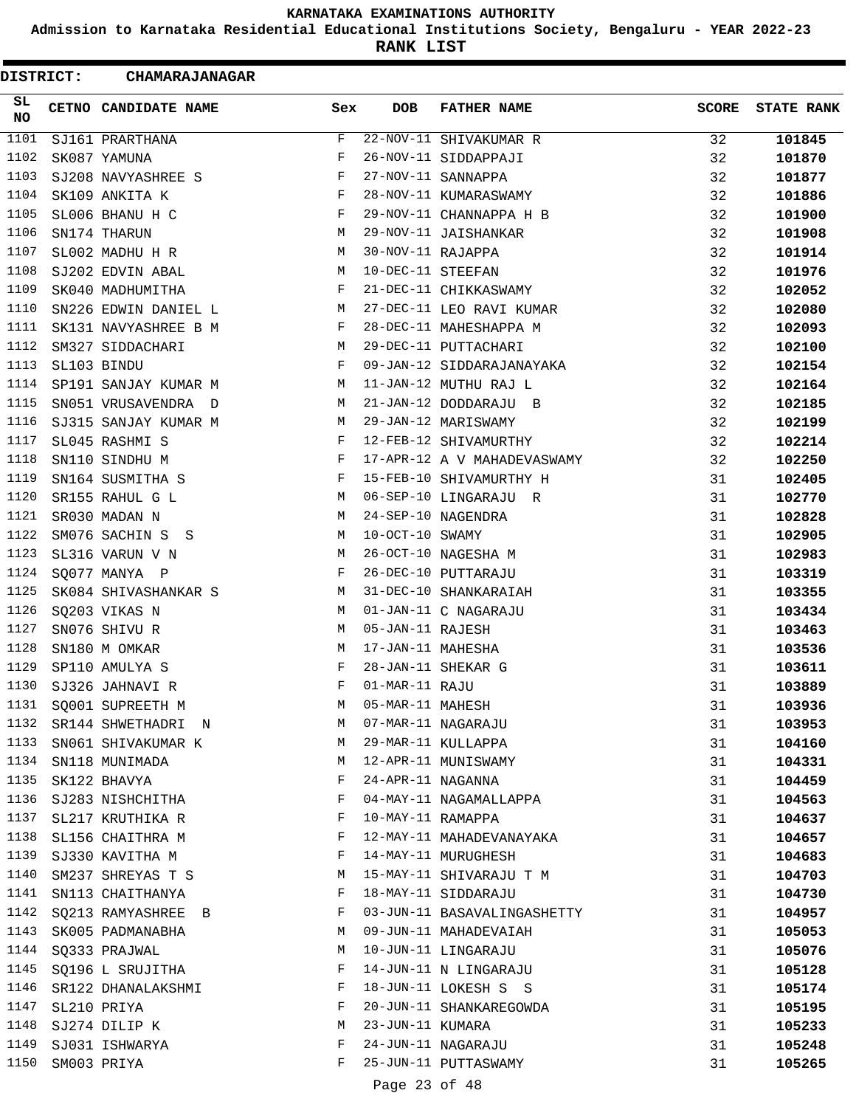**Admission to Karnataka Residential Educational Institutions Society, Bengaluru - YEAR 2022-23**

**RANK LIST**

| DISTRICT:       | <b>CHAMARAJANAGAR</b> |     |                   |                             |              |                   |
|-----------------|-----------------------|-----|-------------------|-----------------------------|--------------|-------------------|
| SL<br><b>NO</b> | CETNO CANDIDATE NAME  | Sex | <b>DOB</b>        | <b>FATHER NAME</b>          | <b>SCORE</b> | <b>STATE RANK</b> |
| 1101            | SJ161 PRARTHANA       | F   |                   | 22-NOV-11 SHIVAKUMAR R      | 32           | 101845            |
| 1102            | SK087 YAMUNA          | F   |                   | 26-NOV-11 SIDDAPPAJI        | 32           | 101870            |
| 1103            | SJ208 NAVYASHREE S    | F   |                   | 27-NOV-11 SANNAPPA          | 32           | 101877            |
| 1104            | SK109 ANKITA K        | F   |                   | 28-NOV-11 KUMARASWAMY       | 32           | 101886            |
| 1105            | SL006 BHANU H C       | F   |                   | 29-NOV-11 CHANNAPPA H B     | 32           | 101900            |
| 1106            | SN174 THARUN          | M   |                   | 29-NOV-11 JAISHANKAR        | 32           | 101908            |
| 1107            | SL002 MADHU H R       | М   | 30-NOV-11 RAJAPPA |                             | 32           | 101914            |
| 1108            | SJ202 EDVIN ABAL      | М   | 10-DEC-11 STEEFAN |                             | 32           | 101976            |
| 1109            | SK040 MADHUMITHA      | F   |                   | 21-DEC-11 CHIKKASWAMY       | 32           | 102052            |
| 1110            | SN226 EDWIN DANIEL L  | M   |                   | 27-DEC-11 LEO RAVI KUMAR    | 32           | 102080            |
| 1111            | SK131 NAVYASHREE B M  | F   |                   | 28-DEC-11 MAHESHAPPA M      | 32           | 102093            |
| 1112            | SM327 SIDDACHARI      | M   |                   | 29-DEC-11 PUTTACHARI        | 32           | 102100            |
| 1113            | SL103 BINDU           | F   |                   | 09-JAN-12 SIDDARAJANAYAKA   | 32           | 102154            |
| 1114            | SP191 SANJAY KUMAR M  | М   |                   | 11-JAN-12 MUTHU RAJ L       | 32           | 102164            |
| 1115            | SN051 VRUSAVENDRA D   | М   |                   | 21-JAN-12 DODDARAJU B       | 32           | 102185            |
| 1116            | SJ315 SANJAY KUMAR M  | М   |                   | 29-JAN-12 MARISWAMY         | 32           | 102199            |
| 1117            | SL045 RASHMI S        | F   |                   | 12-FEB-12 SHIVAMURTHY       | 32           | 102214            |
| 1118            | SN110 SINDHU M        | F   |                   | 17-APR-12 A V MAHADEVASWAMY | 32           | 102250            |
| 1119            | SN164 SUSMITHA S      | F   |                   | 15-FEB-10 SHIVAMURTHY H     | 31           | 102405            |
| 1120            | SR155 RAHUL G L       | M   |                   | 06-SEP-10 LINGARAJU R       | 31           | 102770            |
| 1121            | SR030 MADAN N         | M   |                   | 24-SEP-10 NAGENDRA          | 31           | 102828            |
| 1122            | SM076 SACHIN S S      | М   | $10-OCT-10$ SWAMY |                             | 31           | 102905            |
| 1123            | SL316 VARUN V N       | М   |                   | 26-OCT-10 NAGESHA M         | 31           | 102983            |
| 1124            | SQ077 MANYA P         | F   |                   | 26-DEC-10 PUTTARAJU         | 31           | 103319            |
| 1125            | SK084 SHIVASHANKAR S  | M   |                   | 31-DEC-10 SHANKARAIAH       | 31           | 103355            |
| 1126            | SQ203 VIKAS N         | М   |                   | 01-JAN-11 C NAGARAJU        | 31           | 103434            |
| 1127            | SN076 SHIVU R         | М   | 05-JAN-11 RAJESH  |                             | 31           | 103463            |
| 1128            | SN180 M OMKAR         | М   | 17-JAN-11 MAHESHA |                             | 31           | 103536            |
| 1129            | SP110 AMULYA S        | F   |                   | 28-JAN-11 SHEKAR G          | 31           | 103611            |
| 1130            | SJ326 JAHNAVI R       | F   | 01-MAR-11 RAJU    |                             | 31           | 103889            |
| 1131            | SQ001 SUPREETH M      | M   | 05-MAR-11 MAHESH  |                             | 31           | 103936            |
| 1132            | SR144 SHWETHADRI N    | M   |                   | 07-MAR-11 NAGARAJU          | 31           | 103953            |
| 1133            | SN061 SHIVAKUMAR K    | M   |                   | 29-MAR-11 KULLAPPA          | 31           | 104160            |
| 1134            | SN118 MUNIMADA        | М   |                   | 12-APR-11 MUNISWAMY         | 31           | 104331            |
| 1135            | SK122 BHAVYA          | F   | 24-APR-11 NAGANNA |                             | 31           | 104459            |
| 1136            | SJ283 NISHCHITHA      | F   |                   | 04-MAY-11 NAGAMALLAPPA      | 31           | 104563            |
| 1137            | SL217 KRUTHIKA R      | F   | 10-MAY-11 RAMAPPA |                             | 31           | 104637            |
| 1138            | SL156 CHAITHRA M      | F   |                   | 12-MAY-11 MAHADEVANAYAKA    | 31           | 104657            |
| 1139            | SJ330 KAVITHA M       | F   |                   | 14-MAY-11 MURUGHESH         | 31           | 104683            |
| 1140            | SM237 SHREYAS T S     | M   |                   | 15-MAY-11 SHIVARAJU T M     | 31           | 104703            |
| 1141            | SN113 CHAITHANYA      | F   |                   | 18-MAY-11 SIDDARAJU         | 31           | 104730            |
| 1142            | SQ213 RAMYASHREE B    | F   |                   | 03-JUN-11 BASAVALINGASHETTY | 31           | 104957            |
| 1143            | SK005 PADMANABHA      | М   |                   | 09-JUN-11 MAHADEVAIAH       | 31           | 105053            |
| 1144            | SQ333 PRAJWAL         | М   |                   | 10-JUN-11 LINGARAJU         | 31           | 105076            |
| 1145            | SQ196 L SRUJITHA      | F   |                   | 14-JUN-11 N LINGARAJU       | 31           | 105128            |
| 1146            | SR122 DHANALAKSHMI    | F   |                   | 18-JUN-11 LOKESH S S        | 31           | 105174            |
| 1147            | SL210 PRIYA           | F   |                   | 20-JUN-11 SHANKAREGOWDA     | 31           | 105195            |
| 1148            | SJ274 DILIP K         | М   | 23-JUN-11 KUMARA  |                             | 31           | 105233            |
| 1149            | SJ031 ISHWARYA        | F   |                   | 24-JUN-11 NAGARAJU          | 31           | 105248            |
| 1150            | SM003 PRIYA           | F   |                   | 25-JUN-11 PUTTASWAMY        | 31           | 105265            |
|                 |                       |     | Page 23 of 48     |                             |              |                   |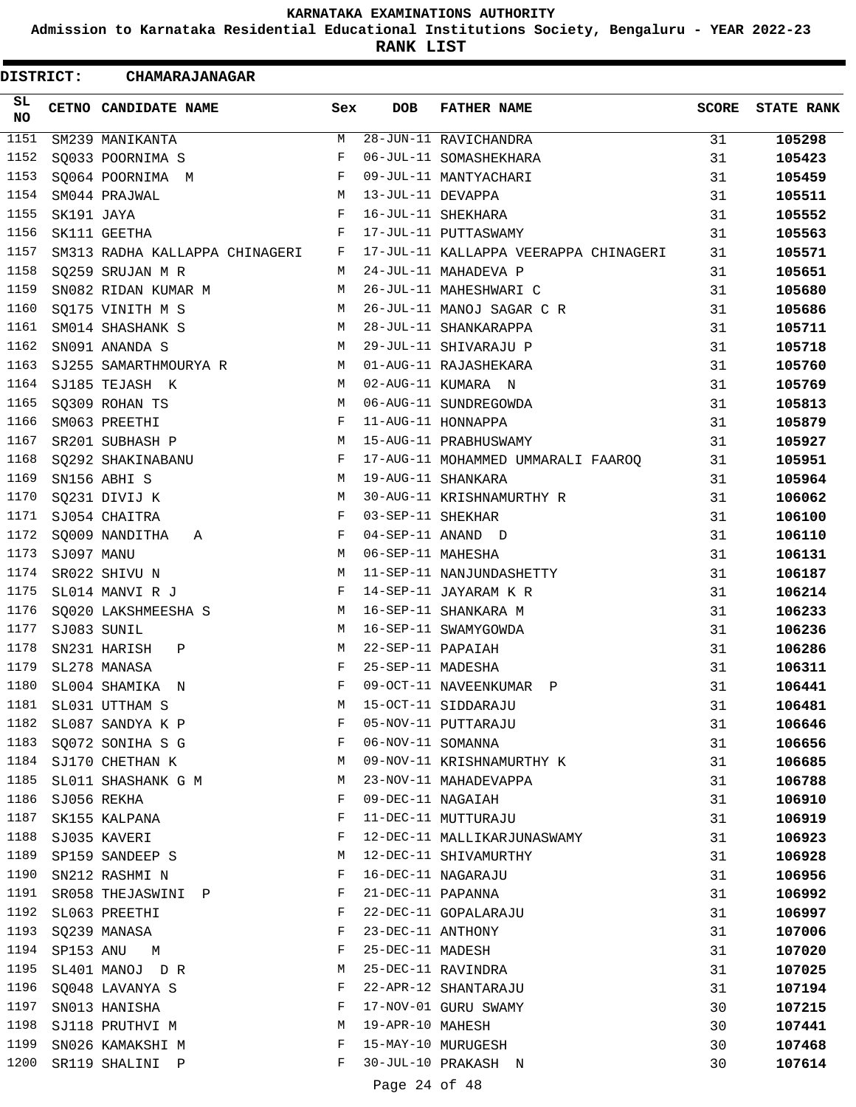**Admission to Karnataka Residential Educational Institutions Society, Bengaluru - YEAR 2022-23**

**RANK LIST**

 $\blacksquare$ 

| <b>DISTRICT:</b> |            | <b>CHAMARAJANAGAR</b>          |              |                   |                                       |              |                   |
|------------------|------------|--------------------------------|--------------|-------------------|---------------------------------------|--------------|-------------------|
| SL<br><b>NO</b>  |            | CETNO CANDIDATE NAME           | Sex          | <b>DOB</b>        | <b>FATHER NAME</b>                    | <b>SCORE</b> | <b>STATE RANK</b> |
| 1151             |            | SM239 MANIKANTA                | М            |                   | 28-JUN-11 RAVICHANDRA                 | 31           | 105298            |
| 1152             |            | SQ033 POORNIMA S               | F            |                   | 06-JUL-11 SOMASHEKHARA                | 31           | 105423            |
| 1153             |            | SQ064 POORNIMA M               | F            |                   | 09-JUL-11 MANTYACHARI                 | 31           | 105459            |
| 1154             |            | SM044 PRAJWAL                  | M            | 13-JUL-11 DEVAPPA |                                       | 31           | 105511            |
| 1155             | SK191 JAYA |                                | F            |                   | 16-JUL-11 SHEKHARA                    | 31           | 105552            |
| 1156             |            | SK111 GEETHA                   | F            |                   | 17-JUL-11 PUTTASWAMY                  | 31           | 105563            |
| 1157             |            | SM313 RADHA KALLAPPA CHINAGERI | F            |                   | 17-JUL-11 KALLAPPA VEERAPPA CHINAGERI | 31           | 105571            |
| 1158             |            | SQ259 SRUJAN M R               | M            |                   | 24-JUL-11 MAHADEVA P                  | 31           | 105651            |
| 1159             |            | SN082 RIDAN KUMAR M            | M            |                   | 26-JUL-11 MAHESHWARI C                | 31           | 105680            |
| 1160             |            | SQ175 VINITH M S               | М            |                   | 26-JUL-11 MANOJ SAGAR C R             | 31           | 105686            |
| 1161             |            | SM014 SHASHANK S               | М            |                   | 28-JUL-11 SHANKARAPPA                 | 31           | 105711            |
| 1162             |            | SN091 ANANDA S                 | М            |                   | 29-JUL-11 SHIVARAJU P                 | 31           | 105718            |
| 1163             |            | SJ255 SAMARTHMOURYA R          | M            |                   | 01-AUG-11 RAJASHEKARA                 | 31           | 105760            |
| 1164             |            | SJ185 TEJASH K                 | M            |                   | 02-AUG-11 KUMARA N                    | 31           | 105769            |
| 1165             |            | SQ309 ROHAN TS                 | М            |                   | 06-AUG-11 SUNDREGOWDA                 | 31           | 105813            |
| 1166             |            | SM063 PREETHI                  | F            |                   | 11-AUG-11 HONNAPPA                    | 31           | 105879            |
| 1167             |            | SR201 SUBHASH P                | M            |                   | 15-AUG-11 PRABHUSWAMY                 | 31           | 105927            |
| 1168             |            | SQ292 SHAKINABANU              | F            |                   | 17-AUG-11 MOHAMMED UMMARALI FAAROQ    | 31           | 105951            |
| 1169             |            | SN156 ABHI S                   | M            |                   | 19-AUG-11 SHANKARA                    | 31           | 105964            |
| 1170             |            | SQ231 DIVIJ K                  | M            |                   | 30-AUG-11 KRISHNAMURTHY R             | 31           | 106062            |
| 1171             |            | SJ054 CHAITRA                  | $\mathbf{F}$ | 03-SEP-11 SHEKHAR |                                       | 31           | 106100            |
| 1172             |            | SQ009 NANDITHA<br>A            | F            |                   | 04-SEP-11 ANAND D                     | 31           | 106110            |
| 1173             | SJ097 MANU |                                | M            | 06-SEP-11 MAHESHA |                                       | 31           | 106131            |
| 1174             |            | SR022 SHIVU N                  | М            |                   | 11-SEP-11 NANJUNDASHETTY              | 31           | 106187            |
| 1175             |            | SL014 MANVI R J                | F            |                   | 14-SEP-11 JAYARAM K R                 | 31           | 106214            |
| 1176             |            | SQ020 LAKSHMEESHA S            | M            |                   | 16-SEP-11 SHANKARA M                  | 31           | 106233            |
| 1177             |            | SJ083 SUNIL                    | М            |                   | 16-SEP-11 SWAMYGOWDA                  | 31           | 106236            |
| 1178             |            | SN231 HARISH<br>Ρ              | М            | 22-SEP-11 PAPAIAH |                                       | 31           | 106286            |
| 1179             |            | SL278 MANASA                   | F            | 25-SEP-11 MADESHA |                                       | 31           | 106311            |
| 1180             |            | SL004 SHAMIKA<br>$\mathbb N$   | F            |                   | 09-OCT-11 NAVEENKUMAR P               | 31           | 106441            |
| 1181             |            | SL031 UTTHAM S                 | М            |                   | 15-OCT-11 SIDDARAJU                   | 31           | 106481            |
| 1182             |            | SL087 SANDYA K P               | F            |                   | 05-NOV-11 PUTTARAJU                   | 31           | 106646            |
| 1183             |            | SQ072 SONIHA S G               | F            | 06-NOV-11 SOMANNA |                                       | 31           | 106656            |
|                  |            | 1184 SJ170 CHETHAN K           | М            |                   | 09-NOV-11 KRISHNAMURTHY K             | 31           | 106685            |
| 1185             |            | SL011 SHASHANK G M             | М            |                   | 23-NOV-11 MAHADEVAPPA                 | 31           | 106788            |
| 1186             |            | SJ056 REKHA                    | F            | 09-DEC-11 NAGAIAH |                                       | 31           | 106910            |
| 1187             |            | SK155 KALPANA                  | F            |                   | 11-DEC-11 MUTTURAJU                   | 31           | 106919            |
| 1188             |            | SJ035 KAVERI                   | F            |                   | 12-DEC-11 MALLIKARJUNASWAMY           | 31           | 106923            |
| 1189             |            | SP159 SANDEEP S                | М            |                   | 12-DEC-11 SHIVAMURTHY                 | 31           | 106928            |
| 1190             |            | SN212 RASHMI N                 | F            |                   | 16-DEC-11 NAGARAJU                    | 31           | 106956            |
| 1191             |            | SR058 THEJASWINI P             | F            | 21-DEC-11 PAPANNA |                                       | 31           | 106992            |
| 1192             |            | SL063 PREETHI                  | F            |                   | 22-DEC-11 GOPALARAJU                  | 31           | 106997            |
| 1193             |            | SQ239 MANASA                   | F            | 23-DEC-11 ANTHONY |                                       | 31           | 107006            |
| 1194             |            | SP153 ANU M                    | F            | 25-DEC-11 MADESH  |                                       | 31           | 107020            |
| 1195             |            | SL401 MANOJ DR                 | М            |                   | 25-DEC-11 RAVINDRA                    | 31           | 107025            |
| 1196             |            | SQ048 LAVANYA S                | F            |                   | 22-APR-12 SHANTARAJU                  | 31           | 107194            |
| 1197             |            | SN013 HANISHA                  | F            |                   | 17-NOV-01 GURU SWAMY                  | 30           | 107215            |
| 1198             |            | SJ118 PRUTHVI M                | M            | 19-APR-10 MAHESH  |                                       | 30           | 107441            |
| 1199             |            | SN026 KAMAKSHI M               | F            |                   | 15-MAY-10 MURUGESH                    | 30           | 107468            |
| 1200             |            | SR119 SHALINI P                | F            |                   | 30-JUL-10 PRAKASH N                   | 30           | 107614            |
|                  |            |                                |              |                   |                                       |              |                   |

Page 24 of 48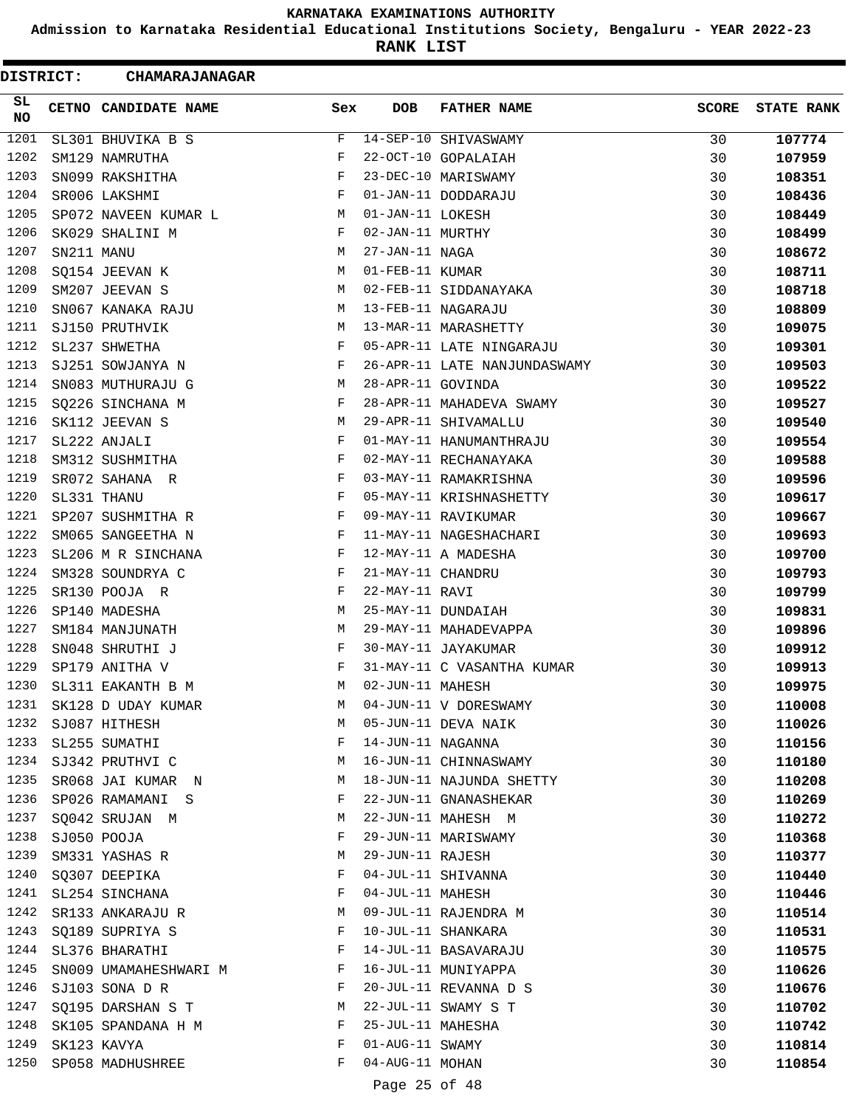**Admission to Karnataka Residential Educational Institutions Society, Bengaluru - YEAR 2022-23**

**RANK LIST**

ı

| SL<br>CETNO CANDIDATE NAME<br>Sex<br>DOB<br><b>FATHER NAME</b><br><b>SCORE</b><br><b>STATE RANK</b><br><b>NO</b><br>1201<br>14-SEP-10 SHIVASWAMY<br>SL301 BHUVIKA B S<br>F<br>107774<br>30<br>1202<br>F<br>22-OCT-10 GOPALAIAH<br>30<br>SM129 NAMRUTHA<br>107959<br>1203<br>F<br>23-DEC-10 MARISWAMY<br>SN099 RAKSHITHA<br>30<br>108351<br>1204<br>F<br>01-JAN-11 DODDARAJU<br>SR006 LAKSHMI<br>30<br>108436<br>1205<br>01-JAN-11 LOKESH<br>SP072 NAVEEN KUMAR L<br>30<br>108449<br>M<br>1206<br>F<br>02-JAN-11 MURTHY<br>SK029 SHALINI M<br>30<br>108499<br>1207<br>27-JAN-11 NAGA<br>SN211 MANU<br>M<br>30<br>108672<br>1208<br>01-FEB-11 KUMAR<br>SQ154 JEEVAN K<br>М<br>30<br>108711<br>1209<br>SM207 JEEVAN S<br>02-FEB-11 SIDDANAYAKA<br>М<br>30<br>108718<br>1210<br>13-FEB-11 NAGARAJU<br>М<br>30<br>SN067 KANAKA RAJU<br>108809<br>1211<br>М<br>13-MAR-11 MARASHETTY<br>30<br>SJ150 PRUTHVIK<br>109075<br>1212<br>F<br>SL237 SHWETHA<br>05-APR-11 LATE NINGARAJU<br>30<br>109301<br>1213<br>26-APR-11 LATE NANJUNDASWAMY<br>SJ251 SOWJANYA N<br>F<br>109503<br>30<br>1214<br>SN083 MUTHURAJU G<br>M<br>28-APR-11 GOVINDA<br>30<br>109522<br>1215<br>28-APR-11 MAHADEVA SWAMY<br>SQ226 SINCHANA M<br>F<br>30<br>109527<br>1216<br>29-APR-11 SHIVAMALLU<br>SK112 JEEVAN S<br>М<br>30<br>109540<br>1217<br>SL222 ANJALI<br>F<br>01-MAY-11 HANUMANTHRAJU<br>30<br>109554<br>1218<br>F<br>02-MAY-11 RECHANAYAKA<br>SM312 SUSHMITHA<br>30<br>109588<br>1219<br>SR072 SAHANA R<br>F<br>03-MAY-11 RAMAKRISHNA<br>30<br>109596<br>1220<br>F<br>SL331 THANU<br>05-MAY-11 KRISHNASHETTY<br>30<br>109617<br>1221<br>F<br>09-MAY-11 RAVIKUMAR<br>SP207 SUSHMITHA R<br>30<br>109667<br>1222<br>SM065 SANGEETHA N<br>F<br>11-MAY-11 NAGESHACHARI<br>30<br>109693<br>1223<br>SL206 M R SINCHANA<br>F<br>12-MAY-11 A MADESHA<br>30<br>109700<br>1224<br>F<br>21-MAY-11 CHANDRU<br>SM328 SOUNDRYA C<br>30<br>109793<br>1225<br>22-MAY-11 RAVI<br>SR130 POOJA R<br>F<br>30<br>109799<br>1226<br>SP140 MADESHA<br>M<br>25-MAY-11 DUNDAIAH<br>30<br>109831<br>1227<br>М<br>29-MAY-11 MAHADEVAPPA<br>SM184 MANJUNATH<br>30<br>109896<br>1228<br>SN048 SHRUTHI J<br>F<br>30-MAY-11 JAYAKUMAR<br>30<br>109912<br>1229<br>31-MAY-11 C VASANTHA KUMAR<br>SP179 ANITHA V<br>F<br>30<br>109913<br>1230<br>02-JUN-11 MAHESH<br>M<br>30<br>SL311 EAKANTH B M<br>109975<br>1231<br>04-JUN-11 V DORESWAMY<br>SK128 D UDAY KUMAR<br>30<br>110008<br>М<br>1232<br>SJ087 HITHESH<br>М<br>05-JUN-11 DEVA NAIK<br>30<br>110026<br>1233<br>F<br>14-JUN-11 NAGANNA<br>SL255 SUMATHI<br>30<br>110156<br>1234<br>16-JUN-11 CHINNASWAMY<br>SJ342 PRUTHVI C<br>М<br>30<br>110180<br>1235<br>18-JUN-11 NAJUNDA SHETTY<br>SR068 JAI KUMAR N<br>30<br>М<br>110208<br>1236<br>22-JUN-11 GNANASHEKAR<br>SP026 RAMAMANI S<br>F<br>30<br>110269<br>1237<br>22-JUN-11 MAHESH M<br>SQ042 SRUJAN M<br>М<br>30<br>110272<br>1238<br>F<br>29-JUN-11 MARISWAMY<br>SJ050 POOJA<br>30<br>110368<br>1239<br>29-JUN-11 RAJESH<br>M<br>30<br>SM331 YASHAS R<br>110377<br>1240<br>F<br>04-JUL-11 SHIVANNA<br>SQ307 DEEPIKA<br>30<br>110440<br>1241<br>04-JUL-11 MAHESH<br>SL254 SINCHANA<br>F<br>30<br>110446<br>1242<br>09-JUL-11 RAJENDRA M<br>SR133 ANKARAJU R<br>М<br>30<br>110514<br>1243<br>10-JUL-11 SHANKARA<br>SQ189 SUPRIYA S<br>F<br>30<br>110531<br>1244<br>SL376 BHARATHI<br>14-JUL-11 BASAVARAJU<br>F<br>30<br>110575<br>1245<br>16-JUL-11 MUNIYAPPA<br>SN009 UMAMAHESHWARI M<br>F<br>30<br>110626<br>1246<br>20-JUL-11 REVANNA D S<br>SJ103 SONA D R<br>F<br>30<br>110676<br>1247<br>22-JUL-11 SWAMY S T<br>SQ195 DARSHAN S T<br>M<br>30<br>110702<br>1248<br>25-JUL-11 MAHESHA<br>SK105 SPANDANA H M<br>F<br>30<br>110742<br>1249<br>01-AUG-11 SWAMY<br>SK123 KAVYA<br>F<br>30<br>110814<br>1250<br>04-AUG-11 MOHAN<br>SP058 MADHUSHREE<br>F<br>30<br>110854<br>Page 25 of 48 | DISTRICT: | <b>CHAMARAJANAGAR</b> |  |  |  |
|------------------------------------------------------------------------------------------------------------------------------------------------------------------------------------------------------------------------------------------------------------------------------------------------------------------------------------------------------------------------------------------------------------------------------------------------------------------------------------------------------------------------------------------------------------------------------------------------------------------------------------------------------------------------------------------------------------------------------------------------------------------------------------------------------------------------------------------------------------------------------------------------------------------------------------------------------------------------------------------------------------------------------------------------------------------------------------------------------------------------------------------------------------------------------------------------------------------------------------------------------------------------------------------------------------------------------------------------------------------------------------------------------------------------------------------------------------------------------------------------------------------------------------------------------------------------------------------------------------------------------------------------------------------------------------------------------------------------------------------------------------------------------------------------------------------------------------------------------------------------------------------------------------------------------------------------------------------------------------------------------------------------------------------------------------------------------------------------------------------------------------------------------------------------------------------------------------------------------------------------------------------------------------------------------------------------------------------------------------------------------------------------------------------------------------------------------------------------------------------------------------------------------------------------------------------------------------------------------------------------------------------------------------------------------------------------------------------------------------------------------------------------------------------------------------------------------------------------------------------------------------------------------------------------------------------------------------------------------------------------------------------------------------------------------------------------------------------------------------------------------------------------------------------------------------------------------------------------------------------------------------------------------------------------------------------------------------------------------------------------------------------------------------------------------------------------------------------------------------------------------------------------------------------------------------------------------------------------------------------------------------------------------------------------------------------------------------------------------------------------------------------------------------------------------------------------------------------|-----------|-----------------------|--|--|--|
|                                                                                                                                                                                                                                                                                                                                                                                                                                                                                                                                                                                                                                                                                                                                                                                                                                                                                                                                                                                                                                                                                                                                                                                                                                                                                                                                                                                                                                                                                                                                                                                                                                                                                                                                                                                                                                                                                                                                                                                                                                                                                                                                                                                                                                                                                                                                                                                                                                                                                                                                                                                                                                                                                                                                                                                                                                                                                                                                                                                                                                                                                                                                                                                                                                                                                                                                                                                                                                                                                                                                                                                                                                                                                                                                                                                                                                          |           |                       |  |  |  |
|                                                                                                                                                                                                                                                                                                                                                                                                                                                                                                                                                                                                                                                                                                                                                                                                                                                                                                                                                                                                                                                                                                                                                                                                                                                                                                                                                                                                                                                                                                                                                                                                                                                                                                                                                                                                                                                                                                                                                                                                                                                                                                                                                                                                                                                                                                                                                                                                                                                                                                                                                                                                                                                                                                                                                                                                                                                                                                                                                                                                                                                                                                                                                                                                                                                                                                                                                                                                                                                                                                                                                                                                                                                                                                                                                                                                                                          |           |                       |  |  |  |
|                                                                                                                                                                                                                                                                                                                                                                                                                                                                                                                                                                                                                                                                                                                                                                                                                                                                                                                                                                                                                                                                                                                                                                                                                                                                                                                                                                                                                                                                                                                                                                                                                                                                                                                                                                                                                                                                                                                                                                                                                                                                                                                                                                                                                                                                                                                                                                                                                                                                                                                                                                                                                                                                                                                                                                                                                                                                                                                                                                                                                                                                                                                                                                                                                                                                                                                                                                                                                                                                                                                                                                                                                                                                                                                                                                                                                                          |           |                       |  |  |  |
|                                                                                                                                                                                                                                                                                                                                                                                                                                                                                                                                                                                                                                                                                                                                                                                                                                                                                                                                                                                                                                                                                                                                                                                                                                                                                                                                                                                                                                                                                                                                                                                                                                                                                                                                                                                                                                                                                                                                                                                                                                                                                                                                                                                                                                                                                                                                                                                                                                                                                                                                                                                                                                                                                                                                                                                                                                                                                                                                                                                                                                                                                                                                                                                                                                                                                                                                                                                                                                                                                                                                                                                                                                                                                                                                                                                                                                          |           |                       |  |  |  |
|                                                                                                                                                                                                                                                                                                                                                                                                                                                                                                                                                                                                                                                                                                                                                                                                                                                                                                                                                                                                                                                                                                                                                                                                                                                                                                                                                                                                                                                                                                                                                                                                                                                                                                                                                                                                                                                                                                                                                                                                                                                                                                                                                                                                                                                                                                                                                                                                                                                                                                                                                                                                                                                                                                                                                                                                                                                                                                                                                                                                                                                                                                                                                                                                                                                                                                                                                                                                                                                                                                                                                                                                                                                                                                                                                                                                                                          |           |                       |  |  |  |
|                                                                                                                                                                                                                                                                                                                                                                                                                                                                                                                                                                                                                                                                                                                                                                                                                                                                                                                                                                                                                                                                                                                                                                                                                                                                                                                                                                                                                                                                                                                                                                                                                                                                                                                                                                                                                                                                                                                                                                                                                                                                                                                                                                                                                                                                                                                                                                                                                                                                                                                                                                                                                                                                                                                                                                                                                                                                                                                                                                                                                                                                                                                                                                                                                                                                                                                                                                                                                                                                                                                                                                                                                                                                                                                                                                                                                                          |           |                       |  |  |  |
|                                                                                                                                                                                                                                                                                                                                                                                                                                                                                                                                                                                                                                                                                                                                                                                                                                                                                                                                                                                                                                                                                                                                                                                                                                                                                                                                                                                                                                                                                                                                                                                                                                                                                                                                                                                                                                                                                                                                                                                                                                                                                                                                                                                                                                                                                                                                                                                                                                                                                                                                                                                                                                                                                                                                                                                                                                                                                                                                                                                                                                                                                                                                                                                                                                                                                                                                                                                                                                                                                                                                                                                                                                                                                                                                                                                                                                          |           |                       |  |  |  |
|                                                                                                                                                                                                                                                                                                                                                                                                                                                                                                                                                                                                                                                                                                                                                                                                                                                                                                                                                                                                                                                                                                                                                                                                                                                                                                                                                                                                                                                                                                                                                                                                                                                                                                                                                                                                                                                                                                                                                                                                                                                                                                                                                                                                                                                                                                                                                                                                                                                                                                                                                                                                                                                                                                                                                                                                                                                                                                                                                                                                                                                                                                                                                                                                                                                                                                                                                                                                                                                                                                                                                                                                                                                                                                                                                                                                                                          |           |                       |  |  |  |
|                                                                                                                                                                                                                                                                                                                                                                                                                                                                                                                                                                                                                                                                                                                                                                                                                                                                                                                                                                                                                                                                                                                                                                                                                                                                                                                                                                                                                                                                                                                                                                                                                                                                                                                                                                                                                                                                                                                                                                                                                                                                                                                                                                                                                                                                                                                                                                                                                                                                                                                                                                                                                                                                                                                                                                                                                                                                                                                                                                                                                                                                                                                                                                                                                                                                                                                                                                                                                                                                                                                                                                                                                                                                                                                                                                                                                                          |           |                       |  |  |  |
|                                                                                                                                                                                                                                                                                                                                                                                                                                                                                                                                                                                                                                                                                                                                                                                                                                                                                                                                                                                                                                                                                                                                                                                                                                                                                                                                                                                                                                                                                                                                                                                                                                                                                                                                                                                                                                                                                                                                                                                                                                                                                                                                                                                                                                                                                                                                                                                                                                                                                                                                                                                                                                                                                                                                                                                                                                                                                                                                                                                                                                                                                                                                                                                                                                                                                                                                                                                                                                                                                                                                                                                                                                                                                                                                                                                                                                          |           |                       |  |  |  |
|                                                                                                                                                                                                                                                                                                                                                                                                                                                                                                                                                                                                                                                                                                                                                                                                                                                                                                                                                                                                                                                                                                                                                                                                                                                                                                                                                                                                                                                                                                                                                                                                                                                                                                                                                                                                                                                                                                                                                                                                                                                                                                                                                                                                                                                                                                                                                                                                                                                                                                                                                                                                                                                                                                                                                                                                                                                                                                                                                                                                                                                                                                                                                                                                                                                                                                                                                                                                                                                                                                                                                                                                                                                                                                                                                                                                                                          |           |                       |  |  |  |
|                                                                                                                                                                                                                                                                                                                                                                                                                                                                                                                                                                                                                                                                                                                                                                                                                                                                                                                                                                                                                                                                                                                                                                                                                                                                                                                                                                                                                                                                                                                                                                                                                                                                                                                                                                                                                                                                                                                                                                                                                                                                                                                                                                                                                                                                                                                                                                                                                                                                                                                                                                                                                                                                                                                                                                                                                                                                                                                                                                                                                                                                                                                                                                                                                                                                                                                                                                                                                                                                                                                                                                                                                                                                                                                                                                                                                                          |           |                       |  |  |  |
|                                                                                                                                                                                                                                                                                                                                                                                                                                                                                                                                                                                                                                                                                                                                                                                                                                                                                                                                                                                                                                                                                                                                                                                                                                                                                                                                                                                                                                                                                                                                                                                                                                                                                                                                                                                                                                                                                                                                                                                                                                                                                                                                                                                                                                                                                                                                                                                                                                                                                                                                                                                                                                                                                                                                                                                                                                                                                                                                                                                                                                                                                                                                                                                                                                                                                                                                                                                                                                                                                                                                                                                                                                                                                                                                                                                                                                          |           |                       |  |  |  |
|                                                                                                                                                                                                                                                                                                                                                                                                                                                                                                                                                                                                                                                                                                                                                                                                                                                                                                                                                                                                                                                                                                                                                                                                                                                                                                                                                                                                                                                                                                                                                                                                                                                                                                                                                                                                                                                                                                                                                                                                                                                                                                                                                                                                                                                                                                                                                                                                                                                                                                                                                                                                                                                                                                                                                                                                                                                                                                                                                                                                                                                                                                                                                                                                                                                                                                                                                                                                                                                                                                                                                                                                                                                                                                                                                                                                                                          |           |                       |  |  |  |
|                                                                                                                                                                                                                                                                                                                                                                                                                                                                                                                                                                                                                                                                                                                                                                                                                                                                                                                                                                                                                                                                                                                                                                                                                                                                                                                                                                                                                                                                                                                                                                                                                                                                                                                                                                                                                                                                                                                                                                                                                                                                                                                                                                                                                                                                                                                                                                                                                                                                                                                                                                                                                                                                                                                                                                                                                                                                                                                                                                                                                                                                                                                                                                                                                                                                                                                                                                                                                                                                                                                                                                                                                                                                                                                                                                                                                                          |           |                       |  |  |  |
|                                                                                                                                                                                                                                                                                                                                                                                                                                                                                                                                                                                                                                                                                                                                                                                                                                                                                                                                                                                                                                                                                                                                                                                                                                                                                                                                                                                                                                                                                                                                                                                                                                                                                                                                                                                                                                                                                                                                                                                                                                                                                                                                                                                                                                                                                                                                                                                                                                                                                                                                                                                                                                                                                                                                                                                                                                                                                                                                                                                                                                                                                                                                                                                                                                                                                                                                                                                                                                                                                                                                                                                                                                                                                                                                                                                                                                          |           |                       |  |  |  |
|                                                                                                                                                                                                                                                                                                                                                                                                                                                                                                                                                                                                                                                                                                                                                                                                                                                                                                                                                                                                                                                                                                                                                                                                                                                                                                                                                                                                                                                                                                                                                                                                                                                                                                                                                                                                                                                                                                                                                                                                                                                                                                                                                                                                                                                                                                                                                                                                                                                                                                                                                                                                                                                                                                                                                                                                                                                                                                                                                                                                                                                                                                                                                                                                                                                                                                                                                                                                                                                                                                                                                                                                                                                                                                                                                                                                                                          |           |                       |  |  |  |
|                                                                                                                                                                                                                                                                                                                                                                                                                                                                                                                                                                                                                                                                                                                                                                                                                                                                                                                                                                                                                                                                                                                                                                                                                                                                                                                                                                                                                                                                                                                                                                                                                                                                                                                                                                                                                                                                                                                                                                                                                                                                                                                                                                                                                                                                                                                                                                                                                                                                                                                                                                                                                                                                                                                                                                                                                                                                                                                                                                                                                                                                                                                                                                                                                                                                                                                                                                                                                                                                                                                                                                                                                                                                                                                                                                                                                                          |           |                       |  |  |  |
|                                                                                                                                                                                                                                                                                                                                                                                                                                                                                                                                                                                                                                                                                                                                                                                                                                                                                                                                                                                                                                                                                                                                                                                                                                                                                                                                                                                                                                                                                                                                                                                                                                                                                                                                                                                                                                                                                                                                                                                                                                                                                                                                                                                                                                                                                                                                                                                                                                                                                                                                                                                                                                                                                                                                                                                                                                                                                                                                                                                                                                                                                                                                                                                                                                                                                                                                                                                                                                                                                                                                                                                                                                                                                                                                                                                                                                          |           |                       |  |  |  |
|                                                                                                                                                                                                                                                                                                                                                                                                                                                                                                                                                                                                                                                                                                                                                                                                                                                                                                                                                                                                                                                                                                                                                                                                                                                                                                                                                                                                                                                                                                                                                                                                                                                                                                                                                                                                                                                                                                                                                                                                                                                                                                                                                                                                                                                                                                                                                                                                                                                                                                                                                                                                                                                                                                                                                                                                                                                                                                                                                                                                                                                                                                                                                                                                                                                                                                                                                                                                                                                                                                                                                                                                                                                                                                                                                                                                                                          |           |                       |  |  |  |
|                                                                                                                                                                                                                                                                                                                                                                                                                                                                                                                                                                                                                                                                                                                                                                                                                                                                                                                                                                                                                                                                                                                                                                                                                                                                                                                                                                                                                                                                                                                                                                                                                                                                                                                                                                                                                                                                                                                                                                                                                                                                                                                                                                                                                                                                                                                                                                                                                                                                                                                                                                                                                                                                                                                                                                                                                                                                                                                                                                                                                                                                                                                                                                                                                                                                                                                                                                                                                                                                                                                                                                                                                                                                                                                                                                                                                                          |           |                       |  |  |  |
|                                                                                                                                                                                                                                                                                                                                                                                                                                                                                                                                                                                                                                                                                                                                                                                                                                                                                                                                                                                                                                                                                                                                                                                                                                                                                                                                                                                                                                                                                                                                                                                                                                                                                                                                                                                                                                                                                                                                                                                                                                                                                                                                                                                                                                                                                                                                                                                                                                                                                                                                                                                                                                                                                                                                                                                                                                                                                                                                                                                                                                                                                                                                                                                                                                                                                                                                                                                                                                                                                                                                                                                                                                                                                                                                                                                                                                          |           |                       |  |  |  |
|                                                                                                                                                                                                                                                                                                                                                                                                                                                                                                                                                                                                                                                                                                                                                                                                                                                                                                                                                                                                                                                                                                                                                                                                                                                                                                                                                                                                                                                                                                                                                                                                                                                                                                                                                                                                                                                                                                                                                                                                                                                                                                                                                                                                                                                                                                                                                                                                                                                                                                                                                                                                                                                                                                                                                                                                                                                                                                                                                                                                                                                                                                                                                                                                                                                                                                                                                                                                                                                                                                                                                                                                                                                                                                                                                                                                                                          |           |                       |  |  |  |
|                                                                                                                                                                                                                                                                                                                                                                                                                                                                                                                                                                                                                                                                                                                                                                                                                                                                                                                                                                                                                                                                                                                                                                                                                                                                                                                                                                                                                                                                                                                                                                                                                                                                                                                                                                                                                                                                                                                                                                                                                                                                                                                                                                                                                                                                                                                                                                                                                                                                                                                                                                                                                                                                                                                                                                                                                                                                                                                                                                                                                                                                                                                                                                                                                                                                                                                                                                                                                                                                                                                                                                                                                                                                                                                                                                                                                                          |           |                       |  |  |  |
|                                                                                                                                                                                                                                                                                                                                                                                                                                                                                                                                                                                                                                                                                                                                                                                                                                                                                                                                                                                                                                                                                                                                                                                                                                                                                                                                                                                                                                                                                                                                                                                                                                                                                                                                                                                                                                                                                                                                                                                                                                                                                                                                                                                                                                                                                                                                                                                                                                                                                                                                                                                                                                                                                                                                                                                                                                                                                                                                                                                                                                                                                                                                                                                                                                                                                                                                                                                                                                                                                                                                                                                                                                                                                                                                                                                                                                          |           |                       |  |  |  |
|                                                                                                                                                                                                                                                                                                                                                                                                                                                                                                                                                                                                                                                                                                                                                                                                                                                                                                                                                                                                                                                                                                                                                                                                                                                                                                                                                                                                                                                                                                                                                                                                                                                                                                                                                                                                                                                                                                                                                                                                                                                                                                                                                                                                                                                                                                                                                                                                                                                                                                                                                                                                                                                                                                                                                                                                                                                                                                                                                                                                                                                                                                                                                                                                                                                                                                                                                                                                                                                                                                                                                                                                                                                                                                                                                                                                                                          |           |                       |  |  |  |
|                                                                                                                                                                                                                                                                                                                                                                                                                                                                                                                                                                                                                                                                                                                                                                                                                                                                                                                                                                                                                                                                                                                                                                                                                                                                                                                                                                                                                                                                                                                                                                                                                                                                                                                                                                                                                                                                                                                                                                                                                                                                                                                                                                                                                                                                                                                                                                                                                                                                                                                                                                                                                                                                                                                                                                                                                                                                                                                                                                                                                                                                                                                                                                                                                                                                                                                                                                                                                                                                                                                                                                                                                                                                                                                                                                                                                                          |           |                       |  |  |  |
|                                                                                                                                                                                                                                                                                                                                                                                                                                                                                                                                                                                                                                                                                                                                                                                                                                                                                                                                                                                                                                                                                                                                                                                                                                                                                                                                                                                                                                                                                                                                                                                                                                                                                                                                                                                                                                                                                                                                                                                                                                                                                                                                                                                                                                                                                                                                                                                                                                                                                                                                                                                                                                                                                                                                                                                                                                                                                                                                                                                                                                                                                                                                                                                                                                                                                                                                                                                                                                                                                                                                                                                                                                                                                                                                                                                                                                          |           |                       |  |  |  |
|                                                                                                                                                                                                                                                                                                                                                                                                                                                                                                                                                                                                                                                                                                                                                                                                                                                                                                                                                                                                                                                                                                                                                                                                                                                                                                                                                                                                                                                                                                                                                                                                                                                                                                                                                                                                                                                                                                                                                                                                                                                                                                                                                                                                                                                                                                                                                                                                                                                                                                                                                                                                                                                                                                                                                                                                                                                                                                                                                                                                                                                                                                                                                                                                                                                                                                                                                                                                                                                                                                                                                                                                                                                                                                                                                                                                                                          |           |                       |  |  |  |
|                                                                                                                                                                                                                                                                                                                                                                                                                                                                                                                                                                                                                                                                                                                                                                                                                                                                                                                                                                                                                                                                                                                                                                                                                                                                                                                                                                                                                                                                                                                                                                                                                                                                                                                                                                                                                                                                                                                                                                                                                                                                                                                                                                                                                                                                                                                                                                                                                                                                                                                                                                                                                                                                                                                                                                                                                                                                                                                                                                                                                                                                                                                                                                                                                                                                                                                                                                                                                                                                                                                                                                                                                                                                                                                                                                                                                                          |           |                       |  |  |  |
|                                                                                                                                                                                                                                                                                                                                                                                                                                                                                                                                                                                                                                                                                                                                                                                                                                                                                                                                                                                                                                                                                                                                                                                                                                                                                                                                                                                                                                                                                                                                                                                                                                                                                                                                                                                                                                                                                                                                                                                                                                                                                                                                                                                                                                                                                                                                                                                                                                                                                                                                                                                                                                                                                                                                                                                                                                                                                                                                                                                                                                                                                                                                                                                                                                                                                                                                                                                                                                                                                                                                                                                                                                                                                                                                                                                                                                          |           |                       |  |  |  |
|                                                                                                                                                                                                                                                                                                                                                                                                                                                                                                                                                                                                                                                                                                                                                                                                                                                                                                                                                                                                                                                                                                                                                                                                                                                                                                                                                                                                                                                                                                                                                                                                                                                                                                                                                                                                                                                                                                                                                                                                                                                                                                                                                                                                                                                                                                                                                                                                                                                                                                                                                                                                                                                                                                                                                                                                                                                                                                                                                                                                                                                                                                                                                                                                                                                                                                                                                                                                                                                                                                                                                                                                                                                                                                                                                                                                                                          |           |                       |  |  |  |
|                                                                                                                                                                                                                                                                                                                                                                                                                                                                                                                                                                                                                                                                                                                                                                                                                                                                                                                                                                                                                                                                                                                                                                                                                                                                                                                                                                                                                                                                                                                                                                                                                                                                                                                                                                                                                                                                                                                                                                                                                                                                                                                                                                                                                                                                                                                                                                                                                                                                                                                                                                                                                                                                                                                                                                                                                                                                                                                                                                                                                                                                                                                                                                                                                                                                                                                                                                                                                                                                                                                                                                                                                                                                                                                                                                                                                                          |           |                       |  |  |  |
|                                                                                                                                                                                                                                                                                                                                                                                                                                                                                                                                                                                                                                                                                                                                                                                                                                                                                                                                                                                                                                                                                                                                                                                                                                                                                                                                                                                                                                                                                                                                                                                                                                                                                                                                                                                                                                                                                                                                                                                                                                                                                                                                                                                                                                                                                                                                                                                                                                                                                                                                                                                                                                                                                                                                                                                                                                                                                                                                                                                                                                                                                                                                                                                                                                                                                                                                                                                                                                                                                                                                                                                                                                                                                                                                                                                                                                          |           |                       |  |  |  |
|                                                                                                                                                                                                                                                                                                                                                                                                                                                                                                                                                                                                                                                                                                                                                                                                                                                                                                                                                                                                                                                                                                                                                                                                                                                                                                                                                                                                                                                                                                                                                                                                                                                                                                                                                                                                                                                                                                                                                                                                                                                                                                                                                                                                                                                                                                                                                                                                                                                                                                                                                                                                                                                                                                                                                                                                                                                                                                                                                                                                                                                                                                                                                                                                                                                                                                                                                                                                                                                                                                                                                                                                                                                                                                                                                                                                                                          |           |                       |  |  |  |
|                                                                                                                                                                                                                                                                                                                                                                                                                                                                                                                                                                                                                                                                                                                                                                                                                                                                                                                                                                                                                                                                                                                                                                                                                                                                                                                                                                                                                                                                                                                                                                                                                                                                                                                                                                                                                                                                                                                                                                                                                                                                                                                                                                                                                                                                                                                                                                                                                                                                                                                                                                                                                                                                                                                                                                                                                                                                                                                                                                                                                                                                                                                                                                                                                                                                                                                                                                                                                                                                                                                                                                                                                                                                                                                                                                                                                                          |           |                       |  |  |  |
|                                                                                                                                                                                                                                                                                                                                                                                                                                                                                                                                                                                                                                                                                                                                                                                                                                                                                                                                                                                                                                                                                                                                                                                                                                                                                                                                                                                                                                                                                                                                                                                                                                                                                                                                                                                                                                                                                                                                                                                                                                                                                                                                                                                                                                                                                                                                                                                                                                                                                                                                                                                                                                                                                                                                                                                                                                                                                                                                                                                                                                                                                                                                                                                                                                                                                                                                                                                                                                                                                                                                                                                                                                                                                                                                                                                                                                          |           |                       |  |  |  |
|                                                                                                                                                                                                                                                                                                                                                                                                                                                                                                                                                                                                                                                                                                                                                                                                                                                                                                                                                                                                                                                                                                                                                                                                                                                                                                                                                                                                                                                                                                                                                                                                                                                                                                                                                                                                                                                                                                                                                                                                                                                                                                                                                                                                                                                                                                                                                                                                                                                                                                                                                                                                                                                                                                                                                                                                                                                                                                                                                                                                                                                                                                                                                                                                                                                                                                                                                                                                                                                                                                                                                                                                                                                                                                                                                                                                                                          |           |                       |  |  |  |
|                                                                                                                                                                                                                                                                                                                                                                                                                                                                                                                                                                                                                                                                                                                                                                                                                                                                                                                                                                                                                                                                                                                                                                                                                                                                                                                                                                                                                                                                                                                                                                                                                                                                                                                                                                                                                                                                                                                                                                                                                                                                                                                                                                                                                                                                                                                                                                                                                                                                                                                                                                                                                                                                                                                                                                                                                                                                                                                                                                                                                                                                                                                                                                                                                                                                                                                                                                                                                                                                                                                                                                                                                                                                                                                                                                                                                                          |           |                       |  |  |  |
|                                                                                                                                                                                                                                                                                                                                                                                                                                                                                                                                                                                                                                                                                                                                                                                                                                                                                                                                                                                                                                                                                                                                                                                                                                                                                                                                                                                                                                                                                                                                                                                                                                                                                                                                                                                                                                                                                                                                                                                                                                                                                                                                                                                                                                                                                                                                                                                                                                                                                                                                                                                                                                                                                                                                                                                                                                                                                                                                                                                                                                                                                                                                                                                                                                                                                                                                                                                                                                                                                                                                                                                                                                                                                                                                                                                                                                          |           |                       |  |  |  |
|                                                                                                                                                                                                                                                                                                                                                                                                                                                                                                                                                                                                                                                                                                                                                                                                                                                                                                                                                                                                                                                                                                                                                                                                                                                                                                                                                                                                                                                                                                                                                                                                                                                                                                                                                                                                                                                                                                                                                                                                                                                                                                                                                                                                                                                                                                                                                                                                                                                                                                                                                                                                                                                                                                                                                                                                                                                                                                                                                                                                                                                                                                                                                                                                                                                                                                                                                                                                                                                                                                                                                                                                                                                                                                                                                                                                                                          |           |                       |  |  |  |
|                                                                                                                                                                                                                                                                                                                                                                                                                                                                                                                                                                                                                                                                                                                                                                                                                                                                                                                                                                                                                                                                                                                                                                                                                                                                                                                                                                                                                                                                                                                                                                                                                                                                                                                                                                                                                                                                                                                                                                                                                                                                                                                                                                                                                                                                                                                                                                                                                                                                                                                                                                                                                                                                                                                                                                                                                                                                                                                                                                                                                                                                                                                                                                                                                                                                                                                                                                                                                                                                                                                                                                                                                                                                                                                                                                                                                                          |           |                       |  |  |  |
|                                                                                                                                                                                                                                                                                                                                                                                                                                                                                                                                                                                                                                                                                                                                                                                                                                                                                                                                                                                                                                                                                                                                                                                                                                                                                                                                                                                                                                                                                                                                                                                                                                                                                                                                                                                                                                                                                                                                                                                                                                                                                                                                                                                                                                                                                                                                                                                                                                                                                                                                                                                                                                                                                                                                                                                                                                                                                                                                                                                                                                                                                                                                                                                                                                                                                                                                                                                                                                                                                                                                                                                                                                                                                                                                                                                                                                          |           |                       |  |  |  |
|                                                                                                                                                                                                                                                                                                                                                                                                                                                                                                                                                                                                                                                                                                                                                                                                                                                                                                                                                                                                                                                                                                                                                                                                                                                                                                                                                                                                                                                                                                                                                                                                                                                                                                                                                                                                                                                                                                                                                                                                                                                                                                                                                                                                                                                                                                                                                                                                                                                                                                                                                                                                                                                                                                                                                                                                                                                                                                                                                                                                                                                                                                                                                                                                                                                                                                                                                                                                                                                                                                                                                                                                                                                                                                                                                                                                                                          |           |                       |  |  |  |
|                                                                                                                                                                                                                                                                                                                                                                                                                                                                                                                                                                                                                                                                                                                                                                                                                                                                                                                                                                                                                                                                                                                                                                                                                                                                                                                                                                                                                                                                                                                                                                                                                                                                                                                                                                                                                                                                                                                                                                                                                                                                                                                                                                                                                                                                                                                                                                                                                                                                                                                                                                                                                                                                                                                                                                                                                                                                                                                                                                                                                                                                                                                                                                                                                                                                                                                                                                                                                                                                                                                                                                                                                                                                                                                                                                                                                                          |           |                       |  |  |  |
|                                                                                                                                                                                                                                                                                                                                                                                                                                                                                                                                                                                                                                                                                                                                                                                                                                                                                                                                                                                                                                                                                                                                                                                                                                                                                                                                                                                                                                                                                                                                                                                                                                                                                                                                                                                                                                                                                                                                                                                                                                                                                                                                                                                                                                                                                                                                                                                                                                                                                                                                                                                                                                                                                                                                                                                                                                                                                                                                                                                                                                                                                                                                                                                                                                                                                                                                                                                                                                                                                                                                                                                                                                                                                                                                                                                                                                          |           |                       |  |  |  |
|                                                                                                                                                                                                                                                                                                                                                                                                                                                                                                                                                                                                                                                                                                                                                                                                                                                                                                                                                                                                                                                                                                                                                                                                                                                                                                                                                                                                                                                                                                                                                                                                                                                                                                                                                                                                                                                                                                                                                                                                                                                                                                                                                                                                                                                                                                                                                                                                                                                                                                                                                                                                                                                                                                                                                                                                                                                                                                                                                                                                                                                                                                                                                                                                                                                                                                                                                                                                                                                                                                                                                                                                                                                                                                                                                                                                                                          |           |                       |  |  |  |
|                                                                                                                                                                                                                                                                                                                                                                                                                                                                                                                                                                                                                                                                                                                                                                                                                                                                                                                                                                                                                                                                                                                                                                                                                                                                                                                                                                                                                                                                                                                                                                                                                                                                                                                                                                                                                                                                                                                                                                                                                                                                                                                                                                                                                                                                                                                                                                                                                                                                                                                                                                                                                                                                                                                                                                                                                                                                                                                                                                                                                                                                                                                                                                                                                                                                                                                                                                                                                                                                                                                                                                                                                                                                                                                                                                                                                                          |           |                       |  |  |  |
|                                                                                                                                                                                                                                                                                                                                                                                                                                                                                                                                                                                                                                                                                                                                                                                                                                                                                                                                                                                                                                                                                                                                                                                                                                                                                                                                                                                                                                                                                                                                                                                                                                                                                                                                                                                                                                                                                                                                                                                                                                                                                                                                                                                                                                                                                                                                                                                                                                                                                                                                                                                                                                                                                                                                                                                                                                                                                                                                                                                                                                                                                                                                                                                                                                                                                                                                                                                                                                                                                                                                                                                                                                                                                                                                                                                                                                          |           |                       |  |  |  |
|                                                                                                                                                                                                                                                                                                                                                                                                                                                                                                                                                                                                                                                                                                                                                                                                                                                                                                                                                                                                                                                                                                                                                                                                                                                                                                                                                                                                                                                                                                                                                                                                                                                                                                                                                                                                                                                                                                                                                                                                                                                                                                                                                                                                                                                                                                                                                                                                                                                                                                                                                                                                                                                                                                                                                                                                                                                                                                                                                                                                                                                                                                                                                                                                                                                                                                                                                                                                                                                                                                                                                                                                                                                                                                                                                                                                                                          |           |                       |  |  |  |
|                                                                                                                                                                                                                                                                                                                                                                                                                                                                                                                                                                                                                                                                                                                                                                                                                                                                                                                                                                                                                                                                                                                                                                                                                                                                                                                                                                                                                                                                                                                                                                                                                                                                                                                                                                                                                                                                                                                                                                                                                                                                                                                                                                                                                                                                                                                                                                                                                                                                                                                                                                                                                                                                                                                                                                                                                                                                                                                                                                                                                                                                                                                                                                                                                                                                                                                                                                                                                                                                                                                                                                                                                                                                                                                                                                                                                                          |           |                       |  |  |  |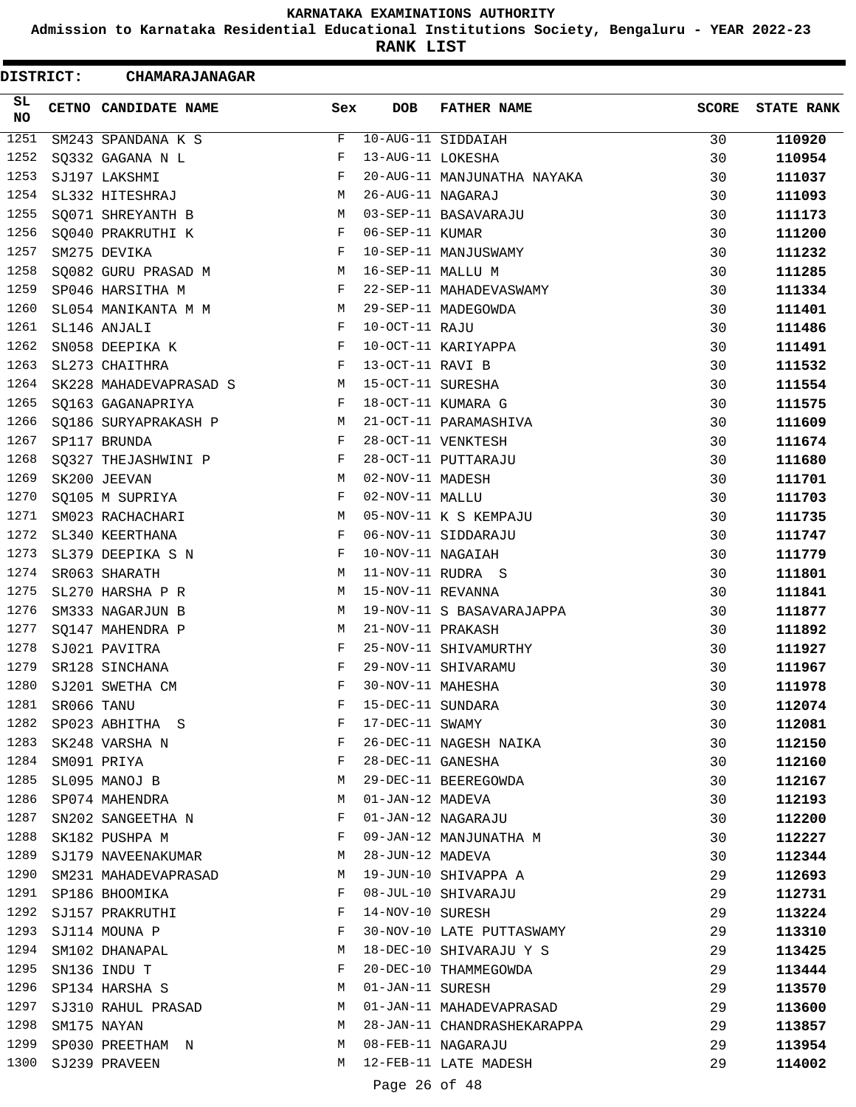**Admission to Karnataka Residential Educational Institutions Society, Bengaluru - YEAR 2022-23**

**RANK LIST**

| <b>DISTRICT:</b> |            | CHAMARAJANAGAR         |              |                   |                             |              |                   |
|------------------|------------|------------------------|--------------|-------------------|-----------------------------|--------------|-------------------|
| SL<br><b>NO</b>  |            | CETNO CANDIDATE NAME   | Sex          | <b>DOB</b>        | <b>FATHER NAME</b>          | <b>SCORE</b> | <b>STATE RANK</b> |
| 1251             |            | SM243 SPANDANA K S     | F            |                   | 10-AUG-11 SIDDAIAH          | 30           | 110920            |
| 1252             |            | SQ332 GAGANA N L       | F            | 13-AUG-11 LOKESHA |                             | 30           | 110954            |
| 1253             |            | SJ197 LAKSHMI          | F            |                   | 20-AUG-11 MANJUNATHA NAYAKA | 30           | 111037            |
| 1254             |            | SL332 HITESHRAJ        | М            | 26-AUG-11 NAGARAJ |                             | 30           | 111093            |
| 1255             |            | SQ071 SHREYANTH B      | M            |                   | 03-SEP-11 BASAVARAJU        | 30           | 111173            |
| 1256             |            | SQ040 PRAKRUTHI K      | F            | 06-SEP-11 KUMAR   |                             | 30           | 111200            |
| 1257             |            | SM275 DEVIKA           | F            |                   | 10-SEP-11 MANJUSWAMY        | 30           | 111232            |
| 1258             |            | SQ082 GURU PRASAD M    | М            | 16-SEP-11 MALLU M |                             | 30           | 111285            |
| 1259             |            | SP046 HARSITHA M       | F            |                   | 22-SEP-11 MAHADEVASWAMY     | 30           | 111334            |
| 1260             |            | SL054 MANIKANTA M M    | M            |                   | 29-SEP-11 MADEGOWDA         | 30           | 111401            |
| 1261             |            | SL146 ANJALI           | F            | 10-OCT-11 RAJU    |                             | 30           | 111486            |
| 1262             |            | SN058 DEEPIKA K        | F            |                   | 10-OCT-11 KARIYAPPA         | 30           | 111491            |
| 1263             |            | SL273 CHAITHRA         | F            | 13-OCT-11 RAVI B  |                             | 30           | 111532            |
| 1264             |            | SK228 MAHADEVAPRASAD S | M            | 15-OCT-11 SURESHA |                             | 30           | 111554            |
| 1265             |            | SQ163 GAGANAPRIYA      | F            |                   | 18-OCT-11 KUMARA G          | 30           | 111575            |
| 1266             |            | SQ186 SURYAPRAKASH P   | М            |                   | 21-OCT-11 PARAMASHIVA       | 30           | 111609            |
| 1267             |            | SP117 BRUNDA           | F            |                   | 28-OCT-11 VENKTESH          | 30           | 111674            |
| 1268             |            | SQ327 THEJASHWINI P    | F            |                   | 28-OCT-11 PUTTARAJU         | 30           | 111680            |
| 1269             |            | SK200 JEEVAN           | М            | 02-NOV-11 MADESH  |                             | 30           | 111701            |
| 1270             |            | SQ105 M SUPRIYA        | F            | 02-NOV-11 MALLU   |                             | 30           | 111703            |
| 1271             |            | SM023 RACHACHARI       | М            |                   | 05-NOV-11 K S KEMPAJU       | 30           | 111735            |
| 1272             |            | SL340 KEERTHANA        | $\mathbf{F}$ |                   | 06-NOV-11 SIDDARAJU         | 30           | 111747            |
| 1273             |            | SL379 DEEPIKA S N      | F            | 10-NOV-11 NAGAIAH |                             | 30           | 111779            |
| 1274             |            | SR063 SHARATH          | М            |                   | 11-NOV-11 RUDRA S           | 30           | 111801            |
| 1275             |            | SL270 HARSHA P R       | M            | 15-NOV-11 REVANNA |                             | 30           | 111841            |
| 1276             |            | SM333 NAGARJUN B       | М            |                   | 19-NOV-11 S BASAVARAJAPPA   | 30           | 111877            |
| 1277             |            | SO147 MAHENDRA P       | М            | 21-NOV-11 PRAKASH |                             | 30           | 111892            |
| 1278             |            | SJ021 PAVITRA          | F            |                   | 25-NOV-11 SHIVAMURTHY       | 30           | 111927            |
| 1279             |            | SR128 SINCHANA         | F            |                   | 29-NOV-11 SHIVARAMU         | 30           | 111967            |
| 1280             |            | SJ201 SWETHA CM        | F            | 30-NOV-11 MAHESHA |                             | 30           | 111978            |
| 1281             | SR066 TANU |                        | F            | 15-DEC-11 SUNDARA |                             | 30           | 112074            |
| 1282             |            | SP023 ABHITHA S        | F            | 17-DEC-11 SWAMY   |                             | 30           | 112081            |
| 1283             |            | SK248 VARSHA N         | F            |                   | 26-DEC-11 NAGESH NAIKA      | 30           | 112150            |
| 1284             |            | SM091 PRIYA            | F            | 28-DEC-11 GANESHA |                             | 30           | 112160            |
| 1285             |            | SL095 MANOJ B          | М            |                   | 29-DEC-11 BEEREGOWDA        | 30           | 112167            |
| 1286             |            | SP074 MAHENDRA         | М            | 01-JAN-12 MADEVA  |                             | 30           | 112193            |
| 1287             |            | SN202 SANGEETHA N      | F            |                   | 01-JAN-12 NAGARAJU          | 30           | 112200            |
| 1288             |            | SK182 PUSHPA M         | F            |                   | 09-JAN-12 MANJUNATHA M      | 30           | 112227            |
| 1289             |            | SJ179 NAVEENAKUMAR     | М            | 28-JUN-12 MADEVA  |                             | 30           | 112344            |
| 1290             |            | SM231 MAHADEVAPRASAD   | M            |                   | 19-JUN-10 SHIVAPPA A        | 29           | 112693            |
| 1291             |            | SP186 BHOOMIKA         | F            |                   | 08-JUL-10 SHIVARAJU         | 29           | 112731            |
| 1292             |            | SJ157 PRAKRUTHI        | F            | 14-NOV-10 SURESH  |                             | 29           | 113224            |
| 1293             |            |                        |              |                   |                             |              |                   |
| 1294             |            | SJ114 MOUNA P          | F<br>М       |                   | 30-NOV-10 LATE PUTTASWAMY   | 29           | 113310            |
|                  |            | SM102 DHANAPAL         |              |                   | 18-DEC-10 SHIVARAJU Y S     | 29           | 113425            |
| 1295<br>1296     |            | SN136 INDU T           | F            |                   | 20-DEC-10 THAMMEGOWDA       | 29           | 113444            |
|                  |            | SP134 HARSHA S         | М            | 01-JAN-11 SURESH  |                             | 29           | 113570            |
| 1297             |            | SJ310 RAHUL PRASAD     | М            |                   | 01-JAN-11 MAHADEVAPRASAD    | 29           | 113600            |
| 1298             |            | SM175 NAYAN            | М            |                   | 28-JAN-11 CHANDRASHEKARAPPA | 29           | 113857            |
| 1299             |            | SP030 PREETHAM N       | M            |                   | 08-FEB-11 NAGARAJU          | 29           | 113954            |
| 1300             |            | SJ239 PRAVEEN          | M            |                   | 12-FEB-11 LATE MADESH       | 29           | 114002            |
|                  |            |                        |              | Page 26 of 48     |                             |              |                   |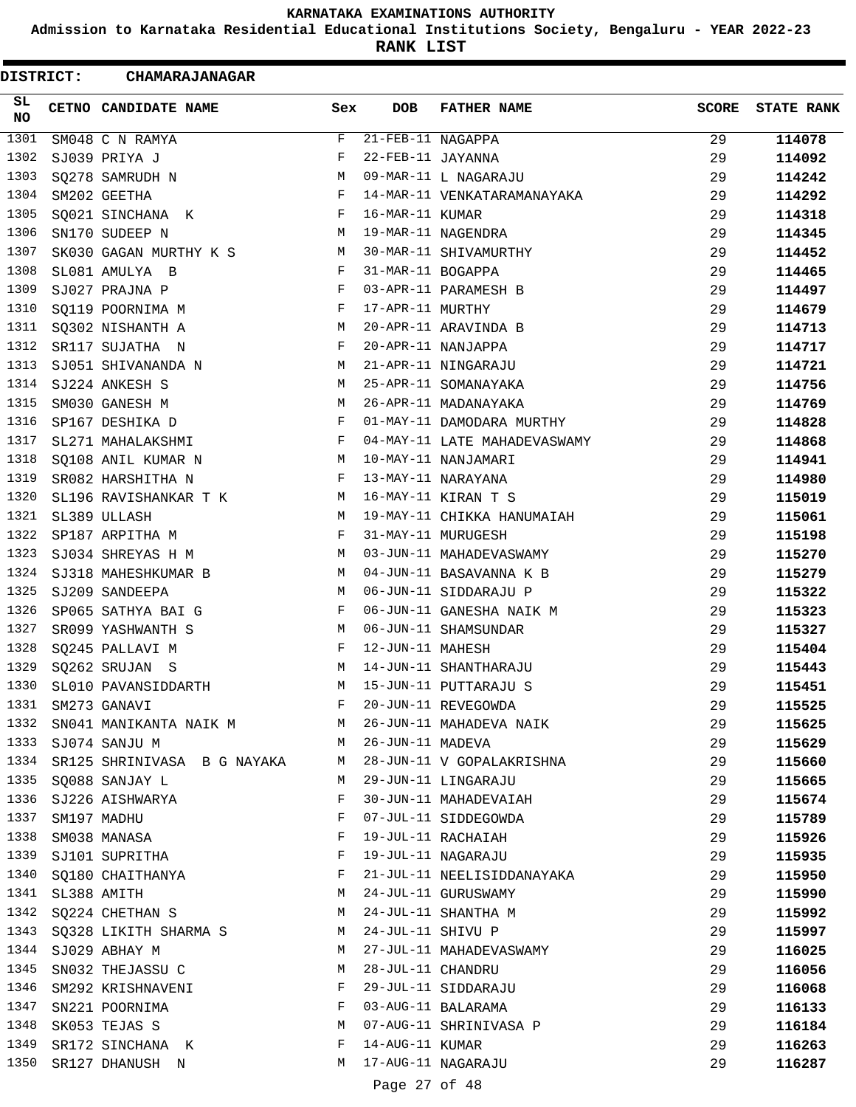**Admission to Karnataka Residential Educational Institutions Society, Bengaluru - YEAR 2022-23**

**RANK LIST**

Ξ

| <b>DISTRICT:</b> |                  | CHAMARAJANAGAR                                   |              |                    |                              |              |                   |
|------------------|------------------|--------------------------------------------------|--------------|--------------------|------------------------------|--------------|-------------------|
| SL<br><b>NO</b>  |                  | CETNO CANDIDATE NAME                             | Sex          | <b>DOB</b>         | <b>FATHER NAME</b>           | <b>SCORE</b> | <b>STATE RANK</b> |
| 1301             |                  | SM048 C N RAMYA                                  | F            | 21-FEB-11 NAGAPPA  |                              | 29           | 114078            |
| 1302             |                  | SJ039 PRIYA J                                    | F            | 22-FEB-11 JAYANNA  |                              | 29           | 114092            |
| 1303             |                  | SQ278 SAMRUDH N                                  | М            |                    | 09-MAR-11 L NAGARAJU         | 29           | 114242            |
| 1304             |                  | SM202 GEETHA                                     | $_{\rm F}$   |                    | 14-MAR-11 VENKATARAMANAYAKA  | 29           | 114292            |
| 1305             |                  | SQ021 SINCHANA K                                 | F            | 16-MAR-11 KUMAR    |                              | 29           | 114318            |
| 1306             |                  | SN170 SUDEEP N                                   | М            |                    | 19-MAR-11 NAGENDRA           | 29           | 114345            |
| 1307             |                  | SK030 GAGAN MURTHY K S                           | M            |                    | 30-MAR-11 SHIVAMURTHY        | 29           | 114452            |
| 1308             |                  | SL081 AMULYA B                                   | F            | 31-MAR-11 BOGAPPA  |                              | 29           | 114465            |
| 1309             |                  | SJ027 PRAJNA P                                   | F            |                    | 03-APR-11 PARAMESH B         | 29           | 114497            |
| 1310             |                  | SQ119 POORNIMA M                                 | F            | 17-APR-11 MURTHY   |                              | 29           | 114679            |
| 1311             |                  | SQ302 NISHANTH A                                 | M            |                    | 20-APR-11 ARAVINDA B         | 29           | 114713            |
| 1312             |                  | SR117 SUJATHA N                                  | F            |                    | 20-APR-11 NANJAPPA           | 29           | 114717            |
| 1313             |                  | SJ051 SHIVANANDA N                               | M            |                    | 21-APR-11 NINGARAJU          | 29           | 114721            |
| 1314             |                  | SJ224 ANKESH S                                   | M            |                    | 25-APR-11 SOMANAYAKA         | 29           | 114756            |
| 1315             |                  | SM030 GANESH M                                   | М            |                    | 26-APR-11 MADANAYAKA         | 29           | 114769            |
| 1316             |                  | SP167 DESHIKA D                                  | F            |                    | 01-MAY-11 DAMODARA MURTHY    | 29           | 114828            |
| 1317             |                  | SL271 MAHALAKSHMI                                | F            |                    | 04-MAY-11 LATE MAHADEVASWAMY | 29           | 114868            |
| 1318             |                  | SQ108 ANIL KUMAR N                               | M            |                    | 10-MAY-11 NANJAMARI          | 29           | 114941            |
| 1319             |                  | SR082 HARSHITHA N                                | F            |                    | 13-MAY-11 NARAYANA           | 29           | 114980            |
| 1320             |                  | SL196 RAVISHANKAR T K                            | M            |                    | 16-MAY-11 KIRAN T S          | 29           | 115019            |
| 1321             |                  | SL389 ULLASH                                     | М            |                    | 19-MAY-11 CHIKKA HANUMAIAH   | 29           | 115061            |
| 1322             |                  | SP187 ARPITHA M                                  | $\mathbf{F}$ |                    | 31-MAY-11 MURUGESH           | 29           | 115198            |
| 1323             |                  | SJ034 SHREYAS H M                                | M            |                    | 03-JUN-11 MAHADEVASWAMY      | 29           | 115270            |
| 1324             |                  | SJ318 MAHESHKUMAR B                              | M            |                    | 04-JUN-11 BASAVANNA K B      | 29           | 115279            |
| 1325             |                  | SJ209 SANDEEPA                                   | M            |                    | 06-JUN-11 SIDDARAJU P        | 29           | 115322            |
| 1326             |                  | SP065 SATHYA BAI G                               | F            |                    | 06-JUN-11 GANESHA NAIK M     | 29           | 115323            |
| 1327             |                  | SR099 YASHWANTH S                                | M            |                    | 06-JUN-11 SHAMSUNDAR         | 29           | 115327            |
| 1328             |                  | SQ245 PALLAVI M                                  | F            | 12-JUN-11 MAHESH   |                              | 29           | 115404            |
| 1329             |                  | SQ262 SRUJAN S                                   | М            |                    | 14-JUN-11 SHANTHARAJU        | 29           | 115443            |
| 1330             |                  | SL010 PAVANSIDDARTH                              | М            |                    | 15-JUN-11 PUTTARAJU S        | 29           | 115451            |
|                  |                  | 1331 SM273 GANAVI                                | F            |                    | 20-JUN-11 REVEGOWDA          | 29           | 115525            |
| 1332             |                  | SN041 MANIKANTA NAIK M M 26-JUN-11 MAHADEVA NAIK |              |                    |                              | 29           | 115625            |
|                  |                  | 1333 SJ074 SANJU M                               |              | M 26-JUN-11 MADEVA |                              | 29           | 115629            |
| 1334             |                  | SR125 SHRINIVASA B G NAYAKA                      | M            |                    | 28-JUN-11 V GOPALAKRISHNA    | 29           | 115660            |
| 1335             |                  | SQ088 SANJAY L                                   | M            |                    | 29-JUN-11 LINGARAJU          | 29           | 115665            |
| 1336             |                  | SJ226 AISHWARYA                                  | F            |                    | 30-JUN-11 MAHADEVAIAH        | 29           | 115674            |
| 1337             |                  | SM197 MADHU                                      | F            |                    | 07-JUL-11 SIDDEGOWDA         | 29           | 115789            |
| 1338             |                  | SM038 MANASA                                     | F            |                    | 19-JUL-11 RACHAIAH           | 29           | 115926            |
| 1339             |                  |                                                  | F            |                    | 19-JUL-11 NAGARAJU           | 29           |                   |
|                  |                  | SJ101 SUPRITHA<br>1340 SQ180 CHAITHANYA          | F            |                    | 21-JUL-11 NEELISIDDANAYAKA   | 29           | 115935            |
|                  | 1341 SL388 AMITH |                                                  | M            |                    | 24-JUL-11 GURUSWAMY          |              | 115950            |
| 1342             |                  |                                                  | М            |                    | 24-JUL-11 SHANTHA M          | 29           | 115990            |
|                  |                  | SQ224 CHETHAN S                                  |              | 24-JUL-11 SHIVU P  |                              | 29           | 115992            |
| 1343             |                  | SQ328 LIKITH SHARMA S                            | M            |                    |                              | 29           | 115997            |
| 1344             |                  | SJ029 ABHAY M                                    | M            |                    | 27-JUL-11 MAHADEVASWAMY      | 29           | 116025            |
| 1345             |                  | SN032 THEJASSU C                                 | M            | 28-JUL-11 CHANDRU  |                              | 29           | 116056            |
| 1346             |                  | SM292 KRISHNAVENI                                | F            |                    | 29-JUL-11 SIDDARAJU          | 29           | 116068            |
| 1347             |                  | SN221 POORNIMA                                   | F            |                    | 03-AUG-11 BALARAMA           | 29           | 116133            |
| 1348             |                  | SK053 TEJAS S                                    | M            |                    | 07-AUG-11 SHRINIVASA P       | 29           | 116184            |
| 1349             |                  | SR172 SINCHANA K                                 | F            | 14-AUG-11 KUMAR    |                              | 29           | 116263            |
| 1350             |                  | SR127 DHANUSH N                                  | M            |                    | 17-AUG-11 NAGARAJU           | 29           | 116287            |
|                  |                  |                                                  |              | Page 27 of 48      |                              |              |                   |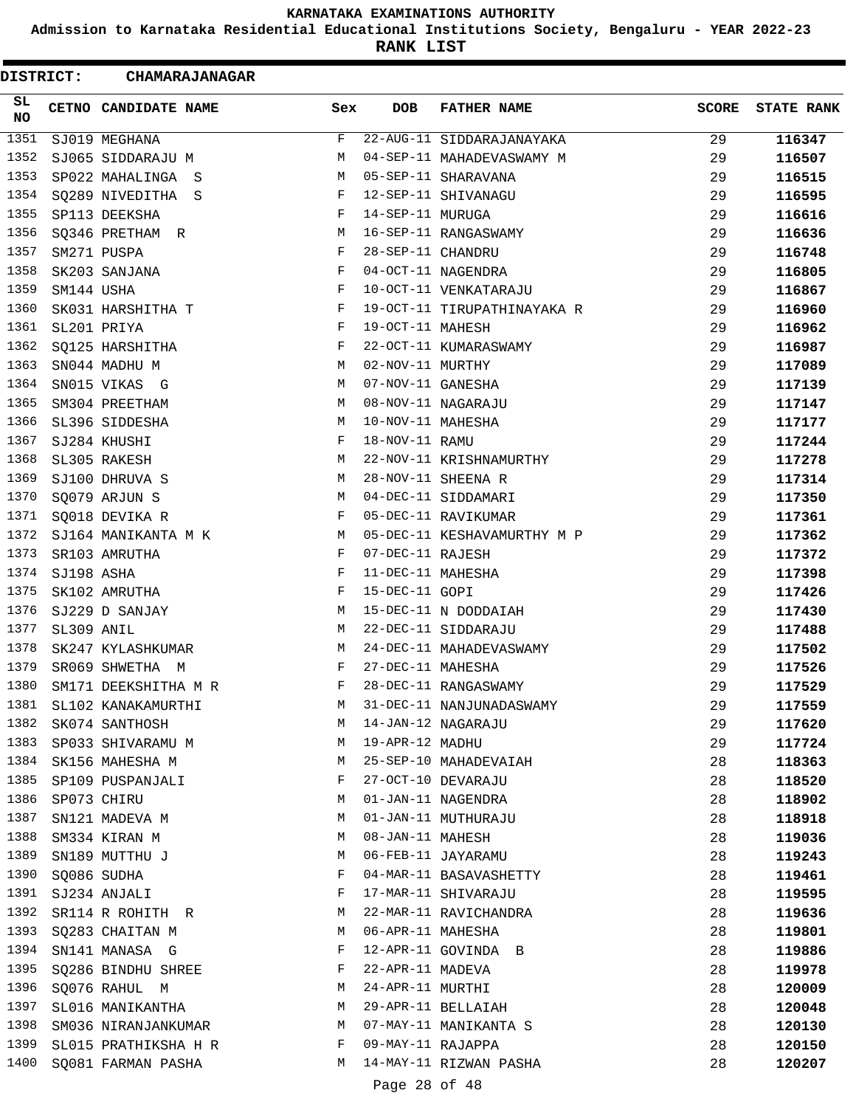**Admission to Karnataka Residential Educational Institutions Society, Bengaluru - YEAR 2022-23**

**RANK LIST**

| <b>DISTRICT:</b> |            | <b>CHAMARAJANAGAR</b> |     |                   |                             |              |                   |
|------------------|------------|-----------------------|-----|-------------------|-----------------------------|--------------|-------------------|
| SL<br><b>NO</b>  |            | CETNO CANDIDATE NAME  | Sex | <b>DOB</b>        | <b>FATHER NAME</b>          | <b>SCORE</b> | <b>STATE RANK</b> |
| 1351             |            | SJ019 MEGHANA         | F   |                   | 22-AUG-11 SIDDARAJANAYAKA   | 29           | 116347            |
| 1352             |            | SJ065 SIDDARAJU M     | М   |                   | 04-SEP-11 MAHADEVASWAMY M   | 29           | 116507            |
| 1353             |            | SP022 MAHALINGA S     | М   |                   | 05-SEP-11 SHARAVANA         | 29           | 116515            |
| 1354             |            | SQ289 NIVEDITHA S     | F   |                   | 12-SEP-11 SHIVANAGU         | 29           | 116595            |
| 1355             |            | SP113 DEEKSHA         | F   | 14-SEP-11 MURUGA  |                             | 29           | 116616            |
| 1356             |            | SQ346 PRETHAM R       | М   |                   | 16-SEP-11 RANGASWAMY        | 29           | 116636            |
| 1357             |            | SM271 PUSPA           | F   | 28-SEP-11 CHANDRU |                             | 29           | 116748            |
| 1358             |            | SK203 SANJANA         | F   |                   | 04-OCT-11 NAGENDRA          | 29           | 116805            |
| 1359             | SM144 USHA |                       | F   |                   | 10-OCT-11 VENKATARAJU       | 29           | 116867            |
| 1360             |            | SK031 HARSHITHA T     | F   |                   | 19-OCT-11 TIRUPATHINAYAKA R | 29           | 116960            |
| 1361             |            | SL201 PRIYA           | F   | 19-OCT-11 MAHESH  |                             | 29           | 116962            |
| 1362             |            | SQ125 HARSHITHA       | F   |                   | 22-OCT-11 KUMARASWAMY       | 29           | 116987            |
| 1363             |            | SN044 MADHU M         | М   | 02-NOV-11 MURTHY  |                             | 29           | 117089            |
| 1364             |            | SN015 VIKAS G         | М   | 07-NOV-11 GANESHA |                             | 29           | 117139            |
| 1365             |            | SM304 PREETHAM        | M   |                   | 08-NOV-11 NAGARAJU          | 29           | 117147            |
| 1366             |            | SL396 SIDDESHA        | М   | 10-NOV-11 MAHESHA |                             | 29           | 117177            |
| 1367             |            | SJ284 KHUSHI          | F   | 18-NOV-11 RAMU    |                             | 29           | 117244            |
| 1368             |            | SL305 RAKESH          | М   |                   | 22-NOV-11 KRISHNAMURTHY     | 29           | 117278            |
| 1369             |            | SJ100 DHRUVA S        | М   |                   | 28-NOV-11 SHEENA R          | 29           | 117314            |
| 1370             |            | SQ079 ARJUN S         | М   |                   | 04-DEC-11 SIDDAMARI         | 29           | 117350            |
| 1371             |            | SQ018 DEVIKA R        | F   |                   | 05-DEC-11 RAVIKUMAR         | 29           | 117361            |
| 1372             |            | SJ164 MANIKANTA M K   | М   |                   | 05-DEC-11 KESHAVAMURTHY M P | 29           | 117362            |
| 1373             |            | SR103 AMRUTHA         | F   | 07-DEC-11 RAJESH  |                             | 29           | 117372            |
| 1374             | SJ198 ASHA |                       | F   | 11-DEC-11 MAHESHA |                             | 29           | 117398            |
| 1375             |            | SK102 AMRUTHA         | F   | 15-DEC-11 GOPI    |                             | 29           | 117426            |
| 1376             |            | SJ229 D SANJAY        | М   |                   | 15-DEC-11 N DODDAIAH        | 29           | 117430            |
| 1377             | SL309 ANIL |                       | М   |                   | 22-DEC-11 SIDDARAJU         | 29           | 117488            |
| 1378             |            | SK247 KYLASHKUMAR     | М   |                   | 24-DEC-11 MAHADEVASWAMY     | 29           | 117502            |
| 1379             |            | SR069 SHWETHA M       | F   | 27-DEC-11 MAHESHA |                             | 29           | 117526            |
| 1380             |            | SM171 DEEKSHITHA M R  | F   |                   | 28-DEC-11 RANGASWAMY        | 29           | 117529            |
| 1381             |            | SL102 KANAKAMURTHI    | М   |                   | 31-DEC-11 NANJUNADASWAMY    | 29           | 117559            |
| 1382             |            | SK074 SANTHOSH        | М   |                   | 14-JAN-12 NAGARAJU          | 29           | 117620            |
| 1383             |            | SP033 SHIVARAMU M     | M   | 19-APR-12 MADHU   |                             | 29           | 117724            |
| 1384             |            | SK156 MAHESHA M       | М   |                   | 25-SEP-10 MAHADEVAIAH       | 28           | 118363            |
| 1385             |            | SP109 PUSPANJALI      | F   |                   | 27-OCT-10 DEVARAJU          | 28           | 118520            |
| 1386             |            | SP073 CHIRU           | М   |                   | 01-JAN-11 NAGENDRA          | 28           | 118902            |
| 1387             |            | SN121 MADEVA M        | М   |                   | 01-JAN-11 MUTHURAJU         | 28           | 118918            |
| 1388             |            | SM334 KIRAN M         | М   | 08-JAN-11 MAHESH  |                             | 28           | 119036            |
| 1389             |            | SN189 MUTTHU J        | М   |                   | 06-FEB-11 JAYARAMU          | 28           | 119243            |
| 1390             |            | SQ086 SUDHA           | F   |                   | 04-MAR-11 BASAVASHETTY      | 28           | 119461            |
| 1391             |            | SJ234 ANJALI          | F   |                   | 17-MAR-11 SHIVARAJU         | 28           | 119595            |
| 1392             |            | SR114 R ROHITH R      | M   |                   | 22-MAR-11 RAVICHANDRA       | 28           | 119636            |
| 1393             |            | SQ283 CHAITAN M       | M   | 06-APR-11 MAHESHA |                             | 28           | 119801            |
| 1394             |            | SN141 MANASA G        | F   |                   | 12-APR-11 GOVINDA B         | 28           | 119886            |
| 1395             |            | SQ286 BINDHU SHREE    | F   | 22-APR-11 MADEVA  |                             | 28           | 119978            |
| 1396             |            | SQ076 RAHUL M         | М   | 24-APR-11 MURTHI  |                             | 28           | 120009            |
| 1397             |            | SL016 MANIKANTHA      | М   |                   | 29-APR-11 BELLAIAH          | 28           | 120048            |
| 1398             |            | SM036 NIRANJANKUMAR   | M   |                   | 07-MAY-11 MANIKANTA S       | 28           | 120130            |
| 1399             |            | SL015 PRATHIKSHA H R  | F   | 09-MAY-11 RAJAPPA |                             | 28           | 120150            |
| 1400             |            | SQ081 FARMAN PASHA    | M   |                   | 14-MAY-11 RIZWAN PASHA      | 28           | 120207            |
|                  |            |                       |     | Page 28 of 48     |                             |              |                   |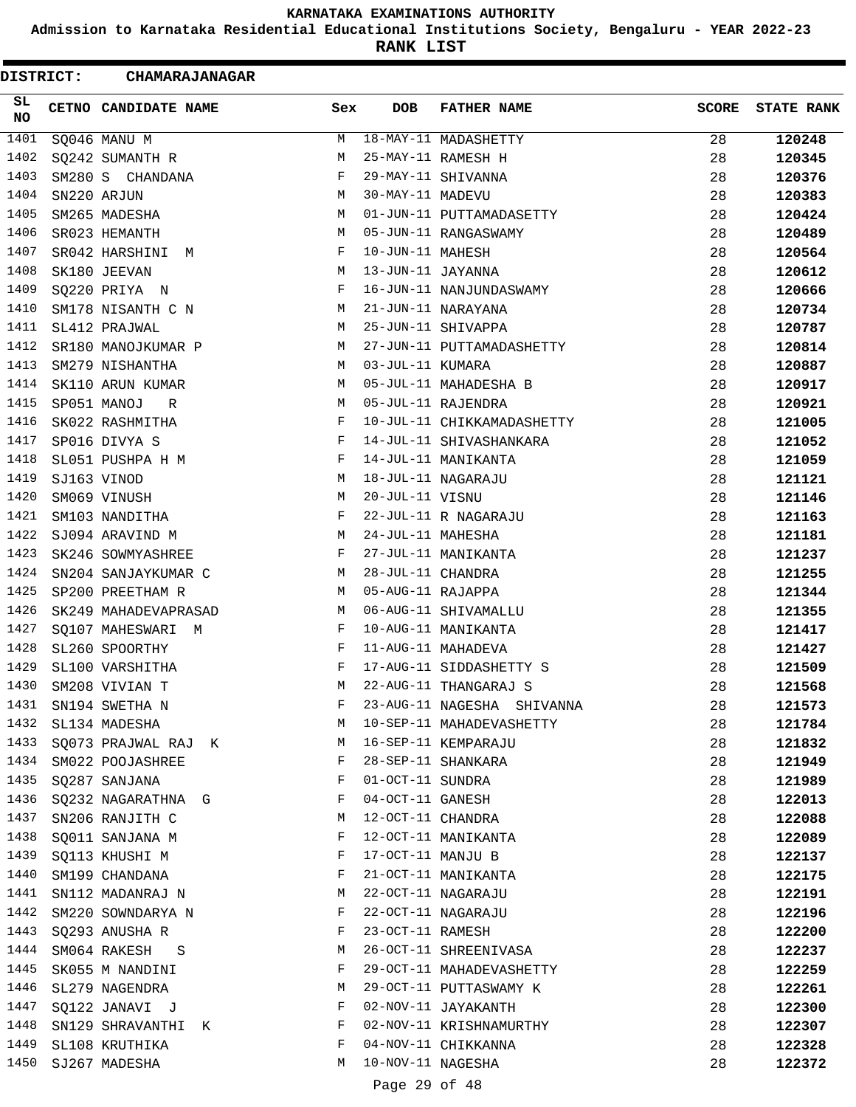**Admission to Karnataka Residential Educational Institutions Society, Bengaluru - YEAR 2022-23**

**RANK LIST**

ı

| <b>DISTRICT:</b> | <b>CHAMARAJANAGAR</b> |     |                   |                            |              |                   |
|------------------|-----------------------|-----|-------------------|----------------------------|--------------|-------------------|
| SL<br>NO         | CETNO CANDIDATE NAME  | Sex | <b>DOB</b>        | <b>FATHER NAME</b>         | <b>SCORE</b> | <b>STATE RANK</b> |
| 1401             | SQ046 MANU M          | М   |                   | 18-MAY-11 MADASHETTY       | 28           | 120248            |
| 1402             | SQ242 SUMANTH R       | M   |                   | 25-MAY-11 RAMESH H         | 28           | 120345            |
| 1403             | SM280 S CHANDANA      | F   |                   | 29-MAY-11 SHIVANNA         | 28           | 120376            |
| 1404             | SN220 ARJUN           | М   | 30-MAY-11 MADEVU  |                            | 28           | 120383            |
| 1405             | SM265 MADESHA         | M   |                   | 01-JUN-11 PUTTAMADASETTY   | 28           | 120424            |
| 1406             | SR023 HEMANTH         | M   |                   | 05-JUN-11 RANGASWAMY       | 28           | 120489            |
| 1407             | SR042 HARSHINI<br>M   | F   | 10-JUN-11 MAHESH  |                            | 28           | 120564            |
| 1408             | SK180 JEEVAN          | M   | 13-JUN-11 JAYANNA |                            | 28           | 120612            |
| 1409             | SQ220 PRIYA N         | F   |                   | 16-JUN-11 NANJUNDASWAMY    | 28           | 120666            |
| 1410             | SM178 NISANTH C N     | M   |                   | 21-JUN-11 NARAYANA         | 28           | 120734            |
| 1411             | SL412 PRAJWAL         | M   |                   | 25-JUN-11 SHIVAPPA         | 28           | 120787            |
| 1412             | SR180 MANOJKUMAR P    | M   |                   | 27-JUN-11 PUTTAMADASHETTY  | 28           | 120814            |
| 1413             | SM279 NISHANTHA       | М   | 03-JUL-11 KUMARA  |                            | 28           | 120887            |
| 1414             | SK110 ARUN KUMAR      | M   |                   | 05-JUL-11 MAHADESHA B      | 28           | 120917            |
| 1415             | SP051 MANOJ<br>R      | M   |                   | 05-JUL-11 RAJENDRA         | 28           | 120921            |
| 1416             | SK022 RASHMITHA       | F   |                   | 10-JUL-11 CHIKKAMADASHETTY | 28           | 121005            |
| 1417             | SP016 DIVYA S         | F   |                   | 14-JUL-11 SHIVASHANKARA    | 28           | 121052            |
| 1418             | SL051 PUSHPA H M      | F   |                   | 14-JUL-11 MANIKANTA        | 28           | 121059            |
| 1419             | SJ163 VINOD           | М   |                   | 18-JUL-11 NAGARAJU         | 28           | 121121            |
| 1420             | SM069 VINUSH          | M   | 20-JUL-11 VISNU   |                            | 28           | 121146            |
| 1421             | SM103 NANDITHA        | F   |                   | 22-JUL-11 R NAGARAJU       | 28           | 121163            |
| 1422             | SJ094 ARAVIND M       | M   | 24-JUL-11 MAHESHA |                            | 28           | 121181            |
| 1423             | SK246 SOWMYASHREE     | F   |                   | 27-JUL-11 MANIKANTA        | 28           | 121237            |
| 1424             | SN204 SANJAYKUMAR C   | М   | 28-JUL-11 CHANDRA |                            | 28           | 121255            |
| 1425             | SP200 PREETHAM R      | М   | 05-AUG-11 RAJAPPA |                            | 28           | 121344            |
| 1426             | SK249 MAHADEVAPRASAD  | М   |                   | 06-AUG-11 SHIVAMALLU       | 28           | 121355            |
| 1427             | SQ107 MAHESWARI M     | F   |                   | 10-AUG-11 MANIKANTA        | 28           | 121417            |
| 1428             | SL260 SPOORTHY        | F   |                   | 11-AUG-11 MAHADEVA         | 28           | 121427            |
| 1429             | SL100 VARSHITHA       | F   |                   | 17-AUG-11 SIDDASHETTY S    | 28           | 121509            |
| 1430             | SM208 VIVIAN T        | M   |                   | 22-AUG-11 THANGARAJ S      | 28           | 121568            |
| 1431             | SN194 SWETHA N        | F   |                   | 23-AUG-11 NAGESHA SHIVANNA | 28           | 121573            |
| 1432             | SL134 MADESHA         | М   |                   | 10-SEP-11 MAHADEVASHETTY   | 28           | 121784            |
| 1433             | SQ073 PRAJWAL RAJ K   | М   |                   | 16-SEP-11 KEMPARAJU        | 28           | 121832            |
| 1434             | SM022 POOJASHREE      | F   |                   | 28-SEP-11 SHANKARA         | 28           | 121949            |
| 1435             | SQ287 SANJANA         | F   | 01-OCT-11 SUNDRA  |                            | 28           | 121989            |
| 1436             | SQ232 NAGARATHNA G    | F   | 04-OCT-11 GANESH  |                            | 28           | 122013            |
| 1437             | SN206 RANJITH C       | М   | 12-OCT-11 CHANDRA |                            | 28           | 122088            |
| 1438             | SQ011 SANJANA M       | F   |                   | 12-OCT-11 MANIKANTA        | 28           | 122089            |
| 1439             | SQ113 KHUSHI M        | F   | 17-OCT-11 MANJU B |                            | 28           | 122137            |
| 1440             | SM199 CHANDANA        | F   |                   | 21-OCT-11 MANIKANTA        | 28           | 122175            |
| 1441             | SN112 MADANRAJ N      | М   |                   | 22-OCT-11 NAGARAJU         | 28           | 122191            |
| 1442             | SM220 SOWNDARYA N     | F   |                   | 22-OCT-11 NAGARAJU         | 28           | 122196            |
| 1443             | SQ293 ANUSHA R        | F   | 23-OCT-11 RAMESH  |                            | 28           | 122200            |
| 1444             | SM064 RAKESH S        | М   |                   | 26-OCT-11 SHREENIVASA      | 28           | 122237            |
| 1445             | SK055 M NANDINI       | F   |                   | 29-OCT-11 MAHADEVASHETTY   | 28           | 122259            |
| 1446             | SL279 NAGENDRA        | М   |                   | 29-OCT-11 PUTTASWAMY K     | 28           | 122261            |
| 1447             | SQ122 JANAVI J        | F   |                   | 02-NOV-11 JAYAKANTH        | 28           |                   |
| 1448             | SN129 SHRAVANTHI K    | F   |                   | 02-NOV-11 KRISHNAMURTHY    | 28           | 122300            |
| 1449             | SL108 KRUTHIKA        | F   |                   | 04-NOV-11 CHIKKANNA        | 28           | 122307<br>122328  |
| 1450             | SJ267 MADESHA         | M   | 10-NOV-11 NAGESHA |                            | 28           |                   |
|                  |                       |     |                   |                            |              | 122372            |
|                  |                       |     | Page 29 of 48     |                            |              |                   |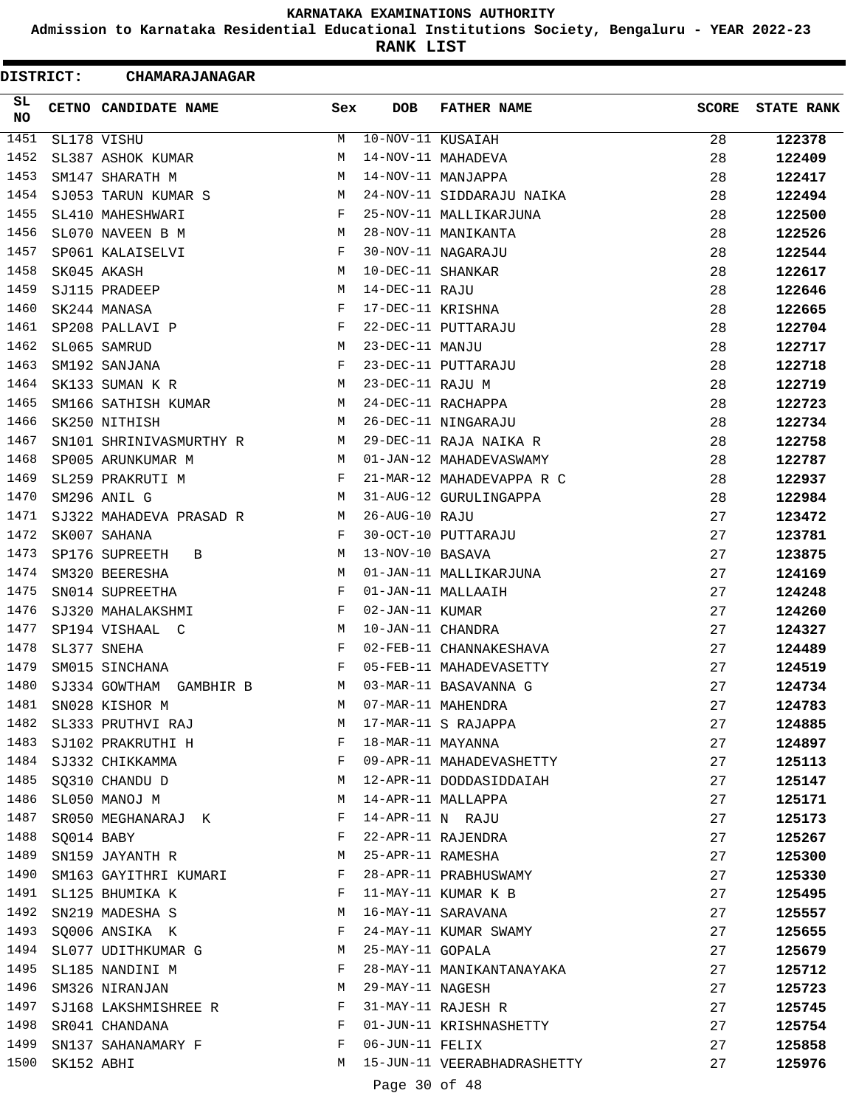**Admission to Karnataka Residential Educational Institutions Society, Bengaluru - YEAR 2022-23**

**RANK LIST**

| <b>DISTRICT:</b> |            | CHAMARAJANAGAR                                                   |                |                   |                             |              |                   |
|------------------|------------|------------------------------------------------------------------|----------------|-------------------|-----------------------------|--------------|-------------------|
| SL<br><b>NO</b>  |            | <b>CETNO CANDIDATE NAME</b>                                      | Sex            | <b>DOB</b>        | <b>FATHER NAME</b>          | <b>SCORE</b> | <b>STATE RANK</b> |
| 1451             |            | SL178 VISHU                                                      | M              | 10-NOV-11 KUSAIAH |                             | 28           | 122378            |
| 1452             |            | SL387 ASHOK KUMAR                                                | M              |                   | 14-NOV-11 MAHADEVA          | 28           | 122409            |
| 1453             |            | SM147 SHARATH M                                                  | М              |                   | 14-NOV-11 MANJAPPA          | 28           | 122417            |
| 1454             |            | SJ053 TARUN KUMAR S                                              | M              |                   | 24-NOV-11 SIDDARAJU NAIKA   | 28           | 122494            |
| 1455             |            | SL410 MAHESHWARI                                                 | F              |                   | 25-NOV-11 MALLIKARJUNA      | 28           | 122500            |
| 1456             |            | SL070 NAVEEN B M                                                 | M              |                   | 28-NOV-11 MANIKANTA         | 28           | 122526            |
| 1457             |            | SP061 KALAISELVI                                                 | F              |                   | 30-NOV-11 NAGARAJU          | 28           | 122544            |
| 1458             |            | SK045 AKASH                                                      | М              | 10-DEC-11 SHANKAR |                             | 28           | 122617            |
| 1459             |            | SJ115 PRADEEP                                                    | М              | 14-DEC-11 RAJU    |                             | 28           | 122646            |
| 1460             |            | SK244 MANASA                                                     | F              | 17-DEC-11 KRISHNA |                             | 28           | 122665            |
| 1461             |            | SP208 PALLAVI P                                                  | F              |                   | 22-DEC-11 PUTTARAJU         | 28           | 122704            |
| 1462             |            | SL065 SAMRUD                                                     | M              | 23-DEC-11 MANJU   |                             | 28           | 122717            |
| 1463             |            | SM192 SANJANA                                                    | F              |                   | 23-DEC-11 PUTTARAJU         | 28           | 122718            |
| 1464             |            | SK133 SUMAN K R                                                  | М              | 23-DEC-11 RAJU M  |                             | 28           | 122719            |
| 1465             |            | SM166 SATHISH KUMAR                                              | M              |                   | 24-DEC-11 RACHAPPA          | 28           | 122723            |
| 1466             |            | SK250 NITHISH                                                    | М              |                   | 26-DEC-11 NINGARAJU         | 28           | 122734            |
| 1467             |            | SN101 SHRINIVASMURTHY R                                          | M              |                   | 29-DEC-11 RAJA NAIKA R      | 28           | 122758            |
| 1468             |            | SP005 ARUNKUMAR M                                                | M              |                   | 01-JAN-12 MAHADEVASWAMY     | 28           | 122787            |
| 1469             |            | SL259 PRAKRUTI M                                                 | F              |                   | 21-MAR-12 MAHADEVAPPA R C   | 28           | 122937            |
| 1470             |            | SM296 ANIL G                                                     | M <sub>1</sub> |                   | 31-AUG-12 GURULINGAPPA      | 28           | 122984            |
| 1471             |            | SJ322 MAHADEVA PRASAD R                                          | M              | 26-AUG-10 RAJU    |                             | 27           | 123472            |
| 1472             |            | SK007 SAHANA                                                     | F              |                   | 30-OCT-10 PUTTARAJU         | 27           | 123781            |
| 1473             |            | SP176 SUPREETH B                                                 | М              | 13-NOV-10 BASAVA  |                             | 27           | 123875            |
| 1474             |            | SM320 BEERESHA                                                   | М              |                   | 01-JAN-11 MALLIKARJUNA      | 27           | 124169            |
| 1475             |            | SN014 SUPREETHA                                                  | F              |                   | 01-JAN-11 MALLAAIH          | 27           | 124248            |
| 1476             |            | SJ320 MAHALAKSHMI                                                | F              | 02-JAN-11 KUMAR   |                             | 27           | 124260            |
| 1477             |            | SP194 VISHAAL C                                                  | M              | 10-JAN-11 CHANDRA |                             | 27           | 124327            |
| 1478             |            | SL377 SNEHA                                                      | F              |                   | 02-FEB-11 CHANNAKESHAVA     | 27           | 124489            |
| 1479             |            | SM015 SINCHANA                                                   | F              |                   | 05-FEB-11 MAHADEVASETTY     | 27           | 124519            |
| 1480             |            | SJ334 GOWTHAM GAMBHIR B                                          | M              |                   | 03-MAR-11 BASAVANNA G       | 27           | 124734            |
| 1481             |            | SN028 KISHOR M                                                   | M              |                   | 07-MAR-11 MAHENDRA          | 27           | 124783            |
| 1482             |            | SL333 PRUTHVI RAJ                                                | M              |                   | 17-MAR-11 S RAJAPPA         | 27           | 124885            |
| 1483             |            | SJ102 PRAKRUTHI H                                                | $\mathbf{F}$   | 18-MAR-11 MAYANNA |                             | 27           | 124897            |
| 1484             |            | SJ332 CHIKKAMMA                                                  | F              |                   | 09-APR-11 MAHADEVASHETTY    | 27           | 125113            |
| 1485             |            | SQ310 CHANDU D                                                   | М              |                   | 12-APR-11 DODDASIDDAIAH     | 27           | 125147            |
| 1486             |            | SL050 MANOJ M                                                    | М              |                   | 14-APR-11 MALLAPPA          | 27           | 125171            |
| 1487             |            | SR050 MEGHANARAJ K                                               | F              | 14-APR-11 N RAJU  |                             | 27           | 125173            |
| 1488             | SQ014 BABY |                                                                  | F              |                   | 22-APR-11 RAJENDRA          | 27           | 125267            |
| 1489             |            | SN159 JAYANTH R                                                  | M              | 25-APR-11 RAMESHA |                             | 27           | 125300            |
| 1490             |            | SM163 GAYITHRI KUMARI F                                          |                |                   | 28-APR-11 PRABHUSWAMY       | 27           | 125330            |
| 1491             |            | SL125 BHUMIKA K                                                  | F              |                   | 11-MAY-11 KUMAR K B         | 27           | 125495            |
| 1492             |            | SN219 MADESHA S                                                  | M              |                   | 16-MAY-11 SARAVANA          | 27           | 125557            |
| 1493             |            | SQ006 ANSIKA K                                                   | F              |                   | 24-MAY-11 KUMAR SWAMY       | 27           | 125655            |
| 1494             |            | SL077 UDITHKUMAR G                                               | M              | 25-MAY-11 GOPALA  |                             | 27           | 125679            |
| 1495             |            | SL185 NANDINI M                                                  | F              |                   | 28-MAY-11 MANIKANTANAYAKA   | 27           | 125712            |
| 1496             |            | SM326 NIRANJAN                                                   | M              | 29-MAY-11 NAGESH  |                             | 27           | 125723            |
| 1497             |            | SJ168 LAKSHMISHREE R                                             | F              |                   | 31-MAY-11 RAJESH R          | 27           | 125745            |
| 1498             |            | $\mathbf{F}$ and $\mathbf{F}$ and $\mathbf{F}$<br>SR041 CHANDANA |                |                   | 01-JUN-11 KRISHNASHETTY     | 27           | 125754            |
| 1499             |            | SN137 SAHANAMARY F                                               | F              | 06-JUN-11 FELIX   |                             | 27           | 125858            |
| 1500             | SK152 ABHI |                                                                  | M              |                   | 15-JUN-11 VEERABHADRASHETTY | 27           | 125976            |
|                  |            |                                                                  |                |                   |                             |              |                   |
|                  |            |                                                                  |                | Page 30 of 48     |                             |              |                   |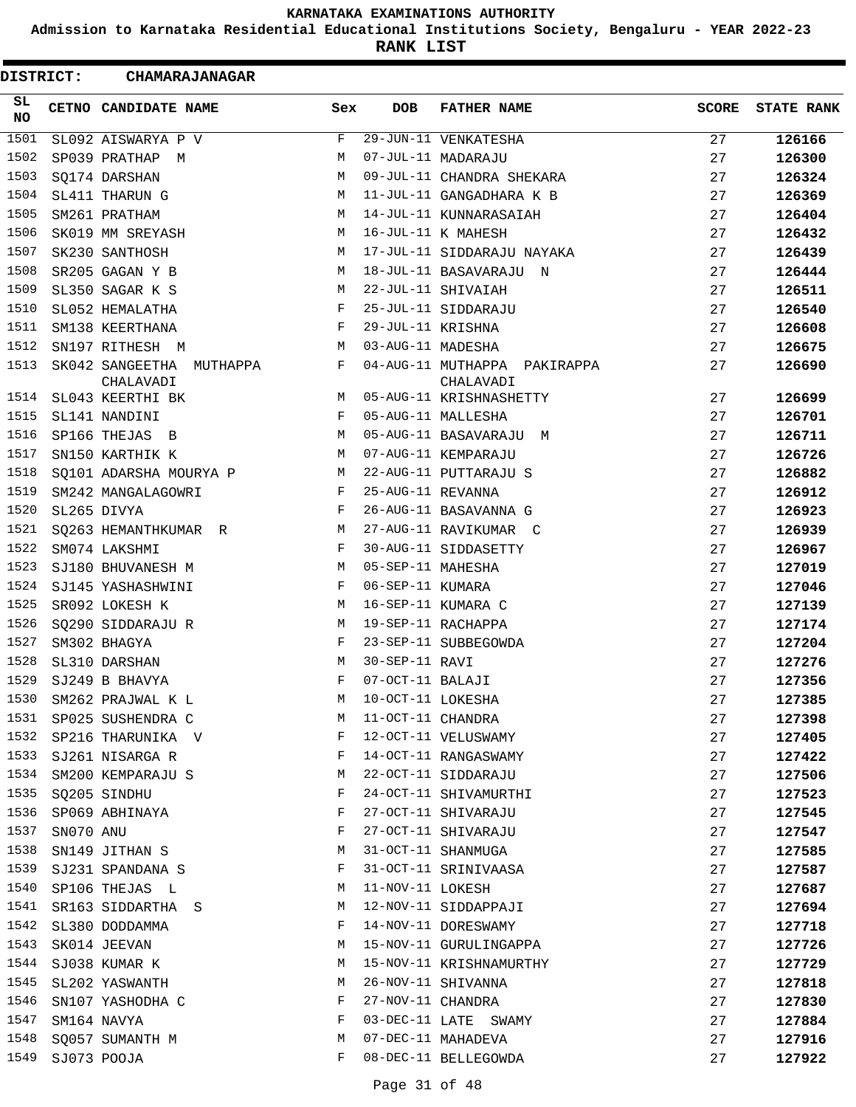**Admission to Karnataka Residential Educational Institutions Society, Bengaluru - YEAR 2022-23**

**RANK LIST**

| <b>DISTRICT:</b> |           | <b>CHAMARAJANAGAR</b>                 |     |                   |                                           |              |                   |
|------------------|-----------|---------------------------------------|-----|-------------------|-------------------------------------------|--------------|-------------------|
| SL<br><b>NO</b>  |           | CETNO CANDIDATE NAME                  | Sex | <b>DOB</b>        | <b>FATHER NAME</b>                        | <b>SCORE</b> | <b>STATE RANK</b> |
| 1501             |           | SL092 AISWARYA P V                    | F   |                   | 29-JUN-11 VENKATESHA                      | 27           | 126166            |
| 1502             |           | SP039 PRATHAP M                       | М   |                   | 07-JUL-11 MADARAJU                        | 27           | 126300            |
| 1503             |           | SQ174 DARSHAN                         | M   |                   | 09-JUL-11 CHANDRA SHEKARA                 | 27           | 126324            |
| 1504             |           | SL411 THARUN G                        | М   |                   | 11-JUL-11 GANGADHARA K B                  | 27           | 126369            |
| 1505             |           | SM261 PRATHAM                         | М   |                   | 14-JUL-11 KUNNARASAIAH                    | 27           | 126404            |
| 1506             |           | SK019 MM SREYASH                      | М   |                   | 16-JUL-11 K MAHESH                        | 27           | 126432            |
| 1507             |           | SK230 SANTHOSH                        | М   |                   | 17-JUL-11 SIDDARAJU NAYAKA                | 27           | 126439            |
| 1508             |           | SR205 GAGAN Y B                       | М   |                   | 18-JUL-11 BASAVARAJU N                    | 27           | 126444            |
| 1509             |           | SL350 SAGAR K S                       | М   |                   | 22-JUL-11 SHIVAIAH                        | 27           | 126511            |
| 1510             |           | SL052 HEMALATHA                       | F   |                   | 25-JUL-11 SIDDARAJU                       | 27           | 126540            |
| 1511             |           | SM138 KEERTHANA                       | F   | 29-JUL-11 KRISHNA |                                           | 27           | 126608            |
| 1512             |           | SN197 RITHESH M                       | М   | 03-AUG-11 MADESHA |                                           | 27           | 126675            |
| 1513             |           | SK042 SANGEETHA MUTHAPPA<br>CHALAVADI | F   |                   | 04-AUG-11 MUTHAPPA PAKIRAPPA<br>CHALAVADI | 27           | 126690            |
| 1514             |           | SL043 KEERTHI BK                      | М   |                   | 05-AUG-11 KRISHNASHETTY                   | 27           | 126699            |
| 1515             |           | SL141 NANDINI                         | F   |                   | 05-AUG-11 MALLESHA                        | 27           | 126701            |
| 1516             |           | SP166 THEJAS B                        | M   |                   | 05-AUG-11 BASAVARAJU M                    | 27           | 126711            |
| 1517             |           | SN150 KARTHIK K                       | М   |                   | 07-AUG-11 KEMPARAJU                       | 27           | 126726            |
| 1518             |           | SQ101 ADARSHA MOURYA P                | М   |                   | 22-AUG-11 PUTTARAJU S                     | 27           | 126882            |
| 1519             |           | SM242 MANGALAGOWRI                    | F   | 25-AUG-11 REVANNA |                                           | 27           | 126912            |
| 1520             |           | SL265 DIVYA                           | F   |                   | 26-AUG-11 BASAVANNA G                     | 27           | 126923            |
| 1521             |           | SQ263 HEMANTHKUMAR R                  | M   |                   | 27-AUG-11 RAVIKUMAR C                     | 27           | 126939            |
| 1522             |           | SM074 LAKSHMI                         | F   |                   | 30-AUG-11 SIDDASETTY                      | 27           | 126967            |
| 1523             |           | SJ180 BHUVANESH M                     | М   | 05-SEP-11 MAHESHA |                                           | 27           | 127019            |
| 1524             |           | SJ145 YASHASHWINI                     | F   | 06-SEP-11 KUMARA  |                                           | 27           | 127046            |
| 1525             |           | SR092 LOKESH K                        | М   |                   | 16-SEP-11 KUMARA C                        | 27           | 127139            |
| 1526             |           | SQ290 SIDDARAJU R                     | М   |                   | 19-SEP-11 RACHAPPA                        | 27           | 127174            |
| 1527             |           | SM302 BHAGYA                          | F   |                   | 23-SEP-11 SUBBEGOWDA                      | 27           | 127204            |
| 1528             |           | SL310 DARSHAN                         | M   | 30-SEP-11 RAVI    |                                           | 27           | 127276            |
| 1529             |           | SJ249 B BHAVYA                        | F   | 07-OCT-11 BALAJI  |                                           | 27           | 127356            |
| 1530             |           | SM262 PRAJWAL K L                     | М   | 10-OCT-11 LOKESHA |                                           | 27           | 127385            |
| 1531             |           | SP025 SUSHENDRA C                     | М   | 11-OCT-11 CHANDRA |                                           | 27           | 127398            |
| 1532             |           | SP216 THARUNIKA V                     | F   |                   | 12-OCT-11 VELUSWAMY                       | 27           | 127405            |
| 1533             |           | SJ261 NISARGA R                       | F   |                   | 14-OCT-11 RANGASWAMY                      | 27           | 127422            |
| 1534             |           | SM200 KEMPARAJU S                     | М   |                   | 22-OCT-11 SIDDARAJU                       | 27           | 127506            |
| 1535             |           | SQ205 SINDHU                          | F   |                   | 24-OCT-11 SHIVAMURTHI                     | 27           | 127523            |
| 1536             |           | SP069 ABHINAYA                        | F   |                   | 27-OCT-11 SHIVARAJU                       | 27           | 127545            |
| 1537             | SN070 ANU |                                       | F   |                   | 27-OCT-11 SHIVARAJU                       | 27           | 127547            |
| 1538             |           | SN149 JITHAN S                        | М   |                   | 31-OCT-11 SHANMUGA                        | 27           | 127585            |
| 1539             |           | SJ231 SPANDANA S                      | F   |                   | 31-OCT-11 SRINIVAASA                      | 27           | 127587            |
| 1540             |           | SP106 THEJAS L                        | М   | 11-NOV-11 LOKESH  |                                           | 27           | 127687            |
| 1541             |           | SR163 SIDDARTHA S                     | М   |                   | 12-NOV-11 SIDDAPPAJI                      | 27           | 127694            |
| 1542             |           | SL380 DODDAMMA                        | F   |                   | 14-NOV-11 DORESWAMY                       | 27           | 127718            |
| 1543             |           | SK014 JEEVAN                          | М   |                   | 15-NOV-11 GURULINGAPPA                    | 27           | 127726            |
| 1544             |           | SJ038 KUMAR K                         | М   |                   | 15-NOV-11 KRISHNAMURTHY                   | 27           | 127729            |
| 1545             |           | SL202 YASWANTH                        | М   |                   | 26-NOV-11 SHIVANNA                        | 27           | 127818            |
| 1546             |           | SN107 YASHODHA C                      | F   | 27-NOV-11 CHANDRA |                                           | 27           | 127830            |
| 1547             |           | SM164 NAVYA                           | F   |                   | 03-DEC-11 LATE SWAMY                      | 27           | 127884            |
| 1548             |           | SQ057 SUMANTH M                       | М   |                   | 07-DEC-11 MAHADEVA                        | 27           | 127916            |
| 1549             |           | SJ073 POOJA                           | F   |                   | 08-DEC-11 BELLEGOWDA                      | 27           | 127922            |
|                  |           |                                       |     |                   |                                           |              |                   |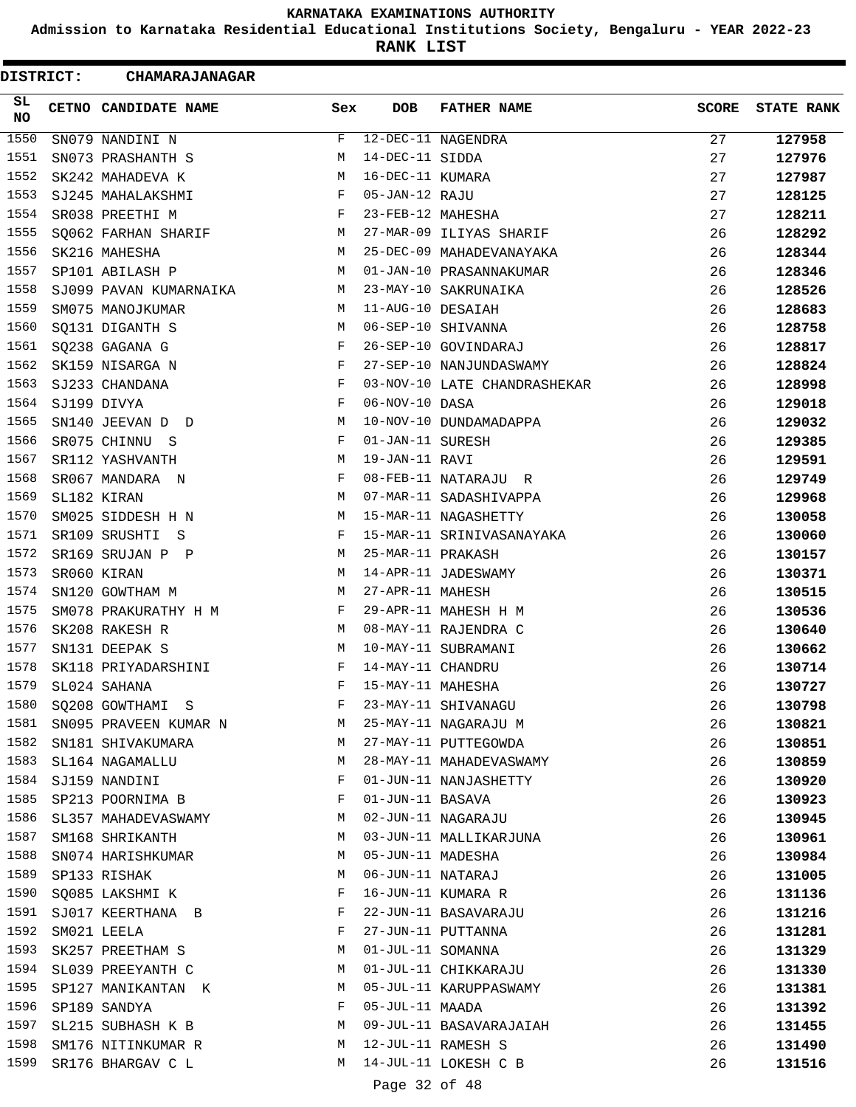**Admission to Karnataka Residential Educational Institutions Society, Bengaluru - YEAR 2022-23**

**RANK LIST**

| <b>DISTRICT:</b> | <b>CHAMARAJANAGAR</b>             |            |                   |                              |              |                   |
|------------------|-----------------------------------|------------|-------------------|------------------------------|--------------|-------------------|
| SL<br>NO         | CETNO CANDIDATE NAME              | Sex        | <b>DOB</b>        | <b>FATHER NAME</b>           | <b>SCORE</b> | <b>STATE RANK</b> |
| 1550             | SN079 NANDINI N                   | F          |                   | 12-DEC-11 NAGENDRA           | 27           | 127958            |
| 1551             | SN073 PRASHANTH S                 | М          | 14-DEC-11 SIDDA   |                              | 27           | 127976            |
| 1552             | SK242 MAHADEVA K                  | M          | 16-DEC-11 KUMARA  |                              | 27           | 127987            |
| 1553             | SJ245 MAHALAKSHMI                 | F          | 05-JAN-12 RAJU    |                              | 27           | 128125            |
| 1554             | SR038 PREETHI M                   | F          | 23-FEB-12 MAHESHA |                              | 27           | 128211            |
| 1555             | SQ062 FARHAN SHARIF               | M          |                   | 27-MAR-09 ILIYAS SHARIF      | 26           | 128292            |
| 1556             | SK216 MAHESHA                     | M          |                   | 25-DEC-09 MAHADEVANAYAKA     | 26           | 128344            |
| 1557             | SP101 ABILASH P                   | М          |                   | 01-JAN-10 PRASANNAKUMAR      | 26           | 128346            |
| 1558             | SJ099 PAVAN KUMARNAIKA            | M          |                   | 23-MAY-10 SAKRUNAIKA         | 26           | 128526            |
| 1559             | SM075 MANOJKUMAR                  | M          | 11-AUG-10 DESAIAH |                              | 26           | 128683            |
| 1560             | SQ131 DIGANTH S                   | M          |                   | 06-SEP-10 SHIVANNA           | 26           | 128758            |
| 1561             | SQ238 GAGANA G                    | F          |                   | 26-SEP-10 GOVINDARAJ         | 26           | 128817            |
| 1562             | SK159 NISARGA N                   | F          |                   | 27-SEP-10 NANJUNDASWAMY      | 26           | 128824            |
| 1563             | SJ233 CHANDANA                    | F          |                   | 03-NOV-10 LATE CHANDRASHEKAR | 26           | 128998            |
| 1564             | SJ199 DIVYA                       | F          | 06-NOV-10 DASA    |                              | 26           | 129018            |
| 1565             | SN140 JEEVAN D D                  | М          |                   | 10-NOV-10 DUNDAMADAPPA       | 26           | 129032            |
| 1566             | SR075 CHINNU S                    | F          | 01-JAN-11 SURESH  |                              | 26           | 129385            |
| 1567             | SR112 YASHVANTH                   | М          | 19-JAN-11 RAVI    |                              | 26           | 129591            |
| 1568             | SR067 MANDARA N                   | F          |                   | 08-FEB-11 NATARAJU R         | 26           | 129749            |
| 1569             | SL182 KIRAN                       | M          |                   | 07-MAR-11 SADASHIVAPPA       | 26           | 129968            |
| 1570             | SM025 SIDDESH H N                 | М          |                   | 15-MAR-11 NAGASHETTY         | 26           | 130058            |
| 1571             | SR109 SRUSHTI S                   | F          |                   | 15-MAR-11 SRINIVASANAYAKA    | 26           | 130060            |
| 1572             | SR169 SRUJAN P P                  | М          | 25-MAR-11 PRAKASH |                              | 26           | 130157            |
| 1573             | SR060 KIRAN                       | М          |                   | 14-APR-11 JADESWAMY          | 26           | 130371            |
| 1574             | SN120 GOWTHAM M                   | M          | 27-APR-11 MAHESH  |                              | 26           | 130515            |
| 1575             | SM078 PRAKURATHY H M              | $_{\rm F}$ |                   | 29-APR-11 MAHESH H M         | 26           | 130536            |
| 1576             | SK208 RAKESH R                    | M          |                   | 08-MAY-11 RAJENDRA C         | 26           | 130640            |
| 1577             | SN131 DEEPAK S                    | M          |                   | 10-MAY-11 SUBRAMANI          | 26           | 130662            |
| 1578             | SK118 PRIYADARSHINI               | F          | 14-MAY-11 CHANDRU |                              | 26           | 130714            |
| 1579             | SL024 SAHANA                      | F          | 15-MAY-11 MAHESHA |                              | 26           | 130727            |
| 1580             | SQ208 GOWTHAMI S                  | F          |                   | 23-MAY-11 SHIVANAGU          | 26           | 130798            |
| 1581             | SN095 PRAVEEN KUMAR N             | M          |                   | 25-MAY-11 NAGARAJU M         | 26           | 130821            |
| 1582             | SN181 SHIVAKUMARA                 | M          |                   | 27-MAY-11 PUTTEGOWDA         | 26           | 130851            |
|                  | 1583 SL164 NAGAMALLU              | M          |                   | 28-MAY-11 MAHADEVASWAMY      | 26           | 130859            |
| 1584             |                                   | F          |                   | 01-JUN-11 NANJASHETTY        | 26           |                   |
| 1585             | SJ159 NANDINI<br>SP213 POORNIMA B | F          | 01-JUN-11 BASAVA  |                              | 26           | 130920            |
| 1586             | SL357 MAHADEVASWAMY               | М          |                   | 02-JUN-11 NAGARAJU           | 26           | 130923            |
| 1587             |                                   | М          |                   | 03-JUN-11 MALLIKARJUNA       |              | 130945            |
| 1588             | SM168 SHRIKANTH                   | M          | 05-JUN-11 MADESHA |                              | 26           | 130961            |
| 1589             | SN074 HARISHKUMAR                 |            |                   |                              | 26           | 130984            |
|                  | SP133 RISHAK                      | M<br>F     | 06-JUN-11 NATARAJ |                              | 26           | 131005            |
| 1590             | SQ085 LAKSHMI K                   |            |                   | 16-JUN-11 KUMARA R           | 26           | 131136            |
|                  | 1591 SJ017 KEERTHANA B            | F          |                   | 22-JUN-11 BASAVARAJU         | 26           | 131216            |
| 1592             | SM021 LEELA                       | F          |                   | 27-JUN-11 PUTTANNA           | 26           | 131281            |
| 1593             | SK257 PREETHAM S                  | М          | 01-JUL-11 SOMANNA |                              | 26           | 131329            |
| 1594             | SL039 PREEYANTH C                 | M          |                   | 01-JUL-11 CHIKKARAJU         | 26           | 131330            |
| 1595             | SP127 MANIKANTAN K                | M          |                   | 05-JUL-11 KARUPPASWAMY       | 26           | 131381            |
| 1596             | SP189 SANDYA                      | F          | 05-JUL-11 MAADA   |                              | 26           | 131392            |
| 1597             | SL215 SUBHASH K B                 | M          |                   | 09-JUL-11 BASAVARAJAIAH      | 26           | 131455            |
| 1598             | SM176 NITINKUMAR R                | M          |                   | 12-JUL-11 RAMESH S           | 26           | 131490            |
| 1599             | SR176 BHARGAV C L                 | M          |                   | 14-JUL-11 LOKESH C B         | 26           | 131516            |
|                  |                                   |            | Page 32 of 48     |                              |              |                   |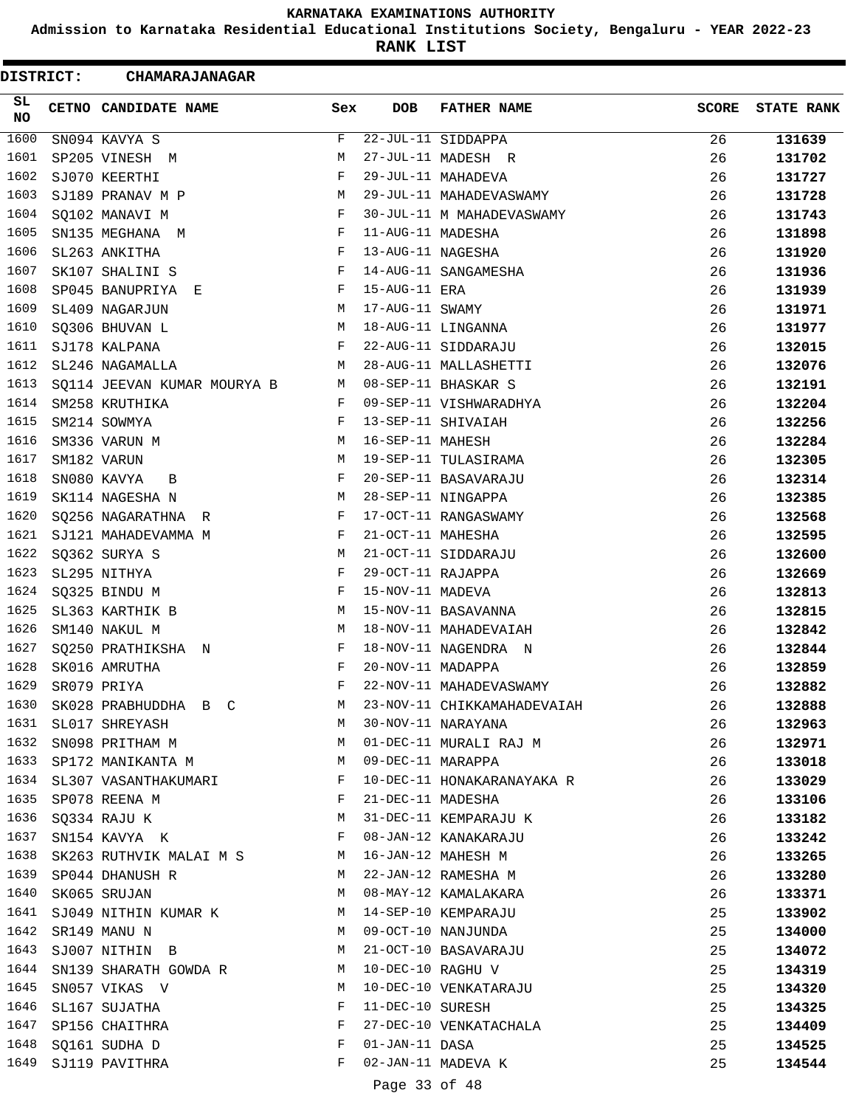**Admission to Karnataka Residential Educational Institutions Society, Bengaluru - YEAR 2022-23**

**RANK LIST**

Е

| <b>DISTRICT:</b> | CHAMARAJANAGAR                               |              |                   |                             |              |                   |
|------------------|----------------------------------------------|--------------|-------------------|-----------------------------|--------------|-------------------|
| SL<br><b>NO</b>  | CETNO CANDIDATE NAME                         | Sex          | DOB               | <b>FATHER NAME</b>          | <b>SCORE</b> | <b>STATE RANK</b> |
| 1600             | SN094 KAVYA S                                | F            |                   | 22-JUL-11 SIDDAPPA          | 26           | 131639            |
| 1601             | SP205 VINESH M                               | М            |                   | 27-JUL-11 MADESH R          | 26           | 131702            |
| 1602             | SJ070 KEERTHI                                | F            |                   | 29-JUL-11 MAHADEVA          | 26           | 131727            |
| 1603             | SJ189 PRANAV M P                             | М            |                   | 29-JUL-11 MAHADEVASWAMY     | 26           | 131728            |
| 1604             | SQ102 MANAVI M                               | F            |                   | 30-JUL-11 M MAHADEVASWAMY   | 26           | 131743            |
| 1605             | SN135 MEGHANA M                              | F            | 11-AUG-11 MADESHA |                             | 26           | 131898            |
| 1606             | SL263 ANKITHA                                | F            | 13-AUG-11 NAGESHA |                             | 26           | 131920            |
| 1607             | SK107 SHALINI S                              | F            |                   | 14-AUG-11 SANGAMESHA        | 26           | 131936            |
| 1608             | SP045 BANUPRIYA E                            | $\mathbf{F}$ | 15-AUG-11 ERA     |                             | 26           | 131939            |
| 1609             | SL409 NAGARJUN                               | M            | 17-AUG-11 SWAMY   |                             | 26           | 131971            |
| 1610             | SQ306 BHUVAN L                               | M            |                   | 18-AUG-11 LINGANNA          | 26           | 131977            |
| 1611             | SJ178 KALPANA                                | $\mathbf{F}$ |                   | 22-AUG-11 SIDDARAJU         | 26           | 132015            |
| 1612             | SL246 NAGAMALLA                              | M            |                   | 28-AUG-11 MALLASHETTI       | 26           | 132076            |
| 1613             | SQ114 JEEVAN KUMAR MOURYA B                  | M            |                   | 08-SEP-11 BHASKAR S         | 26           | 132191            |
| 1614             | SM258 KRUTHIKA                               | $\mathbf{F}$ |                   | 09-SEP-11 VISHWARADHYA      | 26           | 132204            |
| 1615             | SM214 SOWMYA                                 | F            |                   | 13-SEP-11 SHIVAIAH          | 26           | 132256            |
| 1616             | SM336 VARUN M                                | М            | 16-SEP-11 MAHESH  |                             | 26           | 132284            |
| 1617             | SM182 VARUN                                  | М            |                   | 19-SEP-11 TULASIRAMA        | 26           | 132305            |
| 1618             | SN080 KAVYA<br>B                             | F            |                   | 20-SEP-11 BASAVARAJU        | 26           | 132314            |
| 1619             | SK114 NAGESHA N                              | M            |                   | 28-SEP-11 NINGAPPA          | 26           | 132385            |
| 1620             | SQ256 NAGARATHNA R                           | F            |                   | 17-OCT-11 RANGASWAMY        | 26           | 132568            |
| 1621             | SJ121 MAHADEVAMMA M                          | F            | 21-OCT-11 MAHESHA |                             | 26           | 132595            |
| 1622             | SQ362 SURYA S                                | М            |                   | 21-OCT-11 SIDDARAJU         | 26           | 132600            |
| 1623             | SL295 NITHYA                                 | F            | 29-OCT-11 RAJAPPA |                             | 26           | 132669            |
| 1624             | SQ325 BINDU M                                | F            | 15-NOV-11 MADEVA  |                             | 26           | 132813            |
| 1625             | SL363 KARTHIK B                              | М            |                   | 15-NOV-11 BASAVANNA         | 26           | 132815            |
| 1626             | SM140 NAKUL M                                | M            |                   | 18-NOV-11 MAHADEVAIAH       | 26           | 132842            |
| 1627             | SQ250 PRATHIKSHA N                           | F            |                   | 18-NOV-11 NAGENDRA N        | 26           | 132844            |
| 1628             | SK016 AMRUTHA                                | F            | 20-NOV-11 MADAPPA |                             | 26           | 132859            |
| 1629             | SR079 PRIYA                                  | F            |                   | 22-NOV-11 MAHADEVASWAMY     | 26           | 132882            |
|                  | 1630 SK028 PRABHUDDHA B C                    | M            |                   | 23-NOV-11 CHIKKAMAHADEVAIAH | 26           | 132888            |
|                  | 1631 SL017 SHREYASH                          | M            |                   | 30-NOV-11 NARAYANA          | 26           | 132963            |
|                  | 1632 SN098 PRITHAM M                         |              |                   | M 01-DEC-11 MURALI RAJ M    | 26           | 132971            |
| 1633             | SP172 MANIKANTA M                            |              |                   | 09-DEC-11 MARAPPA           | 26           | 133018            |
| 1634             | SL307 VASANTHAKUMARI F                       |              |                   | 10-DEC-11 HONAKARANAYAKA R  | 26           | 133029            |
| 1635             | SP078 REENA M                                | F            |                   | 21-DEC-11 MADESHA           | 26           | 133106            |
| 1636             | SQ334 RAJU K                                 | M            |                   | 31-DEC-11 KEMPARAJU K       | 26           | 133182            |
| 1637             | SN154 KAVYA K $$\rm{F}$$                     |              |                   | 08-JAN-12 KANAKARAJU        | 26           | 133242            |
| 1638             | SK263 RUTHVIK MALAI M S M 16-JAN-12 MAHESH M |              |                   |                             | 26           | 133265            |
|                  | 1639 SP044 DHANUSH R                         |              |                   | M 22-JAN-12 RAMESHA M       | 26           | 133280            |
| 1640             | SK065 SRUJAN                                 |              |                   | M 08-MAY-12 KAMALAKARA      | 26           | 133371            |
| 1641             | SJ049 NITHIN KUMAR K M 14-SEP-10 KEMPARAJU   |              |                   |                             | 25           | 133902            |
| 1642             | SR149 MANU N                                 | M            |                   | 09-OCT-10 NANJUNDA          | 25           | 134000            |
| 1643             | SJ007 NITHIN B M                             |              |                   | 21-OCT-10 BASAVARAJU        | 25           | 134072            |
| 1644             | SN139 SHARATH GOWDA R M                      |              | 10-DEC-10 RAGHU V |                             | 25           | 134319            |
| 1645             | SN057 VIKAS V                                | M            |                   | 10-DEC-10 VENKATARAJU       | 25           | 134320            |
| 1646             | SL167 SUJATHA                                | $\mathbf{F}$ | 11-DEC-10 SURESH  |                             | 25           | 134325            |
| 1647             | SP156 CHAITHRA                               | $\mathbf{F}$ |                   | 27-DEC-10 VENKATACHALA      | 25           | 134409            |
| 1648             | SQ161 SUDHA D                                | F            | 01-JAN-11 DASA    |                             | 25           | 134525            |
| 1649             | SJ119 PAVITHRA                               | F            |                   | 02-JAN-11 MADEVA K          | 25           | 134544            |
|                  |                                              |              |                   |                             |              |                   |

Page 33 of 48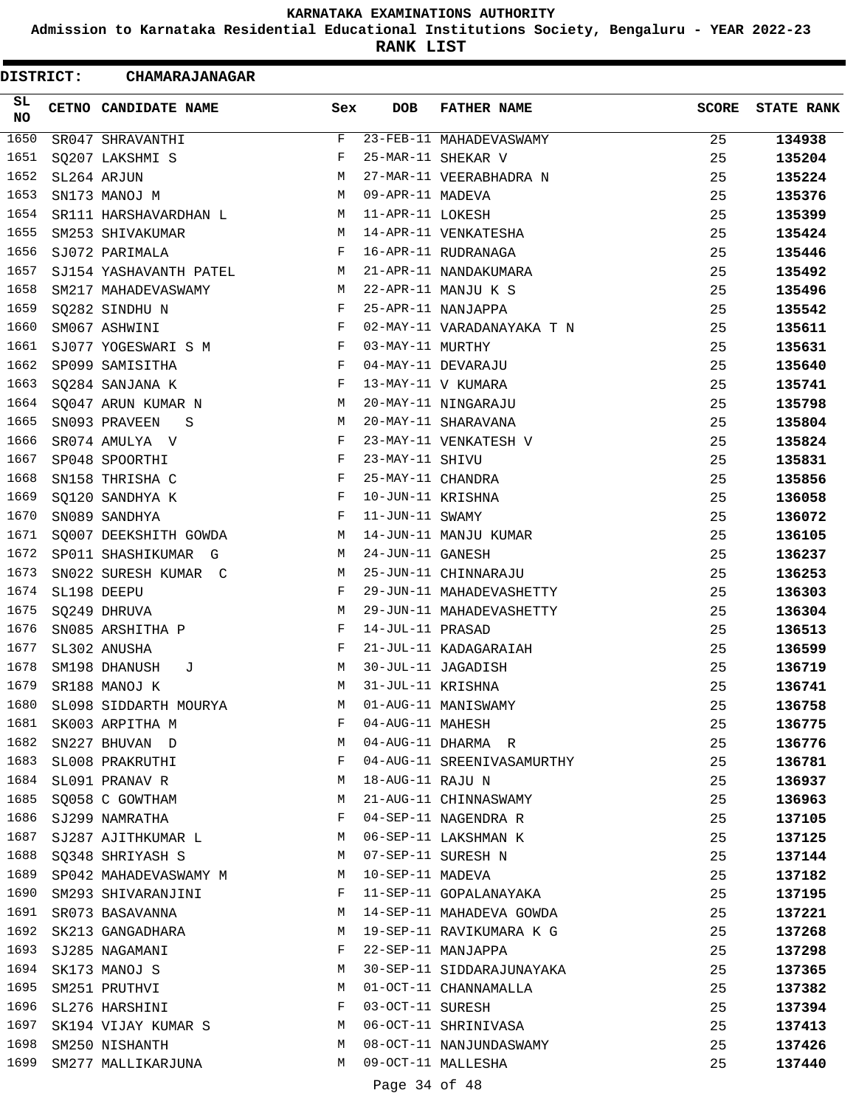**Admission to Karnataka Residential Educational Institutions Society, Bengaluru - YEAR 2022-23**

**RANK LIST**

| SL.<br>CETNO CANDIDATE NAME<br>NO | Sex                        | DOB                | <b>FATHER NAME</b>         | <b>SCORE</b> | <b>STATE RANK</b> |
|-----------------------------------|----------------------------|--------------------|----------------------------|--------------|-------------------|
| 1650<br>SR047 SHRAVANTHI          | F                          |                    | 23-FEB-11 MAHADEVASWAMY    | 25           | 134938            |
| 1651<br>SQ207 LAKSHMI S           | F                          |                    | 25-MAR-11 SHEKAR V         | 25           | 135204            |
| 1652<br>SL264 ARJUN               | M                          |                    | 27-MAR-11 VEERABHADRA N    | 25           | 135224            |
| 1653<br>SN173 MANOJ M             | M                          | 09-APR-11 MADEVA   |                            | 25           | 135376            |
| 1654                              | SR111 HARSHAVARDHAN L<br>M | 11-APR-11 LOKESH   |                            | 25           | 135399            |
| 1655<br>SM253 SHIVAKUMAR          | M                          |                    | 14-APR-11 VENKATESHA       | 25           | 135424            |
| 1656<br>SJ072 PARIMALA            | F                          |                    | 16-APR-11 RUDRANAGA        | 25           | 135446            |
| 1657<br>SJ154 YASHAVANTH PATEL    | M                          |                    | 21-APR-11 NANDAKUMARA      | 25           | 135492            |
| 1658<br>SM217 MAHADEVASWAMY       | M                          |                    | 22-APR-11 MANJU K S        | 25           | 135496            |
| 1659<br>SQ282 SINDHU N            | F                          | 25-APR-11 NANJAPPA |                            | 25           | 135542            |
| 1660<br>SM067 ASHWINI             | F                          |                    | 02-MAY-11 VARADANAYAKA T N | 25           | 135611            |
| 1661<br>SJ077 YOGESWARI S M       | $\mathbf{F}$               | 03-MAY-11 MURTHY   |                            | 25           | 135631            |
| 1662<br>SP099 SAMISITHA           | F                          |                    | 04-MAY-11 DEVARAJU         | 25           | 135640            |
| 1663<br>SQ284 SANJANA K           | F                          | 13-MAY-11 V KUMARA |                            | 25           | 135741            |
| 1664<br>SQ047 ARUN KUMAR N        | M                          |                    | 20-MAY-11 NINGARAJU        | 25           | 135798            |
| 1665<br>SN093 PRAVEEN             | М<br>S S                   |                    | 20-MAY-11 SHARAVANA        | 25           | 135804            |
| 1666<br>SR074 AMULYA V            | F                          |                    | 23-MAY-11 VENKATESH V      | 25           | 135824            |
| 1667<br>SP048 SPOORTHI            | F                          | 23-MAY-11 SHIVU    |                            | 25           | 135831            |
| 1668<br>SN158 THRISHA C           | F                          | 25-MAY-11 CHANDRA  |                            | 25           | 135856            |
| 1669<br>SQ120 SANDHYA K           | $\mathbf{F}$               | 10-JUN-11 KRISHNA  |                            | 25           | 136058            |
| 1670<br>SN089 SANDHYA             | F                          | 11-JUN-11 SWAMY    |                            | 25           | 136072            |
| 1671<br>SO007 DEEKSHITH GOWDA     | М                          |                    | 14-JUN-11 MANJU KUMAR      | 25           | 136105            |
| 1672<br>SP011 SHASHIKUMAR G       | М                          | 24-JUN-11 GANESH   |                            | 25           | 136237            |
| 1673<br>SN022 SURESH KUMAR C      | М                          |                    | 25-JUN-11 CHINNARAJU       | 25           | 136253            |
| 1674<br>SL198 DEEPU               | F                          |                    | 29-JUN-11 MAHADEVASHETTY   | 25           | 136303            |
| 1675<br>SQ249 DHRUVA              | М                          |                    | 29-JUN-11 MAHADEVASHETTY   | 25           | 136304            |
| 1676<br>SN085 ARSHITHA P          | F                          | 14-JUL-11 PRASAD   |                            | 25           | 136513            |
| 1677<br>SL302 ANUSHA              | F                          |                    | 21-JUL-11 KADAGARAIAH      | 25           | 136599            |
| 1678<br>SM198 DHANUSH             | М<br>J                     |                    | 30-JUL-11 JAGADISH         | 25           | 136719            |
| 1679<br>SR188 MANOJ K             | M                          | 31-JUL-11 KRISHNA  |                            | 25           | 136741            |
| 1680                              | SL098 SIDDARTH MOURYA<br>M |                    | 01-AUG-11 MANISWAMY        | 25           | 136758            |
| 1681<br>SK003 ARPITHA M           | F                          | 04-AUG-11 MAHESH   |                            | 25           | 136775            |
| 1682<br>SN227 BHUVAN D            | M                          |                    | 04-AUG-11 DHARMA R         | 25           | 136776            |
| 1683<br>SL008 PRAKRUTHI           | F                          |                    | 04-AUG-11 SREENIVASAMURTHY | 25           | 136781            |
| 1684<br>SL091 PRANAV R            | М                          | 18-AUG-11 RAJU N   |                            | 25           | 136937            |
| 1685<br>SQ058 C GOWTHAM           | М                          |                    | 21-AUG-11 CHINNASWAMY      | 25           | 136963            |
| 1686<br>SJ299 NAMRATHA            | F                          |                    | 04-SEP-11 NAGENDRA R       | 25           | 137105            |
| 1687<br>SJ287 AJITHKUMAR L        | M                          |                    | 06-SEP-11 LAKSHMAN K       | 25           | 137125            |
| 1688<br>SO348 SHRIYASH S          | M                          |                    | 07-SEP-11 SURESH N         | 25           | 137144            |
| 1689<br>SP042 MAHADEVASWAMY M     | M                          | 10-SEP-11 MADEVA   |                            | 25           | 137182            |
| 1690<br>SM293 SHIVARANJINI        | F                          |                    | 11-SEP-11 GOPALANAYAKA     | 25           | 137195            |
| 1691<br>SR073 BASAVANNA           | М                          |                    | 14-SEP-11 MAHADEVA GOWDA   | 25           | 137221            |
| 1692<br>SK213 GANGADHARA          | М                          |                    | 19-SEP-11 RAVIKUMARA K G   | 25           | 137268            |
| 1693<br>SJ285 NAGAMANI            | F                          |                    | 22-SEP-11 MANJAPPA         | 25           | 137298            |
| 1694<br>SK173 MANOJ S             | М                          |                    | 30-SEP-11 SIDDARAJUNAYAKA  | 25           | 137365            |
| 1695<br>SM251 PRUTHVI             | M                          |                    | 01-OCT-11 CHANNAMALLA      | 25           | 137382            |
| 1696<br>SL276 HARSHINI            | F                          | 03-OCT-11 SURESH   |                            | 25           | 137394            |
| 1697<br>SK194 VIJAY KUMAR S       | М                          |                    | 06-OCT-11 SHRINIVASA       | 25           | 137413            |
| 1698<br>SM250 NISHANTH            | M                          |                    | 08-OCT-11 NANJUNDASWAMY    | 25           | 137426            |
| 1699<br>SM277 MALLIKARJUNA        | M                          |                    | 09-OCT-11 MALLESHA         | 25           | 137440            |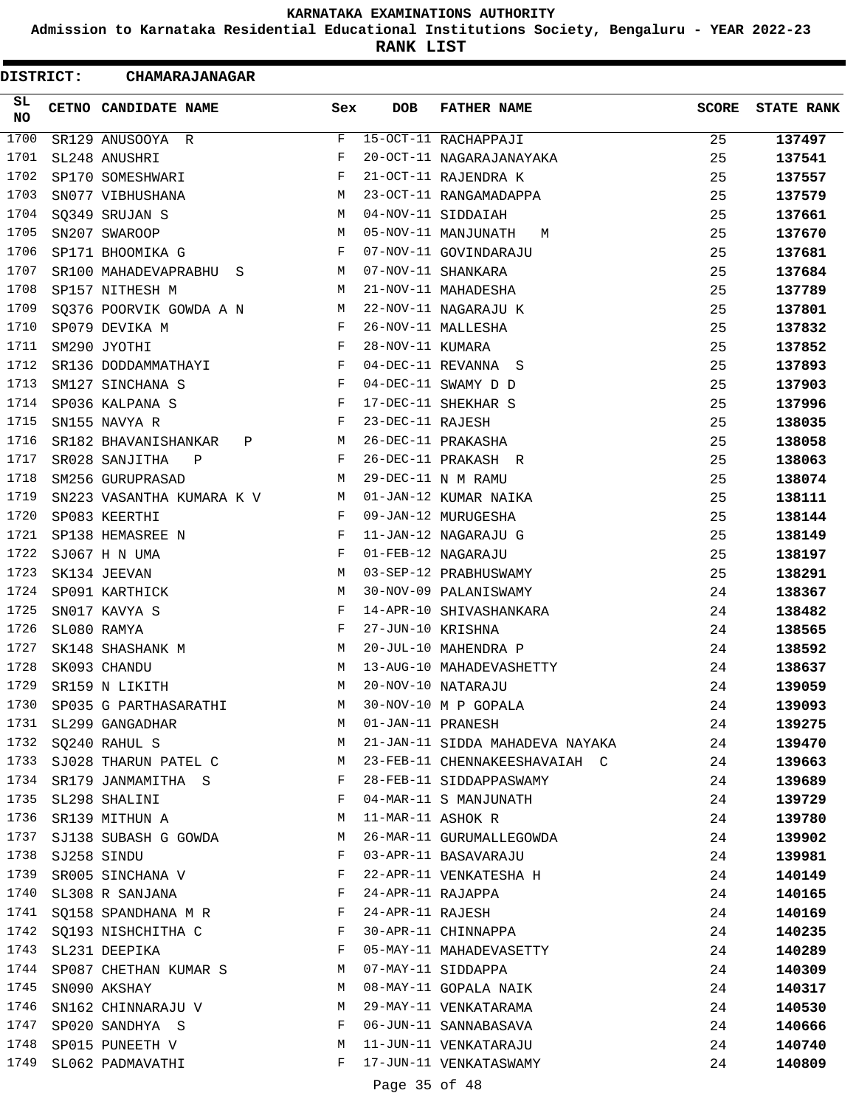**Admission to Karnataka Residential Educational Institutions Society, Bengaluru - YEAR 2022-23**

**RANK LIST**

| DISTRICT: |  | <b>CHAMARAJANAGAR</b>                                    |              |                   |                                 |              |                   |
|-----------|--|----------------------------------------------------------|--------------|-------------------|---------------------------------|--------------|-------------------|
| SL.<br>NO |  | CETNO CANDIDATE NAME                                     | Sex          | <b>DOB</b>        | <b>FATHER NAME</b>              | <b>SCORE</b> | <b>STATE RANK</b> |
| 1700      |  | SR129 ANUSOOYA R                                         | F            |                   | 15-OCT-11 RACHAPPAJI            | 25           | 137497            |
| 1701      |  | SL248 ANUSHRI                                            | F            |                   | 20-OCT-11 NAGARAJANAYAKA        | 25           | 137541            |
| 1702      |  | SP170 SOMESHWARI                                         | F            |                   | 21-OCT-11 RAJENDRA K            | 25           | 137557            |
| 1703      |  | SN077 VIBHUSHANA                                         | М            |                   | 23-OCT-11 RANGAMADAPPA          | 25           | 137579            |
| 1704      |  | SQ349 SRUJAN S                                           | М            |                   | 04-NOV-11 SIDDAIAH              | 25           | 137661            |
| 1705      |  | SN207 SWAROOP                                            | М            |                   | 05-NOV-11 MANJUNATH<br>М        | 25           | 137670            |
| 1706      |  | SP171 BHOOMIKA G                                         | F            |                   | 07-NOV-11 GOVINDARAJU           | 25           | 137681            |
| 1707      |  | SR100 MAHADEVAPRABHU S                                   | M            |                   | 07-NOV-11 SHANKARA              | 25           | 137684            |
| 1708      |  | SP157 NITHESH M                                          | М            |                   | 21-NOV-11 MAHADESHA             | 25           | 137789            |
| 1709      |  | SQ376 POORVIK GOWDA A N                                  | M            |                   | 22-NOV-11 NAGARAJU K            | 25           | 137801            |
| 1710      |  | SP079 DEVIKA M                                           | F            |                   | 26-NOV-11 MALLESHA              | 25           | 137832            |
| 1711      |  | SM290 JYOTHI                                             | $_{\rm F}$   | 28-NOV-11 KUMARA  |                                 | 25           | 137852            |
| 1712      |  | SR136 DODDAMMATHAYI                                      | F            |                   | 04-DEC-11 REVANNA S             | 25           | 137893            |
| 1713      |  | SM127 SINCHANA S                                         | F            |                   | 04-DEC-11 SWAMY D D             | 25           | 137903            |
| 1714      |  | SP036 KALPANA S                                          | F            |                   | 17-DEC-11 SHEKHAR S             | 25           | 137996            |
| 1715      |  | SN155 NAVYA R                                            | F            | 23-DEC-11 RAJESH  |                                 | 25           | 138035            |
| 1716      |  | SR182 BHAVANISHANKAR<br>Ρ                                | М            |                   | 26-DEC-11 PRAKASHA              | 25           | 138058            |
| 1717      |  | SR028 SANJITHA<br>$\mathbb{P}$                           | F            |                   | 26-DEC-11 PRAKASH R             | 25           | 138063            |
| 1718      |  | SM256 GURUPRASAD                                         | М            |                   | 29-DEC-11 N M RAMU              | 25           | 138074            |
| 1719      |  | SN223 VASANTHA KUMARA K V                                | M            |                   | 01-JAN-12 KUMAR NAIKA           | 25           | 138111            |
| 1720      |  | SP083 KEERTHI                                            | F            |                   | 09-JAN-12 MURUGESHA             | 25           | 138144            |
| 1721      |  | SP138 HEMASREE N                                         | F            |                   | 11-JAN-12 NAGARAJU G            | 25           | 138149            |
| 1722      |  | SJ067 H N UMA                                            | F            |                   | 01-FEB-12 NAGARAJU              | 25           | 138197            |
| 1723      |  | SK134 JEEVAN                                             | М            |                   | 03-SEP-12 PRABHUSWAMY           | 25           | 138291            |
| 1724      |  | SP091 KARTHICK                                           | М            |                   | 30-NOV-09 PALANISWAMY           | 24           | 138367            |
| 1725      |  | SN017 KAVYA S                                            | F            |                   | 14-APR-10 SHIVASHANKARA         | 24           | 138482            |
| 1726      |  | SL080 RAMYA                                              | F            | 27-JUN-10 KRISHNA |                                 | 24           | 138565            |
| 1727      |  | SK148 SHASHANK M                                         | М            |                   | 20-JUL-10 MAHENDRA P            | 24           | 138592            |
| 1728      |  | SK093 CHANDU                                             | M            |                   | 13-AUG-10 MAHADEVASHETTY        | 24           | 138637            |
| 1729      |  | SR159 N LIKITH                                           | M            |                   | 20-NOV-10 NATARAJU              | 24           | 139059            |
|           |  | 1730 SP035 G PARTHASARATHI                               | M            |                   | 30-NOV-10 M P GOPALA            | 24           | 139093            |
|           |  | 1731 SL299 GANGADHAR                                     | M            | 01-JAN-11 PRANESH |                                 | 24           | 139275            |
|           |  | 1732 SQ240 RAHUL S                                       | M            |                   | 21-JAN-11 SIDDA MAHADEVA NAYAKA | 24           | 139470            |
| 1733      |  | SJ028 THARUN PATEL C M                                   |              |                   | 23-FEB-11 CHENNAKEESHAVAIAH C   | 24           | 139663            |
| 1734      |  | SR179 JANMAMITHA S                                       | F            |                   | 28-FEB-11 SIDDAPPASWAMY         | 24           | 139689            |
| 1735      |  | SL298 SHALINI                                            | F            |                   | 04-MAR-11 S MANJUNATH           | 24           | 139729            |
| 1736      |  | SR139 MITHUN A                                           | М            | 11-MAR-11 ASHOK R |                                 | 24           | 139780            |
| 1737      |  | SJ138 SUBASH G GOWDA                                     | M            |                   | 26-MAR-11 GURUMALLEGOWDA        | 24           | 139902            |
| 1738      |  | SJ258 SINDU                                              | F            |                   | 03-APR-11 BASAVARAJU            | 24           | 139981            |
| 1739      |  | SR005 SINCHANA V $$\rm F$$                               |              |                   | 22-APR-11 VENKATESHA H          | 24           | 140149            |
|           |  | 1740 SL308 R SANJANA                                     | $\mathbf{F}$ |                   | 24-APR-11 RAJAPPA               | 24           | 140165            |
| 1741      |  | SQ158 SPANDHANA M R F                                    |              | 24-APR-11 RAJESH  |                                 | 24           | 140169            |
| 1742      |  | SQ193 NISHCHITHA C                                       | F            |                   | 30-APR-11 CHINNAPPA             | 24           | 140235            |
| 1743      |  | SL231 DEEPIKA                                            | F            |                   | 05-MAY-11 MAHADEVASETTY         | 24           | 140289            |
| 1744      |  | SP087 CHETHAN KUMAR S M                                  |              |                   | 07-MAY-11 SIDDAPPA              | 24           | 140309            |
| 1745      |  | SN090 AKSHAY                                             | M            |                   | 08-MAY-11 GOPALA NAIK           | 24           | 140317            |
| 1746      |  | SN162 CHINNARAJU V                                       | M            |                   | 29-MAY-11 VENKATARAMA           | 24           | 140530            |
| 1747      |  | <b>Example 20 Service State State</b><br>SP020 SANDHYA S |              |                   | 06-JUN-11 SANNABASAVA           | 24           | 140666            |
| 1748      |  | SP015 PUNEETH V                                          | М            |                   | 11-JUN-11 VENKATARAJU           | 24           | 140740            |
| 1749      |  | SL062 PADMAVATHI                                         | F            |                   | 17-JUN-11 VENKATASWAMY          | 24           | 140809            |
|           |  |                                                          |              | Page 35 of 48     |                                 |              |                   |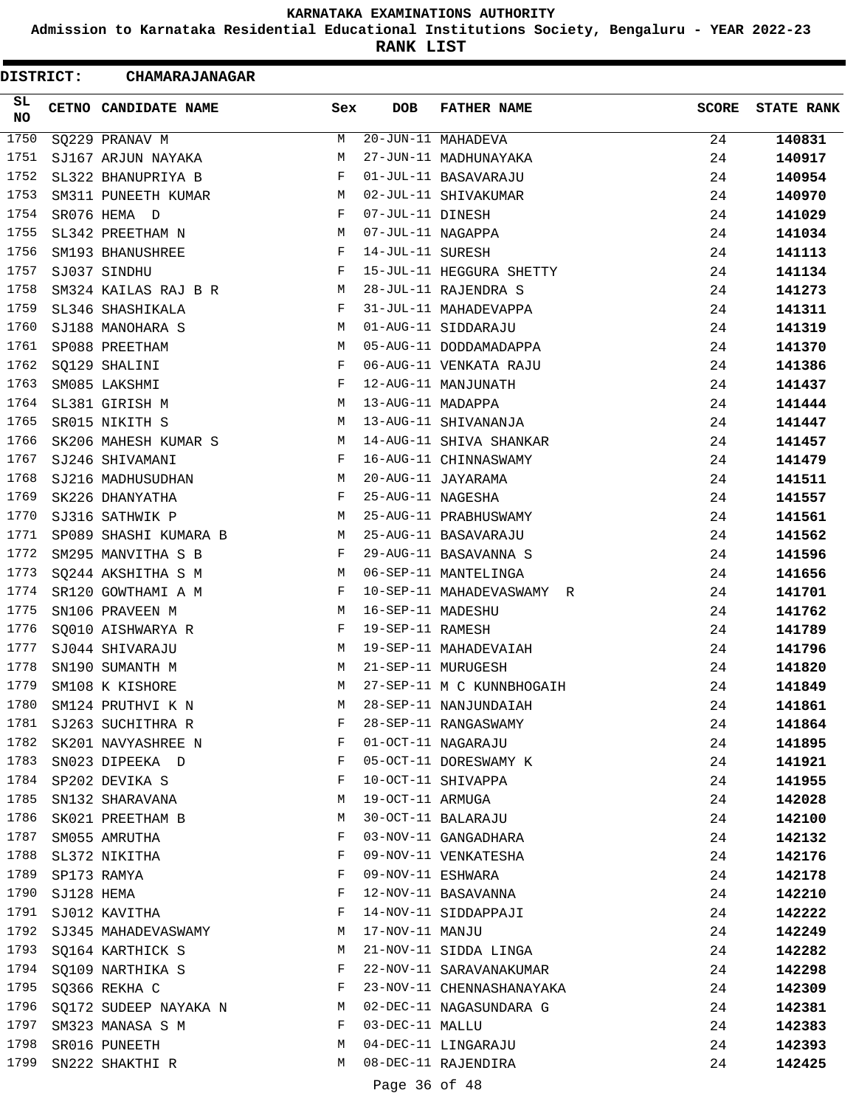**Admission to Karnataka Residential Educational Institutions Society, Bengaluru - YEAR 2022-23**

**RANK LIST**

| DISTRICT: |            | <b>CHAMARAJANAGAR</b>    |     |                   |                           |              |                   |
|-----------|------------|--------------------------|-----|-------------------|---------------------------|--------------|-------------------|
| SL.<br>NO |            | CETNO CANDIDATE NAME     | Sex | <b>DOB</b>        | <b>FATHER NAME</b>        | <b>SCORE</b> | <b>STATE RANK</b> |
| 1750      |            | SQ229 PRANAV M           | М   |                   | 20-JUN-11 MAHADEVA        | 24           | 140831            |
| 1751      |            | SJ167 ARJUN NAYAKA       | М   |                   | 27-JUN-11 MADHUNAYAKA     | 24           | 140917            |
| 1752      |            | SL322 BHANUPRIYA B       | F   |                   | 01-JUL-11 BASAVARAJU      | 24           | 140954            |
| 1753      |            | SM311 PUNEETH KUMAR      | M   |                   | 02-JUL-11 SHIVAKUMAR      | 24           | 140970            |
| 1754      |            | SR076 HEMA D             | F   | 07-JUL-11 DINESH  |                           | 24           | 141029            |
| 1755      |            | SL342 PREETHAM N         | M   | 07-JUL-11 NAGAPPA |                           | 24           | 141034            |
| 1756      |            | SM193 BHANUSHREE         | F   | 14-JUL-11 SURESH  |                           | 24           | 141113            |
| 1757      |            | SJ037 SINDHU             | F   |                   | 15-JUL-11 HEGGURA SHETTY  | 24           | 141134            |
| 1758      |            | SM324 KAILAS RAJ B R     | M   |                   | 28-JUL-11 RAJENDRA S      | 24           | 141273            |
| 1759      |            | SL346 SHASHIKALA         | F   |                   | 31-JUL-11 MAHADEVAPPA     | 24           | 141311            |
| 1760      |            | SJ188 MANOHARA S         | М   |                   | 01-AUG-11 SIDDARAJU       | 24           | 141319            |
| 1761      |            | SP088 PREETHAM           | М   |                   | 05-AUG-11 DODDAMADAPPA    | 24           | 141370            |
| 1762      |            | SQ129 SHALINI            | F   |                   | 06-AUG-11 VENKATA RAJU    | 24           | 141386            |
| 1763      |            | SM085 LAKSHMI            | F   |                   | 12-AUG-11 MANJUNATH       | 24           | 141437            |
| 1764      |            | SL381 GIRISH M           | М   | 13-AUG-11 MADAPPA |                           | 24           | 141444            |
| 1765      |            | SR015 NIKITH S           | М   |                   | 13-AUG-11 SHIVANANJA      | 24           | 141447            |
| 1766      |            | SK206 MAHESH KUMAR S     | M   |                   | 14-AUG-11 SHIVA SHANKAR   | 24           | 141457            |
| 1767      |            | SJ246 SHIVAMANI          | F   |                   | 16-AUG-11 CHINNASWAMY     | 24           | 141479            |
| 1768      |            | SJ216 MADHUSUDHAN        | М   |                   | 20-AUG-11 JAYARAMA        | 24           | 141511            |
| 1769      |            | SK226 DHANYATHA          | F   | 25-AUG-11 NAGESHA |                           | 24           | 141557            |
| 1770      |            | SJ316 SATHWIK P          | М   |                   | 25-AUG-11 PRABHUSWAMY     | 24           | 141561            |
| 1771      |            | SP089 SHASHI KUMARA B    | М   |                   | 25-AUG-11 BASAVARAJU      | 24           | 141562            |
| 1772      |            | SM295 MANVITHA S B       | F   |                   | 29-AUG-11 BASAVANNA S     | 24           | 141596            |
| 1773      |            | SQ244 AKSHITHA S M       | М   |                   | 06-SEP-11 MANTELINGA      | 24           | 141656            |
| 1774      |            | SR120 GOWTHAMI A M       | F   |                   | 10-SEP-11 MAHADEVASWAMY R | 24           | 141701            |
| 1775      |            | SN106 PRAVEEN M          | М   | 16-SEP-11 MADESHU |                           | 24           | 141762            |
| 1776      |            | SQ010 AISHWARYA R        | F   | 19-SEP-11 RAMESH  |                           | 24           | 141789            |
| 1777      |            | SJ044 SHIVARAJU          | M   |                   | 19-SEP-11 MAHADEVAIAH     | 24           | 141796            |
| 1778      |            | SN190 SUMANTH M          | М   |                   | 21-SEP-11 MURUGESH        | 24           | 141820            |
| 1779      |            | SM108 K KISHORE          | M   |                   | 27-SEP-11 M C KUNNBHOGAIH | 24           | 141849            |
| 1780      |            | SM124 PRUTHVI K N        | М   |                   | 28-SEP-11 NANJUNDAIAH     | 24           | 141861            |
| 1781      |            | SJ263 SUCHITHRA R        | F   |                   | 28-SEP-11 RANGASWAMY      | 24           | 141864            |
| 1782      |            | SK201 NAVYASHREE N       | F   |                   | 01-OCT-11 NAGARAJU        | 24           | 141895            |
| 1783      |            | SN023 DIPEEKA D          | F   |                   | 05-OCT-11 DORESWAMY K     | 24           | 141921            |
| 1784      |            | SP202 DEVIKA S           | F   |                   | 10-OCT-11 SHIVAPPA        | 24           | 141955            |
| 1785      |            | SN132 SHARAVANA          | М   | 19-OCT-11 ARMUGA  |                           | 24           | 142028            |
| 1786      |            | SK021 PREETHAM B         | М   |                   | 30-OCT-11 BALARAJU        | 24           | 142100            |
| 1787      |            | SM055 AMRUTHA            | F   |                   | 03-NOV-11 GANGADHARA      | 24           | 142132            |
| 1788      |            | SL372 NIKITHA            | F   |                   | 09-NOV-11 VENKATESHA      | 24           | 142176            |
| 1789      |            | SP173 RAMYA              | F   | 09-NOV-11 ESHWARA |                           | 24           | 142178            |
| 1790      | SJ128 HEMA |                          | F   |                   | 12-NOV-11 BASAVANNA       | 24           | 142210            |
|           |            | 1791 SJ012 KAVITHA       | F   |                   | 14-NOV-11 SIDDAPPAJI      | 24           | 142222            |
|           |            | 1792 SJ345 MAHADEVASWAMY | М   | 17-NOV-11 MANJU   |                           | 24           | 142249            |
| 1793      |            | SQ164 KARTHICK S         | М   |                   | 21-NOV-11 SIDDA LINGA     | 24           | 142282            |
| 1794      |            | SQ109 NARTHIKA S         | F   |                   | 22-NOV-11 SARAVANAKUMAR   | 24           | 142298            |
| 1795      |            | SQ366 REKHA C            | F   |                   | 23-NOV-11 CHENNASHANAYAKA | 24           | 142309            |
| 1796      |            | SQ172 SUDEEP NAYAKA N    | M   |                   | 02-DEC-11 NAGASUNDARA G   | 24           | 142381            |
| 1797      |            | SM323 MANASA S M         | F   | 03-DEC-11 MALLU   |                           | 24           | 142383            |
| 1798      |            | SR016 PUNEETH            | М   |                   | 04-DEC-11 LINGARAJU       | 24           | 142393            |
| 1799      |            | SN222 SHAKTHI R          | М   |                   | 08-DEC-11 RAJENDIRA       | 24           | 142425            |
|           |            |                          |     |                   |                           |              |                   |
|           |            |                          |     | Page 36 of 48     |                           |              |                   |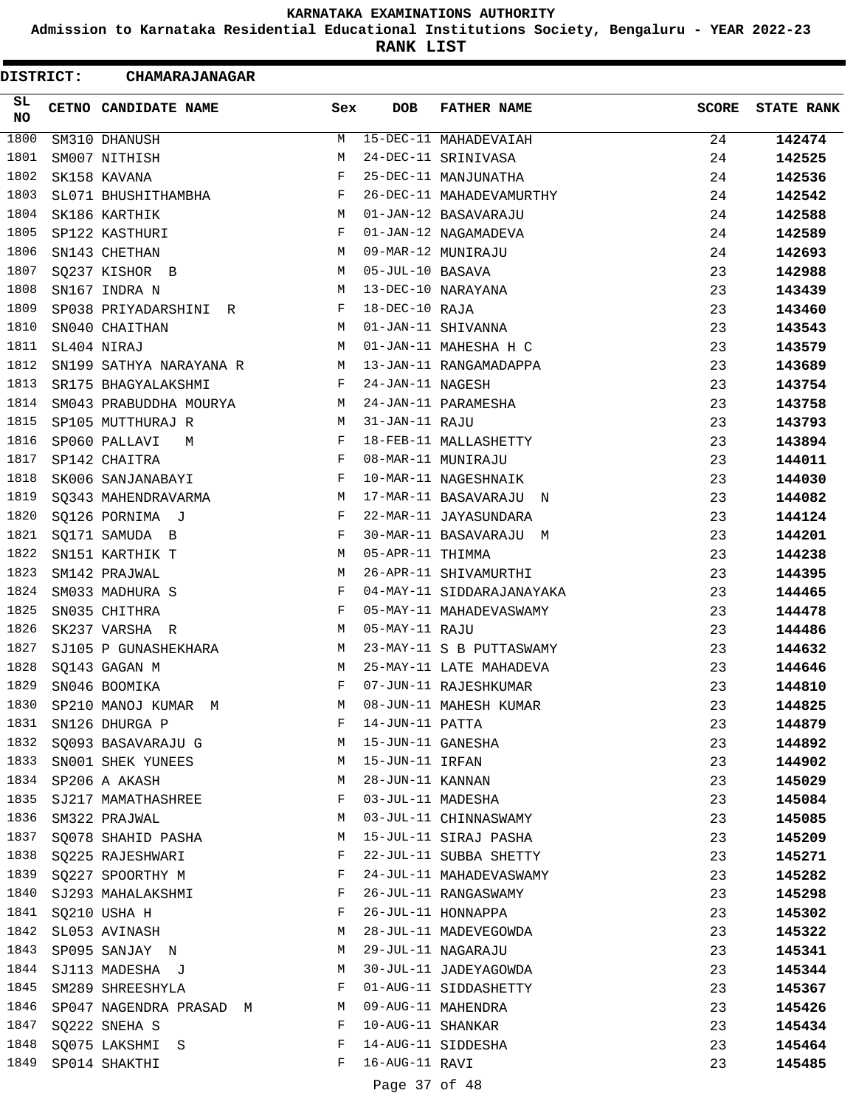**Admission to Karnataka Residential Educational Institutions Society, Bengaluru - YEAR 2022-23**

**RANK LIST**

Ξ

| <b>DISTRICT:</b> | <b>CHAMARAJANAGAR</b>   |              |                   |                           |              |                   |
|------------------|-------------------------|--------------|-------------------|---------------------------|--------------|-------------------|
| SL<br><b>NO</b>  | CETNO CANDIDATE NAME    | Sex          | <b>DOB</b>        | <b>FATHER NAME</b>        | <b>SCORE</b> | <b>STATE RANK</b> |
| 1800             | SM310 DHANUSH           | М            |                   | 15-DEC-11 MAHADEVAIAH     | 24           | 142474            |
| 1801             | SM007 NITHISH           | M            |                   | 24-DEC-11 SRINIVASA       | 24           | 142525            |
| 1802             | SK158 KAVANA            | F            |                   | 25-DEC-11 MANJUNATHA      | 24           | 142536            |
| 1803             | SL071 BHUSHITHAMBHA     | $\mathbf{F}$ |                   | 26-DEC-11 MAHADEVAMURTHY  | 24           | 142542            |
| 1804             | SK186 KARTHIK           | M            |                   | 01-JAN-12 BASAVARAJU      | 24           | 142588            |
| 1805             | SP122 KASTHURI          | F            |                   | 01-JAN-12 NAGAMADEVA      | 24           | 142589            |
| 1806             | SN143 CHETHAN           | М            |                   | 09-MAR-12 MUNIRAJU        | 24           | 142693            |
| 1807             | SQ237 KISHOR B          | М            | 05-JUL-10 BASAVA  |                           | 23           | 142988            |
| 1808             | SN167 INDRA N           | M            |                   | 13-DEC-10 NARAYANA        | 23           | 143439            |
| 1809             | SP038 PRIYADARSHINI R   | F            | 18-DEC-10 RAJA    |                           | 23           | 143460            |
| 1810             | SN040 CHAITHAN          | M            |                   | 01-JAN-11 SHIVANNA        | 23           | 143543            |
| 1811             | SL404 NIRAJ             | M            |                   | 01-JAN-11 MAHESHA H C     | 23           | 143579            |
| 1812             | SN199 SATHYA NARAYANA R | M            |                   | 13-JAN-11 RANGAMADAPPA    | 23           | 143689            |
| 1813             | SR175 BHAGYALAKSHMI     | F            | 24-JAN-11 NAGESH  |                           | 23           | 143754            |
| 1814             | SM043 PRABUDDHA MOURYA  | M            |                   | 24-JAN-11 PARAMESHA       | 23           | 143758            |
| 1815             | SP105 MUTTHURAJ R       | M            | 31-JAN-11 RAJU    |                           | 23           | 143793            |
| 1816             | SP060 PALLAVI<br>M      | F            |                   | 18-FEB-11 MALLASHETTY     | 23           | 143894            |
| 1817             | SP142 CHAITRA           | F            |                   | 08-MAR-11 MUNIRAJU        | 23           | 144011            |
| 1818             | SK006 SANJANABAYI       | F            |                   | 10-MAR-11 NAGESHNAIK      | 23           | 144030            |
| 1819             | SQ343 MAHENDRAVARMA     | M            |                   | 17-MAR-11 BASAVARAJU N    | 23           | 144082            |
| 1820             | SQ126 PORNIMA J         | $\mathbf{F}$ |                   | 22-MAR-11 JAYASUNDARA     | 23           | 144124            |
| 1821             | SQ171 SAMUDA B          | F            |                   | 30-MAR-11 BASAVARAJU M    | 23           | 144201            |
| 1822             | SN151 KARTHIK T         | М            | 05-APR-11 THIMMA  |                           | 23           | 144238            |
| 1823             | SM142 PRAJWAL           | M            |                   | 26-APR-11 SHIVAMURTHI     | 23           | 144395            |
| 1824             | SM033 MADHURA S         | F            |                   | 04-MAY-11 SIDDARAJANAYAKA | 23           | 144465            |
| 1825             | SN035 CHITHRA           | F            |                   | 05-MAY-11 MAHADEVASWAMY   | 23           | 144478            |
| 1826             | SK237 VARSHA R          | M            | 05-MAY-11 RAJU    |                           | 23           | 144486            |
| 1827             | SJ105 P GUNASHEKHARA    | М            |                   | 23-MAY-11 S B PUTTASWAMY  | 23           | 144632            |
| 1828             | SQ143 GAGAN M           | M            |                   | 25-MAY-11 LATE MAHADEVA   | 23           | 144646            |
| 1829             | SN046 BOOMIKA           | F            |                   | 07-JUN-11 RAJESHKUMAR     | 23           | 144810            |
| 1830             | SP210 MANOJ KUMAR M     | M            |                   | 08-JUN-11 MAHESH KUMAR    | 23           | 144825            |
| 1831             | SN126 DHURGA P          | $\mathbf{F}$ | 14-JUN-11 PATTA   |                           | 23           | 144879            |
| 1832             | SQ093 BASAVARAJU G      | М            | 15-JUN-11 GANESHA |                           | 23           | 144892            |
| 1833             | SN001 SHEK YUNEES       | М            | 15-JUN-11 IRFAN   |                           | 23           | 144902            |
| 1834             | SP206 A AKASH           | М            | 28-JUN-11 KANNAN  |                           | 23           | 145029            |
| 1835             | SJ217 MAMATHASHREE      | F            | 03-JUL-11 MADESHA |                           | 23           | 145084            |
| 1836             |                         | М            |                   | 03-JUL-11 CHINNASWAMY     |              |                   |
| 1837             | SM322 PRAJWAL           | M            |                   | 15-JUL-11 SIRAJ PASHA     | 23           | 145085            |
| 1838             | SQ078 SHAHID PASHA      | F            |                   | 22-JUL-11 SUBBA SHETTY    | 23           | 145209            |
|                  | SQ225 RAJESHWARI        |              |                   |                           | 23           | 145271            |
| 1839             | SQ227 SPOORTHY M        | F            |                   | 24-JUL-11 MAHADEVASWAMY   | 23           | 145282            |
| 1840             | SJ293 MAHALAKSHMI       | F            |                   | 26-JUL-11 RANGASWAMY      | 23           | 145298            |
| 1841             | SQ210 USHA H            | F            |                   | 26-JUL-11 HONNAPPA        | 23           | 145302            |
| 1842             | SL053 AVINASH           | М            |                   | 28-JUL-11 MADEVEGOWDA     | 23           | 145322            |
| 1843             | SP095 SANJAY N          | M            |                   | 29-JUL-11 NAGARAJU        | 23           | 145341            |
| 1844             | SJ113 MADESHA J         | М            |                   | 30-JUL-11 JADEYAGOWDA     | 23           | 145344            |
| 1845             | SM289 SHREESHYLA        | F            |                   | 01-AUG-11 SIDDASHETTY     | 23           | 145367            |
| 1846             | SP047 NAGENDRA PRASAD M | M            |                   | 09-AUG-11 MAHENDRA        | 23           | 145426            |
| 1847             | SQ222 SNEHA S           | F            | 10-AUG-11 SHANKAR |                           | 23           | 145434            |
| 1848             | SQ075 LAKSHMI S         | F            |                   | 14-AUG-11 SIDDESHA        | 23           | 145464            |
| 1849             | SP014 SHAKTHI           | F            | 16-AUG-11 RAVI    |                           | 23           | 145485            |

# Page 37 of 48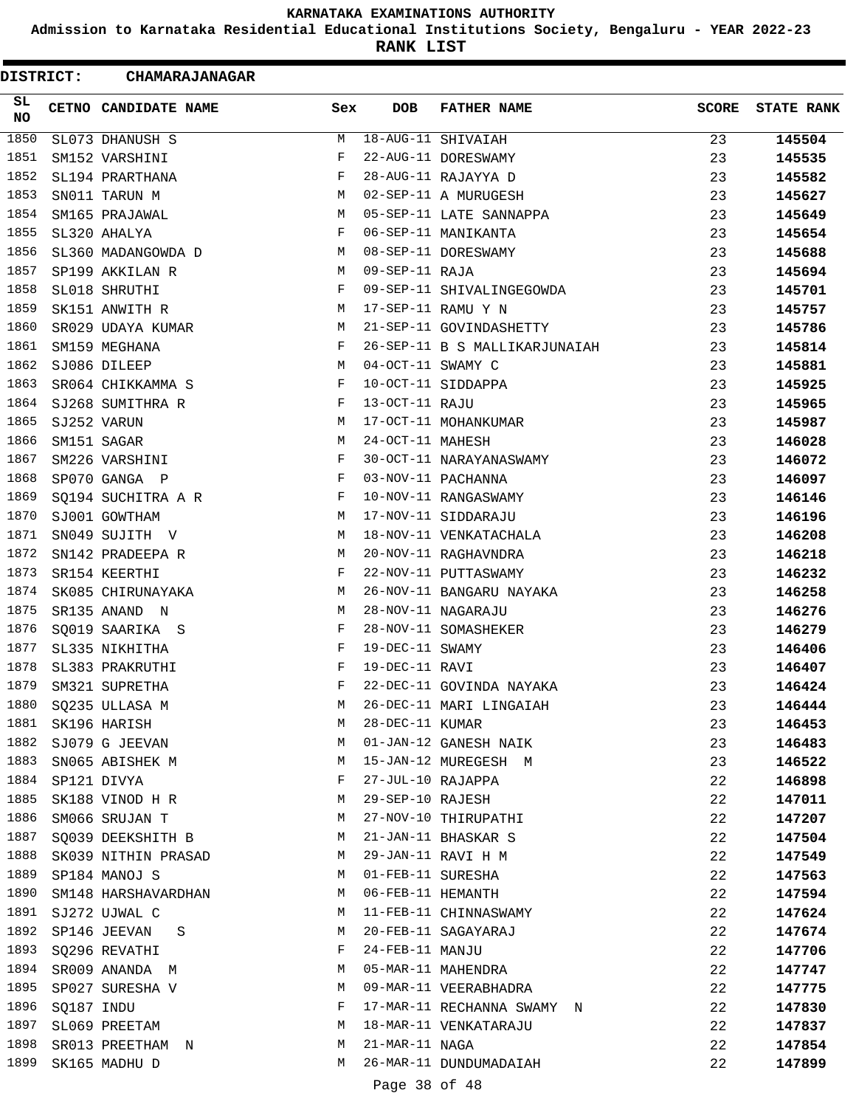**Admission to Karnataka Residential Educational Institutions Society, Bengaluru - YEAR 2022-23**

**RANK LIST**

|           | DISTRICT:  | <b>CHAMARAJANAGAR</b> |            |                   |                               |              |                   |
|-----------|------------|-----------------------|------------|-------------------|-------------------------------|--------------|-------------------|
| SL.<br>NO |            | CETNO CANDIDATE NAME  | Sex        | <b>DOB</b>        | <b>FATHER NAME</b>            | <b>SCORE</b> | <b>STATE RANK</b> |
| 1850      |            | SL073 DHANUSH S       | М          |                   | 18-AUG-11 SHIVAIAH            | 23           | 145504            |
| 1851      |            | SM152 VARSHINI        | F          |                   | 22-AUG-11 DORESWAMY           | 23           | 145535            |
| 1852      |            | SL194 PRARTHANA       | F          |                   | 28-AUG-11 RAJAYYA D           | 23           | 145582            |
| 1853      |            | SN011 TARUN M         | М          |                   | 02-SEP-11 A MURUGESH          | 23           | 145627            |
| 1854      |            | SM165 PRAJAWAL        | М          |                   | 05-SEP-11 LATE SANNAPPA       | 23           | 145649            |
| 1855      |            | SL320 AHALYA          | F          |                   | 06-SEP-11 MANIKANTA           | 23           | 145654            |
| 1856      |            | SL360 MADANGOWDA D    | M          |                   | 08-SEP-11 DORESWAMY           | 23           | 145688            |
| 1857      |            | SP199 AKKILAN R       | М          | 09-SEP-11 RAJA    |                               | 23           | 145694            |
| 1858      |            | SL018 SHRUTHI         | F          |                   | 09-SEP-11 SHIVALINGEGOWDA     | 23           | 145701            |
| 1859      |            | SK151 ANWITH R        | М          |                   | 17-SEP-11 RAMU Y N            | 23           | 145757            |
| 1860      |            | SR029 UDAYA KUMAR     | М          |                   | 21-SEP-11 GOVINDASHETTY       | 23           | 145786            |
| 1861      |            | SM159 MEGHANA         | F          |                   | 26-SEP-11 B S MALLIKARJUNAIAH | 23           | 145814            |
| 1862      |            | SJ086 DILEEP          | М          | 04-OCT-11 SWAMY C |                               | 23           | 145881            |
| 1863      |            | SR064 CHIKKAMMA S     | F          |                   | 10-OCT-11 SIDDAPPA            | 23           | 145925            |
| 1864      |            | SJ268 SUMITHRA R      | F          | 13-OCT-11 RAJU    |                               | 23           | 145965            |
| 1865      |            | SJ252 VARUN           | М          |                   | 17-OCT-11 MOHANKUMAR          | 23           | 145987            |
| 1866      |            | SM151 SAGAR           | М          | 24-OCT-11 MAHESH  |                               | 23           | 146028            |
| 1867      |            | SM226 VARSHINI        | F          |                   | 30-OCT-11 NARAYANASWAMY       | 23           | 146072            |
| 1868      |            | SP070 GANGA P         | $_{\rm F}$ |                   | 03-NOV-11 PACHANNA            | 23           | 146097            |
| 1869      |            | SQ194 SUCHITRA A R    | F          |                   | 10-NOV-11 RANGASWAMY          | 23           | 146146            |
| 1870      |            | SJ001 GOWTHAM         | М          |                   | 17-NOV-11 SIDDARAJU           | 23           | 146196            |
| 1871      |            | SN049 SUJITH V        | М          |                   | 18-NOV-11 VENKATACHALA        | 23           | 146208            |
| 1872      |            | SN142 PRADEEPA R      | М          |                   | 20-NOV-11 RAGHAVNDRA          | 23           | 146218            |
| 1873      |            | SR154 KEERTHI         | F          |                   | 22-NOV-11 PUTTASWAMY          | 23           | 146232            |
| 1874      |            | SK085 CHIRUNAYAKA     | М          |                   | 26-NOV-11 BANGARU NAYAKA      | 23           | 146258            |
| 1875      |            | SR135 ANAND N         | М          |                   | 28-NOV-11 NAGARAJU            | 23           | 146276            |
| 1876      |            | SQ019 SAARIKA S       | F          |                   | 28-NOV-11 SOMASHEKER          | 23           | 146279            |
| 1877      |            | SL335 NIKHITHA        | F          | 19-DEC-11 SWAMY   |                               | 23           | 146406            |
| 1878      |            | SL383 PRAKRUTHI       | F          | 19-DEC-11 RAVI    |                               | 23           | 146407            |
| 1879      |            | SM321 SUPRETHA        | F          |                   | 22-DEC-11 GOVINDA NAYAKA      | 23           | 146424            |
| 1880      |            | SQ235 ULLASA M        | M          |                   | 26-DEC-11 MARI LINGAIAH       | 23           | 146444            |
| 1881      |            | SK196 HARISH          | М          | 28-DEC-11 KUMAR   |                               | 23           | 146453            |
| 1882      |            | SJ079 G JEEVAN        | М          |                   | 01-JAN-12 GANESH NAIK         | 23           | 146483            |
| 1883      |            | SN065 ABISHEK M       | М          |                   | 15-JAN-12 MUREGESH M          | 23           | 146522            |
| 1884      |            | SP121 DIVYA           | F          | 27-JUL-10 RAJAPPA |                               | 22           | 146898            |
| 1885      |            | SK188 VINOD H R       | M          | 29-SEP-10 RAJESH  |                               | 22           | 147011            |
| 1886      |            | SM066 SRUJAN T        | М          |                   | 27-NOV-10 THIRUPATHI          | 22           | 147207            |
| 1887      |            | SQ039 DEEKSHITH B     | M          |                   | 21-JAN-11 BHASKAR S           | 22           | 147504            |
| 1888      |            | SK039 NITHIN PRASAD   | М          |                   | 29-JAN-11 RAVI H M            | 22           | 147549            |
| 1889      |            | SP184 MANOJ S         | M          | 01-FEB-11 SURESHA |                               | 22           | 147563            |
| 1890      |            | SM148 HARSHAVARDHAN   | M          |                   | 06-FEB-11 HEMANTH             | 22           | 147594            |
|           |            | 1891 SJ272 UJWAL C    | М          |                   | 11-FEB-11 CHINNASWAMY         | 22           | 147624            |
|           |            | 1892 SP146 JEEVAN S   | М          |                   | 20-FEB-11 SAGAYARAJ           | 22           | 147674            |
| 1893      |            | SQ296 REVATHI         | F          | 24-FEB-11 MANJU   |                               | 22           | 147706            |
| 1894      |            | SR009 ANANDA M        | М          |                   | 05-MAR-11 MAHENDRA            | 22           | 147747            |
| 1895      |            | SP027 SURESHA V       | M          |                   | 09-MAR-11 VEERABHADRA         | 22           | 147775            |
| 1896      | SQ187 INDU |                       | F          |                   | 17-MAR-11 RECHANNA SWAMY N    | 22           | 147830            |
| 1897      |            | SL069 PREETAM         | M          |                   | 18-MAR-11 VENKATARAJU         | 22           | 147837            |
| 1898      |            | SR013 PREETHAM N      | М          | 21-MAR-11 NAGA    |                               | 22           | 147854            |
| 1899      |            | SK165 MADHU D         | М          |                   | 26-MAR-11 DUNDUMADAIAH        | 22           | 147899            |
|           |            |                       |            |                   |                               |              |                   |
|           |            |                       |            | Page 38 of 48     |                               |              |                   |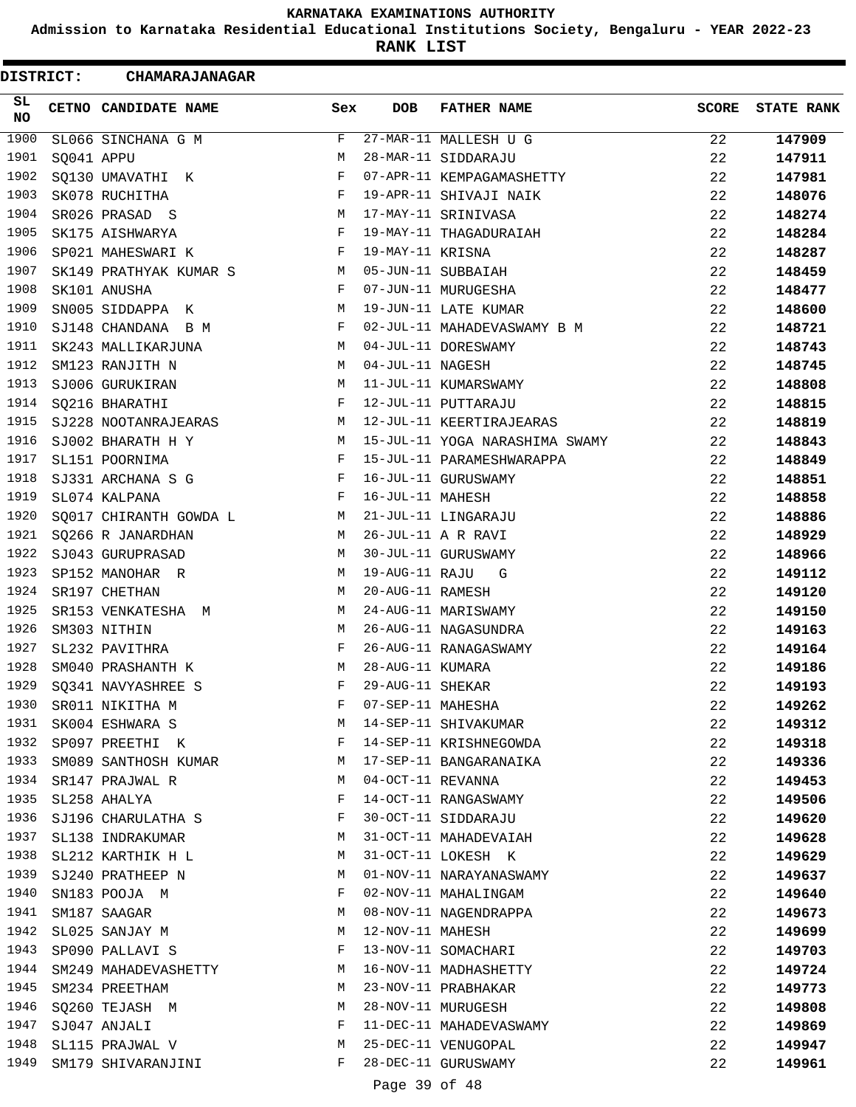**Admission to Karnataka Residential Educational Institutions Society, Bengaluru - YEAR 2022-23**

**RANK LIST**

| <b>DISTRICT:</b> |            | <b>CHAMARAJANAGAR</b>  |     |                   |                                |              |                   |
|------------------|------------|------------------------|-----|-------------------|--------------------------------|--------------|-------------------|
| SL<br>NO         |            | CETNO CANDIDATE NAME   | Sex | <b>DOB</b>        | <b>FATHER NAME</b>             | <b>SCORE</b> | <b>STATE RANK</b> |
| 1900             |            | SL066 SINCHANA G M     | F   |                   | 27-MAR-11 MALLESH U G          | 22           | 147909            |
| 1901             | SQ041 APPU |                        | M   |                   | 28-MAR-11 SIDDARAJU            | 22           | 147911            |
| 1902             |            | SQ130 UMAVATHI K       | F   |                   | 07-APR-11 KEMPAGAMASHETTY      | 22           | 147981            |
| 1903             |            | SK078 RUCHITHA         | F   |                   | 19-APR-11 SHIVAJI NAIK         | 22           | 148076            |
| 1904             |            | SR026 PRASAD S         | М   |                   | 17-MAY-11 SRINIVASA            | 22           | 148274            |
| 1905             |            | SK175 AISHWARYA        | F   |                   | 19-MAY-11 THAGADURAIAH         | 22           | 148284            |
| 1906             |            | SP021 MAHESWARI K      | F   | 19-MAY-11 KRISNA  |                                | 22           | 148287            |
| 1907             |            | SK149 PRATHYAK KUMAR S | M   |                   | 05-JUN-11 SUBBAIAH             | 22           | 148459            |
| 1908             |            | SK101 ANUSHA           | F   |                   | 07-JUN-11 MURUGESHA            | 22           | 148477            |
| 1909             |            | SN005 SIDDAPPA K       | M   |                   | 19-JUN-11 LATE KUMAR           | 22           | 148600            |
| 1910             |            | SJ148 CHANDANA B M     | F   |                   | 02-JUL-11 MAHADEVASWAMY B M    | 22           | 148721            |
| 1911             |            | SK243 MALLIKARJUNA     | M   |                   | 04-JUL-11 DORESWAMY            | 22           | 148743            |
| 1912             |            | SM123 RANJITH N        | M   | 04-JUL-11 NAGESH  |                                | 22           | 148745            |
| 1913             |            | SJ006 GURUKIRAN        | M   |                   | 11-JUL-11 KUMARSWAMY           | 22           | 148808            |
| 1914             |            | SQ216 BHARATHI         | F   |                   | 12-JUL-11 PUTTARAJU            | 22           | 148815            |
| 1915             |            | SJ228 NOOTANRAJEARAS   | М   |                   | 12-JUL-11 KEERTIRAJEARAS       | 22           | 148819            |
| 1916             |            | SJ002 BHARATH H Y      | M   |                   | 15-JUL-11 YOGA NARASHIMA SWAMY | 22           | 148843            |
| 1917             |            | SL151 POORNIMA         | F   |                   | 15-JUL-11 PARAMESHWARAPPA      | 22           | 148849            |
| 1918             |            | SJ331 ARCHANA S G      | F   |                   | 16-JUL-11 GURUSWAMY            | 22           | 148851            |
| 1919             |            | SL074 KALPANA          | F   | 16-JUL-11 MAHESH  |                                | 22           | 148858            |
| 1920             |            | SQ017 CHIRANTH GOWDA L | М   |                   | 21-JUL-11 LINGARAJU            | 22           | 148886            |
| 1921             |            | SQ266 R JANARDHAN      | M   |                   | 26-JUL-11 A R RAVI             | 22           | 148929            |
| 1922             |            | SJ043 GURUPRASAD       | M   |                   | 30-JUL-11 GURUSWAMY            | 22           | 148966            |
| 1923             |            | SP152 MANOHAR R        | M   |                   | 19-AUG-11 RAJU G               | 22           | 149112            |
| 1924             |            | SR197 CHETHAN          | М   | 20-AUG-11 RAMESH  |                                | 22           | 149120            |
| 1925             |            | SR153 VENKATESHA M     | M   |                   | 24-AUG-11 MARISWAMY            | 22           | 149150            |
| 1926             |            | SM303 NITHIN           | M   |                   | 26-AUG-11 NAGASUNDRA           | 22           | 149163            |
| 1927             |            | SL232 PAVITHRA         | F   |                   | 26-AUG-11 RANAGASWAMY          | 22           | 149164            |
| 1928             |            | SM040 PRASHANTH K      | М   | 28-AUG-11 KUMARA  |                                | 22           | 149186            |
| 1929             |            | SO341 NAVYASHREE S     | F   | 29-AUG-11 SHEKAR  |                                | 22           | 149193            |
| 1930             |            | SR011 NIKITHA M        | F   | 07-SEP-11 MAHESHA |                                | 22           | 149262            |
| 1931             |            | SK004 ESHWARA S        | M   |                   | 14-SEP-11 SHIVAKUMAR           | 22           | 149312            |
| 1932             |            | SP097 PREETHI K        | F   |                   | 14-SEP-11 KRISHNEGOWDA         | 22           | 149318            |
| 1933             |            | SM089 SANTHOSH KUMAR   | M   |                   | 17-SEP-11 BANGARANAIKA         | 22           | 149336            |
| 1934             |            | SR147 PRAJWAL R        | М   | 04-OCT-11 REVANNA |                                | 22           | 149453            |
| 1935             |            | SL258 AHALYA           | F   |                   | 14-OCT-11 RANGASWAMY           | 22           | 149506            |
| 1936             |            | SJ196 CHARULATHA S     | F   |                   | 30-OCT-11 SIDDARAJU            | 22           | 149620            |
| 1937             |            | SL138 INDRAKUMAR       | M   |                   | 31-OCT-11 MAHADEVAIAH          | 22           | 149628            |
| 1938             |            | SL212 KARTHIK H L      | M   |                   | 31-OCT-11 LOKESH K             | 22           | 149629            |
| 1939             |            | SJ240 PRATHEEP N       | М   |                   | 01-NOV-11 NARAYANASWAMY        | 22           | 149637            |
| 1940             |            | SN183 POOJA M          | F   |                   | 02-NOV-11 MAHALINGAM           | 22           | 149640            |
| 1941             |            | SM187 SAAGAR           | M   |                   | 08-NOV-11 NAGENDRAPPA          | 22           | 149673            |
| 1942             |            | SL025 SANJAY M         | М   | 12-NOV-11 MAHESH  |                                | 22           | 149699            |
| 1943             |            | SP090 PALLAVI S        | F   |                   | 13-NOV-11 SOMACHARI            | 22           | 149703            |
| 1944             |            | SM249 MAHADEVASHETTY   | М   |                   | 16-NOV-11 MADHASHETTY          | 22           | 149724            |
| 1945             |            | SM234 PREETHAM         | M   |                   | 23-NOV-11 PRABHAKAR            | 22           | 149773            |
| 1946             |            | SQ260 TEJASH M         | М   |                   | 28-NOV-11 MURUGESH             | 22           | 149808            |
| 1947             |            | SJ047 ANJALI           | F   |                   | 11-DEC-11 MAHADEVASWAMY        | 22           | 149869            |
| 1948             |            | SL115 PRAJWAL V        | М   |                   | 25-DEC-11 VENUGOPAL            | 22           | 149947            |
| 1949             |            | SM179 SHIVARANJINI     | F   |                   | 28-DEC-11 GURUSWAMY            | 22           | 149961            |
|                  |            |                        |     | Page 39 of 48     |                                |              |                   |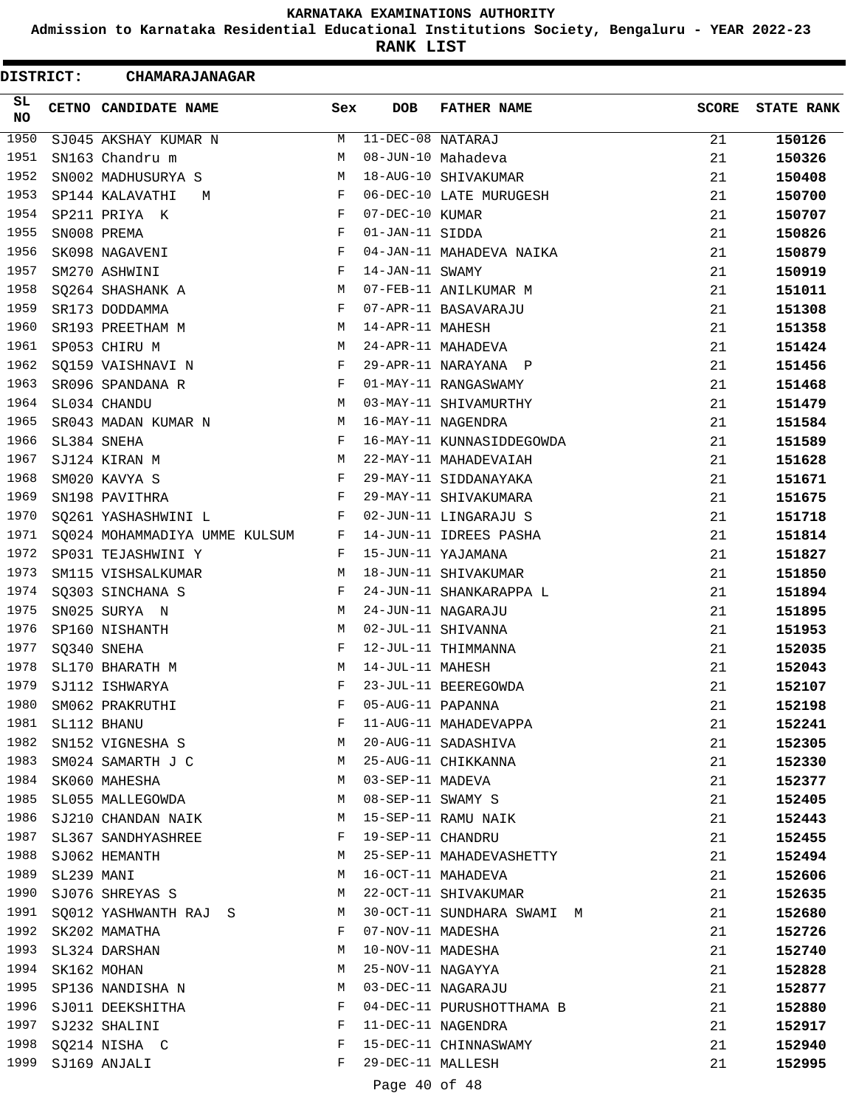**Admission to Karnataka Residential Educational Institutions Society, Bengaluru - YEAR 2022-23**

**RANK LIST**

| <b>DISTRICT:</b> |            | <b>CHAMARAJANAGAR</b>           |     |                   |                            |              |                   |
|------------------|------------|---------------------------------|-----|-------------------|----------------------------|--------------|-------------------|
| SL<br>NO         |            | CETNO CANDIDATE NAME            | Sex | <b>DOB</b>        | <b>FATHER NAME</b>         | <b>SCORE</b> | <b>STATE RANK</b> |
| 1950             |            | SJ045 AKSHAY KUMAR N            | М   | 11-DEC-08 NATARAJ |                            | 21           | 150126            |
| 1951             |            | SN163 Chandru m                 | М   |                   | 08-JUN-10 Mahadeva         | 21           | 150326            |
| 1952             |            | SN002 MADHUSURYA S              | М   |                   | 18-AUG-10 SHIVAKUMAR       | 21           | 150408            |
| 1953             |            | SP144 KALAVATHI<br>M            | F   |                   | 06-DEC-10 LATE MURUGESH    | 21           | 150700            |
| 1954             |            | SP211 PRIYA K                   | F   | 07-DEC-10 KUMAR   |                            | 21           | 150707            |
| 1955             |            | SN008 PREMA                     | F   | 01-JAN-11 SIDDA   |                            | 21           | 150826            |
| 1956             |            | SK098 NAGAVENI                  | F   |                   | 04-JAN-11 MAHADEVA NAIKA   | 21           | 150879            |
| 1957             |            | SM270 ASHWINI                   | F   | 14-JAN-11 SWAMY   |                            | 21           | 150919            |
| 1958             |            | SQ264 SHASHANK A                | M   |                   | 07-FEB-11 ANILKUMAR M      | 21           | 151011            |
| 1959             |            | SR173 DODDAMMA                  | F   |                   | 07-APR-11 BASAVARAJU       | 21           | 151308            |
| 1960             |            | SR193 PREETHAM M                | M   | 14-APR-11 MAHESH  |                            | 21           | 151358            |
| 1961             |            | SP053 CHIRU M                   | M   |                   | 24-APR-11 MAHADEVA         | 21           | 151424            |
| 1962             |            | SQ159 VAISHNAVI N               | F   |                   | 29-APR-11 NARAYANA P       | 21           | 151456            |
| 1963             |            | SR096 SPANDANA R                | F   |                   | 01-MAY-11 RANGASWAMY       | 21           | 151468            |
| 1964             |            | SL034 CHANDU                    | M   |                   | 03-MAY-11 SHIVAMURTHY      | 21           | 151479            |
| 1965             |            | SR043 MADAN KUMAR N             | M   |                   | 16-MAY-11 NAGENDRA         | 21           | 151584            |
| 1966             |            | SL384 SNEHA                     | F   |                   | 16-MAY-11 KUNNASIDDEGOWDA  | 21           | 151589            |
| 1967             |            | SJ124 KIRAN M                   | М   |                   | 22-MAY-11 MAHADEVAIAH      | 21           | 151628            |
| 1968             |            | SM020 KAVYA S                   | F   |                   | 29-MAY-11 SIDDANAYAKA      | 21           | 151671            |
| 1969             |            | SN198 PAVITHRA                  | F   |                   | 29-MAY-11 SHIVAKUMARA      | 21           | 151675            |
| 1970             |            | SQ261 YASHASHWINI L             | F   |                   | 02-JUN-11 LINGARAJU S      | 21           | 151718            |
| 1971             |            | SQ024 MOHAMMADIYA UMME KULSUM F |     |                   | 14-JUN-11 IDREES PASHA     | 21           | 151814            |
| 1972             |            | SP031 TEJASHWINI Y              | F   |                   | 15-JUN-11 YAJAMANA         | 21           | 151827            |
| 1973             |            | SM115 VISHSALKUMAR              | М   |                   | 18-JUN-11 SHIVAKUMAR       | 21           | 151850            |
| 1974             |            | SQ303 SINCHANA S                | F   |                   | 24-JUN-11 SHANKARAPPA L    | 21           | 151894            |
| 1975             |            | SN025 SURYA N                   | М   |                   | 24-JUN-11 NAGARAJU         | 21           | 151895            |
| 1976             |            | SP160 NISHANTH                  | М   |                   | 02-JUL-11 SHIVANNA         | 21           | 151953            |
| 1977             |            | SQ340 SNEHA                     | F   |                   | 12-JUL-11 THIMMANNA        | 21           | 152035            |
| 1978             |            | SL170 BHARATH M                 | М   | 14-JUL-11 MAHESH  |                            | 21           | 152043            |
| 1979             |            | SJ112 ISHWARYA                  | F   |                   | 23-JUL-11 BEEREGOWDA       | 21           | 152107            |
| 1980             |            | SM062 PRAKRUTHI                 | F   | 05-AUG-11 PAPANNA |                            | 21           | 152198            |
| 1981             |            | SL112 BHANU                     | F   |                   | 11-AUG-11 MAHADEVAPPA      | 21           | 152241            |
| 1982             |            | SN152 VIGNESHA S                | М   |                   | 20-AUG-11 SADASHIVA        | 21           | 152305            |
| 1983             |            | SM024 SAMARTH J C               | M   |                   | 25-AUG-11 CHIKKANNA        | 21           | 152330            |
| 1984             |            | SK060 MAHESHA                   | M   | 03-SEP-11 MADEVA  |                            | 21           | 152377            |
| 1985             |            | SL055 MALLEGOWDA                | М   | 08-SEP-11 SWAMY S |                            | 21           | 152405            |
| 1986             |            | SJ210 CHANDAN NAIK              | М   |                   | 15-SEP-11 RAMU NAIK        | 21           | 152443            |
| 1987             |            | SL367 SANDHYASHREE              | F   | 19-SEP-11 CHANDRU |                            | 21           | 152455            |
| 1988             |            | SJ062 HEMANTH                   | М   |                   | 25-SEP-11 MAHADEVASHETTY   | 21           | 152494            |
| 1989             | SL239 MANI |                                 | М   |                   | 16-OCT-11 MAHADEVA         | 21           | 152606            |
| 1990             |            | SJ076 SHREYAS S                 | M   |                   | 22-OCT-11 SHIVAKUMAR       | 21           | 152635            |
|                  |            | 1991 SQ012 YASHWANTH RAJ S      | М   |                   | 30-OCT-11 SUNDHARA SWAMI M | 21           | 152680            |
| 1992             |            | SK202 MAMATHA                   | F   | 07-NOV-11 MADESHA |                            | 21           | 152726            |
| 1993             |            | SL324 DARSHAN                   | М   | 10-NOV-11 MADESHA |                            | 21           | 152740            |
| 1994             |            | SK162 MOHAN                     | М   | 25-NOV-11 NAGAYYA |                            | 21           | 152828            |
| 1995             |            | SP136 NANDISHA N                | М   |                   | 03-DEC-11 NAGARAJU         | 21           | 152877            |
| 1996             |            | SJ011 DEEKSHITHA                | F   |                   | 04-DEC-11 PURUSHOTTHAMA B  | 21           | 152880            |
| 1997             |            | SJ232 SHALINI                   | F   |                   | 11-DEC-11 NAGENDRA         | 21           | 152917            |
| 1998             |            | SQ214 NISHA C                   | F   |                   | 15-DEC-11 CHINNASWAMY      | 21           | 152940            |
| 1999             |            | SJ169 ANJALI                    | F   | 29-DEC-11 MALLESH |                            | 21           | 152995            |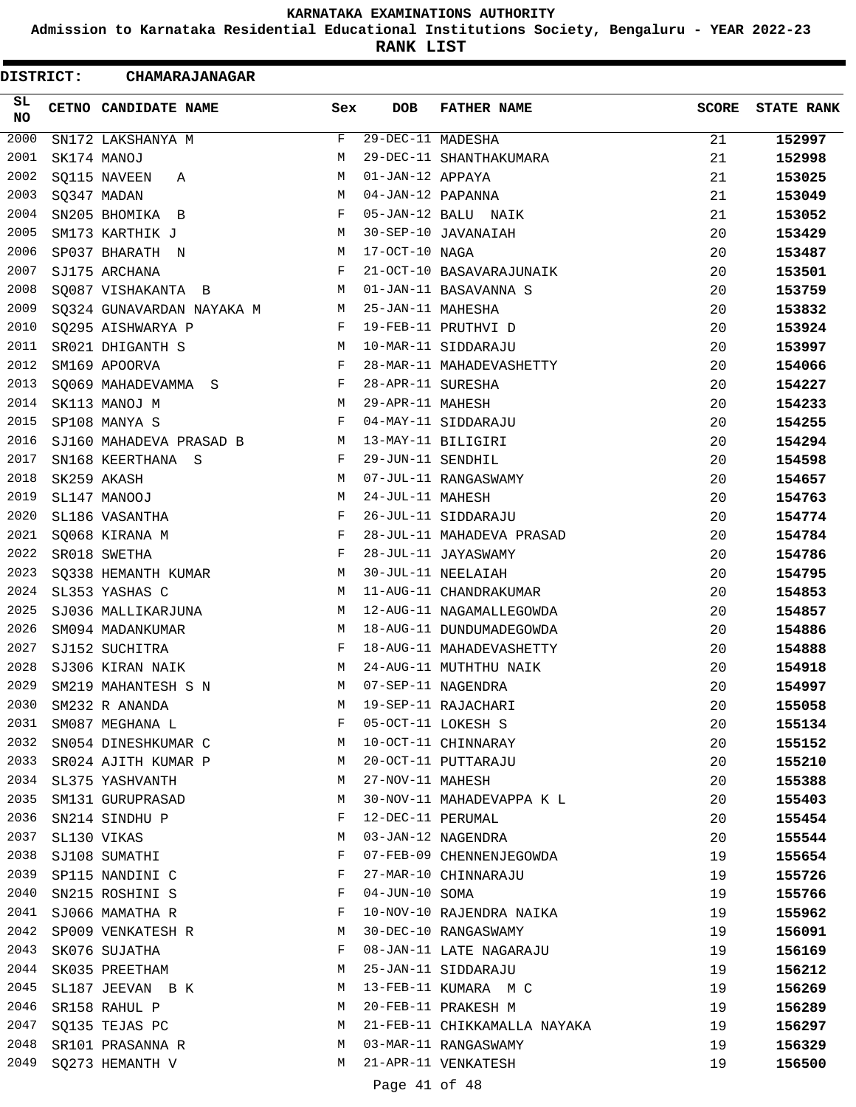**Admission to Karnataka Residential Educational Institutions Society, Bengaluru - YEAR 2022-23**

**RANK LIST**

| DISTRICT:       | <b>CHAMARAJANAGAR</b>     |     |                   |                              |              |                   |
|-----------------|---------------------------|-----|-------------------|------------------------------|--------------|-------------------|
| SL<br><b>NO</b> | CETNO CANDIDATE NAME      | Sex | <b>DOB</b>        | <b>FATHER NAME</b>           | <b>SCORE</b> | <b>STATE RANK</b> |
| 2000            | SN172 LAKSHANYA M         | F   | 29-DEC-11 MADESHA |                              | 21           | 152997            |
| 2001            | SK174 MANOJ               | М   |                   | 29-DEC-11 SHANTHAKUMARA      | 21           | 152998            |
| 2002            | SQ115 NAVEEN<br>Α         | М   | 01-JAN-12 APPAYA  |                              | 21           | 153025            |
| 2003            | SQ347 MADAN               | М   | 04-JAN-12 PAPANNA |                              | 21           | 153049            |
| 2004            | SN205 BHOMIKA B           | F   |                   | 05-JAN-12 BALU NAIK          | 21           | 153052            |
| 2005            | SM173 KARTHIK J           | M   |                   | 30-SEP-10 JAVANAIAH          | 20           | 153429            |
| 2006            | SP037 BHARATH N           | M   | 17-OCT-10 NAGA    |                              | 20           | 153487            |
| 2007            | SJ175 ARCHANA             | F   |                   | 21-OCT-10 BASAVARAJUNAIK     | 20           | 153501            |
| 2008            | SQ087 VISHAKANTA B        | М   |                   | 01-JAN-11 BASAVANNA S        | 20           | 153759            |
| 2009            | SQ324 GUNAVARDAN NAYAKA M | M   | 25-JAN-11 MAHESHA |                              | 20           | 153832            |
| 2010            | SQ295 AISHWARYA P         | F   |                   | 19-FEB-11 PRUTHVI D          | 20           | 153924            |
| 2011            | SR021 DHIGANTH S          | M   |                   | 10-MAR-11 SIDDARAJU          | 20           | 153997            |
| 2012            | SM169 APOORVA             | F   |                   | 28-MAR-11 MAHADEVASHETTY     | 20           | 154066            |
| 2013            | SQ069 MAHADEVAMMA S       | F   | 28-APR-11 SURESHA |                              | 20           | 154227            |
| 2014            | SK113 MANOJ M             | М   | 29-APR-11 MAHESH  |                              | 20           | 154233            |
| 2015            | SP108 MANYA S             | F   |                   | 04-MAY-11 SIDDARAJU          | 20           | 154255            |
| 2016            | SJ160 MAHADEVA PRASAD B   | М   |                   | 13-MAY-11 BILIGIRI           | 20           | 154294            |
| 2017            | SN168 KEERTHANA S         | F   | 29-JUN-11 SENDHIL |                              | 20           | 154598            |
| 2018            | SK259 AKASH               | М   |                   | 07-JUL-11 RANGASWAMY         | 20           | 154657            |
| 2019            | SL147 MANOOJ              | М   | 24-JUL-11 MAHESH  |                              | 20           | 154763            |
| 2020            | SL186 VASANTHA            | F   |                   | 26-JUL-11 SIDDARAJU          | 20           | 154774            |
| 2021            | SQ068 KIRANA M            | F   |                   | 28-JUL-11 MAHADEVA PRASAD    | 20           | 154784            |
| 2022            | SR018 SWETHA              | F   |                   | 28-JUL-11 JAYASWAMY          | 20           | 154786            |
| 2023            | SQ338 HEMANTH KUMAR       | М   |                   | 30-JUL-11 NEELAIAH           | 20           | 154795            |
| 2024            | SL353 YASHAS C            | М   |                   | 11-AUG-11 CHANDRAKUMAR       | 20           | 154853            |
| 2025            | SJ036 MALLIKARJUNA        | M   |                   | 12-AUG-11 NAGAMALLEGOWDA     | 20           | 154857            |
| 2026            | SM094 MADANKUMAR          | M   |                   | 18-AUG-11 DUNDUMADEGOWDA     | 20           | 154886            |
| 2027            | SJ152 SUCHITRA            | F   |                   | 18-AUG-11 MAHADEVASHETTY     | 20           | 154888            |
| 2028            | SJ306 KIRAN NAIK          | М   |                   | 24-AUG-11 MUTHTHU NAIK       | 20           | 154918            |
| 2029            | SM219 MAHANTESH S N       | М   |                   | 07-SEP-11 NAGENDRA           | 20           | 154997            |
| 2030            | SM232 R ANANDA            | M   |                   | 19-SEP-11 RAJACHARI          | 20           | 155058            |
| 2031            | SM087 MEGHANA L           | F   |                   | 05-OCT-11 LOKESH S           | 20           | 155134            |
| 2032            | SN054 DINESHKUMAR C       | M   |                   | 10-OCT-11 CHINNARAY          | 20           | 155152            |
| 2033            | SR024 AJITH KUMAR P       | М   |                   | 20-OCT-11 PUTTARAJU          | 20           | 155210            |
| 2034            | SL375 YASHVANTH           | М   | 27-NOV-11 MAHESH  |                              | 20           | 155388            |
| 2035            | SM131 GURUPRASAD          | М   |                   | 30-NOV-11 MAHADEVAPPA K L    | 20           | 155403            |
| 2036            | SN214 SINDHU P            | F   | 12-DEC-11 PERUMAL |                              | 20           | 155454            |
| 2037            | SL130 VIKAS               | М   |                   | 03-JAN-12 NAGENDRA           | 20           | 155544            |
| 2038            | SJ108 SUMATHI             | F   |                   | 07-FEB-09 CHENNENJEGOWDA     | 19           | 155654            |
| 2039            | SP115 NANDINI C           | F   |                   | 27-MAR-10 CHINNARAJU         | 19           | 155726            |
| 2040            | SN215 ROSHINI S           | F   | $04-JUN-10$ SOMA  |                              | 19           | 155766            |
| 2041            | SJ066 MAMATHA R           | F   |                   | 10-NOV-10 RAJENDRA NAIKA     | 19           | 155962            |
| 2042            | SP009 VENKATESH R         | M   |                   | 30-DEC-10 RANGASWAMY         | 19           | 156091            |
| 2043            | SK076 SUJATHA             | F   |                   | 08-JAN-11 LATE NAGARAJU      | 19           | 156169            |
| 2044            | SK035 PREETHAM            | М   |                   | 25-JAN-11 SIDDARAJU          | 19           | 156212            |
| 2045            | SL187 JEEVAN B K          | М   |                   | 13-FEB-11 KUMARA M C         | 19           | 156269            |
| 2046            | SR158 RAHUL P             | М   |                   | 20-FEB-11 PRAKESH M          | 19           | 156289            |
| 2047            | SQ135 TEJAS PC            | М   |                   | 21-FEB-11 CHIKKAMALLA NAYAKA | 19           | 156297            |
| 2048            | SR101 PRASANNA R          | M   |                   | 03-MAR-11 RANGASWAMY         | 19           | 156329            |
| 2049            | SQ273 HEMANTH V           | М   |                   | 21-APR-11 VENKATESH          | 19           | 156500            |
|                 |                           |     |                   |                              |              |                   |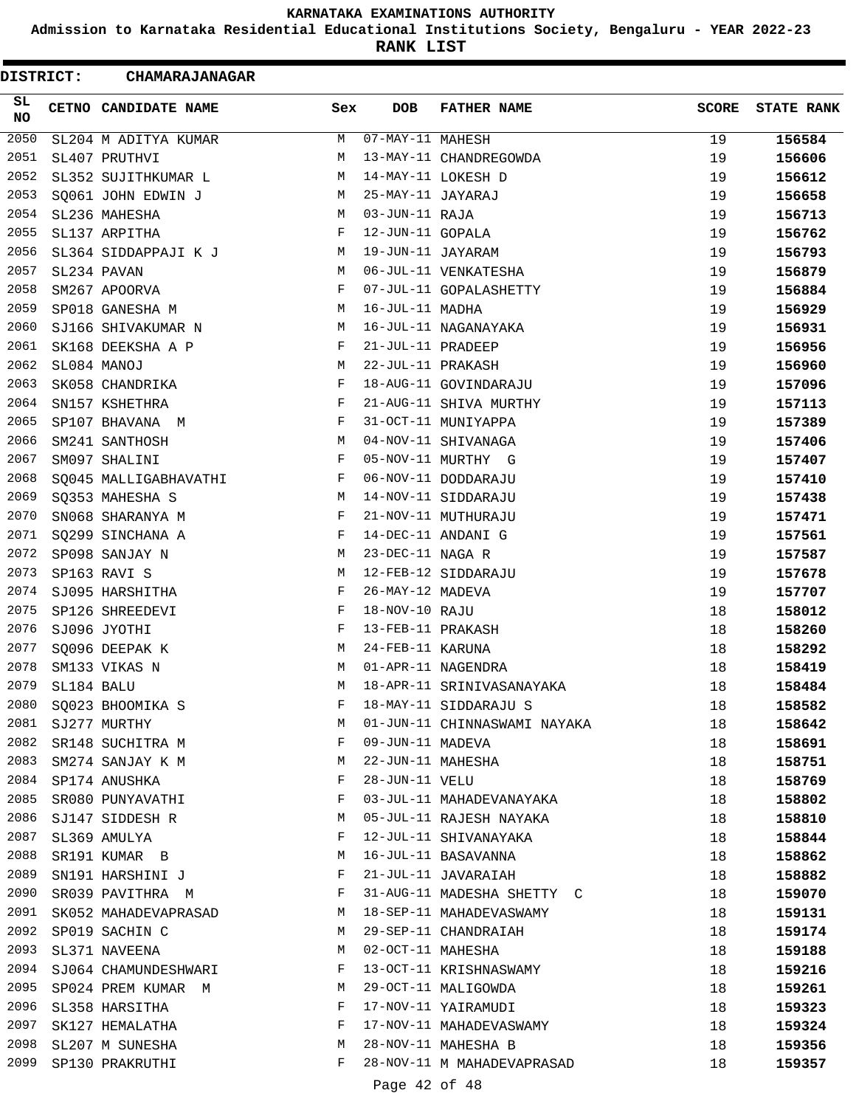**Admission to Karnataka Residential Educational Institutions Society, Bengaluru - YEAR 2022-23**

**RANK LIST**

| <b>DISTRICT:</b> |            | <b>CHAMARAJANAGAR</b> |     |                   |                              |              |                   |
|------------------|------------|-----------------------|-----|-------------------|------------------------------|--------------|-------------------|
| SL<br><b>NO</b>  |            | CETNO CANDIDATE NAME  | Sex | <b>DOB</b>        | <b>FATHER NAME</b>           | <b>SCORE</b> | <b>STATE RANK</b> |
| 2050             |            | SL204 M ADITYA KUMAR  | М   | 07-MAY-11 MAHESH  |                              | 19           | 156584            |
| 2051             |            | SL407 PRUTHVI         | М   |                   | 13-MAY-11 CHANDREGOWDA       | 19           | 156606            |
| 2052             |            | SL352 SUJITHKUMAR L   | М   |                   | 14-MAY-11 LOKESH D           | 19           | 156612            |
| 2053             |            | SQ061 JOHN EDWIN J    | M   | 25-MAY-11 JAYARAJ |                              | 19           | 156658            |
| 2054             |            | SL236 MAHESHA         | М   | 03-JUN-11 RAJA    |                              | 19           | 156713            |
| 2055             |            | SL137 ARPITHA         | F   | 12-JUN-11 GOPALA  |                              | 19           | 156762            |
| 2056             |            | SL364 SIDDAPPAJI K J  | М   | 19-JUN-11 JAYARAM |                              | 19           | 156793            |
| 2057             |            | SL234 PAVAN           | М   |                   | 06-JUL-11 VENKATESHA         | 19           | 156879            |
| 2058             |            | SM267 APOORVA         | F   |                   | 07-JUL-11 GOPALASHETTY       | 19           | 156884            |
| 2059             |            | SP018 GANESHA M       | М   | 16-JUL-11 MADHA   |                              | 19           | 156929            |
| 2060             |            | SJ166 SHIVAKUMAR N    | М   |                   | 16-JUL-11 NAGANAYAKA         | 19           | 156931            |
| 2061             |            | SK168 DEEKSHA A P     | F   | 21-JUL-11 PRADEEP |                              | 19           | 156956            |
| 2062             |            | SL084 MANOJ           | М   | 22-JUL-11 PRAKASH |                              | 19           | 156960            |
| 2063             |            | SK058 CHANDRIKA       | F   |                   | 18-AUG-11 GOVINDARAJU        | 19           | 157096            |
| 2064             |            | SN157 KSHETHRA        | F   |                   | 21-AUG-11 SHIVA MURTHY       | 19           | 157113            |
| 2065             |            | SP107 BHAVANA M       | F   |                   | 31-OCT-11 MUNIYAPPA          | 19           | 157389            |
| 2066             |            | SM241 SANTHOSH        | М   |                   | 04-NOV-11 SHIVANAGA          | 19           | 157406            |
| 2067             |            | SM097 SHALINI         | F   |                   | 05-NOV-11 MURTHY G           | 19           | 157407            |
| 2068             |            | SQ045 MALLIGABHAVATHI | F   |                   | 06-NOV-11 DODDARAJU          | 19           | 157410            |
| 2069             |            | SQ353 MAHESHA S       | М   |                   | 14-NOV-11 SIDDARAJU          | 19           | 157438            |
| 2070             |            | SN068 SHARANYA M      | F   |                   | 21-NOV-11 MUTHURAJU          | 19           | 157471            |
| 2071             |            | SQ299 SINCHANA A      | F   |                   | 14-DEC-11 ANDANI G           | 19           | 157561            |
| 2072             |            | SP098 SANJAY N        | М   | 23-DEC-11 NAGA R  |                              | 19           | 157587            |
| 2073             |            | SP163 RAVI S          | М   |                   | 12-FEB-12 SIDDARAJU          | 19           | 157678            |
| 2074             |            | SJ095 HARSHITHA       | F   | 26-MAY-12 MADEVA  |                              | 19           | 157707            |
| 2075             |            | SP126 SHREEDEVI       | F   | 18-NOV-10 RAJU    |                              | 18           | 158012            |
| 2076             |            | SJ096 JYOTHI          | F   | 13-FEB-11 PRAKASH |                              | 18           | 158260            |
| 2077             |            | SQ096 DEEPAK K        | М   | 24-FEB-11 KARUNA  |                              | 18           | 158292            |
| 2078             |            | SM133 VIKAS N         | М   |                   | 01-APR-11 NAGENDRA           | 18           | 158419            |
| 2079             | SL184 BALU |                       | М   |                   | 18-APR-11 SRINIVASANAYAKA    | 18           | 158484            |
| 2080             |            | SQ023 BHOOMIKA S      | F   |                   | 18-MAY-11 SIDDARAJU S        | 18           | 158582            |
| 2081             |            | SJ277 MURTHY          | M   |                   | 01-JUN-11 CHINNASWAMI NAYAKA | 18           | 158642            |
| 2082             |            | SR148 SUCHITRA M      | F   | 09-JUN-11 MADEVA  |                              | 18           | 158691            |
| 2083             |            | SM274 SANJAY K M      | M   | 22-JUN-11 MAHESHA |                              | 18           | 158751            |
|                  |            | 2084 SP174 ANUSHKA    | F   | 28-JUN-11 VELU    |                              | 18           | 158769            |
| 2085             |            | SR080 PUNYAVATHI      | F   |                   | 03-JUL-11 MAHADEVANAYAKA     | 18           | 158802            |
| 2086             |            | SJ147 SIDDESH R       | М   |                   | 05-JUL-11 RAJESH NAYAKA      | 18           | 158810            |
| 2087             |            | SL369 AMULYA          | F   |                   | 12-JUL-11 SHIVANAYAKA        | 18           | 158844            |
| 2088             |            | SR191 KUMAR B         | М   |                   | 16-JUL-11 BASAVANNA          | 18           | 158862            |
| 2089             |            | SN191 HARSHINI J      | F   |                   | 21-JUL-11 JAVARAIAH          | 18           | 158882            |
| 2090             |            | SR039 PAVITHRA M      | F   |                   | 31-AUG-11 MADESHA SHETTY C   | 18           | 159070            |
| 2091             |            | SK052 MAHADEVAPRASAD  | М   |                   | 18-SEP-11 MAHADEVASWAMY      | 18           | 159131            |
| 2092             |            | SP019 SACHIN C        | M   |                   | 29-SEP-11 CHANDRAIAH         | 18           | 159174            |
| 2093             |            | SL371 NAVEENA         | M   |                   | 02-OCT-11 MAHESHA            | 18           | 159188            |
| 2094             |            | SJ064 CHAMUNDESHWARI  | F   |                   | 13-OCT-11 KRISHNASWAMY       | 18           | 159216            |
| 2095             |            | SP024 PREM KUMAR M    | M   |                   | 29-OCT-11 MALIGOWDA          | 18           | 159261            |
| 2096             |            | SL358 HARSITHA        | F   |                   | 17-NOV-11 YAIRAMUDI          | 18           | 159323            |
| 2097             |            | SK127 HEMALATHA       | F   |                   | 17-NOV-11 MAHADEVASWAMY      | 18           | 159324            |
| 2098             |            | SL207 M SUNESHA       | M   |                   | 28-NOV-11 MAHESHA B          | 18           | 159356            |
| 2099             |            | SP130 PRAKRUTHI       | F   |                   | 28-NOV-11 M MAHADEVAPRASAD   | 18           | 159357            |
|                  |            |                       |     | Page 42 of 48     |                              |              |                   |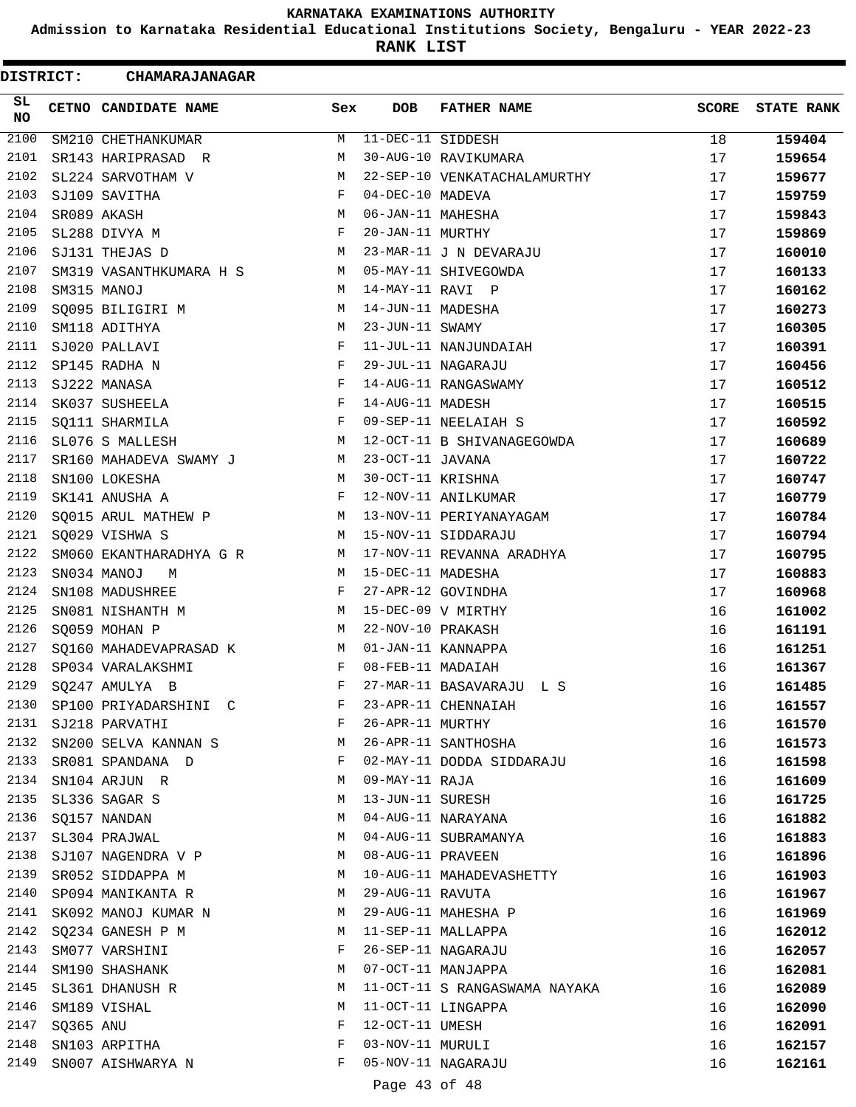**Admission to Karnataka Residential Educational Institutions Society, Bengaluru - YEAR 2022-23**

**RANK LIST**

| DISTRICT:    |           | <b>CHAMARAJANAGAR</b>   |            |                   |                               |              |                   |
|--------------|-----------|-------------------------|------------|-------------------|-------------------------------|--------------|-------------------|
| SL<br>NO     |           | CETNO CANDIDATE NAME    | Sex        | <b>DOB</b>        | <b>FATHER NAME</b>            | <b>SCORE</b> | <b>STATE RANK</b> |
| 2100         |           | SM210 CHETHANKUMAR      | М          | 11-DEC-11 SIDDESH |                               | 18           | 159404            |
| 2101         |           | SR143 HARIPRASAD R      | М          |                   | 30-AUG-10 RAVIKUMARA          | 17           | 159654            |
| 2102         |           | SL224 SARVOTHAM V       | М          |                   | 22-SEP-10 VENKATACHALAMURTHY  | 17           | 159677            |
| 2103         |           | SJ109 SAVITHA           | F          | 04-DEC-10 MADEVA  |                               | 17           | 159759            |
| 2104         |           | SR089 AKASH             | М          | 06-JAN-11 MAHESHA |                               | 17           | 159843            |
| 2105         |           | SL288 DIVYA M           | F          | 20-JAN-11 MURTHY  |                               | 17           | 159869            |
| 2106         |           | SJ131 THEJAS D          | М          |                   | 23-MAR-11 J N DEVARAJU        | 17           | 160010            |
| 2107         |           | SM319 VASANTHKUMARA H S | M          |                   | 05-MAY-11 SHIVEGOWDA          | 17           | 160133            |
| 2108         |           | SM315 MANOJ             | М          | 14-MAY-11 RAVI P  |                               | 17           | 160162            |
| 2109         |           | SQ095 BILIGIRI M        | М          | 14-JUN-11 MADESHA |                               | 17           | 160273            |
| 2110         |           | SM118 ADITHYA           | М          | 23-JUN-11 SWAMY   |                               | 17           | 160305            |
| 2111         |           | SJ020 PALLAVI           | $_{\rm F}$ |                   | 11-JUL-11 NANJUNDAIAH         | 17           | 160391            |
| 2112         |           | SP145 RADHA N           | F          |                   | 29-JUL-11 NAGARAJU            | 17           | 160456            |
| 2113         |           | SJ222 MANASA            | F          |                   | 14-AUG-11 RANGASWAMY          | 17           | 160512            |
| 2114         |           | SK037 SUSHEELA          | F          | 14-AUG-11 MADESH  |                               | 17           | 160515            |
| 2115         |           | SQ111 SHARMILA          | F          |                   | 09-SEP-11 NEELAIAH S          | 17           | 160592            |
| 2116         |           | SL076 S MALLESH         | М          |                   | 12-OCT-11 B SHIVANAGEGOWDA    | 17           | 160689            |
| 2117         |           | SR160 MAHADEVA SWAMY J  | M          | 23-OCT-11 JAVANA  |                               | 17           | 160722            |
| 2118         |           | SN100 LOKESHA           | М          | 30-OCT-11 KRISHNA |                               | 17           | 160747            |
| 2119         |           | SK141 ANUSHA A          | F          |                   | 12-NOV-11 ANILKUMAR           | 17           | 160779            |
| 2120         |           | SQ015 ARUL MATHEW P     | М          |                   | 13-NOV-11 PERIYANAYAGAM       | 17           | 160784            |
| 2121         |           | SQ029 VISHWA S          | М          |                   | 15-NOV-11 SIDDARAJU           | 17           | 160794            |
| 2122         |           | SM060 EKANTHARADHYA G R | М          |                   | 17-NOV-11 REVANNA ARADHYA     | 17           | 160795            |
| 2123         |           | SN034 MANOJ<br>M        | M          | 15-DEC-11 MADESHA |                               | 17           | 160883            |
| 2124         |           | SN108 MADUSHREE         | F          |                   | 27-APR-12 GOVINDHA            | 17           | 160968            |
| 2125         |           | SN081 NISHANTH M        | M          |                   | 15-DEC-09 V MIRTHY            | 16           | 161002            |
| 2126         |           | SQ059 MOHAN P           | М          | 22-NOV-10 PRAKASH |                               | 16           | 161191            |
| 2127         |           | SQ160 MAHADEVAPRASAD K  | M          |                   | 01-JAN-11 KANNAPPA            | 16           | 161251            |
| 2128         |           | SP034 VARALAKSHMI       | F          | 08-FEB-11 MADAIAH |                               | 16           | 161367            |
| 2129         |           | SQ247 AMULYA B          | F          |                   | 27-MAR-11 BASAVARAJU L S      | 16           | 161485            |
| 2130         |           | SP100 PRIYADARSHINI C   | F          |                   | 23-APR-11 CHENNAIAH           | 16           | 161557            |
| 2131         |           | SJ218 PARVATHI          | F          | 26-APR-11 MURTHY  |                               | 16           | 161570            |
| 2132         |           | SN200 SELVA KANNAN S    | М          |                   | 26-APR-11 SANTHOSHA           | 16           | 161573            |
| 2133         |           | SR081 SPANDANA D        | F          |                   | 02-MAY-11 DODDA SIDDARAJU     | 16           | 161598            |
| 2134         |           | SN104 ARJUN R           | M          | 09-MAY-11 RAJA    |                               | 16           | 161609            |
| 2135         |           | SL336 SAGAR S           | М          | 13-JUN-11 SURESH  |                               | 16           | 161725            |
| 2136         |           | SQ157 NANDAN            | М          |                   | 04-AUG-11 NARAYANA            | 16           | 161882            |
| 2137         |           |                         | M          |                   | 04-AUG-11 SUBRAMANYA          | 16           |                   |
| 2138         |           | SL304 PRAJWAL           | М          | 08-AUG-11 PRAVEEN |                               |              | 161883            |
| 2139         |           | SJ107 NAGENDRA V P      | М          |                   |                               | 16           | 161896            |
|              |           | SR052 SIDDAPPA M        |            |                   | 10-AUG-11 MAHADEVASHETTY      | 16           | 161903            |
| 2140<br>2141 |           | SP094 MANIKANTA R       | M          | 29-AUG-11 RAVUTA  |                               | 16           | 161967            |
|              |           | SK092 MANOJ KUMAR N     | М          |                   | 29-AUG-11 MAHESHA P           | 16           | 161969            |
| 2142         |           | SQ234 GANESH P M        | M          |                   | 11-SEP-11 MALLAPPA            | 16           | 162012            |
| 2143         |           | SM077 VARSHINI          | F          |                   | 26-SEP-11 NAGARAJU            | 16           | 162057            |
| 2144         |           | SM190 SHASHANK          | М          |                   | 07-OCT-11 MANJAPPA            | 16           | 162081            |
| 2145         |           | SL361 DHANUSH R         | М          |                   | 11-OCT-11 S RANGASWAMA NAYAKA | 16           | 162089            |
| 2146         |           | SM189 VISHAL            | М          |                   | 11-OCT-11 LINGAPPA            | 16           | 162090            |
| 2147         | SQ365 ANU |                         | F          | 12-OCT-11 UMESH   |                               | 16           | 162091            |
| 2148         |           | SN103 ARPITHA           | F          | 03-NOV-11 MURULI  |                               | 16           | 162157            |
| 2149         |           | SN007 AISHWARYA N       | F          |                   | 05-NOV-11 NAGARAJU            | 16           | 162161            |
|              |           |                         |            | Page 43 of 48     |                               |              |                   |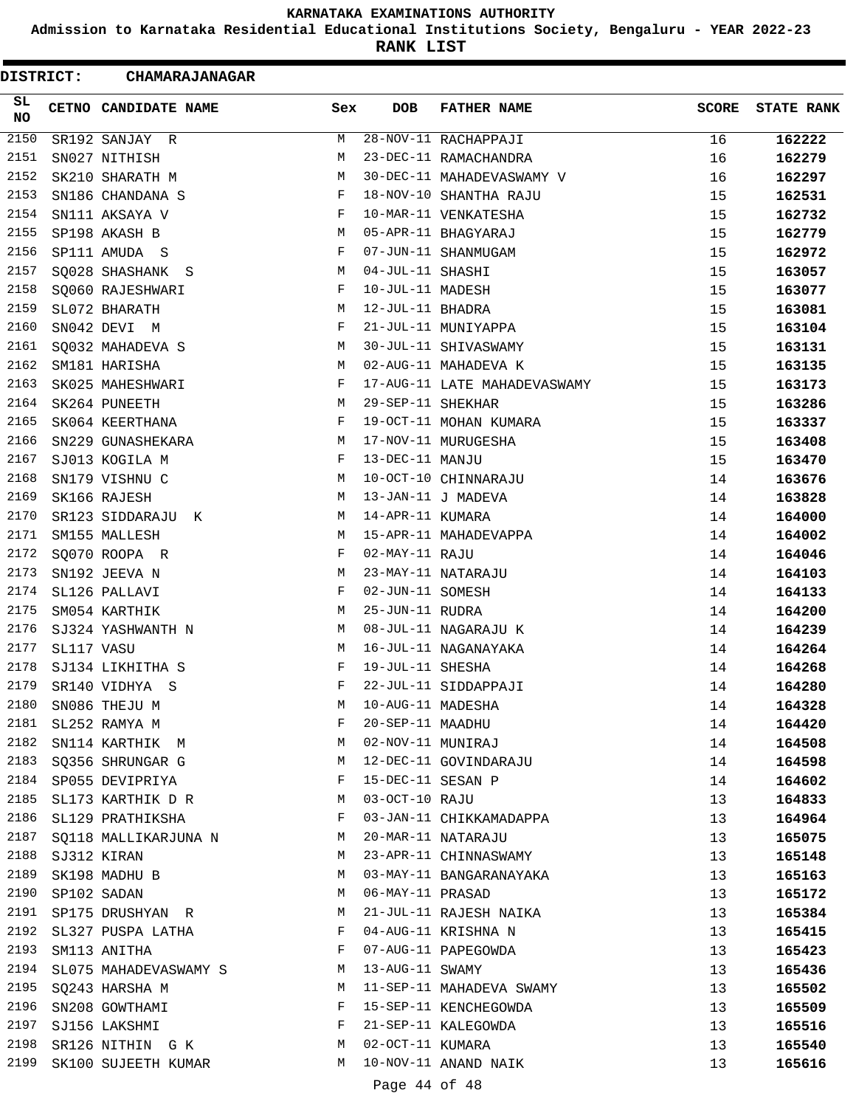**Admission to Karnataka Residential Educational Institutions Society, Bengaluru - YEAR 2022-23**

ı

**RANK LIST**

| <b>DISTRICT:</b> |            | <b>CHAMARAJANAGAR</b> |     |                   |                              |              |                   |
|------------------|------------|-----------------------|-----|-------------------|------------------------------|--------------|-------------------|
| SL<br><b>NO</b>  |            | CETNO CANDIDATE NAME  | Sex | <b>DOB</b>        | <b>FATHER NAME</b>           | <b>SCORE</b> | <b>STATE RANK</b> |
| 2150             |            | SR192 SANJAY R        | М   |                   | 28-NOV-11 RACHAPPAJI         | 16           | 162222            |
| 2151             |            | SN027 NITHISH         | M   |                   | 23-DEC-11 RAMACHANDRA        | 16           | 162279            |
| 2152             |            | SK210 SHARATH M       | М   |                   | 30-DEC-11 MAHADEVASWAMY V    | 16           | 162297            |
| 2153             |            | SN186 CHANDANA S      | F   |                   | 18-NOV-10 SHANTHA RAJU       | 15           | 162531            |
| 2154             |            | SN111 AKSAYA V        | F   |                   | 10-MAR-11 VENKATESHA         | 15           | 162732            |
| 2155             |            | SP198 AKASH B         | M   |                   | 05-APR-11 BHAGYARAJ          | 15           | 162779            |
| 2156             |            | SP111 AMUDA S         | F   |                   | 07-JUN-11 SHANMUGAM          | 15           | 162972            |
| 2157             |            | SQ028 SHASHANK S      | М   | 04-JUL-11 SHASHI  |                              | 15           | 163057            |
| 2158             |            | SQ060 RAJESHWARI      | F   | 10-JUL-11 MADESH  |                              | 15           | 163077            |
| 2159             |            | SL072 BHARATH         | М   | 12-JUL-11 BHADRA  |                              | 15           | 163081            |
| 2160             |            | SN042 DEVI M          | F   |                   | 21-JUL-11 MUNIYAPPA          | 15           | 163104            |
| 2161             |            | SQ032 MAHADEVA S      | М   |                   | 30-JUL-11 SHIVASWAMY         | 15           | 163131            |
| 2162             |            | SM181 HARISHA         | М   |                   | 02-AUG-11 MAHADEVA K         | 15           | 163135            |
| 2163             |            | SK025 MAHESHWARI      | F   |                   | 17-AUG-11 LATE MAHADEVASWAMY | 15           | 163173            |
| 2164             |            | SK264 PUNEETH         | М   | 29-SEP-11 SHEKHAR |                              | 15           | 163286            |
| 2165             |            | SK064 KEERTHANA       | F   |                   | 19-OCT-11 MOHAN KUMARA       | 15           | 163337            |
| 2166             |            | SN229 GUNASHEKARA     | М   |                   | 17-NOV-11 MURUGESHA          | 15           | 163408            |
| 2167             |            | SJ013 KOGILA M        | F   | 13-DEC-11 MANJU   |                              | 15           | 163470            |
| 2168             |            | SN179 VISHNU C        | М   |                   | 10-OCT-10 CHINNARAJU         | 14           | 163676            |
| 2169             |            | SK166 RAJESH          | М   |                   | 13-JAN-11 J MADEVA           | 14           | 163828            |
| 2170             |            | SR123 SIDDARAJU K     | М   | 14-APR-11 KUMARA  |                              | 14           | 164000            |
| 2171             |            | SM155 MALLESH         | M   |                   | 15-APR-11 MAHADEVAPPA        | 14           | 164002            |
| 2172             |            | SQ070 ROOPA R         | F   | 02-MAY-11 RAJU    |                              | 14           | 164046            |
| 2173             |            | SN192 JEEVA N         | М   |                   | 23-MAY-11 NATARAJU           | 14           | 164103            |
| 2174             |            | SL126 PALLAVI         | F   | 02-JUN-11 SOMESH  |                              | 14           | 164133            |
| 2175             |            | SM054 KARTHIK         | М   | 25-JUN-11 RUDRA   |                              | 14           | 164200            |
| 2176             |            | SJ324 YASHWANTH N     | М   |                   | 08-JUL-11 NAGARAJU K         | 14           | 164239            |
| 2177             | SL117 VASU |                       | M   |                   | 16-JUL-11 NAGANAYAKA         | 14           | 164264            |
| 2178             |            | SJ134 LIKHITHA S      | F   | 19-JUL-11 SHESHA  |                              | 14           | 164268            |
| 2179             |            | SR140 VIDHYA S        | F   |                   | 22-JUL-11 SIDDAPPAJI         | 14           | 164280            |
| 2180             |            | SN086 THEJU M         | М   | 10-AUG-11 MADESHA |                              | 14           | 164328            |
| 2181             |            | SL252 RAMYA M         | F   | 20-SEP-11 MAADHU  |                              | 14           | 164420            |
| 2182             |            | SN114 KARTHIK M       | M   | 02-NOV-11 MUNIRAJ |                              | 14           | 164508            |
| 2183             |            | SQ356 SHRUNGAR G      | M   |                   | 12-DEC-11 GOVINDARAJU        | 14           | 164598            |
| 2184             |            | SP055 DEVIPRIYA       | F   | 15-DEC-11 SESAN P |                              | 14           | 164602            |
| 2185             |            | SL173 KARTHIK D R     | M   | 03-OCT-10 RAJU    |                              | 13           | 164833            |
| 2186             |            | SL129 PRATHIKSHA      | F   |                   | 03-JAN-11 CHIKKAMADAPPA      | 13           | 164964            |
| 2187             |            | SQ118 MALLIKARJUNA N  | M   |                   | 20-MAR-11 NATARAJU           | 13           | 165075            |
| 2188             |            | SJ312 KIRAN           | M   |                   | 23-APR-11 CHINNASWAMY        | 13           | 165148            |
| 2189             |            | SK198 MADHU B         | M   |                   | 03-MAY-11 BANGARANAYAKA      | 13           | 165163            |
| 2190             |            | SP102 SADAN           | M   | 06-MAY-11 PRASAD  |                              | 13           | 165172            |
| 2191             |            | SP175 DRUSHYAN R      | M   |                   | 21-JUL-11 RAJESH NAIKA       | 13           | 165384            |
| 2192             |            | SL327 PUSPA LATHA     | F   |                   | 04-AUG-11 KRISHNA N          | 13           | 165415            |
| 2193             |            | SM113 ANITHA          | F   |                   | 07-AUG-11 PAPEGOWDA          | 13           | 165423            |
| 2194             |            | SL075 MAHADEVASWAMY S | M   | 13-AUG-11 SWAMY   |                              | 13           | 165436            |
| 2195             |            | SQ243 HARSHA M        | М   |                   | 11-SEP-11 MAHADEVA SWAMY     | 13           | 165502            |
| 2196             |            | SN208 GOWTHAMI        | F   |                   | 15-SEP-11 KENCHEGOWDA        | 13           | 165509            |
| 2197             |            | SJ156 LAKSHMI         | F   |                   | 21-SEP-11 KALEGOWDA          | 13           | 165516            |
| 2198             |            | SR126 NITHIN G K      | M   | 02-OCT-11 KUMARA  |                              | 13           | 165540            |
| 2199             |            | SK100 SUJEETH KUMAR   | M   |                   | 10-NOV-11 ANAND NAIK         | 13           | 165616            |
|                  |            |                       |     | Page 44 of 48     |                              |              |                   |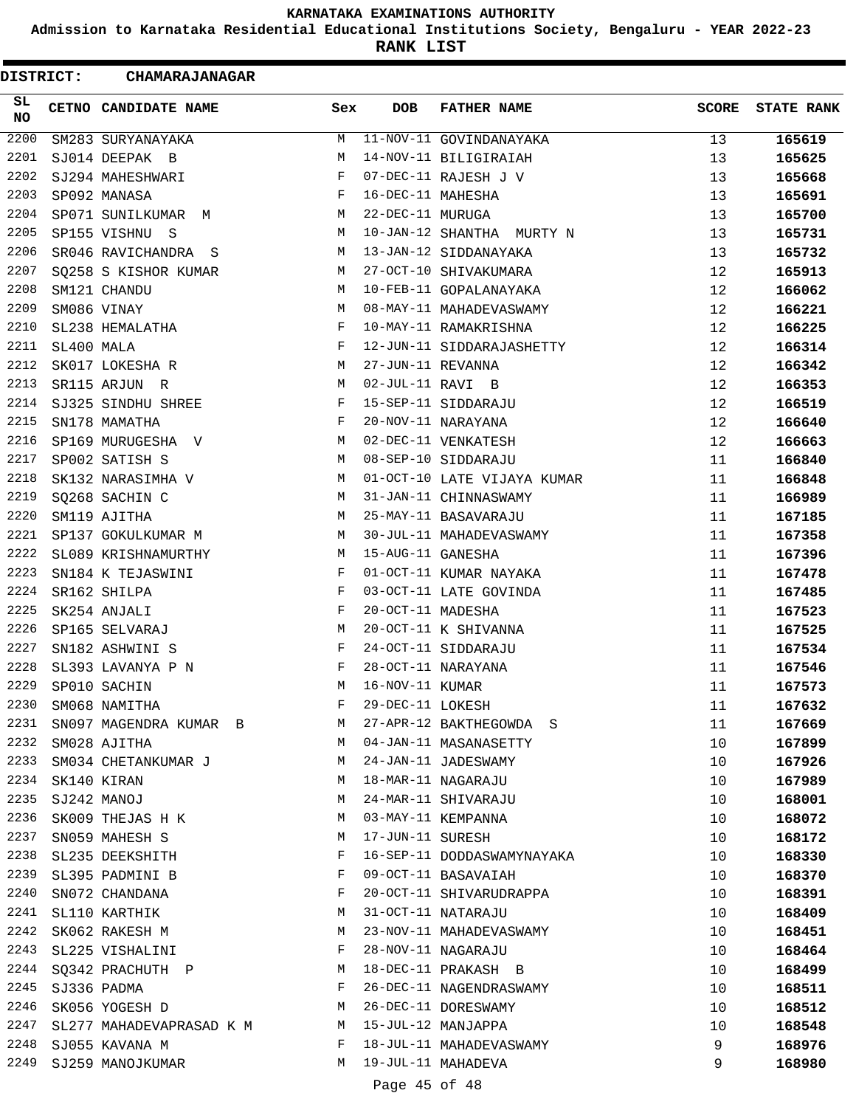**Admission to Karnataka Residential Educational Institutions Society, Bengaluru - YEAR 2022-23**

**RANK LIST**

 $\blacksquare$ 

| DISTRICT:        |            | <b>CHAMARAJANAGAR</b>       |     |                   |                             |              |                   |
|------------------|------------|-----------------------------|-----|-------------------|-----------------------------|--------------|-------------------|
| SL<br><b>NO</b>  |            | <b>CETNO CANDIDATE NAME</b> | Sex | <b>DOB</b>        | <b>FATHER NAME</b>          | <b>SCORE</b> | <b>STATE RANK</b> |
| $\frac{2200}{ }$ |            | SM283 SURYANAYAKA           | M   |                   | 11-NOV-11 GOVINDANAYAKA     | 13           | 165619            |
| 2201             |            | SJ014 DEEPAK B              | М   |                   | 14-NOV-11 BILIGIRAIAH       | 13           | 165625            |
| 2202             |            | SJ294 MAHESHWARI            | F   |                   | 07-DEC-11 RAJESH J V        | 13           | 165668            |
| 2203             |            | SP092 MANASA                | F   | 16-DEC-11 MAHESHA |                             | 13           | 165691            |
| 2204             |            | SP071 SUNILKUMAR M          | M   | 22-DEC-11 MURUGA  |                             | 13           | 165700            |
| 2205             |            | SP155 VISHNU S              | M   |                   | 10-JAN-12 SHANTHA MURTY N   | 13           | 165731            |
| 2206             |            | SR046 RAVICHANDRA S         | М   |                   | 13-JAN-12 SIDDANAYAKA       | 13           | 165732            |
| 2207             |            | SQ258 S KISHOR KUMAR        | M   |                   | 27-OCT-10 SHIVAKUMARA       | 12           | 165913            |
| 2208             |            | SM121 CHANDU                | M   |                   | 10-FEB-11 GOPALANAYAKA      | 12           | 166062            |
| 2209             |            | SM086 VINAY                 | М   |                   | 08-MAY-11 MAHADEVASWAMY     | 12           | 166221            |
| 2210             |            | SL238 HEMALATHA             | F   |                   | 10-MAY-11 RAMAKRISHNA       | 12           | 166225            |
| 2211             | SL400 MALA |                             | F   |                   | 12-JUN-11 SIDDARAJASHETTY   | 12           | 166314            |
| 2212             |            | SK017 LOKESHA R             | M   | 27-JUN-11 REVANNA |                             | 12           | 166342            |
| 2213             |            | SR115 ARJUN R               | М   | 02-JUL-11 RAVI B  |                             | 12           | 166353            |
| 2214             |            | SJ325 SINDHU SHREE          | F   |                   | 15-SEP-11 SIDDARAJU         | 12           | 166519            |
| 2215             |            | SN178 MAMATHA               | F   |                   | 20-NOV-11 NARAYANA          | 12           | 166640            |
| 2216             |            | SP169 MURUGESHA V           | M   |                   | 02-DEC-11 VENKATESH         | 12           | 166663            |
| 2217             |            | SP002 SATISH S              | М   |                   | 08-SEP-10 SIDDARAJU         | 11           | 166840            |
| 2218             |            | SK132 NARASIMHA V           | M   |                   | 01-OCT-10 LATE VIJAYA KUMAR | 11           | 166848            |
| 2219             |            | SQ268 SACHIN C              | М   |                   | 31-JAN-11 CHINNASWAMY       | 11           | 166989            |
| 2220             |            | SM119 AJITHA                | M   |                   | 25-MAY-11 BASAVARAJU        | 11           | 167185            |
| 2221             |            | SP137 GOKULKUMAR M          | М   |                   | 30-JUL-11 MAHADEVASWAMY     | 11           | 167358            |
| 2222             |            | SL089 KRISHNAMURTHY         | M   | 15-AUG-11 GANESHA |                             | 11           | 167396            |
| 2223             |            | SN184 K TEJASWINI           | F   |                   | 01-OCT-11 KUMAR NAYAKA      | 11           | 167478            |
| 2224             |            | SR162 SHILPA                | F   |                   | 03-OCT-11 LATE GOVINDA      | 11           | 167485            |
| 2225             |            | SK254 ANJALI                | F   | 20-OCT-11 MADESHA |                             | 11           | 167523            |
| 2226             |            | SP165 SELVARAJ              | M   |                   | 20-OCT-11 K SHIVANNA        | 11           | 167525            |
| 2227             |            | SN182 ASHWINI S             | F   |                   | 24-OCT-11 SIDDARAJU         | 11           | 167534            |
| 2228             |            | SL393 LAVANYA P N           | F   |                   | 28-OCT-11 NARAYANA          | 11           | 167546            |
| 2229             |            | SP010 SACHIN                | M   | 16-NOV-11 KUMAR   |                             | 11           | 167573            |
| 2230             |            | SM068 NAMITHA               | F   | 29-DEC-11 LOKESH  |                             | 11           | 167632            |
| 2231             |            | SN097 MAGENDRA KUMAR B      | M   |                   | 27-APR-12 BAKTHEGOWDA S     | 11           | 167669            |
| 2232             |            | SM028 AJITHA                | M   |                   | 04-JAN-11 MASANASETTY       | 10           | 167899            |
| 2233             |            | SM034 CHETANKUMAR J         | M   |                   | 24-JAN-11 JADESWAMY         | 10           | 167926            |
| 2234             |            | SK140 KIRAN                 | M   |                   | 18-MAR-11 NAGARAJU          | 10           | 167989            |
| 2235             |            | SJ242 MANOJ                 | М   |                   | 24-MAR-11 SHIVARAJU         | 10           | 168001            |
| 2236             |            | SK009 THEJAS H K            | М   |                   | 03-MAY-11 KEMPANNA          | 10           | 168072            |
| 2237             |            | SN059 MAHESH S              | M   | 17-JUN-11 SURESH  |                             | 10           | 168172            |
| 2238             |            | SL235 DEEKSHITH             | F   |                   | 16-SEP-11 DODDASWAMYNAYAKA  | 10           | 168330            |
| 2239             |            | SL395 PADMINI B             | F   |                   | 09-OCT-11 BASAVAIAH         | 10           | 168370            |
| 2240             |            | SN072 CHANDANA              | F   |                   | 20-OCT-11 SHIVARUDRAPPA     | 10           | 168391            |
| 2241             |            | SL110 KARTHIK               | М   |                   | 31-OCT-11 NATARAJU          | 10           | 168409            |
| 2242             |            | SK062 RAKESH M              | М   |                   | 23-NOV-11 MAHADEVASWAMY     | 10           | 168451            |
| 2243             |            | SL225 VISHALINI             | F   |                   | 28-NOV-11 NAGARAJU          | 10           | 168464            |
| 2244             |            | SQ342 PRACHUTH P            | М   |                   | 18-DEC-11 PRAKASH B         | 10           | 168499            |
| 2245             |            | SJ336 PADMA                 | F   |                   | 26-DEC-11 NAGENDRASWAMY     | 10           | 168511            |
| 2246             |            | SK056 YOGESH D              | М   |                   | 26-DEC-11 DORESWAMY         | 10           | 168512            |
| 2247             |            | SL277 MAHADEVAPRASAD K M    | М   |                   | 15-JUL-12 MANJAPPA          | 10           | 168548            |
| 2248             |            | SJ055 KAVANA M              | F   |                   | 18-JUL-11 MAHADEVASWAMY     | 9            | 168976            |
| 2249             |            | SJ259 MANOJKUMAR            | M   |                   | 19-JUL-11 MAHADEVA          | 9            | 168980            |

Page 45 of 48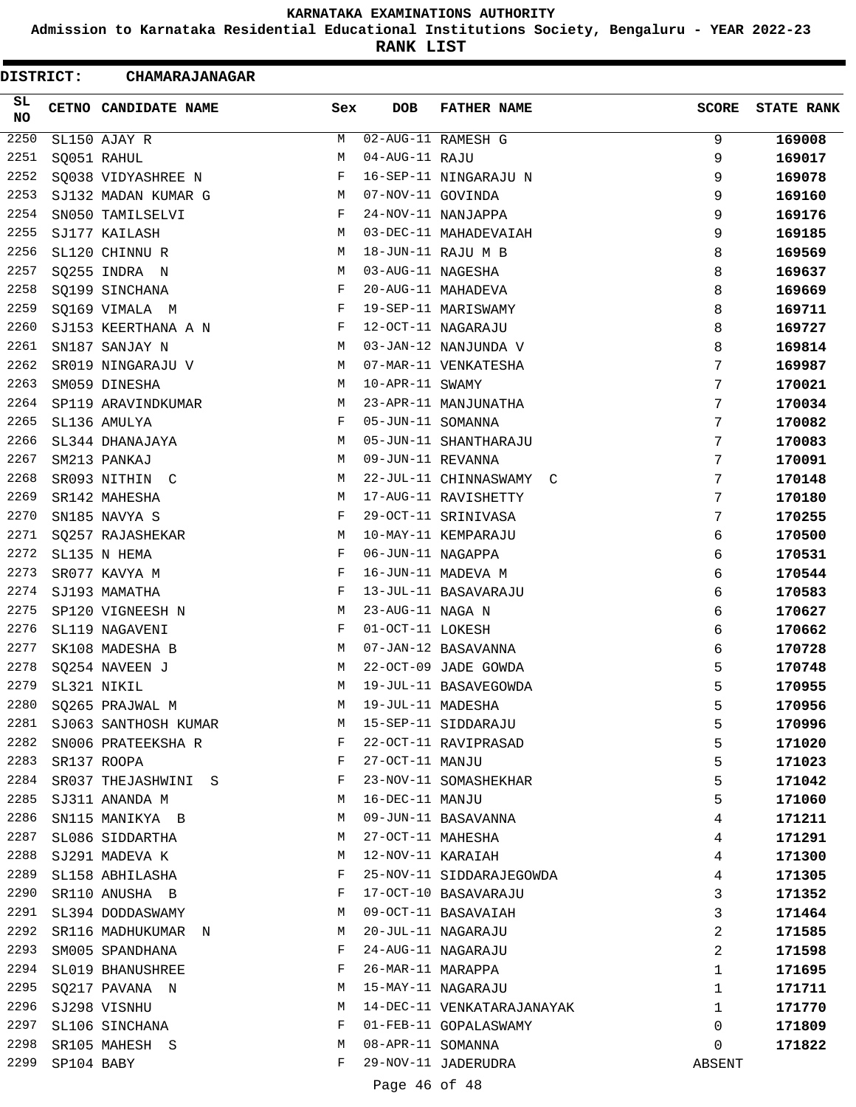**Admission to Karnataka Residential Educational Institutions Society, Bengaluru - YEAR 2022-23**

**RANK LIST**

| DISTRICT: |            | <b>CHAMARAJANAGAR</b> |     |                   |                            |              |                   |
|-----------|------------|-----------------------|-----|-------------------|----------------------------|--------------|-------------------|
| SL<br>NO  |            | CETNO CANDIDATE NAME  | Sex | DOB               | <b>FATHER NAME</b>         | <b>SCORE</b> | <b>STATE RANK</b> |
| 2250      |            | SL150 AJAY R          | М   |                   | 02-AUG-11 RAMESH G         | 9            | 169008            |
| 2251      |            | SQ051 RAHUL           | М   | 04-AUG-11 RAJU    |                            | 9            | 169017            |
| 2252      |            | SQ038 VIDYASHREE N    | F   |                   | 16-SEP-11 NINGARAJU N      | 9            | 169078            |
| 2253      |            | SJ132 MADAN KUMAR G   | М   | 07-NOV-11 GOVINDA |                            | 9            | 169160            |
| 2254      |            | SN050 TAMILSELVI      | F   |                   | 24-NOV-11 NANJAPPA         | 9            | 169176            |
| 2255      |            | SJ177 KAILASH         | M   |                   | 03-DEC-11 MAHADEVAIAH      | 9            | 169185            |
| 2256      |            | SL120 CHINNU R        | М   |                   | 18-JUN-11 RAJU M B         | 8            | 169569            |
| 2257      |            | SQ255 INDRA N         | М   | 03-AUG-11 NAGESHA |                            | 8            | 169637            |
| 2258      |            | SQ199 SINCHANA        | F   |                   | 20-AUG-11 MAHADEVA         | 8            | 169669            |
| 2259      |            | SQ169 VIMALA M        | F   |                   | 19-SEP-11 MARISWAMY        | 8            | 169711            |
| 2260      |            | SJ153 KEERTHANA A N   | F   |                   | 12-OCT-11 NAGARAJU         | 8            | 169727            |
| 2261      |            | SN187 SANJAY N        | M   |                   | 03-JAN-12 NANJUNDA V       | 8            | 169814            |
| 2262      |            | SR019 NINGARAJU V     | M   |                   | 07-MAR-11 VENKATESHA       | 7            | 169987            |
| 2263      |            | SM059 DINESHA         | M   | 10-APR-11 SWAMY   |                            | 7            | 170021            |
| 2264      |            | SP119 ARAVINDKUMAR    | М   |                   | 23-APR-11 MANJUNATHA       | 7            | 170034            |
| 2265      |            | SL136 AMULYA          | F   | 05-JUN-11 SOMANNA |                            | 7            | 170082            |
| 2266      |            | SL344 DHANAJAYA       | M   |                   | 05-JUN-11 SHANTHARAJU      | 7            | 170083            |
| 2267      |            | SM213 PANKAJ          | M   | 09-JUN-11 REVANNA |                            | 7            | 170091            |
| 2268      |            | SR093 NITHIN C        | M   |                   | 22-JUL-11 CHINNASWAMY C    | 7            | 170148            |
| 2269      |            | SR142 MAHESHA         | M   |                   | 17-AUG-11 RAVISHETTY       | 7            | 170180            |
| 2270      |            | SN185 NAVYA S         | F   |                   | 29-OCT-11 SRINIVASA        | 7            | 170255            |
| 2271      |            | SQ257 RAJASHEKAR      | М   |                   | 10-MAY-11 KEMPARAJU        | 6            | 170500            |
| 2272      |            | SL135 N HEMA          | F   | 06-JUN-11 NAGAPPA |                            | 6            | 170531            |
| 2273      |            | SR077 KAVYA M         | F   |                   | 16-JUN-11 MADEVA M         | 6            | 170544            |
| 2274      |            | SJ193 MAMATHA         | F   |                   | 13-JUL-11 BASAVARAJU       | 6            | 170583            |
| 2275      |            | SP120 VIGNEESH N      | М   | 23-AUG-11 NAGA N  |                            | 6            | 170627            |
| 2276      |            | SL119 NAGAVENI        | F   | 01-OCT-11 LOKESH  |                            | 6            | 170662            |
| 2277      |            | SK108 MADESHA B       | M   |                   | 07-JAN-12 BASAVANNA        | 6            | 170728            |
| 2278      |            | SQ254 NAVEEN J        | M   |                   | 22-OCT-09 JADE GOWDA       | 5            | 170748            |
| 2279      |            | SL321 NIKIL           | M   |                   | 19-JUL-11 BASAVEGOWDA      | 5            | 170955            |
| 2280      |            | SQ265 PRAJWAL M       | М   | 19-JUL-11 MADESHA |                            | 5            | 170956            |
| 2281      |            | SJ063 SANTHOSH KUMAR  | M   |                   | 15-SEP-11 SIDDARAJU        | 5            | 170996            |
| 2282      |            | SN006 PRATEEKSHA R    | F   |                   | 22-OCT-11 RAVIPRASAD       | 5            | 171020            |
| 2283      |            | SR137 ROOPA           | F   | 27-OCT-11 MANJU   |                            | 5            | 171023            |
| 2284      |            | SR037 THEJASHWINI S   | F   |                   | 23-NOV-11 SOMASHEKHAR      | 5            | 171042            |
| 2285      |            | SJ311 ANANDA M        | М   | 16-DEC-11 MANJU   |                            | 5            | 171060            |
| 2286      |            | SN115 MANIKYA B       | М   |                   | 09-JUN-11 BASAVANNA        | 4            | 171211            |
| 2287      |            | SL086 SIDDARTHA       | М   | 27-OCT-11 MAHESHA |                            | 4            | 171291            |
| 2288      |            | SJ291 MADEVA K        | М   | 12-NOV-11 KARAIAH |                            | 4            | 171300            |
| 2289      |            | SL158 ABHILASHA       | F   |                   | 25-NOV-11 SIDDARAJEGOWDA   | 4            | 171305            |
| 2290      |            | SR110 ANUSHA B        | F   |                   | 17-OCT-10 BASAVARAJU       | 3            | 171352            |
| 2291      |            | SL394 DODDASWAMY      | М   |                   | 09-OCT-11 BASAVAIAH        | 3            | 171464            |
| 2292      |            | SR116 MADHUKUMAR N    | М   |                   | 20-JUL-11 NAGARAJU         | 2            | 171585            |
| 2293      |            | SM005 SPANDHANA       | F   |                   | 24-AUG-11 NAGARAJU         | 2            | 171598            |
| 2294      |            | SL019 BHANUSHREE      | F   | 26-MAR-11 MARAPPA |                            | 1            | 171695            |
| 2295      |            | SQ217 PAVANA N        | М   |                   | 15-MAY-11 NAGARAJU         | 1            | 171711            |
| 2296      |            | SJ298 VISNHU          | M   |                   | 14-DEC-11 VENKATARAJANAYAK | 1            | 171770            |
| 2297      |            | SL106 SINCHANA        | F   |                   | 01-FEB-11 GOPALASWAMY      | 0            | 171809            |
| 2298      |            | SR105 MAHESH S        | M   | 08-APR-11 SOMANNA |                            | 0            | 171822            |
| 2299      | SP104 BABY |                       | F   |                   | 29-NOV-11 JADERUDRA        | ABSENT       |                   |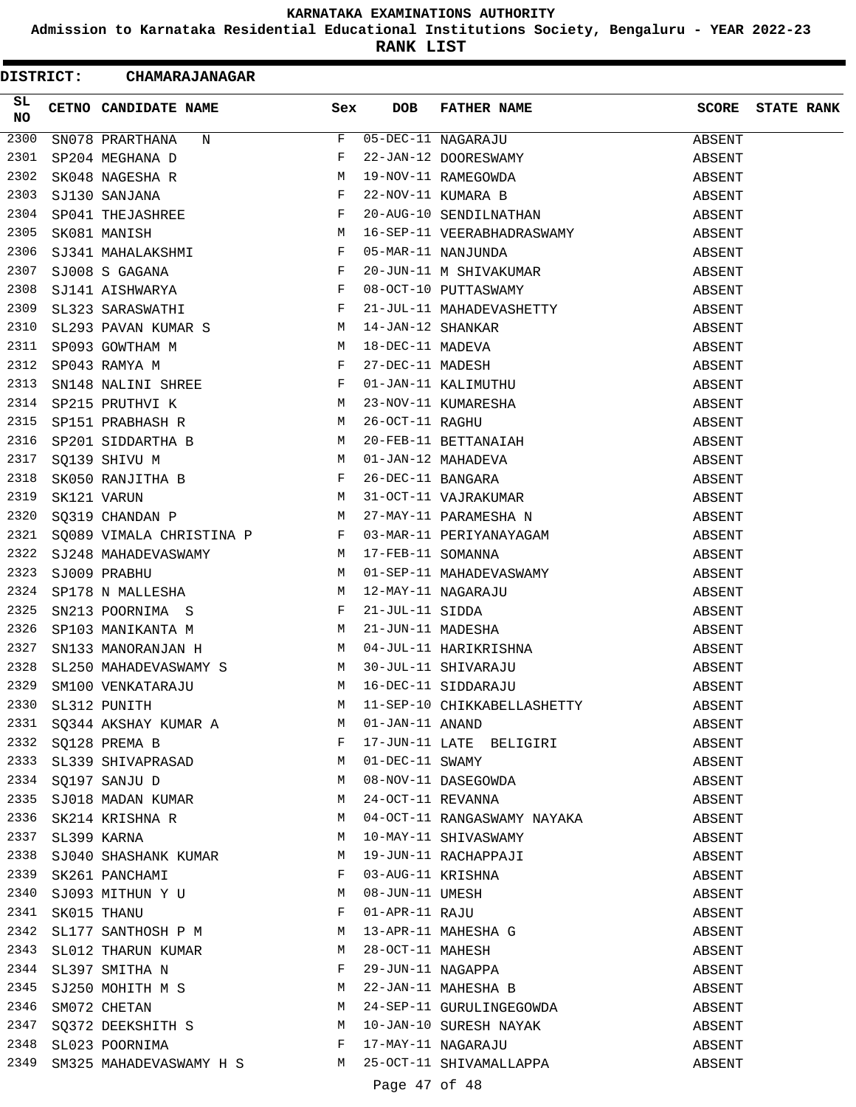**Admission to Karnataka Residential Educational Institutions Society, Bengaluru - YEAR 2022-23**

**RANK LIST**

| <b>DISTRICT:</b> | <b>CHAMARAJANAGAR</b>                                                                                                                                                            |     |            |                                                                                                                                                                                                                                          |        |                   |
|------------------|----------------------------------------------------------------------------------------------------------------------------------------------------------------------------------|-----|------------|------------------------------------------------------------------------------------------------------------------------------------------------------------------------------------------------------------------------------------------|--------|-------------------|
| SL<br>NO.        | CETNO CANDIDATE NAME                                                                                                                                                             | Sex | <b>DOB</b> | FATHER NAME                                                                                                                                                                                                                              | SCORE  | <b>STATE RANK</b> |
| 2300             | SN078 PRARTHANA<br>N                                                                                                                                                             | F   |            | 05-DEC-11 NAGARAJU<br>22-JAN-12 DOORESWAMY<br>19-NOV-11 RAMEGOWDA<br>22-NOV-11 KUMARA B                                                                                                                                                  | ABSENT |                   |
| 2301             | SNO78 PRARTHANA N<br>SP204 MEGHANA D<br>SK048 NAGESHA R<br>SJ130 SANJANA F<br>SP041 THEJASHREE F<br>SK081 MANISH<br>SJ341 MAHALAKSHMI F<br>SJ008 S GAGANA F<br>SJ141 AISHWARYA F |     |            |                                                                                                                                                                                                                                          | ABSENT |                   |
| 2302             |                                                                                                                                                                                  |     |            |                                                                                                                                                                                                                                          | ABSENT |                   |
| 2303             |                                                                                                                                                                                  |     |            |                                                                                                                                                                                                                                          | ABSENT |                   |
| 2304             |                                                                                                                                                                                  |     |            | 20-AUG-10 SENDILNATHAN                                                                                                                                                                                                                   | ABSENT |                   |
| 2305             |                                                                                                                                                                                  |     |            | 16-SEP-11 VEERABHADRASWAMY                                                                                                                                                                                                               | ABSENT |                   |
| 2306             |                                                                                                                                                                                  |     |            | 05-MAR-11 NANJUNDA                                                                                                                                                                                                                       | ABSENT |                   |
| 2307             |                                                                                                                                                                                  |     |            | 20-JUN-11 M SHIVAKUMAR                                                                                                                                                                                                                   | ABSENT |                   |
| 2308             |                                                                                                                                                                                  |     |            | 08-OCT-10 PUTTASWAMY                                                                                                                                                                                                                     | ABSENT |                   |
| 2309             | SL323 SARASWATHI F                                                                                                                                                               |     |            | 21-JUL-11 MAHADEVASHETTY                                                                                                                                                                                                                 | ABSENT |                   |
| 2310             |                                                                                                                                                                                  |     |            | SL323 SARASWATHI F 21-JUL-11 MAHADEVASHETTY<br>SL293 PAVAN KUMAR S M 14-JAN-12 SHANKAR<br>SP093 GOWTHAM M M 18-DEC-11 MADEVA<br>SP043 RAMYA M F 27-DEC-11 MADESH<br>SN148 NALINI SHREE F 01-JAN-11 KALIMUTHU<br>SP215 PRUTHVI K M 23-NO  | ABSENT |                   |
| 2311             |                                                                                                                                                                                  |     |            |                                                                                                                                                                                                                                          | ABSENT |                   |
| 2312             |                                                                                                                                                                                  |     |            |                                                                                                                                                                                                                                          | ABSENT |                   |
| 2313             |                                                                                                                                                                                  |     |            |                                                                                                                                                                                                                                          | ABSENT |                   |
| 2314             |                                                                                                                                                                                  |     |            |                                                                                                                                                                                                                                          | ABSENT |                   |
| 2315             |                                                                                                                                                                                  |     |            |                                                                                                                                                                                                                                          | ABSENT |                   |
| 2316             |                                                                                                                                                                                  |     |            |                                                                                                                                                                                                                                          | ABSENT |                   |
| 2317             |                                                                                                                                                                                  |     |            |                                                                                                                                                                                                                                          | ABSENT |                   |
| 2318             |                                                                                                                                                                                  |     |            |                                                                                                                                                                                                                                          | ABSENT |                   |
| 2319             |                                                                                                                                                                                  |     |            |                                                                                                                                                                                                                                          | ABSENT |                   |
| 2320             |                                                                                                                                                                                  |     |            | SQ319 CHANDAN P M 27-MAY-11 PARAMESHA N                                                                                                                                                                                                  | ABSENT |                   |
|                  | 2321 SQ089 VIMALA CHRISTINA P F 03-MAR-11 PERIYANAYAGAM                                                                                                                          |     |            |                                                                                                                                                                                                                                          | ABSENT |                   |
| 2322             |                                                                                                                                                                                  |     |            |                                                                                                                                                                                                                                          | ABSENT |                   |
| 2323             |                                                                                                                                                                                  |     |            | 01-SEP-11 MAHADEVASWAMY                                                                                                                                                                                                                  | ABSENT |                   |
| 2324             |                                                                                                                                                                                  |     |            |                                                                                                                                                                                                                                          | ABSENT |                   |
| 2325             |                                                                                                                                                                                  |     |            |                                                                                                                                                                                                                                          | ABSENT |                   |
| 2326             |                                                                                                                                                                                  |     |            |                                                                                                                                                                                                                                          | ABSENT |                   |
| 2327             |                                                                                                                                                                                  |     |            |                                                                                                                                                                                                                                          | ABSENT |                   |
| 2328             |                                                                                                                                                                                  |     |            |                                                                                                                                                                                                                                          | ABSENT |                   |
| 2329             |                                                                                                                                                                                  |     |            |                                                                                                                                                                                                                                          | ABSENT |                   |
| 2330             | SL312 PUNITH                                                                                                                                                                     |     |            | M 11-SEP-10 CHIKKABELLASHETTY                                                                                                                                                                                                            | ABSENT |                   |
|                  | 2331 SQ344 AKSHAY KUMAR A M 01-JAN-11 ANAND                                                                                                                                      |     |            |                                                                                                                                                                                                                                          | ABSENT |                   |
|                  | 2332 SQ128 PREMA B                                                                                                                                                               |     |            | 17-JUN-11 LATE BELIGIRI                                                                                                                                                                                                                  | ABSENT |                   |
|                  |                                                                                                                                                                                  |     |            |                                                                                                                                                                                                                                          | ABSENT |                   |
|                  |                                                                                                                                                                                  |     |            |                                                                                                                                                                                                                                          | ABSENT |                   |
|                  |                                                                                                                                                                                  |     |            | 2332 SQL20 FREEM B<br>2333 SL339 SHIVAPRASAD<br>2334 SQ197 SANJU D<br>2335 SJ018 MADAN KUMAR<br>2335 SJ018 MADAN KUMAR<br>24-OCT-11 REVANNA                                                                                              | ABSENT |                   |
| 2336             | SK214 KRISHNA R M                                                                                                                                                                |     |            | 04-OCT-11 RANGASWAMY NAYAKA                                                                                                                                                                                                              | ABSENT |                   |
|                  |                                                                                                                                                                                  |     |            |                                                                                                                                                                                                                                          | ABSENT |                   |
|                  |                                                                                                                                                                                  |     |            | 2337 SL399 KARNA M 10-MAY-11 SHIVASWAMI NATARA<br>2338 SJ040 SHASHANK KUMAR M 19-JUN-11 RACHAPPAJI<br>2339 SK261 PANCHAMI F 03-AUG-11 KRISHNA<br>2340 SJ093 MITHUN Y U M 08-JUN-11 UMESH<br>2341 SK015 THANU F 01-APR-11 RAJU<br>2342 SL | ABSENT |                   |
|                  |                                                                                                                                                                                  |     |            |                                                                                                                                                                                                                                          | ABSENT |                   |
|                  |                                                                                                                                                                                  |     |            |                                                                                                                                                                                                                                          | ABSENT |                   |
|                  |                                                                                                                                                                                  |     |            |                                                                                                                                                                                                                                          | ABSENT |                   |
|                  |                                                                                                                                                                                  |     |            |                                                                                                                                                                                                                                          | ABSENT |                   |
| 2343             | SL012 THARUN KUMAR M                                                                                                                                                             |     |            |                                                                                                                                                                                                                                          | ABSENT |                   |
| 2344             | SL397 SMITHA N F                                                                                                                                                                 |     |            |                                                                                                                                                                                                                                          | ABSENT |                   |
|                  |                                                                                                                                                                                  |     |            | -- --<br>28-OCT-11 MAHESH<br>29-JUN-11 NAGAPPA<br>22-JAN-11 MAHESHA B<br>2344 SU250 MOHITH M S<br>2346 SM072 CHETAN M S M 22-JAN-11 MAHESHA B<br>2346 SM072 CHETAN M 24-SEP-11 GURULINGEGOWDA                                            | ABSENT |                   |
|                  |                                                                                                                                                                                  |     |            |                                                                                                                                                                                                                                          | ABSENT |                   |
|                  |                                                                                                                                                                                  |     |            | 2347 SQ372 DEEKSHITH S M 10-JAN-10 SURESH NAYAK                                                                                                                                                                                          | ABSENT |                   |
|                  |                                                                                                                                                                                  |     |            |                                                                                                                                                                                                                                          | ABSENT |                   |
|                  |                                                                                                                                                                                  |     |            |                                                                                                                                                                                                                                          | ABSENT |                   |
|                  |                                                                                                                                                                                  |     |            |                                                                                                                                                                                                                                          |        |                   |